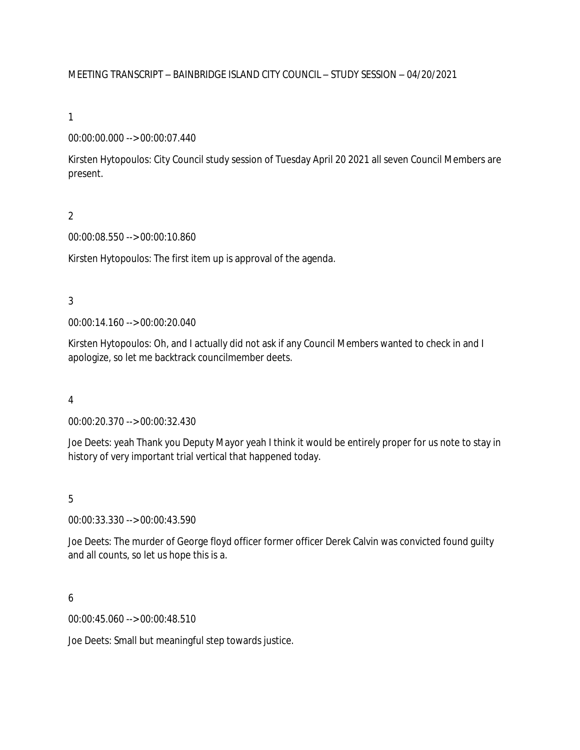### MEETING TRANSCRIPT – BAINBRIDGE ISLAND CITY COUNCIL – STUDY SESSION – 04/20/2021

### 1

### 00:00:00.000 --> 00:00:07.440

Kirsten Hytopoulos: City Council study session of Tuesday April 20 2021 all seven Council Members are present.

## $\overline{2}$

### 00:00:08.550 --> 00:00:10.860

Kirsten Hytopoulos: The first item up is approval of the agenda.

### 3

00:00:14.160 --> 00:00:20.040

Kirsten Hytopoulos: Oh, and I actually did not ask if any Council Members wanted to check in and I apologize, so let me backtrack councilmember deets.

### 4

00:00:20.370 --> 00:00:32.430

Joe Deets: yeah Thank you Deputy Mayor yeah I think it would be entirely proper for us note to stay in history of very important trial vertical that happened today.

### 5

00:00:33.330 --> 00:00:43.590

Joe Deets: The murder of George floyd officer former officer Derek Calvin was convicted found guilty and all counts, so let us hope this is a.

### 6

00:00:45.060 --> 00:00:48.510

Joe Deets: Small but meaningful step towards justice.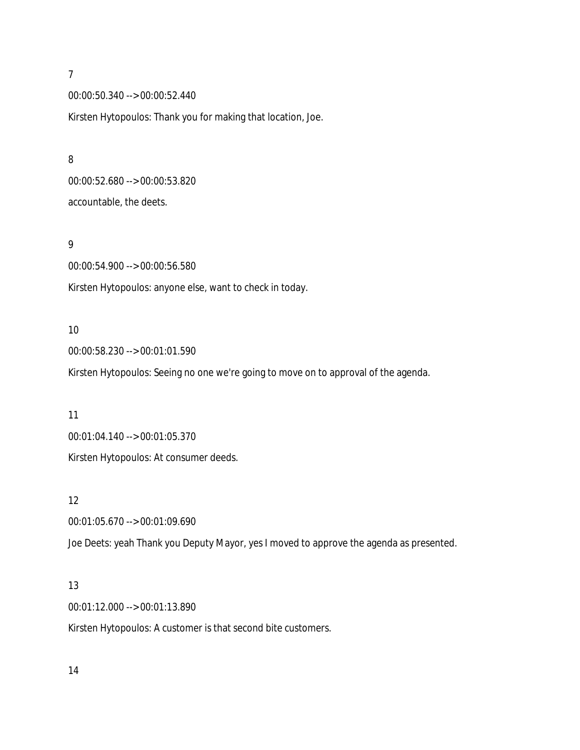8

00:00:50.340 --> 00:00:52.440

Kirsten Hytopoulos: Thank you for making that location, Joe.

00:00:52.680 --> 00:00:53.820 accountable, the deets.

### 9

00:00:54.900 --> 00:00:56.580 Kirsten Hytopoulos: anyone else, want to check in today.

### 10

00:00:58.230 --> 00:01:01.590

Kirsten Hytopoulos: Seeing no one we're going to move on to approval of the agenda.

### 11

00:01:04.140 --> 00:01:05.370

Kirsten Hytopoulos: At consumer deeds.

### 12

00:01:05.670 --> 00:01:09.690

Joe Deets: yeah Thank you Deputy Mayor, yes I moved to approve the agenda as presented.

### 13

00:01:12.000 --> 00:01:13.890

Kirsten Hytopoulos: A customer is that second bite customers.

14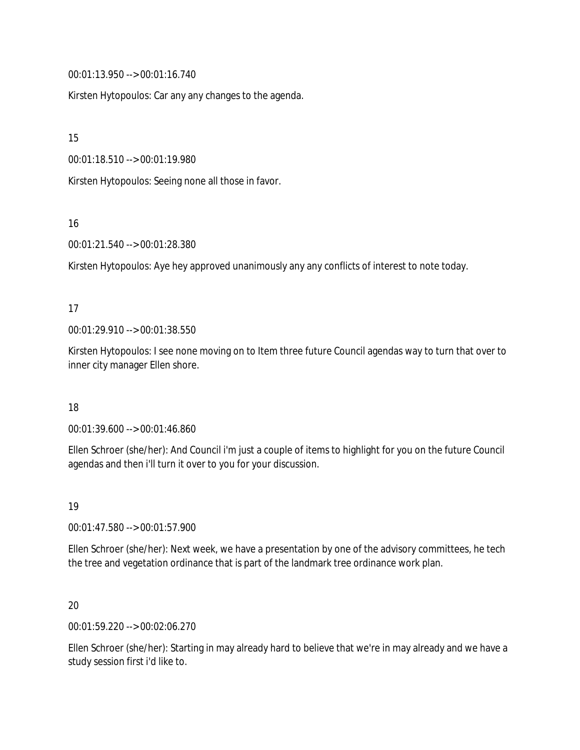00:01:13.950 --> 00:01:16.740

Kirsten Hytopoulos: Car any any changes to the agenda.

15

00:01:18.510 --> 00:01:19.980

Kirsten Hytopoulos: Seeing none all those in favor.

16

00:01:21.540 --> 00:01:28.380

Kirsten Hytopoulos: Aye hey approved unanimously any any conflicts of interest to note today.

### 17

00:01:29.910 --> 00:01:38.550

Kirsten Hytopoulos: I see none moving on to Item three future Council agendas way to turn that over to inner city manager Ellen shore.

### 18

00:01:39.600 --> 00:01:46.860

Ellen Schroer (she/her): And Council i'm just a couple of items to highlight for you on the future Council agendas and then i'll turn it over to you for your discussion.

19

00:01:47.580 --> 00:01:57.900

Ellen Schroer (she/her): Next week, we have a presentation by one of the advisory committees, he tech the tree and vegetation ordinance that is part of the landmark tree ordinance work plan.

## 20

00:01:59.220 --> 00:02:06.270

Ellen Schroer (she/her): Starting in may already hard to believe that we're in may already and we have a study session first i'd like to.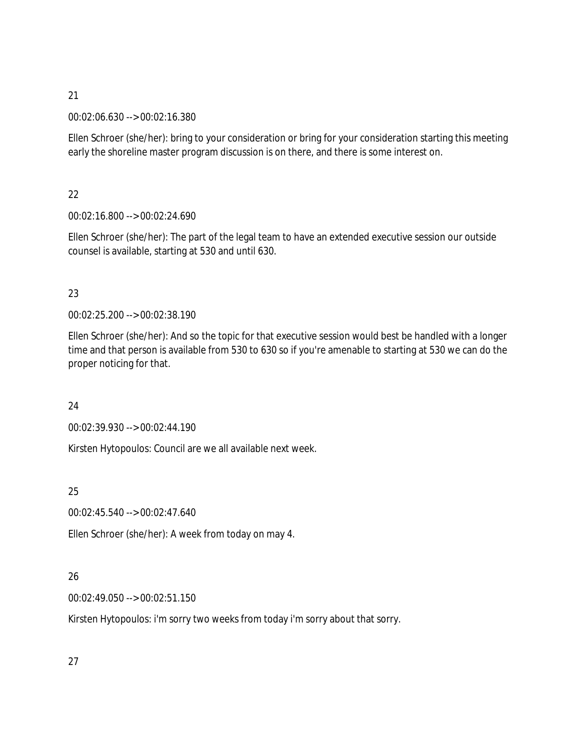00:02:06.630 --> 00:02:16.380

Ellen Schroer (she/her): bring to your consideration or bring for your consideration starting this meeting early the shoreline master program discussion is on there, and there is some interest on.

22

00:02:16.800 --> 00:02:24.690

Ellen Schroer (she/her): The part of the legal team to have an extended executive session our outside counsel is available, starting at 530 and until 630.

# 23

00:02:25.200 --> 00:02:38.190

Ellen Schroer (she/her): And so the topic for that executive session would best be handled with a longer time and that person is available from 530 to 630 so if you're amenable to starting at 530 we can do the proper noticing for that.

24

00:02:39.930 --> 00:02:44.190

Kirsten Hytopoulos: Council are we all available next week.

25

00:02:45.540 --> 00:02:47.640

Ellen Schroer (she/her): A week from today on may 4.

# 26

00:02:49.050 --> 00:02:51.150

Kirsten Hytopoulos: i'm sorry two weeks from today i'm sorry about that sorry.

27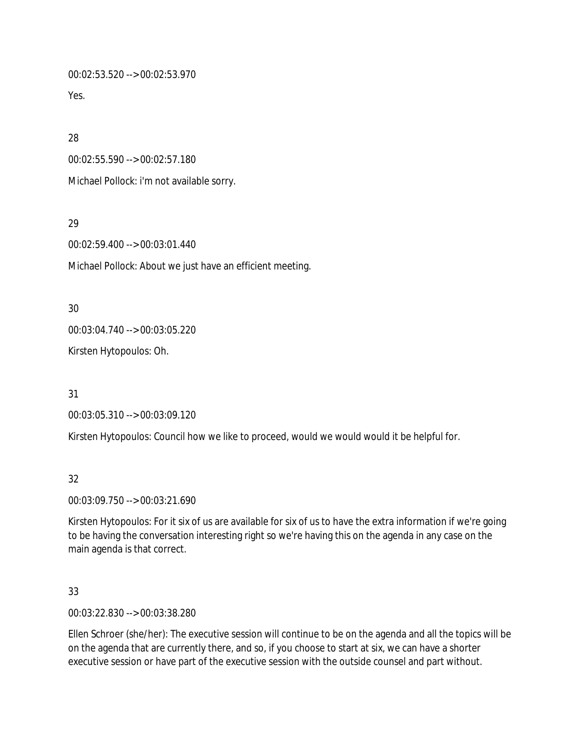00:02:53.520 --> 00:02:53.970

Yes.

28

00:02:55.590 --> 00:02:57.180

Michael Pollock: i'm not available sorry.

29

00:02:59.400 --> 00:03:01.440

Michael Pollock: About we just have an efficient meeting.

30

00:03:04.740 --> 00:03:05.220

Kirsten Hytopoulos: Oh.

31

00:03:05.310 --> 00:03:09.120

Kirsten Hytopoulos: Council how we like to proceed, would we would would it be helpful for.

## 32

00:03:09.750 --> 00:03:21.690

Kirsten Hytopoulos: For it six of us are available for six of us to have the extra information if we're going to be having the conversation interesting right so we're having this on the agenda in any case on the main agenda is that correct.

33

00:03:22.830 --> 00:03:38.280

Ellen Schroer (she/her): The executive session will continue to be on the agenda and all the topics will be on the agenda that are currently there, and so, if you choose to start at six, we can have a shorter executive session or have part of the executive session with the outside counsel and part without.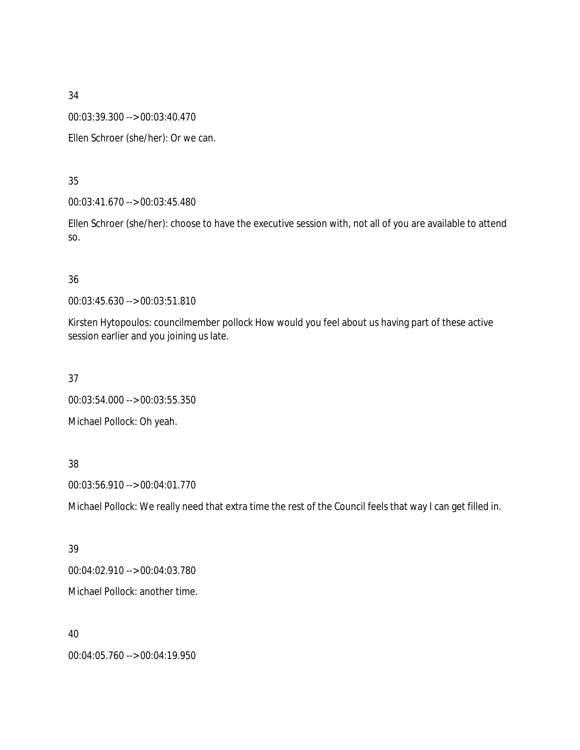00:03:39.300 --> 00:03:40.470

Ellen Schroer (she/her): Or we can.

### 35

00:03:41.670 --> 00:03:45.480

Ellen Schroer (she/her): choose to have the executive session with, not all of you are available to attend so.

### 36

00:03:45.630 --> 00:03:51.810

Kirsten Hytopoulos: councilmember pollock How would you feel about us having part of these active session earlier and you joining us late.

37

00:03:54.000 --> 00:03:55.350

Michael Pollock: Oh yeah.

### 38

00:03:56.910 --> 00:04:01.770

Michael Pollock: We really need that extra time the rest of the Council feels that way I can get filled in.

### 39

00:04:02.910 --> 00:04:03.780 Michael Pollock: another time.

40

00:04:05.760 --> 00:04:19.950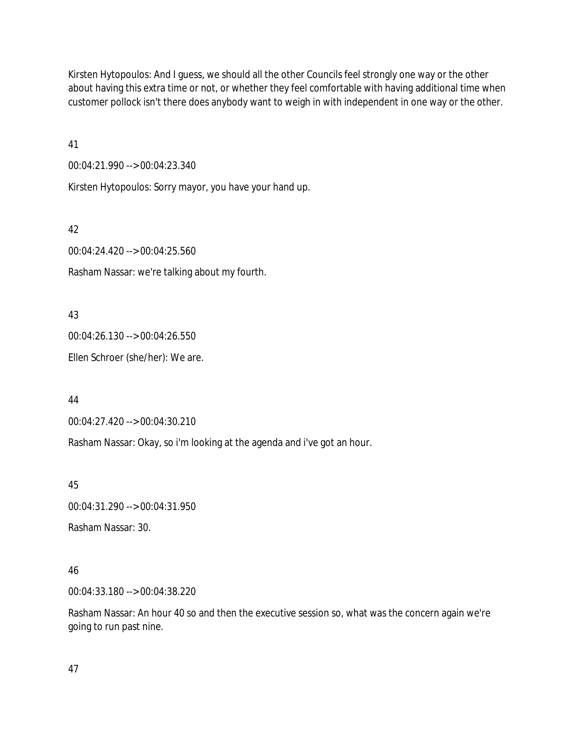Kirsten Hytopoulos: And I guess, we should all the other Councils feel strongly one way or the other about having this extra time or not, or whether they feel comfortable with having additional time when customer pollock isn't there does anybody want to weigh in with independent in one way or the other.

41

00:04:21.990 --> 00:04:23.340

Kirsten Hytopoulos: Sorry mayor, you have your hand up.

42 00:04:24.420 --> 00:04:25.560 Rasham Nassar: we're talking about my fourth.

43 00:04:26.130 --> 00:04:26.550 Ellen Schroer (she/her): We are.

44

00:04:27.420 --> 00:04:30.210

Rasham Nassar: Okay, so i'm looking at the agenda and i've got an hour.

45

00:04:31.290 --> 00:04:31.950

Rasham Nassar: 30.

### 46

00:04:33.180 --> 00:04:38.220

Rasham Nassar: An hour 40 so and then the executive session so, what was the concern again we're going to run past nine.

47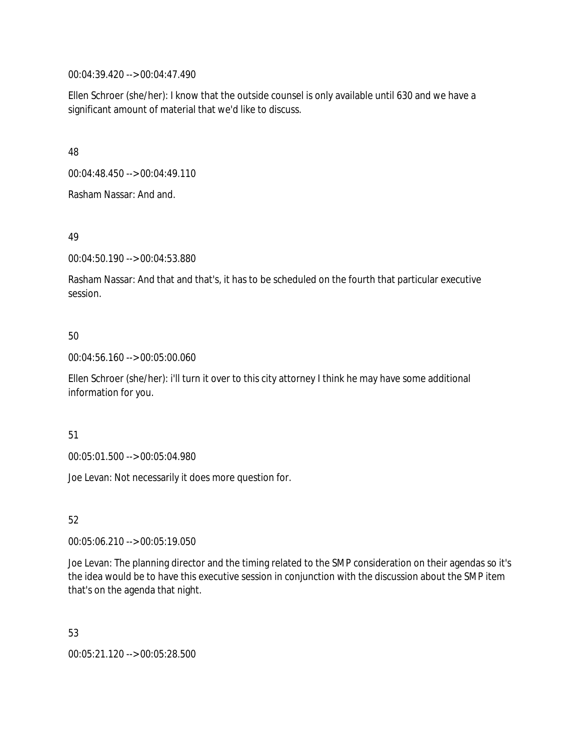00:04:39.420 --> 00:04:47.490

Ellen Schroer (she/her): I know that the outside counsel is only available until 630 and we have a significant amount of material that we'd like to discuss.

48

00:04:48.450 --> 00:04:49.110

Rasham Nassar: And and.

49

00:04:50.190 --> 00:04:53.880

Rasham Nassar: And that and that's, it has to be scheduled on the fourth that particular executive session.

### 50

00:04:56.160 --> 00:05:00.060

Ellen Schroer (she/her): i'll turn it over to this city attorney I think he may have some additional information for you.

51

00:05:01.500 --> 00:05:04.980

Joe Levan: Not necessarily it does more question for.

52

00:05:06.210 --> 00:05:19.050

Joe Levan: The planning director and the timing related to the SMP consideration on their agendas so it's the idea would be to have this executive session in conjunction with the discussion about the SMP item that's on the agenda that night.

53

00:05:21.120 --> 00:05:28.500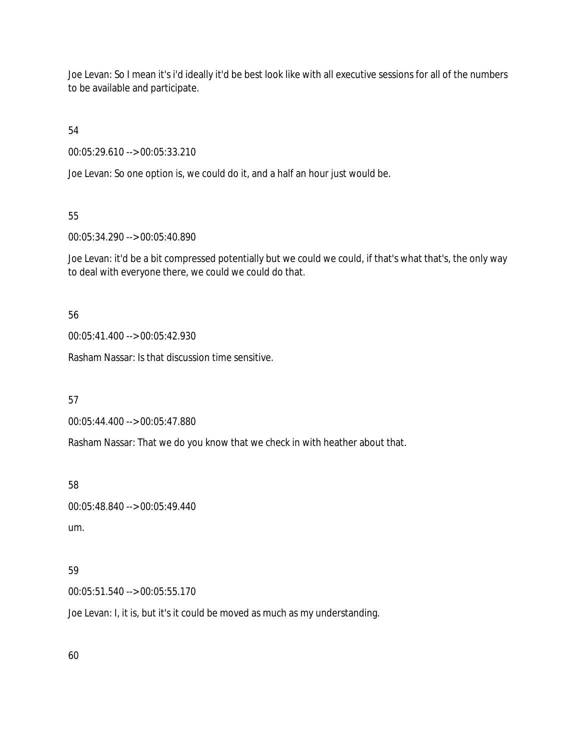Joe Levan: So I mean it's i'd ideally it'd be best look like with all executive sessions for all of the numbers to be available and participate.

54

00:05:29.610 --> 00:05:33.210

Joe Levan: So one option is, we could do it, and a half an hour just would be.

55

00:05:34.290 --> 00:05:40.890

Joe Levan: it'd be a bit compressed potentially but we could we could, if that's what that's, the only way to deal with everyone there, we could we could do that.

56

00:05:41.400 --> 00:05:42.930

Rasham Nassar: Is that discussion time sensitive.

57

00:05:44.400 --> 00:05:47.880

Rasham Nassar: That we do you know that we check in with heather about that.

58

```
00:05:48.840 --> 00:05:49.440
um.
```
### 59

00:05:51.540 --> 00:05:55.170

Joe Levan: I, it is, but it's it could be moved as much as my understanding.

60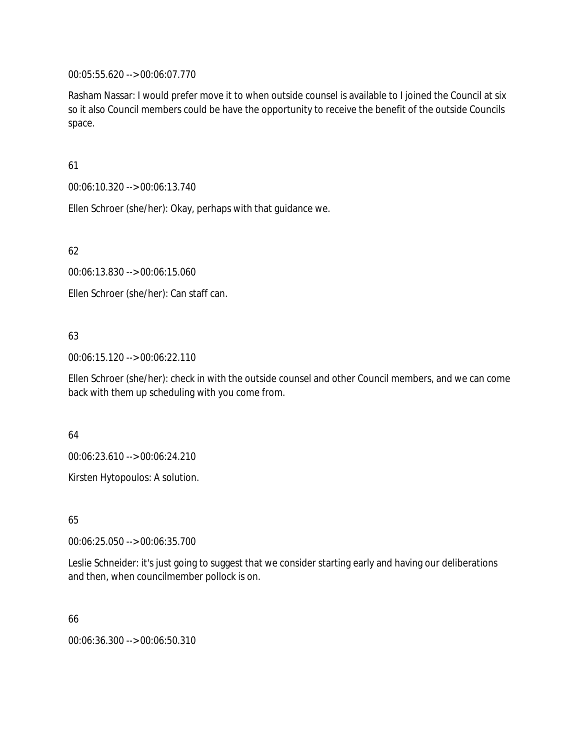00:05:55.620 --> 00:06:07.770

Rasham Nassar: I would prefer move it to when outside counsel is available to I joined the Council at six so it also Council members could be have the opportunity to receive the benefit of the outside Councils space.

61

00:06:10.320 --> 00:06:13.740

Ellen Schroer (she/her): Okay, perhaps with that guidance we.

62

00:06:13.830 --> 00:06:15.060

Ellen Schroer (she/her): Can staff can.

## 63

00:06:15.120 --> 00:06:22.110

Ellen Schroer (she/her): check in with the outside counsel and other Council members, and we can come back with them up scheduling with you come from.

64

00:06:23.610 --> 00:06:24.210

Kirsten Hytopoulos: A solution.

65

00:06:25.050 --> 00:06:35.700

Leslie Schneider: it's just going to suggest that we consider starting early and having our deliberations and then, when councilmember pollock is on.

66

00:06:36.300 --> 00:06:50.310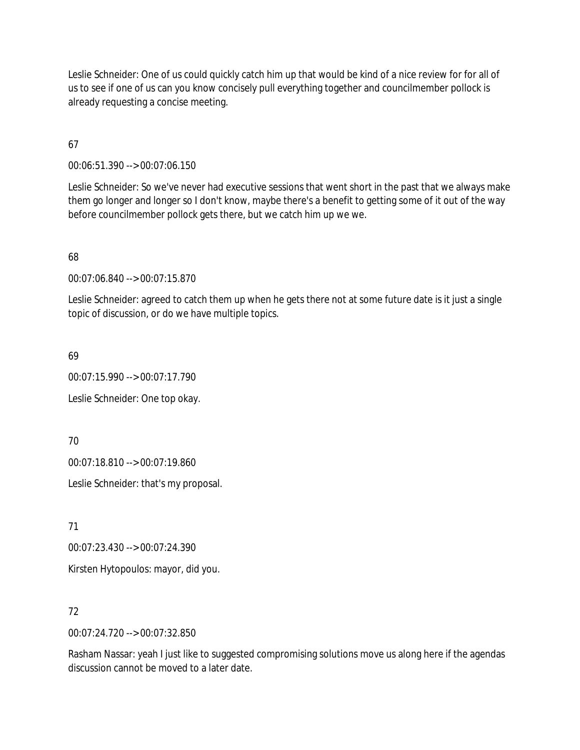Leslie Schneider: One of us could quickly catch him up that would be kind of a nice review for for all of us to see if one of us can you know concisely pull everything together and councilmember pollock is already requesting a concise meeting.

67

00:06:51.390 --> 00:07:06.150

Leslie Schneider: So we've never had executive sessions that went short in the past that we always make them go longer and longer so I don't know, maybe there's a benefit to getting some of it out of the way before councilmember pollock gets there, but we catch him up we we.

68

00:07:06.840 --> 00:07:15.870

Leslie Schneider: agreed to catch them up when he gets there not at some future date is it just a single topic of discussion, or do we have multiple topics.

69

00:07:15.990 --> 00:07:17.790 Leslie Schneider: One top okay.

70

00:07:18.810 --> 00:07:19.860

Leslie Schneider: that's my proposal.

71

00:07:23.430 --> 00:07:24.390

Kirsten Hytopoulos: mayor, did you.

72

00:07:24.720 --> 00:07:32.850

Rasham Nassar: yeah I just like to suggested compromising solutions move us along here if the agendas discussion cannot be moved to a later date.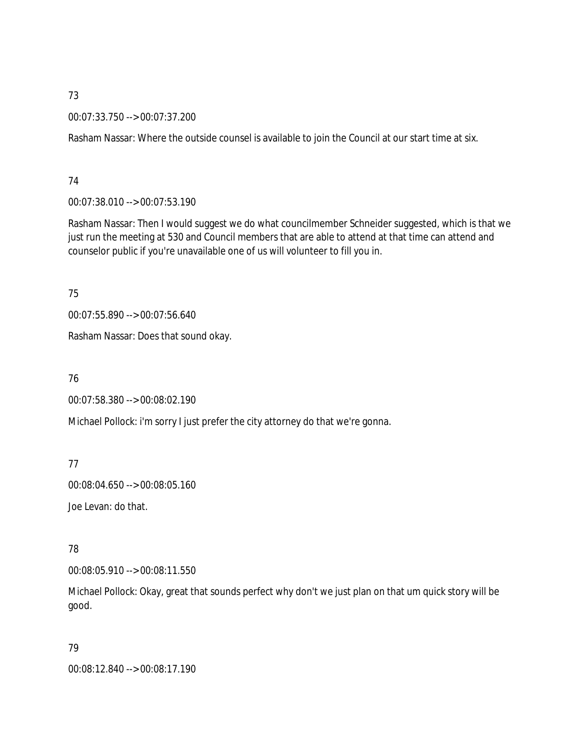00:07:33.750 --> 00:07:37.200

Rasham Nassar: Where the outside counsel is available to join the Council at our start time at six.

### 74

00:07:38.010 --> 00:07:53.190

Rasham Nassar: Then I would suggest we do what councilmember Schneider suggested, which is that we just run the meeting at 530 and Council members that are able to attend at that time can attend and counselor public if you're unavailable one of us will volunteer to fill you in.

75

00:07:55.890 --> 00:07:56.640

Rasham Nassar: Does that sound okay.

76

00:07:58.380 --> 00:08:02.190

Michael Pollock: i'm sorry I just prefer the city attorney do that we're gonna.

## 77

00:08:04.650 --> 00:08:05.160

Joe Levan: do that.

## 78

00:08:05.910 --> 00:08:11.550

Michael Pollock: Okay, great that sounds perfect why don't we just plan on that um quick story will be good.

## 79

00:08:12.840 --> 00:08:17.190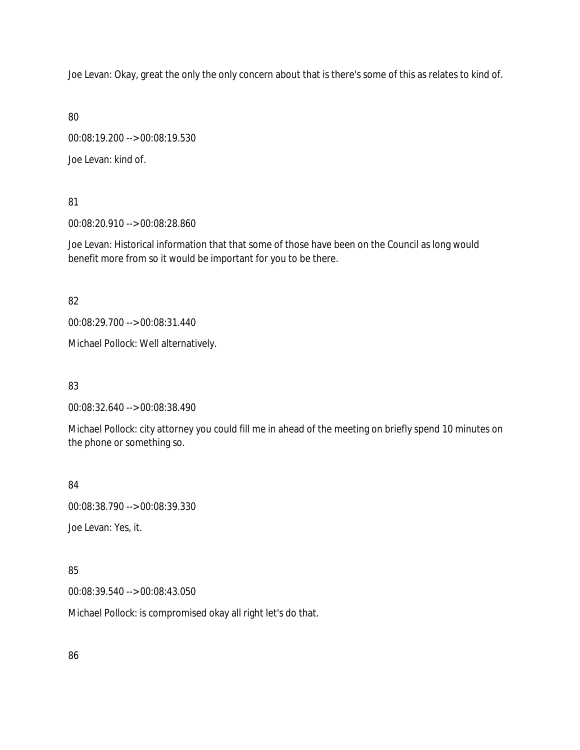Joe Levan: Okay, great the only the only concern about that is there's some of this as relates to kind of.

80

00:08:19.200 --> 00:08:19.530 Joe Levan: kind of.

81

00:08:20.910 --> 00:08:28.860

Joe Levan: Historical information that that some of those have been on the Council as long would benefit more from so it would be important for you to be there.

82

00:08:29.700 --> 00:08:31.440

Michael Pollock: Well alternatively.

83

00:08:32.640 --> 00:08:38.490

Michael Pollock: city attorney you could fill me in ahead of the meeting on briefly spend 10 minutes on the phone or something so.

84

00:08:38.790 --> 00:08:39.330

Joe Levan: Yes, it.

85

00:08:39.540 --> 00:08:43.050

Michael Pollock: is compromised okay all right let's do that.

86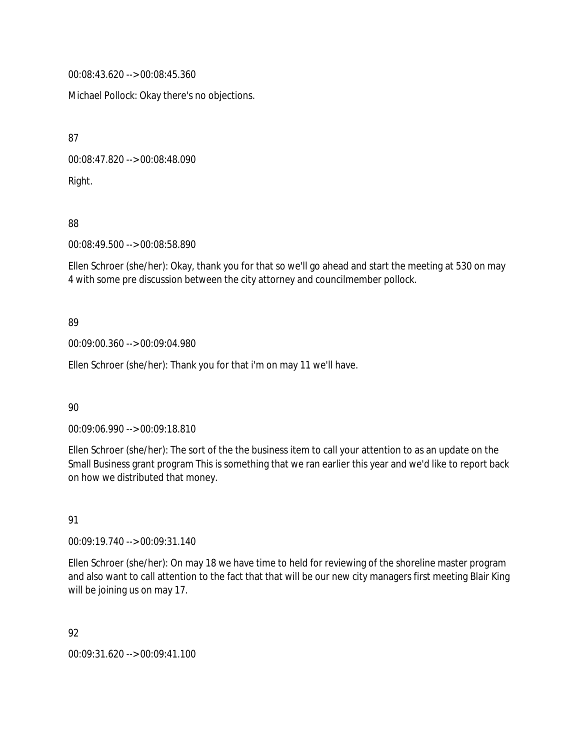00:08:43.620 --> 00:08:45.360

Michael Pollock: Okay there's no objections.

87

00:08:47.820 --> 00:08:48.090

Right.

88

00:08:49.500 --> 00:08:58.890

Ellen Schroer (she/her): Okay, thank you for that so we'll go ahead and start the meeting at 530 on may 4 with some pre discussion between the city attorney and councilmember pollock.

# 89

00:09:00.360 --> 00:09:04.980

Ellen Schroer (she/her): Thank you for that i'm on may 11 we'll have.

90

00:09:06.990 --> 00:09:18.810

Ellen Schroer (she/her): The sort of the the business item to call your attention to as an update on the Small Business grant program This is something that we ran earlier this year and we'd like to report back on how we distributed that money.

91

00:09:19.740 --> 00:09:31.140

Ellen Schroer (she/her): On may 18 we have time to held for reviewing of the shoreline master program and also want to call attention to the fact that that will be our new city managers first meeting Blair King will be joining us on may 17.

92

00:09:31.620 --> 00:09:41.100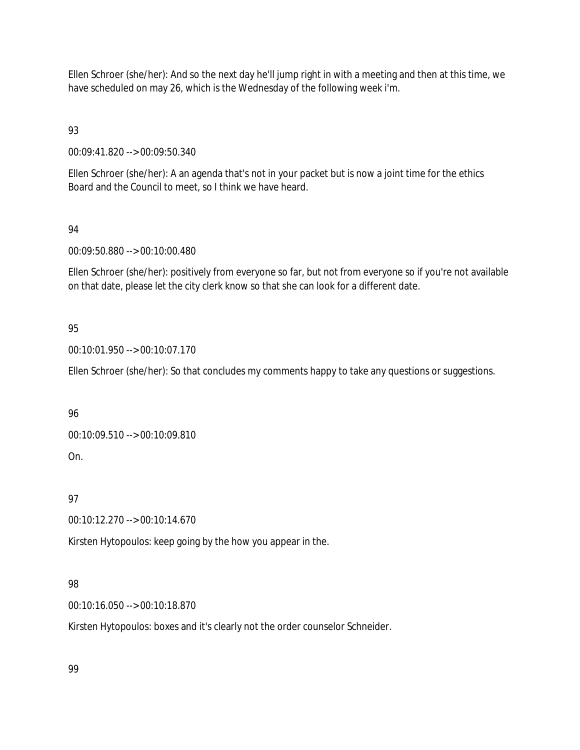Ellen Schroer (she/her): And so the next day he'll jump right in with a meeting and then at this time, we have scheduled on may 26, which is the Wednesday of the following week i'm.

93

00:09:41.820 --> 00:09:50.340

Ellen Schroer (she/her): A an agenda that's not in your packet but is now a joint time for the ethics Board and the Council to meet, so I think we have heard.

## 94

00:09:50.880 --> 00:10:00.480

Ellen Schroer (she/her): positively from everyone so far, but not from everyone so if you're not available on that date, please let the city clerk know so that she can look for a different date.

# 95

00:10:01.950 --> 00:10:07.170

Ellen Schroer (she/her): So that concludes my comments happy to take any questions or suggestions.

# 96

00:10:09.510 --> 00:10:09.810

On.

# 97

00:10:12.270 --> 00:10:14.670

Kirsten Hytopoulos: keep going by the how you appear in the.

# 98

00:10:16.050 --> 00:10:18.870

Kirsten Hytopoulos: boxes and it's clearly not the order counselor Schneider.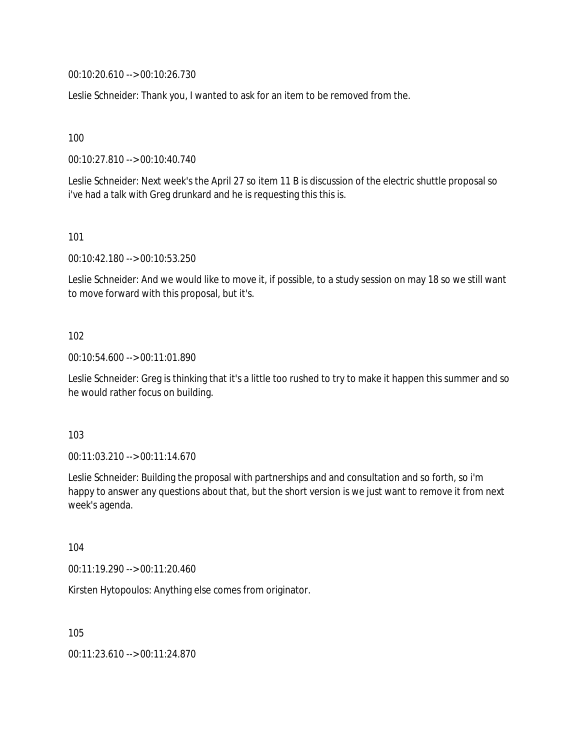00:10:20.610 --> 00:10:26.730

Leslie Schneider: Thank you, I wanted to ask for an item to be removed from the.

100

00:10:27.810 --> 00:10:40.740

Leslie Schneider: Next week's the April 27 so item 11 B is discussion of the electric shuttle proposal so i've had a talk with Greg drunkard and he is requesting this this is.

101

00:10:42.180 --> 00:10:53.250

Leslie Schneider: And we would like to move it, if possible, to a study session on may 18 so we still want to move forward with this proposal, but it's.

### 102

00:10:54.600 --> 00:11:01.890

Leslie Schneider: Greg is thinking that it's a little too rushed to try to make it happen this summer and so he would rather focus on building.

### 103

00:11:03.210 --> 00:11:14.670

Leslie Schneider: Building the proposal with partnerships and and consultation and so forth, so i'm happy to answer any questions about that, but the short version is we just want to remove it from next week's agenda.

104

00:11:19.290 --> 00:11:20.460

Kirsten Hytopoulos: Anything else comes from originator.

105

00:11:23.610 --> 00:11:24.870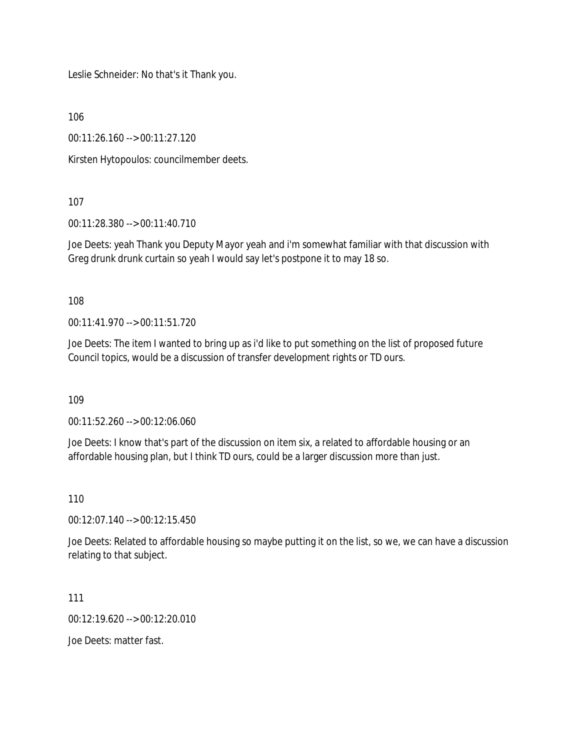Leslie Schneider: No that's it Thank you.

106

00:11:26.160 --> 00:11:27.120

Kirsten Hytopoulos: councilmember deets.

107

00:11:28.380 --> 00:11:40.710

Joe Deets: yeah Thank you Deputy Mayor yeah and i'm somewhat familiar with that discussion with Greg drunk drunk curtain so yeah I would say let's postpone it to may 18 so.

108

00:11:41.970 --> 00:11:51.720

Joe Deets: The item I wanted to bring up as i'd like to put something on the list of proposed future Council topics, would be a discussion of transfer development rights or TD ours.

109

00:11:52.260 --> 00:12:06.060

Joe Deets: I know that's part of the discussion on item six, a related to affordable housing or an affordable housing plan, but I think TD ours, could be a larger discussion more than just.

110

00:12:07.140 --> 00:12:15.450

Joe Deets: Related to affordable housing so maybe putting it on the list, so we, we can have a discussion relating to that subject.

111

00:12:19.620 --> 00:12:20.010

Joe Deets: matter fast.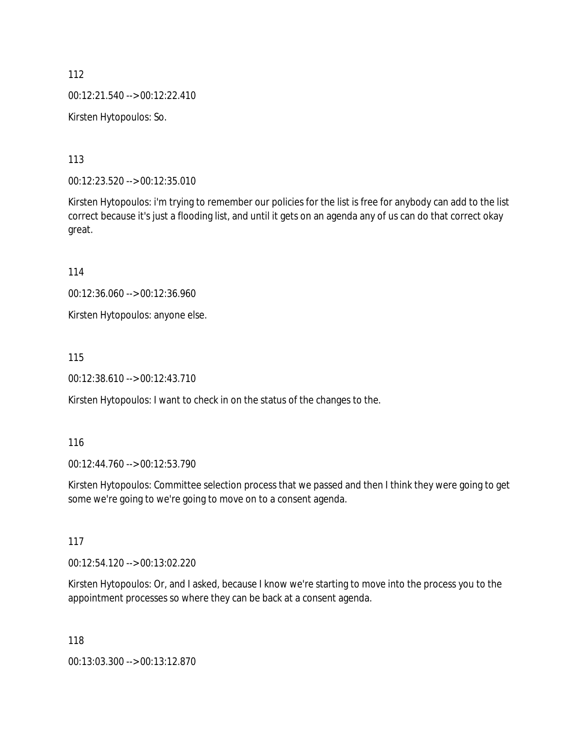112 00:12:21.540 --> 00:12:22.410 Kirsten Hytopoulos: So.

113

00:12:23.520 --> 00:12:35.010

Kirsten Hytopoulos: i'm trying to remember our policies for the list is free for anybody can add to the list correct because it's just a flooding list, and until it gets on an agenda any of us can do that correct okay great.

114

00:12:36.060 --> 00:12:36.960

Kirsten Hytopoulos: anyone else.

115

00:12:38.610 --> 00:12:43.710

Kirsten Hytopoulos: I want to check in on the status of the changes to the.

116

00:12:44.760 --> 00:12:53.790

Kirsten Hytopoulos: Committee selection process that we passed and then I think they were going to get some we're going to we're going to move on to a consent agenda.

117

00:12:54.120 --> 00:13:02.220

Kirsten Hytopoulos: Or, and I asked, because I know we're starting to move into the process you to the appointment processes so where they can be back at a consent agenda.

118

00:13:03.300 --> 00:13:12.870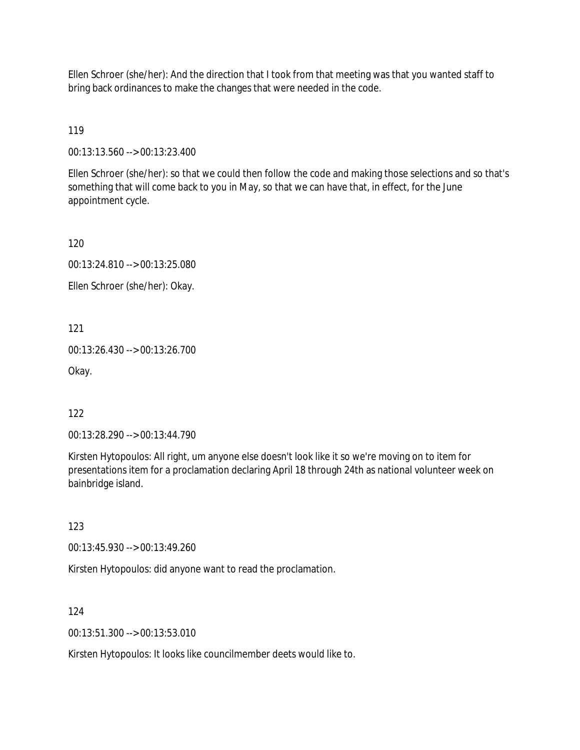Ellen Schroer (she/her): And the direction that I took from that meeting was that you wanted staff to bring back ordinances to make the changes that were needed in the code.

119

00:13:13.560 --> 00:13:23.400

Ellen Schroer (she/her): so that we could then follow the code and making those selections and so that's something that will come back to you in May, so that we can have that, in effect, for the June appointment cycle.

120

00:13:24.810 --> 00:13:25.080

Ellen Schroer (she/her): Okay.

121

00:13:26.430 --> 00:13:26.700

Okay.

122

00:13:28.290 --> 00:13:44.790

Kirsten Hytopoulos: All right, um anyone else doesn't look like it so we're moving on to item for presentations item for a proclamation declaring April 18 through 24th as national volunteer week on bainbridge island.

123

00:13:45.930 --> 00:13:49.260

Kirsten Hytopoulos: did anyone want to read the proclamation.

124

00:13:51.300 --> 00:13:53.010

Kirsten Hytopoulos: It looks like councilmember deets would like to.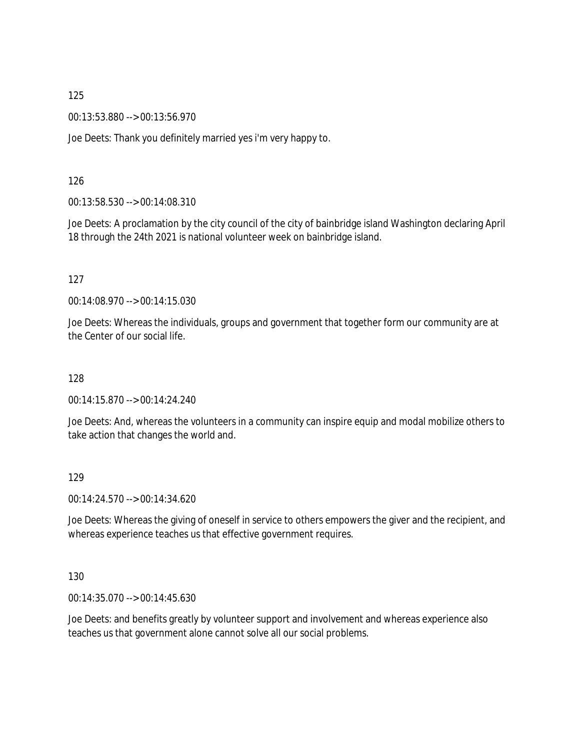00:13:53.880 --> 00:13:56.970

Joe Deets: Thank you definitely married yes i'm very happy to.

126

00:13:58.530 --> 00:14:08.310

Joe Deets: A proclamation by the city council of the city of bainbridge island Washington declaring April 18 through the 24th 2021 is national volunteer week on bainbridge island.

127

00:14:08.970 --> 00:14:15.030

Joe Deets: Whereas the individuals, groups and government that together form our community are at the Center of our social life.

128

00:14:15.870 --> 00:14:24.240

Joe Deets: And, whereas the volunteers in a community can inspire equip and modal mobilize others to take action that changes the world and.

129

00:14:24.570 --> 00:14:34.620

Joe Deets: Whereas the giving of oneself in service to others empowers the giver and the recipient, and whereas experience teaches us that effective government requires.

130

00:14:35.070 --> 00:14:45.630

Joe Deets: and benefits greatly by volunteer support and involvement and whereas experience also teaches us that government alone cannot solve all our social problems.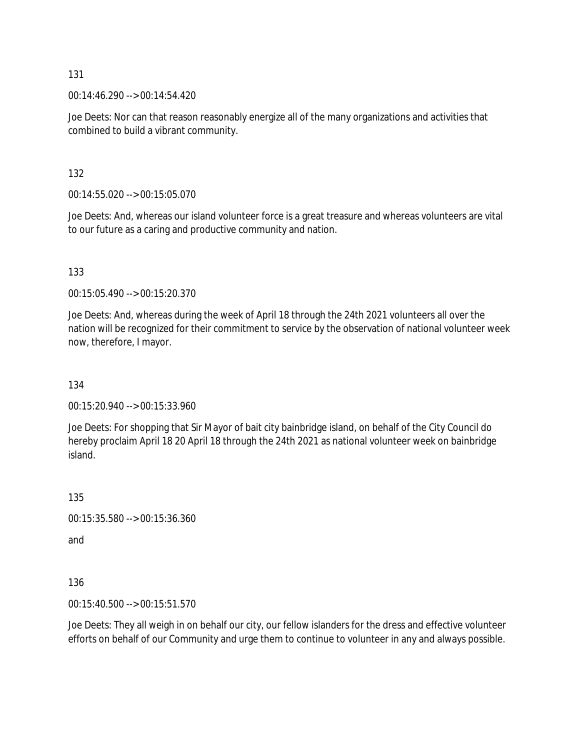00:14:46.290 --> 00:14:54.420

Joe Deets: Nor can that reason reasonably energize all of the many organizations and activities that combined to build a vibrant community.

132

00:14:55.020 --> 00:15:05.070

Joe Deets: And, whereas our island volunteer force is a great treasure and whereas volunteers are vital to our future as a caring and productive community and nation.

133

00:15:05.490 --> 00:15:20.370

Joe Deets: And, whereas during the week of April 18 through the 24th 2021 volunteers all over the nation will be recognized for their commitment to service by the observation of national volunteer week now, therefore, I mayor.

134

00:15:20.940 --> 00:15:33.960

Joe Deets: For shopping that Sir Mayor of bait city bainbridge island, on behalf of the City Council do hereby proclaim April 18 20 April 18 through the 24th 2021 as national volunteer week on bainbridge island.

135

00:15:35.580 --> 00:15:36.360

and

136

00:15:40.500 --> 00:15:51.570

Joe Deets: They all weigh in on behalf our city, our fellow islanders for the dress and effective volunteer efforts on behalf of our Community and urge them to continue to volunteer in any and always possible.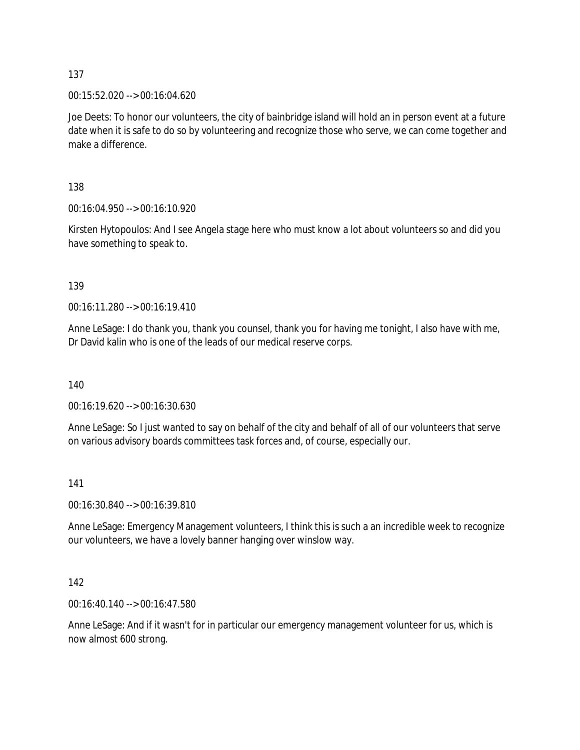00:15:52.020 --> 00:16:04.620

Joe Deets: To honor our volunteers, the city of bainbridge island will hold an in person event at a future date when it is safe to do so by volunteering and recognize those who serve, we can come together and make a difference.

138

00:16:04.950 --> 00:16:10.920

Kirsten Hytopoulos: And I see Angela stage here who must know a lot about volunteers so and did you have something to speak to.

139

00:16:11.280 --> 00:16:19.410

Anne LeSage: I do thank you, thank you counsel, thank you for having me tonight, I also have with me, Dr David kalin who is one of the leads of our medical reserve corps.

140

00:16:19.620 --> 00:16:30.630

Anne LeSage: So I just wanted to say on behalf of the city and behalf of all of our volunteers that serve on various advisory boards committees task forces and, of course, especially our.

141

00:16:30.840 --> 00:16:39.810

Anne LeSage: Emergency Management volunteers, I think this is such a an incredible week to recognize our volunteers, we have a lovely banner hanging over winslow way.

142

00:16:40.140 --> 00:16:47.580

Anne LeSage: And if it wasn't for in particular our emergency management volunteer for us, which is now almost 600 strong.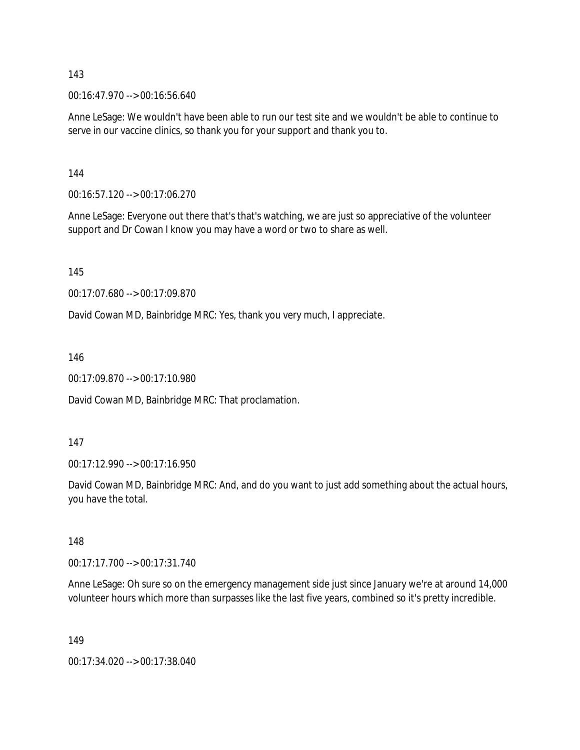00:16:47.970 --> 00:16:56.640

Anne LeSage: We wouldn't have been able to run our test site and we wouldn't be able to continue to serve in our vaccine clinics, so thank you for your support and thank you to.

144

00:16:57.120 --> 00:17:06.270

Anne LeSage: Everyone out there that's that's watching, we are just so appreciative of the volunteer support and Dr Cowan I know you may have a word or two to share as well.

145

00:17:07.680 --> 00:17:09.870

David Cowan MD, Bainbridge MRC: Yes, thank you very much, I appreciate.

146

00:17:09.870 --> 00:17:10.980

David Cowan MD, Bainbridge MRC: That proclamation.

147

00:17:12.990 --> 00:17:16.950

David Cowan MD, Bainbridge MRC: And, and do you want to just add something about the actual hours, you have the total.

148

00:17:17.700 --> 00:17:31.740

Anne LeSage: Oh sure so on the emergency management side just since January we're at around 14,000 volunteer hours which more than surpasses like the last five years, combined so it's pretty incredible.

149

00:17:34.020 --> 00:17:38.040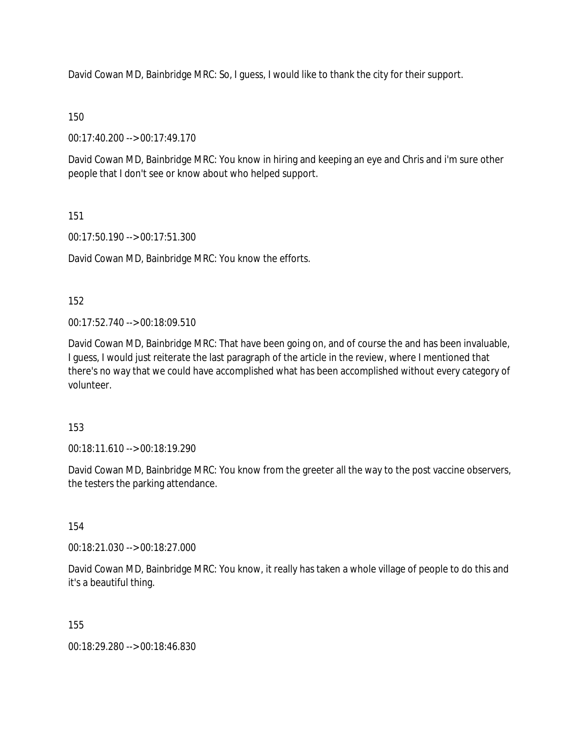David Cowan MD, Bainbridge MRC: So, I guess, I would like to thank the city for their support.

# 150

00:17:40.200 --> 00:17:49.170

David Cowan MD, Bainbridge MRC: You know in hiring and keeping an eye and Chris and i'm sure other people that I don't see or know about who helped support.

# 151

00:17:50.190 --> 00:17:51.300

David Cowan MD, Bainbridge MRC: You know the efforts.

# 152

00:17:52.740 --> 00:18:09.510

David Cowan MD, Bainbridge MRC: That have been going on, and of course the and has been invaluable, I guess, I would just reiterate the last paragraph of the article in the review, where I mentioned that there's no way that we could have accomplished what has been accomplished without every category of volunteer.

## 153

00:18:11.610 --> 00:18:19.290

David Cowan MD, Bainbridge MRC: You know from the greeter all the way to the post vaccine observers, the testers the parking attendance.

## 154

00:18:21.030 --> 00:18:27.000

David Cowan MD, Bainbridge MRC: You know, it really has taken a whole village of people to do this and it's a beautiful thing.

## 155

00:18:29.280 --> 00:18:46.830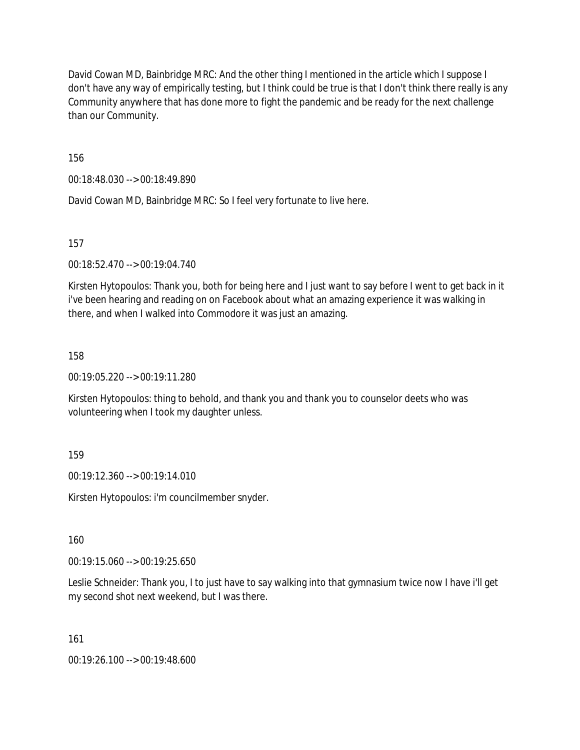David Cowan MD, Bainbridge MRC: And the other thing I mentioned in the article which I suppose I don't have any way of empirically testing, but I think could be true is that I don't think there really is any Community anywhere that has done more to fight the pandemic and be ready for the next challenge than our Community.

156

00:18:48.030 --> 00:18:49.890

David Cowan MD, Bainbridge MRC: So I feel very fortunate to live here.

157

00:18:52.470 --> 00:19:04.740

Kirsten Hytopoulos: Thank you, both for being here and I just want to say before I went to get back in it i've been hearing and reading on on Facebook about what an amazing experience it was walking in there, and when I walked into Commodore it was just an amazing.

158

00:19:05.220 --> 00:19:11.280

Kirsten Hytopoulos: thing to behold, and thank you and thank you to counselor deets who was volunteering when I took my daughter unless.

159

00:19:12.360 --> 00:19:14.010

Kirsten Hytopoulos: i'm councilmember snyder.

160

00:19:15.060 --> 00:19:25.650

Leslie Schneider: Thank you, I to just have to say walking into that gymnasium twice now I have i'll get my second shot next weekend, but I was there.

161

00:19:26.100 --> 00:19:48.600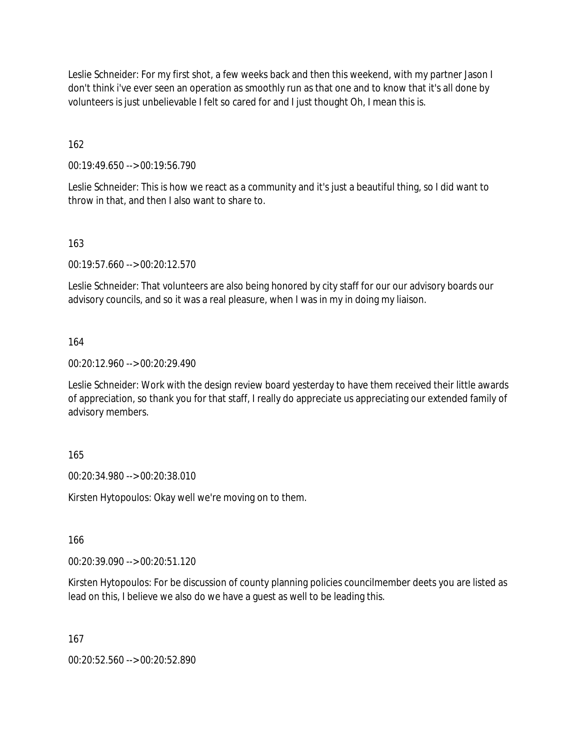Leslie Schneider: For my first shot, a few weeks back and then this weekend, with my partner Jason I don't think i've ever seen an operation as smoothly run as that one and to know that it's all done by volunteers is just unbelievable I felt so cared for and I just thought Oh, I mean this is.

162

00:19:49.650 --> 00:19:56.790

Leslie Schneider: This is how we react as a community and it's just a beautiful thing, so I did want to throw in that, and then I also want to share to.

### 163

00:19:57.660 --> 00:20:12.570

Leslie Schneider: That volunteers are also being honored by city staff for our our advisory boards our advisory councils, and so it was a real pleasure, when I was in my in doing my liaison.

### 164

00:20:12.960 --> 00:20:29.490

Leslie Schneider: Work with the design review board yesterday to have them received their little awards of appreciation, so thank you for that staff, I really do appreciate us appreciating our extended family of advisory members.

### 165

00:20:34.980 --> 00:20:38.010

Kirsten Hytopoulos: Okay well we're moving on to them.

166

00:20:39.090 --> 00:20:51.120

Kirsten Hytopoulos: For be discussion of county planning policies councilmember deets you are listed as lead on this, I believe we also do we have a guest as well to be leading this.

167

00:20:52.560 --> 00:20:52.890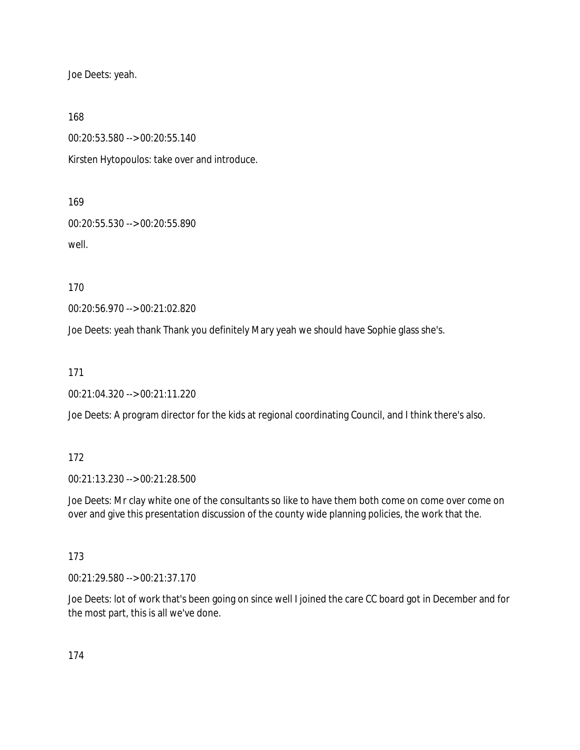Joe Deets: yeah.

168

00:20:53.580 --> 00:20:55.140

Kirsten Hytopoulos: take over and introduce.

169

00:20:55.530 --> 00:20:55.890 well.

170

00:20:56.970 --> 00:21:02.820

Joe Deets: yeah thank Thank you definitely Mary yeah we should have Sophie glass she's.

171

00:21:04.320 --> 00:21:11.220

Joe Deets: A program director for the kids at regional coordinating Council, and I think there's also.

172

00:21:13.230 --> 00:21:28.500

Joe Deets: Mr clay white one of the consultants so like to have them both come on come over come on over and give this presentation discussion of the county wide planning policies, the work that the.

173

00:21:29.580 --> 00:21:37.170

Joe Deets: lot of work that's been going on since well I joined the care CC board got in December and for the most part, this is all we've done.

174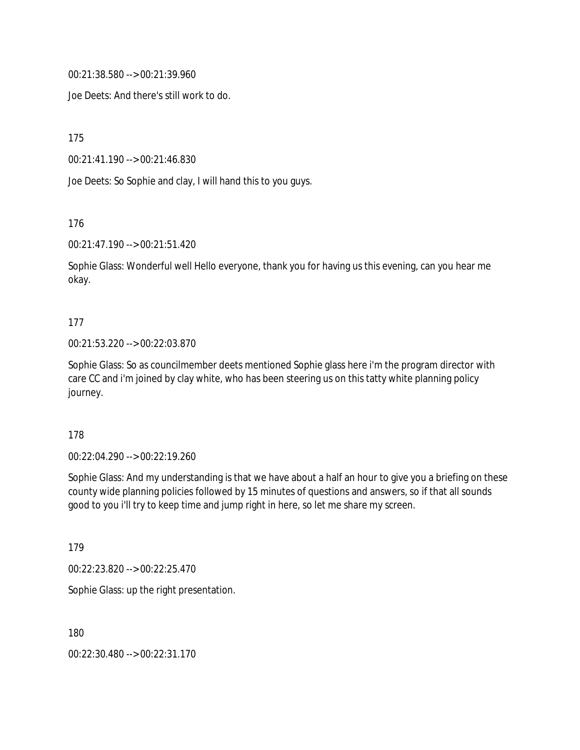00:21:38.580 --> 00:21:39.960

Joe Deets: And there's still work to do.

175

00:21:41.190 --> 00:21:46.830

Joe Deets: So Sophie and clay, I will hand this to you guys.

176

00:21:47.190 --> 00:21:51.420

Sophie Glass: Wonderful well Hello everyone, thank you for having us this evening, can you hear me okay.

### 177

00:21:53.220 --> 00:22:03.870

Sophie Glass: So as councilmember deets mentioned Sophie glass here i'm the program director with care CC and i'm joined by clay white, who has been steering us on this tatty white planning policy journey.

178

00:22:04.290 --> 00:22:19.260

Sophie Glass: And my understanding is that we have about a half an hour to give you a briefing on these county wide planning policies followed by 15 minutes of questions and answers, so if that all sounds good to you i'll try to keep time and jump right in here, so let me share my screen.

179

00:22:23.820 --> 00:22:25.470

Sophie Glass: up the right presentation.

180

00:22:30.480 --> 00:22:31.170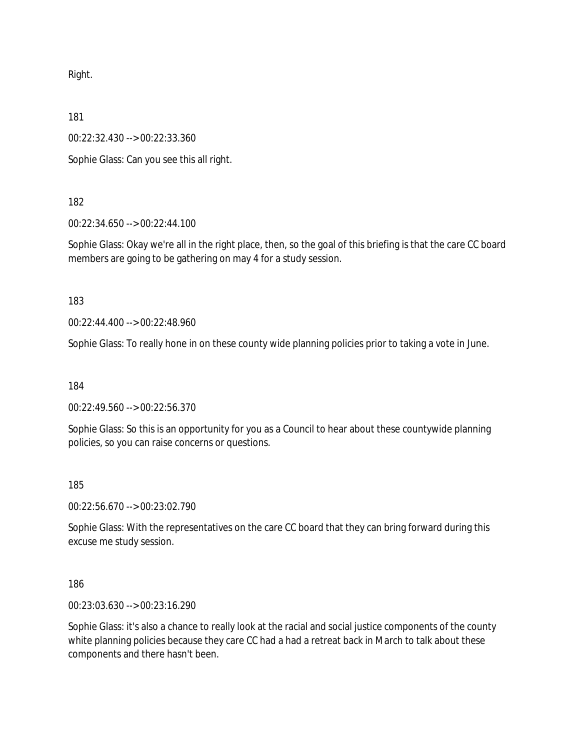Right.

181

00:22:32.430 --> 00:22:33.360

Sophie Glass: Can you see this all right.

182

00:22:34.650 --> 00:22:44.100

Sophie Glass: Okay we're all in the right place, then, so the goal of this briefing is that the care CC board members are going to be gathering on may 4 for a study session.

183

00:22:44.400 --> 00:22:48.960

Sophie Glass: To really hone in on these county wide planning policies prior to taking a vote in June.

184

00:22:49.560 --> 00:22:56.370

Sophie Glass: So this is an opportunity for you as a Council to hear about these countywide planning policies, so you can raise concerns or questions.

185

00:22:56.670 --> 00:23:02.790

Sophie Glass: With the representatives on the care CC board that they can bring forward during this excuse me study session.

186

00:23:03.630 --> 00:23:16.290

Sophie Glass: it's also a chance to really look at the racial and social justice components of the county white planning policies because they care CC had a had a retreat back in March to talk about these components and there hasn't been.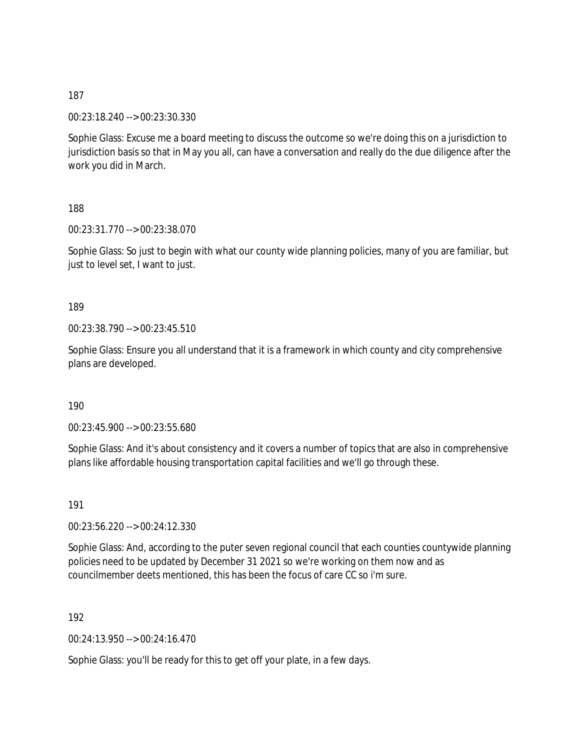00:23:18.240 --> 00:23:30.330

Sophie Glass: Excuse me a board meeting to discuss the outcome so we're doing this on a jurisdiction to jurisdiction basis so that in May you all, can have a conversation and really do the due diligence after the work you did in March.

188

00:23:31.770 --> 00:23:38.070

Sophie Glass: So just to begin with what our county wide planning policies, many of you are familiar, but just to level set, I want to just.

189

00:23:38.790 --> 00:23:45.510

Sophie Glass: Ensure you all understand that it is a framework in which county and city comprehensive plans are developed.

190

00:23:45.900 --> 00:23:55.680

Sophie Glass: And it's about consistency and it covers a number of topics that are also in comprehensive plans like affordable housing transportation capital facilities and we'll go through these.

191

00:23:56.220 --> 00:24:12.330

Sophie Glass: And, according to the puter seven regional council that each counties countywide planning policies need to be updated by December 31 2021 so we're working on them now and as councilmember deets mentioned, this has been the focus of care CC so i'm sure.

192

00:24:13.950 --> 00:24:16.470

Sophie Glass: you'll be ready for this to get off your plate, in a few days.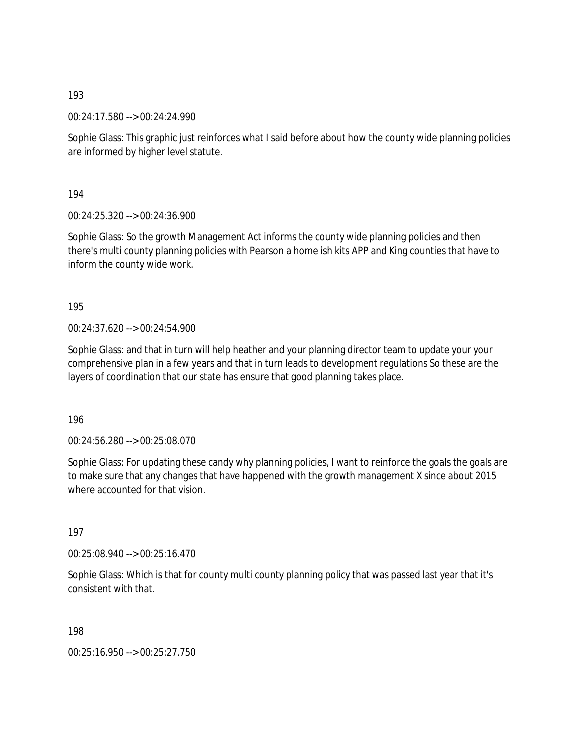00:24:17.580 --> 00:24:24.990

Sophie Glass: This graphic just reinforces what I said before about how the county wide planning policies are informed by higher level statute.

194

00:24:25.320 --> 00:24:36.900

Sophie Glass: So the growth Management Act informs the county wide planning policies and then there's multi county planning policies with Pearson a home ish kits APP and King counties that have to inform the county wide work.

195

00:24:37.620 --> 00:24:54.900

Sophie Glass: and that in turn will help heather and your planning director team to update your your comprehensive plan in a few years and that in turn leads to development regulations So these are the layers of coordination that our state has ensure that good planning takes place.

196

00:24:56.280 --> 00:25:08.070

Sophie Glass: For updating these candy why planning policies, I want to reinforce the goals the goals are to make sure that any changes that have happened with the growth management X since about 2015 where accounted for that vision.

197

00:25:08.940 --> 00:25:16.470

Sophie Glass: Which is that for county multi county planning policy that was passed last year that it's consistent with that.

198

00:25:16.950 --> 00:25:27.750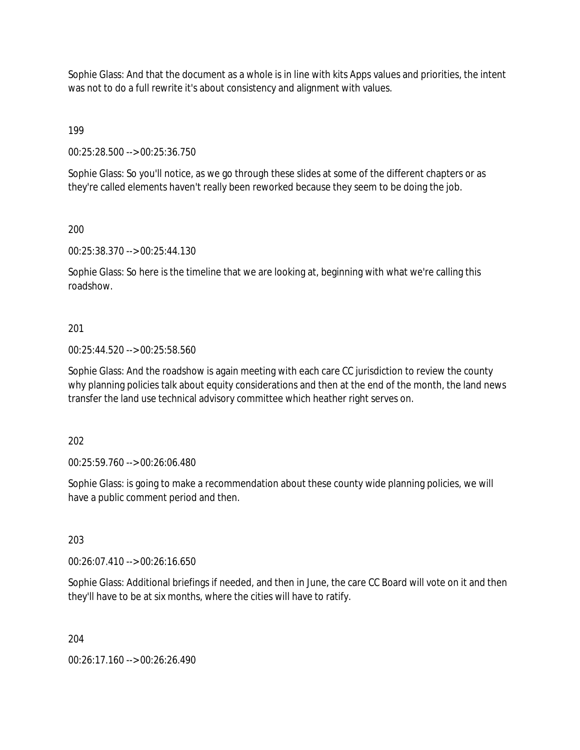Sophie Glass: And that the document as a whole is in line with kits Apps values and priorities, the intent was not to do a full rewrite it's about consistency and alignment with values.

199

00:25:28.500 --> 00:25:36.750

Sophie Glass: So you'll notice, as we go through these slides at some of the different chapters or as they're called elements haven't really been reworked because they seem to be doing the job.

200

00:25:38.370 --> 00:25:44.130

Sophie Glass: So here is the timeline that we are looking at, beginning with what we're calling this roadshow.

## 201

00:25:44.520 --> 00:25:58.560

Sophie Glass: And the roadshow is again meeting with each care CC jurisdiction to review the county why planning policies talk about equity considerations and then at the end of the month, the land news transfer the land use technical advisory committee which heather right serves on.

202

00:25:59.760 --> 00:26:06.480

Sophie Glass: is going to make a recommendation about these county wide planning policies, we will have a public comment period and then.

203

00:26:07.410 --> 00:26:16.650

Sophie Glass: Additional briefings if needed, and then in June, the care CC Board will vote on it and then they'll have to be at six months, where the cities will have to ratify.

204

00:26:17.160 --> 00:26:26.490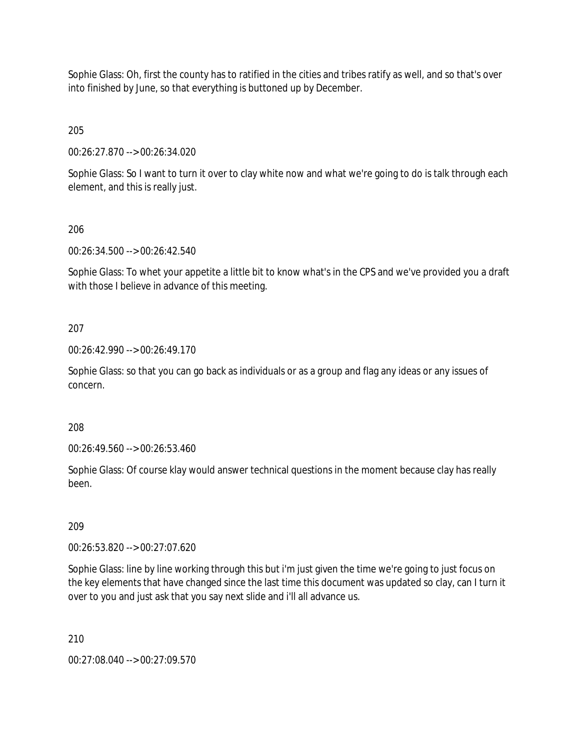Sophie Glass: Oh, first the county has to ratified in the cities and tribes ratify as well, and so that's over into finished by June, so that everything is buttoned up by December.

205

00:26:27.870 --> 00:26:34.020

Sophie Glass: So I want to turn it over to clay white now and what we're going to do is talk through each element, and this is really just.

### 206

00:26:34.500 --> 00:26:42.540

Sophie Glass: To whet your appetite a little bit to know what's in the CPS and we've provided you a draft with those I believe in advance of this meeting.

### 207

00:26:42.990 --> 00:26:49.170

Sophie Glass: so that you can go back as individuals or as a group and flag any ideas or any issues of concern.

### 208

00:26:49.560 --> 00:26:53.460

Sophie Glass: Of course klay would answer technical questions in the moment because clay has really been.

### 209

00:26:53.820 --> 00:27:07.620

Sophie Glass: line by line working through this but i'm just given the time we're going to just focus on the key elements that have changed since the last time this document was updated so clay, can I turn it over to you and just ask that you say next slide and i'll all advance us.

### 210

00:27:08.040 --> 00:27:09.570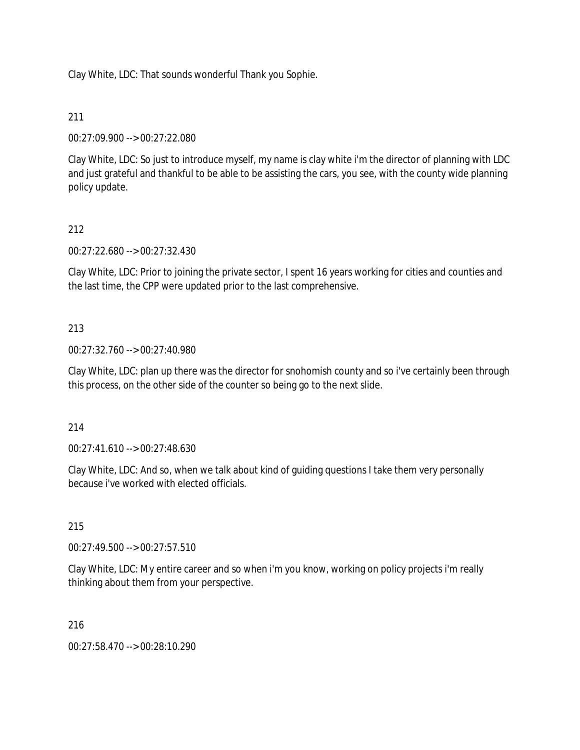Clay White, LDC: That sounds wonderful Thank you Sophie.

# 211

00:27:09.900 --> 00:27:22.080

Clay White, LDC: So just to introduce myself, my name is clay white i'm the director of planning with LDC and just grateful and thankful to be able to be assisting the cars, you see, with the county wide planning policy update.

# 212

00:27:22.680 --> 00:27:32.430

Clay White, LDC: Prior to joining the private sector, I spent 16 years working for cities and counties and the last time, the CPP were updated prior to the last comprehensive.

## 213

00:27:32.760 --> 00:27:40.980

Clay White, LDC: plan up there was the director for snohomish county and so i've certainly been through this process, on the other side of the counter so being go to the next slide.

## 214

00:27:41.610 --> 00:27:48.630

Clay White, LDC: And so, when we talk about kind of guiding questions I take them very personally because i've worked with elected officials.

## 215

00:27:49.500 --> 00:27:57.510

Clay White, LDC: My entire career and so when i'm you know, working on policy projects i'm really thinking about them from your perspective.

216

00:27:58.470 --> 00:28:10.290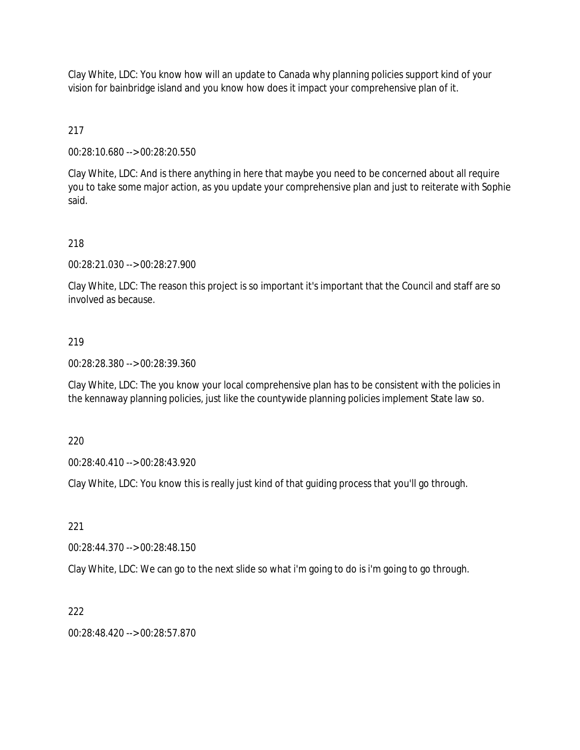Clay White, LDC: You know how will an update to Canada why planning policies support kind of your vision for bainbridge island and you know how does it impact your comprehensive plan of it.

217

00:28:10.680 --> 00:28:20.550

Clay White, LDC: And is there anything in here that maybe you need to be concerned about all require you to take some major action, as you update your comprehensive plan and just to reiterate with Sophie said.

218

00:28:21.030 --> 00:28:27.900

Clay White, LDC: The reason this project is so important it's important that the Council and staff are so involved as because.

### 219

00:28:28.380 --> 00:28:39.360

Clay White, LDC: The you know your local comprehensive plan has to be consistent with the policies in the kennaway planning policies, just like the countywide planning policies implement State law so.

220

00:28:40.410 --> 00:28:43.920

Clay White, LDC: You know this is really just kind of that guiding process that you'll go through.

221

00:28:44.370 --> 00:28:48.150

Clay White, LDC: We can go to the next slide so what i'm going to do is i'm going to go through.

222

00:28:48.420 --> 00:28:57.870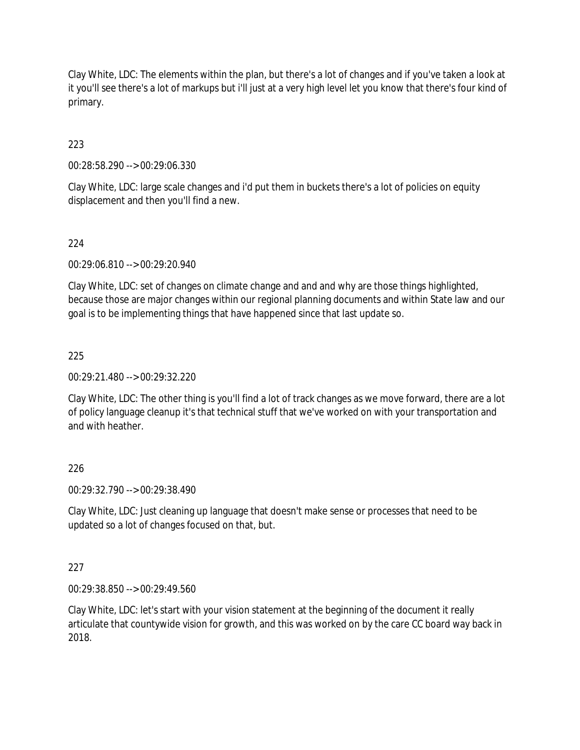Clay White, LDC: The elements within the plan, but there's a lot of changes and if you've taken a look at it you'll see there's a lot of markups but i'll just at a very high level let you know that there's four kind of primary.

223

00:28:58.290 --> 00:29:06.330

Clay White, LDC: large scale changes and i'd put them in buckets there's a lot of policies on equity displacement and then you'll find a new.

### 224

00:29:06.810 --> 00:29:20.940

Clay White, LDC: set of changes on climate change and and and why are those things highlighted, because those are major changes within our regional planning documents and within State law and our goal is to be implementing things that have happened since that last update so.

### 225

00:29:21.480 --> 00:29:32.220

Clay White, LDC: The other thing is you'll find a lot of track changes as we move forward, there are a lot of policy language cleanup it's that technical stuff that we've worked on with your transportation and and with heather.

### 226

00:29:32.790 --> 00:29:38.490

Clay White, LDC: Just cleaning up language that doesn't make sense or processes that need to be updated so a lot of changes focused on that, but.

### 227

00:29:38.850 --> 00:29:49.560

Clay White, LDC: let's start with your vision statement at the beginning of the document it really articulate that countywide vision for growth, and this was worked on by the care CC board way back in 2018.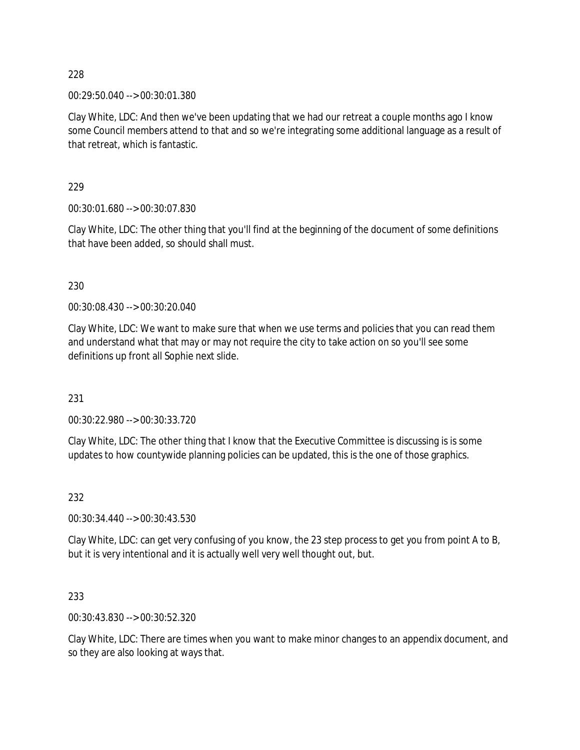00:29:50.040 --> 00:30:01.380

Clay White, LDC: And then we've been updating that we had our retreat a couple months ago I know some Council members attend to that and so we're integrating some additional language as a result of that retreat, which is fantastic.

229

00:30:01.680 --> 00:30:07.830

Clay White, LDC: The other thing that you'll find at the beginning of the document of some definitions that have been added, so should shall must.

230

00:30:08.430 --> 00:30:20.040

Clay White, LDC: We want to make sure that when we use terms and policies that you can read them and understand what that may or may not require the city to take action on so you'll see some definitions up front all Sophie next slide.

231

00:30:22.980 --> 00:30:33.720

Clay White, LDC: The other thing that I know that the Executive Committee is discussing is is some updates to how countywide planning policies can be updated, this is the one of those graphics.

232

00:30:34.440 --> 00:30:43.530

Clay White, LDC: can get very confusing of you know, the 23 step process to get you from point A to B, but it is very intentional and it is actually well very well thought out, but.

233

00:30:43.830 --> 00:30:52.320

Clay White, LDC: There are times when you want to make minor changes to an appendix document, and so they are also looking at ways that.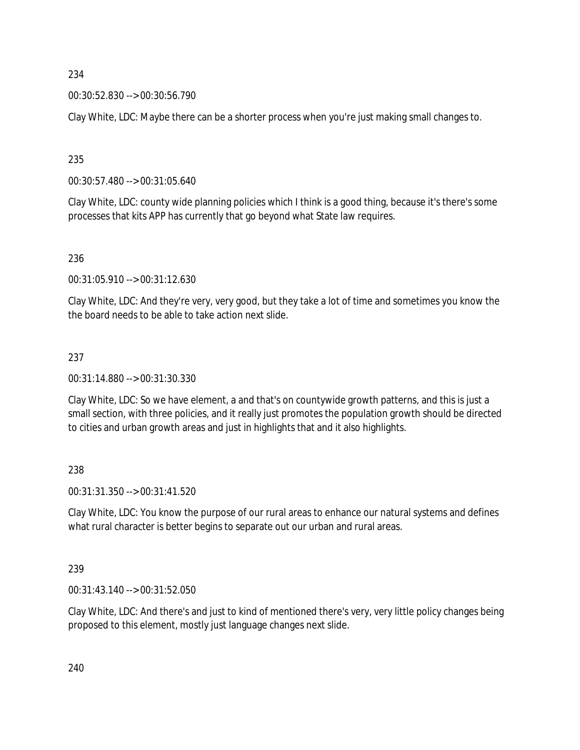00:30:52.830 --> 00:30:56.790

Clay White, LDC: Maybe there can be a shorter process when you're just making small changes to.

235

00:30:57.480 --> 00:31:05.640

Clay White, LDC: county wide planning policies which I think is a good thing, because it's there's some processes that kits APP has currently that go beyond what State law requires.

236

00:31:05.910 --> 00:31:12.630

Clay White, LDC: And they're very, very good, but they take a lot of time and sometimes you know the the board needs to be able to take action next slide.

### 237

00:31:14.880 --> 00:31:30.330

Clay White, LDC: So we have element, a and that's on countywide growth patterns, and this is just a small section, with three policies, and it really just promotes the population growth should be directed to cities and urban growth areas and just in highlights that and it also highlights.

238

00:31:31.350 --> 00:31:41.520

Clay White, LDC: You know the purpose of our rural areas to enhance our natural systems and defines what rural character is better begins to separate out our urban and rural areas.

239

00:31:43.140 --> 00:31:52.050

Clay White, LDC: And there's and just to kind of mentioned there's very, very little policy changes being proposed to this element, mostly just language changes next slide.

240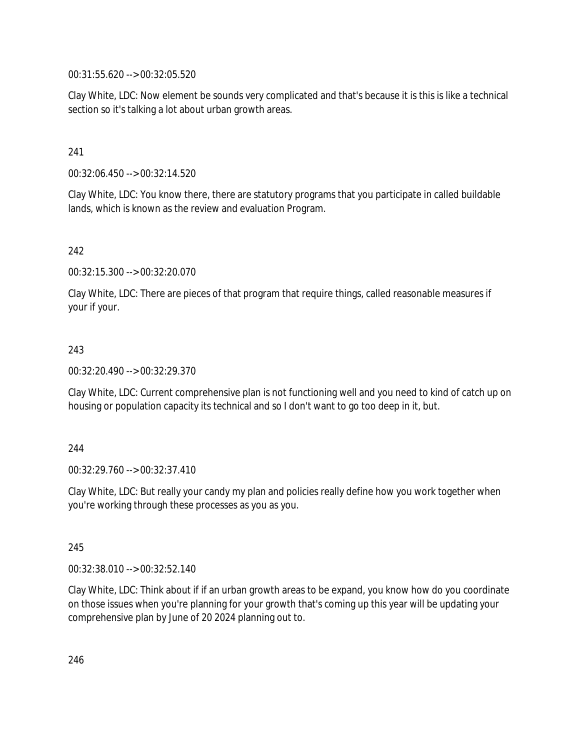00:31:55.620 --> 00:32:05.520

Clay White, LDC: Now element be sounds very complicated and that's because it is this is like a technical section so it's talking a lot about urban growth areas.

241

00:32:06.450 --> 00:32:14.520

Clay White, LDC: You know there, there are statutory programs that you participate in called buildable lands, which is known as the review and evaluation Program.

242

00:32:15.300 --> 00:32:20.070

Clay White, LDC: There are pieces of that program that require things, called reasonable measures if your if your.

### 243

00:32:20.490 --> 00:32:29.370

Clay White, LDC: Current comprehensive plan is not functioning well and you need to kind of catch up on housing or population capacity its technical and so I don't want to go too deep in it, but.

#### 244

00:32:29.760 --> 00:32:37.410

Clay White, LDC: But really your candy my plan and policies really define how you work together when you're working through these processes as you as you.

245

00:32:38.010 --> 00:32:52.140

Clay White, LDC: Think about if if an urban growth areas to be expand, you know how do you coordinate on those issues when you're planning for your growth that's coming up this year will be updating your comprehensive plan by June of 20 2024 planning out to.

246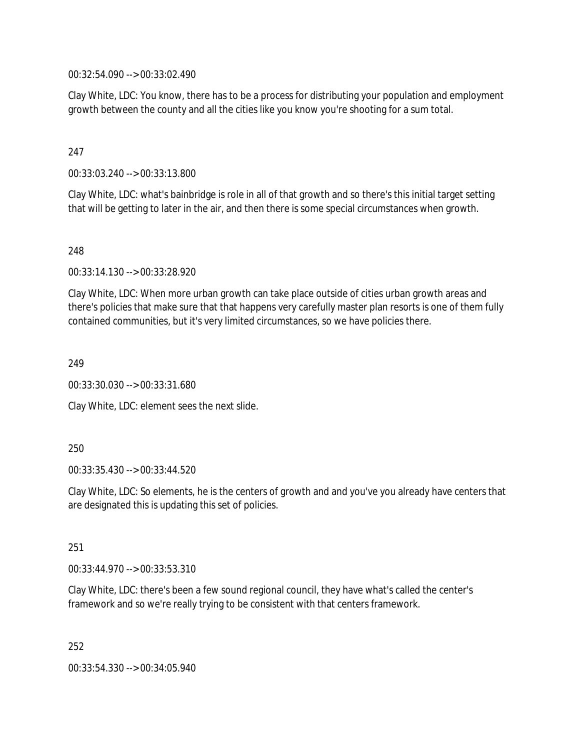00:32:54.090 --> 00:33:02.490

Clay White, LDC: You know, there has to be a process for distributing your population and employment growth between the county and all the cities like you know you're shooting for a sum total.

## 247

00:33:03.240 --> 00:33:13.800

Clay White, LDC: what's bainbridge is role in all of that growth and so there's this initial target setting that will be getting to later in the air, and then there is some special circumstances when growth.

248

00:33:14.130 --> 00:33:28.920

Clay White, LDC: When more urban growth can take place outside of cities urban growth areas and there's policies that make sure that that happens very carefully master plan resorts is one of them fully contained communities, but it's very limited circumstances, so we have policies there.

249

00:33:30.030 --> 00:33:31.680

Clay White, LDC: element sees the next slide.

#### 250

00:33:35.430 --> 00:33:44.520

Clay White, LDC: So elements, he is the centers of growth and and you've you already have centers that are designated this is updating this set of policies.

251

00:33:44.970 --> 00:33:53.310

Clay White, LDC: there's been a few sound regional council, they have what's called the center's framework and so we're really trying to be consistent with that centers framework.

252

00:33:54.330 --> 00:34:05.940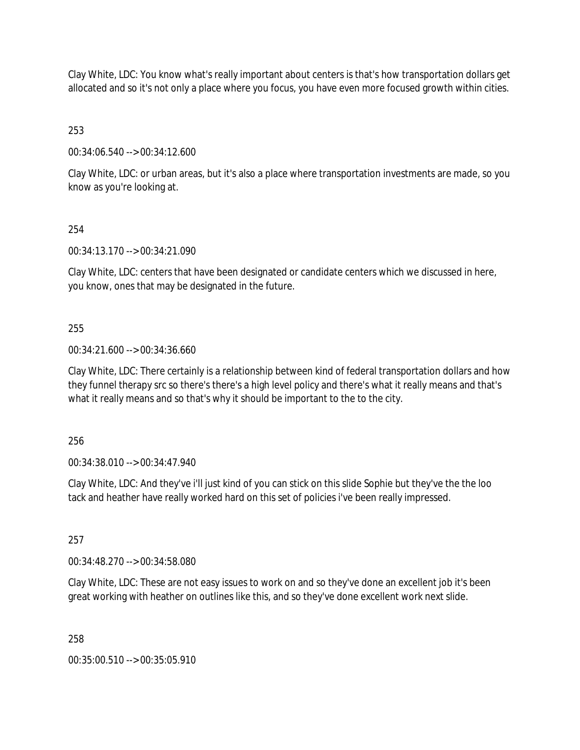Clay White, LDC: You know what's really important about centers is that's how transportation dollars get allocated and so it's not only a place where you focus, you have even more focused growth within cities.

253

00:34:06.540 --> 00:34:12.600

Clay White, LDC: or urban areas, but it's also a place where transportation investments are made, so you know as you're looking at.

## 254

00:34:13.170 --> 00:34:21.090

Clay White, LDC: centers that have been designated or candidate centers which we discussed in here, you know, ones that may be designated in the future.

## 255

00:34:21.600 --> 00:34:36.660

Clay White, LDC: There certainly is a relationship between kind of federal transportation dollars and how they funnel therapy src so there's there's a high level policy and there's what it really means and that's what it really means and so that's why it should be important to the to the city.

256

00:34:38.010 --> 00:34:47.940

Clay White, LDC: And they've i'll just kind of you can stick on this slide Sophie but they've the the loo tack and heather have really worked hard on this set of policies i've been really impressed.

257

00:34:48.270 --> 00:34:58.080

Clay White, LDC: These are not easy issues to work on and so they've done an excellent job it's been great working with heather on outlines like this, and so they've done excellent work next slide.

258

00:35:00.510 --> 00:35:05.910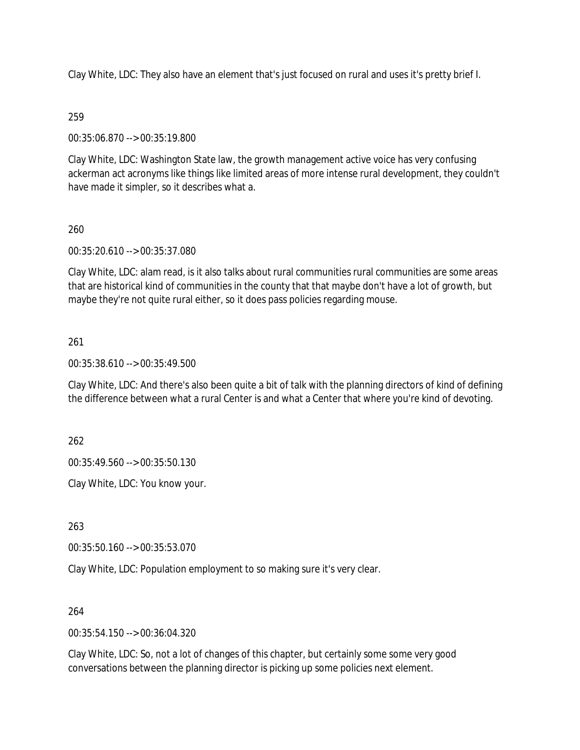Clay White, LDC: They also have an element that's just focused on rural and uses it's pretty brief I.

## 259

00:35:06.870 --> 00:35:19.800

Clay White, LDC: Washington State law, the growth management active voice has very confusing ackerman act acronyms like things like limited areas of more intense rural development, they couldn't have made it simpler, so it describes what a.

## 260

00:35:20.610 --> 00:35:37.080

Clay White, LDC: alam read, is it also talks about rural communities rural communities are some areas that are historical kind of communities in the county that that maybe don't have a lot of growth, but maybe they're not quite rural either, so it does pass policies regarding mouse.

## 261

00:35:38.610 --> 00:35:49.500

Clay White, LDC: And there's also been quite a bit of talk with the planning directors of kind of defining the difference between what a rural Center is and what a Center that where you're kind of devoting.

262

00:35:49.560 --> 00:35:50.130

Clay White, LDC: You know your.

263

00:35:50.160 --> 00:35:53.070

Clay White, LDC: Population employment to so making sure it's very clear.

264

00:35:54.150 --> 00:36:04.320

Clay White, LDC: So, not a lot of changes of this chapter, but certainly some some very good conversations between the planning director is picking up some policies next element.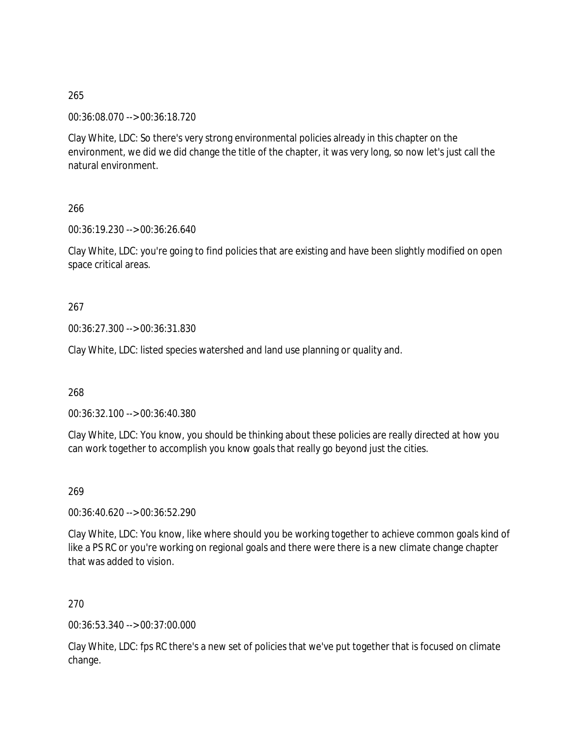00:36:08.070 --> 00:36:18.720

Clay White, LDC: So there's very strong environmental policies already in this chapter on the environment, we did we did change the title of the chapter, it was very long, so now let's just call the natural environment.

266

00:36:19.230 --> 00:36:26.640

Clay White, LDC: you're going to find policies that are existing and have been slightly modified on open space critical areas.

267

00:36:27.300 --> 00:36:31.830

Clay White, LDC: listed species watershed and land use planning or quality and.

268

00:36:32.100 --> 00:36:40.380

Clay White, LDC: You know, you should be thinking about these policies are really directed at how you can work together to accomplish you know goals that really go beyond just the cities.

269

00:36:40.620 --> 00:36:52.290

Clay White, LDC: You know, like where should you be working together to achieve common goals kind of like a PS RC or you're working on regional goals and there were there is a new climate change chapter that was added to vision.

270

00:36:53.340 --> 00:37:00.000

Clay White, LDC: fps RC there's a new set of policies that we've put together that is focused on climate change.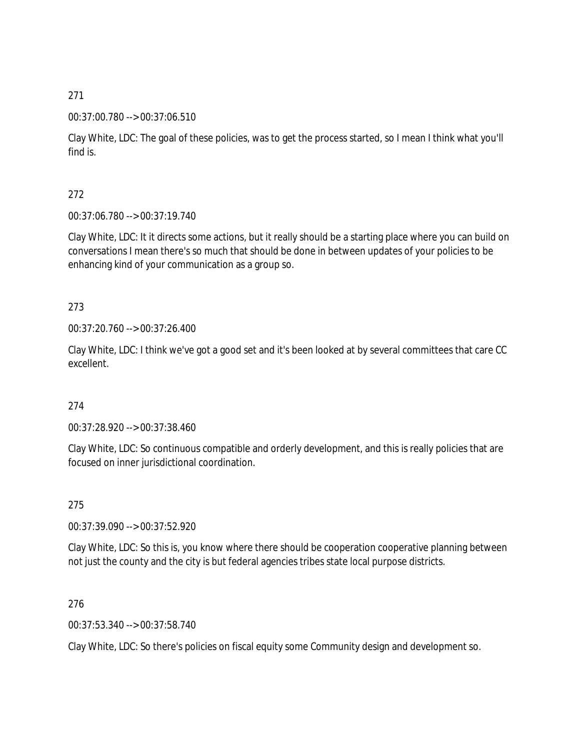## 00:37:00.780 --> 00:37:06.510

Clay White, LDC: The goal of these policies, was to get the process started, so I mean I think what you'll find is.

## 272

00:37:06.780 --> 00:37:19.740

Clay White, LDC: It it directs some actions, but it really should be a starting place where you can build on conversations I mean there's so much that should be done in between updates of your policies to be enhancing kind of your communication as a group so.

## 273

00:37:20.760 --> 00:37:26.400

Clay White, LDC: I think we've got a good set and it's been looked at by several committees that care CC excellent.

## 274

00:37:28.920 --> 00:37:38.460

Clay White, LDC: So continuous compatible and orderly development, and this is really policies that are focused on inner jurisdictional coordination.

### 275

00:37:39.090 --> 00:37:52.920

Clay White, LDC: So this is, you know where there should be cooperation cooperative planning between not just the county and the city is but federal agencies tribes state local purpose districts.

### 276

00:37:53.340 --> 00:37:58.740

Clay White, LDC: So there's policies on fiscal equity some Community design and development so.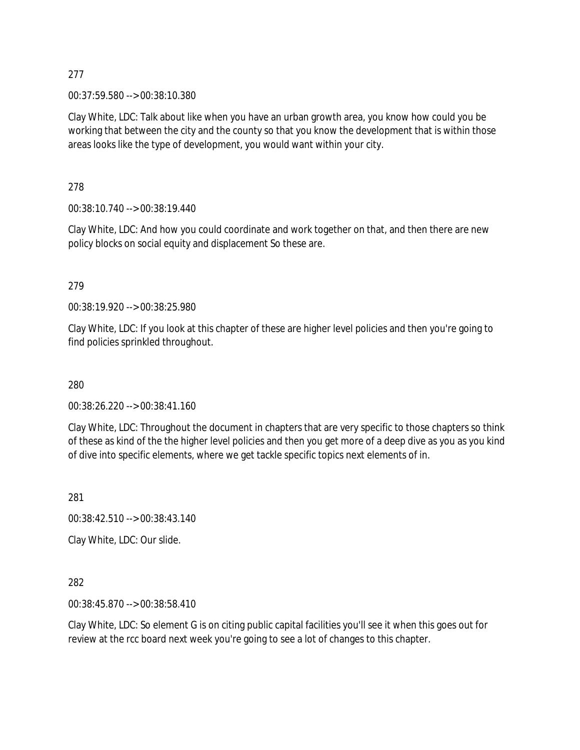00:37:59.580 --> 00:38:10.380

Clay White, LDC: Talk about like when you have an urban growth area, you know how could you be working that between the city and the county so that you know the development that is within those areas looks like the type of development, you would want within your city.

278

00:38:10.740 --> 00:38:19.440

Clay White, LDC: And how you could coordinate and work together on that, and then there are new policy blocks on social equity and displacement So these are.

279

00:38:19.920 --> 00:38:25.980

Clay White, LDC: If you look at this chapter of these are higher level policies and then you're going to find policies sprinkled throughout.

280

00:38:26.220 --> 00:38:41.160

Clay White, LDC: Throughout the document in chapters that are very specific to those chapters so think of these as kind of the the higher level policies and then you get more of a deep dive as you as you kind of dive into specific elements, where we get tackle specific topics next elements of in.

281

00:38:42.510 --> 00:38:43.140

Clay White, LDC: Our slide.

282

00:38:45.870 --> 00:38:58.410

Clay White, LDC: So element G is on citing public capital facilities you'll see it when this goes out for review at the rcc board next week you're going to see a lot of changes to this chapter.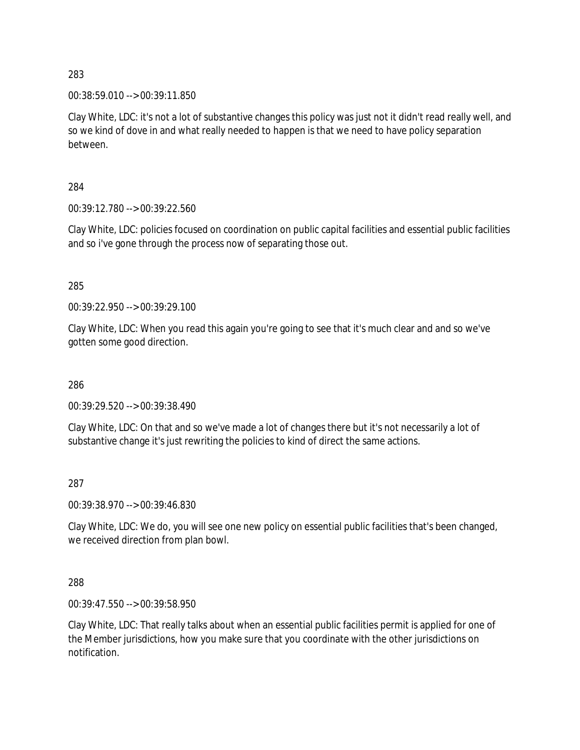00:38:59.010 --> 00:39:11.850

Clay White, LDC: it's not a lot of substantive changes this policy was just not it didn't read really well, and so we kind of dove in and what really needed to happen is that we need to have policy separation between.

284

00:39:12.780 --> 00:39:22.560

Clay White, LDC: policies focused on coordination on public capital facilities and essential public facilities and so i've gone through the process now of separating those out.

285

00:39:22.950 --> 00:39:29.100

Clay White, LDC: When you read this again you're going to see that it's much clear and and so we've gotten some good direction.

286

00:39:29.520 --> 00:39:38.490

Clay White, LDC: On that and so we've made a lot of changes there but it's not necessarily a lot of substantive change it's just rewriting the policies to kind of direct the same actions.

287

00:39:38.970 --> 00:39:46.830

Clay White, LDC: We do, you will see one new policy on essential public facilities that's been changed, we received direction from plan bowl.

288

00:39:47.550 --> 00:39:58.950

Clay White, LDC: That really talks about when an essential public facilities permit is applied for one of the Member jurisdictions, how you make sure that you coordinate with the other jurisdictions on notification.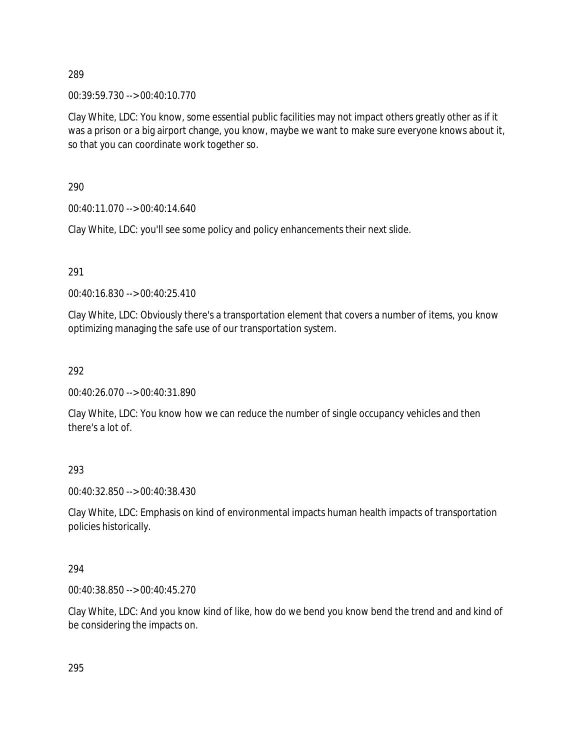00:39:59.730 --> 00:40:10.770

Clay White, LDC: You know, some essential public facilities may not impact others greatly other as if it was a prison or a big airport change, you know, maybe we want to make sure everyone knows about it, so that you can coordinate work together so.

290

00:40:11.070 --> 00:40:14.640

Clay White, LDC: you'll see some policy and policy enhancements their next slide.

291

00:40:16.830 --> 00:40:25.410

Clay White, LDC: Obviously there's a transportation element that covers a number of items, you know optimizing managing the safe use of our transportation system.

292

00:40:26.070 --> 00:40:31.890

Clay White, LDC: You know how we can reduce the number of single occupancy vehicles and then there's a lot of.

293

00:40:32.850 --> 00:40:38.430

Clay White, LDC: Emphasis on kind of environmental impacts human health impacts of transportation policies historically.

294

00:40:38.850 --> 00:40:45.270

Clay White, LDC: And you know kind of like, how do we bend you know bend the trend and and kind of be considering the impacts on.

295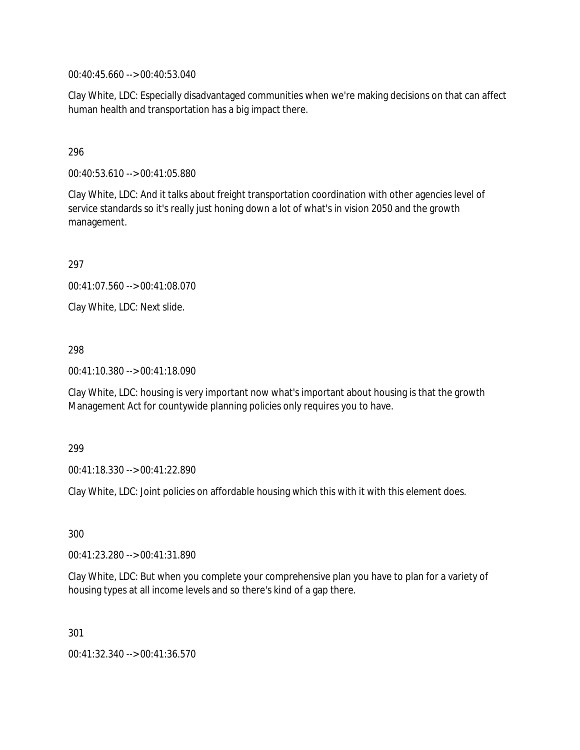00:40:45.660 --> 00:40:53.040

Clay White, LDC: Especially disadvantaged communities when we're making decisions on that can affect human health and transportation has a big impact there.

## 296

00:40:53.610 --> 00:41:05.880

Clay White, LDC: And it talks about freight transportation coordination with other agencies level of service standards so it's really just honing down a lot of what's in vision 2050 and the growth management.

297

00:41:07.560 --> 00:41:08.070

Clay White, LDC: Next slide.

298

00:41:10.380 --> 00:41:18.090

Clay White, LDC: housing is very important now what's important about housing is that the growth Management Act for countywide planning policies only requires you to have.

#### 299

00:41:18.330 --> 00:41:22.890

Clay White, LDC: Joint policies on affordable housing which this with it with this element does.

300

00:41:23.280 --> 00:41:31.890

Clay White, LDC: But when you complete your comprehensive plan you have to plan for a variety of housing types at all income levels and so there's kind of a gap there.

301

00:41:32.340 --> 00:41:36.570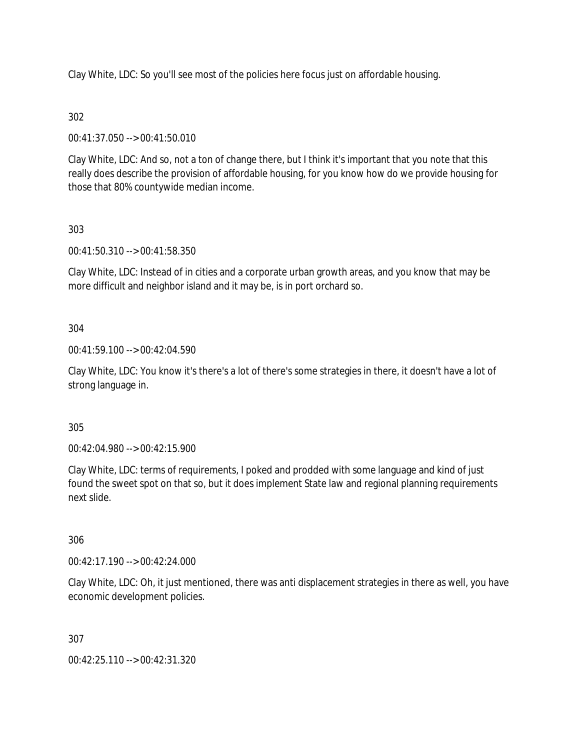Clay White, LDC: So you'll see most of the policies here focus just on affordable housing.

# 302

00:41:37.050 --> 00:41:50.010

Clay White, LDC: And so, not a ton of change there, but I think it's important that you note that this really does describe the provision of affordable housing, for you know how do we provide housing for those that 80% countywide median income.

# 303

00:41:50.310 --> 00:41:58.350

Clay White, LDC: Instead of in cities and a corporate urban growth areas, and you know that may be more difficult and neighbor island and it may be, is in port orchard so.

## 304

00:41:59.100 --> 00:42:04.590

Clay White, LDC: You know it's there's a lot of there's some strategies in there, it doesn't have a lot of strong language in.

## 305

00:42:04.980 --> 00:42:15.900

Clay White, LDC: terms of requirements, I poked and prodded with some language and kind of just found the sweet spot on that so, but it does implement State law and regional planning requirements next slide.

## 306

00:42:17.190 --> 00:42:24.000

Clay White, LDC: Oh, it just mentioned, there was anti displacement strategies in there as well, you have economic development policies.

## 307

00:42:25.110 --> 00:42:31.320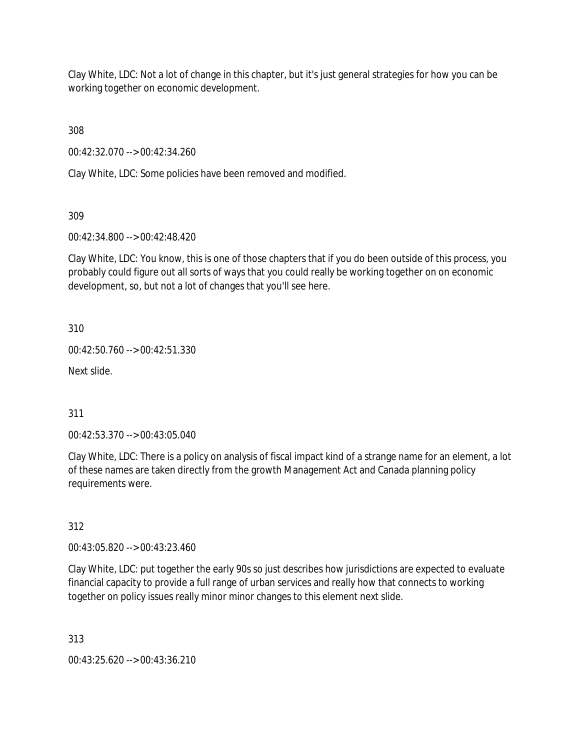Clay White, LDC: Not a lot of change in this chapter, but it's just general strategies for how you can be working together on economic development.

308

00:42:32.070 --> 00:42:34.260

Clay White, LDC: Some policies have been removed and modified.

309

00:42:34.800 --> 00:42:48.420

Clay White, LDC: You know, this is one of those chapters that if you do been outside of this process, you probably could figure out all sorts of ways that you could really be working together on on economic development, so, but not a lot of changes that you'll see here.

310

00:42:50.760 --> 00:42:51.330

Next slide.

311

00:42:53.370 --> 00:43:05.040

Clay White, LDC: There is a policy on analysis of fiscal impact kind of a strange name for an element, a lot of these names are taken directly from the growth Management Act and Canada planning policy requirements were.

312

00:43:05.820 --> 00:43:23.460

Clay White, LDC: put together the early 90s so just describes how jurisdictions are expected to evaluate financial capacity to provide a full range of urban services and really how that connects to working together on policy issues really minor minor changes to this element next slide.

313

00:43:25.620 --> 00:43:36.210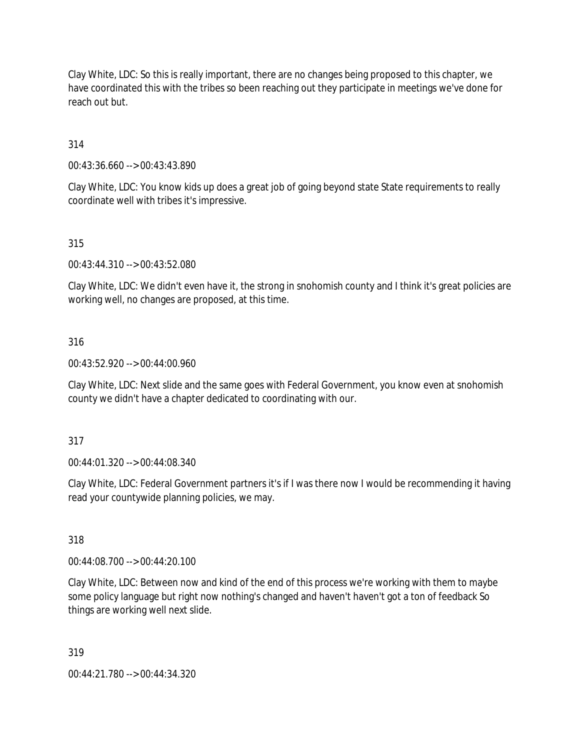Clay White, LDC: So this is really important, there are no changes being proposed to this chapter, we have coordinated this with the tribes so been reaching out they participate in meetings we've done for reach out but.

314

00:43:36.660 --> 00:43:43.890

Clay White, LDC: You know kids up does a great job of going beyond state State requirements to really coordinate well with tribes it's impressive.

315

00:43:44.310 --> 00:43:52.080

Clay White, LDC: We didn't even have it, the strong in snohomish county and I think it's great policies are working well, no changes are proposed, at this time.

### 316

00:43:52.920 --> 00:44:00.960

Clay White, LDC: Next slide and the same goes with Federal Government, you know even at snohomish county we didn't have a chapter dedicated to coordinating with our.

### 317

00:44:01.320 --> 00:44:08.340

Clay White, LDC: Federal Government partners it's if I was there now I would be recommending it having read your countywide planning policies, we may.

318

00:44:08.700 --> 00:44:20.100

Clay White, LDC: Between now and kind of the end of this process we're working with them to maybe some policy language but right now nothing's changed and haven't haven't got a ton of feedback So things are working well next slide.

319

00:44:21.780 --> 00:44:34.320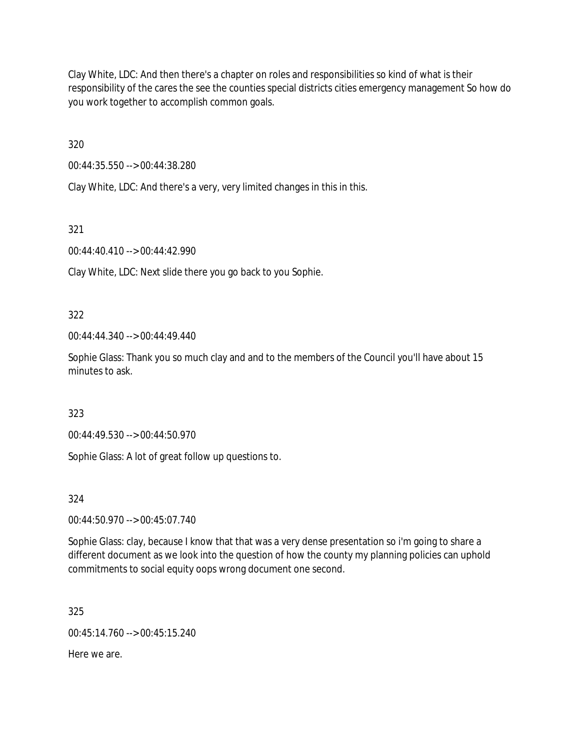Clay White, LDC: And then there's a chapter on roles and responsibilities so kind of what is their responsibility of the cares the see the counties special districts cities emergency management So how do you work together to accomplish common goals.

320

00:44:35.550 --> 00:44:38.280

Clay White, LDC: And there's a very, very limited changes in this in this.

321

00:44:40.410 --> 00:44:42.990

Clay White, LDC: Next slide there you go back to you Sophie.

322

00:44:44.340 --> 00:44:49.440

Sophie Glass: Thank you so much clay and and to the members of the Council you'll have about 15 minutes to ask.

323

00:44:49.530 --> 00:44:50.970

Sophie Glass: A lot of great follow up questions to.

324

00:44:50.970 --> 00:45:07.740

Sophie Glass: clay, because I know that that was a very dense presentation so i'm going to share a different document as we look into the question of how the county my planning policies can uphold commitments to social equity oops wrong document one second.

325

00:45:14.760 --> 00:45:15.240

Here we are.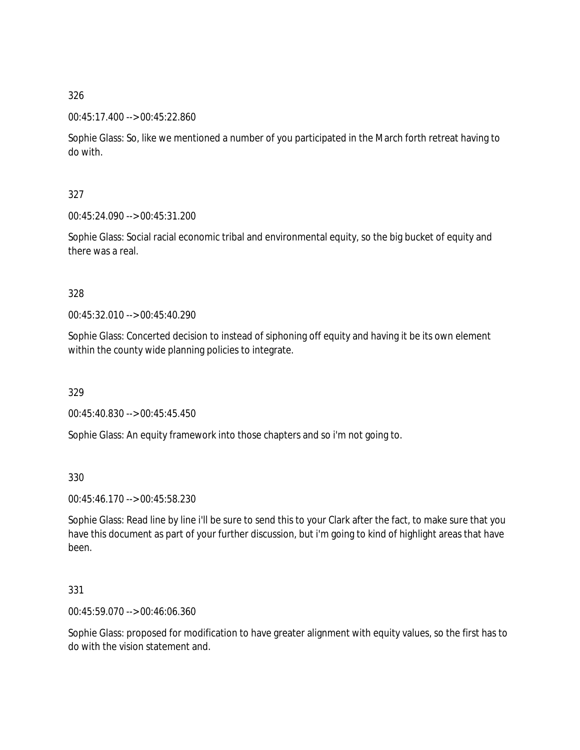### 00:45:17.400 --> 00:45:22.860

Sophie Glass: So, like we mentioned a number of you participated in the March forth retreat having to do with.

## 327

00:45:24.090 --> 00:45:31.200

Sophie Glass: Social racial economic tribal and environmental equity, so the big bucket of equity and there was a real.

### 328

00:45:32.010 --> 00:45:40.290

Sophie Glass: Concerted decision to instead of siphoning off equity and having it be its own element within the county wide planning policies to integrate.

### 329

00:45:40.830 --> 00:45:45.450

Sophie Glass: An equity framework into those chapters and so i'm not going to.

### 330

00:45:46.170 --> 00:45:58.230

Sophie Glass: Read line by line i'll be sure to send this to your Clark after the fact, to make sure that you have this document as part of your further discussion, but i'm going to kind of highlight areas that have been.

### 331

00:45:59.070 --> 00:46:06.360

Sophie Glass: proposed for modification to have greater alignment with equity values, so the first has to do with the vision statement and.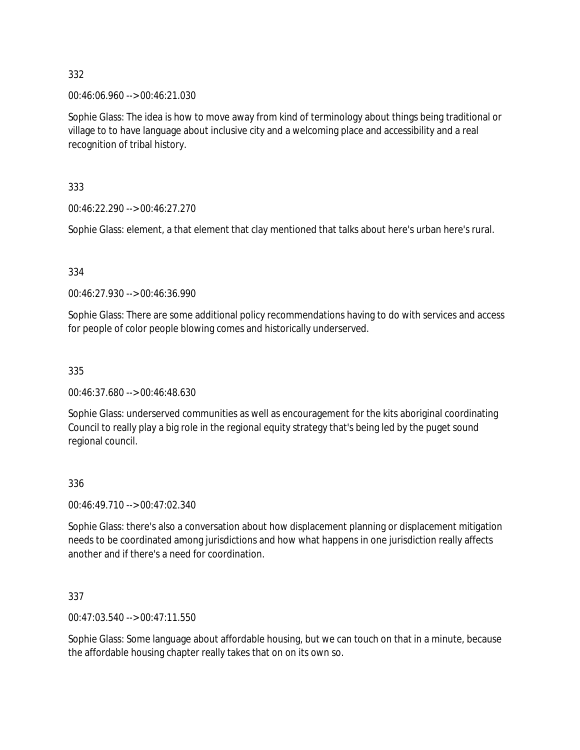00:46:06.960 --> 00:46:21.030

Sophie Glass: The idea is how to move away from kind of terminology about things being traditional or village to to have language about inclusive city and a welcoming place and accessibility and a real recognition of tribal history.

333

00:46:22.290 --> 00:46:27.270

Sophie Glass: element, a that element that clay mentioned that talks about here's urban here's rural.

### 334

00:46:27.930 --> 00:46:36.990

Sophie Glass: There are some additional policy recommendations having to do with services and access for people of color people blowing comes and historically underserved.

### 335

00:46:37.680 --> 00:46:48.630

Sophie Glass: underserved communities as well as encouragement for the kits aboriginal coordinating Council to really play a big role in the regional equity strategy that's being led by the puget sound regional council.

### 336

00:46:49.710 --> 00:47:02.340

Sophie Glass: there's also a conversation about how displacement planning or displacement mitigation needs to be coordinated among jurisdictions and how what happens in one jurisdiction really affects another and if there's a need for coordination.

337

00:47:03.540 --> 00:47:11.550

Sophie Glass: Some language about affordable housing, but we can touch on that in a minute, because the affordable housing chapter really takes that on on its own so.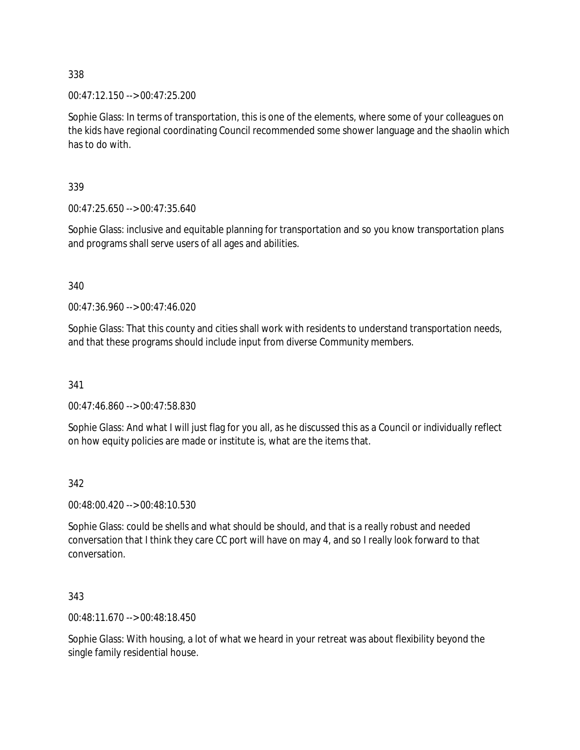00:47:12.150 --> 00:47:25.200

Sophie Glass: In terms of transportation, this is one of the elements, where some of your colleagues on the kids have regional coordinating Council recommended some shower language and the shaolin which has to do with.

339

00:47:25.650 --> 00:47:35.640

Sophie Glass: inclusive and equitable planning for transportation and so you know transportation plans and programs shall serve users of all ages and abilities.

340

00:47:36.960 --> 00:47:46.020

Sophie Glass: That this county and cities shall work with residents to understand transportation needs, and that these programs should include input from diverse Community members.

341

00:47:46.860 --> 00:47:58.830

Sophie Glass: And what I will just flag for you all, as he discussed this as a Council or individually reflect on how equity policies are made or institute is, what are the items that.

### 342

00:48:00.420 --> 00:48:10.530

Sophie Glass: could be shells and what should be should, and that is a really robust and needed conversation that I think they care CC port will have on may 4, and so I really look forward to that conversation.

343

00:48:11.670 --> 00:48:18.450

Sophie Glass: With housing, a lot of what we heard in your retreat was about flexibility beyond the single family residential house.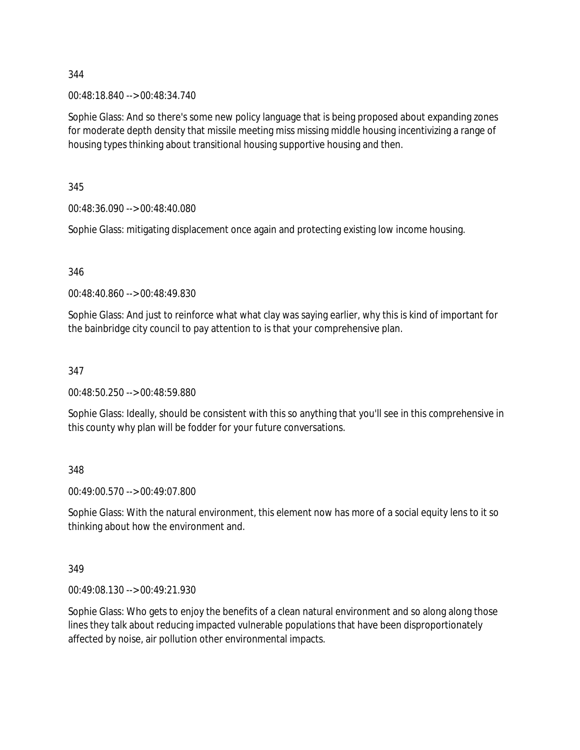00:48:18.840 --> 00:48:34.740

Sophie Glass: And so there's some new policy language that is being proposed about expanding zones for moderate depth density that missile meeting miss missing middle housing incentivizing a range of housing types thinking about transitional housing supportive housing and then.

345

00:48:36.090 --> 00:48:40.080

Sophie Glass: mitigating displacement once again and protecting existing low income housing.

346

00:48:40.860 --> 00:48:49.830

Sophie Glass: And just to reinforce what what clay was saying earlier, why this is kind of important for the bainbridge city council to pay attention to is that your comprehensive plan.

347

00:48:50.250 --> 00:48:59.880

Sophie Glass: Ideally, should be consistent with this so anything that you'll see in this comprehensive in this county why plan will be fodder for your future conversations.

348

00:49:00.570 --> 00:49:07.800

Sophie Glass: With the natural environment, this element now has more of a social equity lens to it so thinking about how the environment and.

349

00:49:08.130 --> 00:49:21.930

Sophie Glass: Who gets to enjoy the benefits of a clean natural environment and so along along those lines they talk about reducing impacted vulnerable populations that have been disproportionately affected by noise, air pollution other environmental impacts.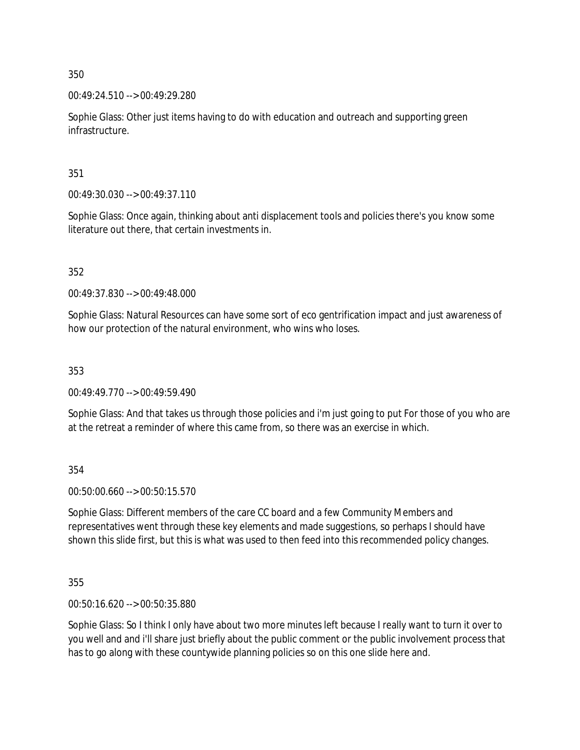00:49:24.510 --> 00:49:29.280

Sophie Glass: Other just items having to do with education and outreach and supporting green infrastructure.

351

00:49:30.030 --> 00:49:37.110

Sophie Glass: Once again, thinking about anti displacement tools and policies there's you know some literature out there, that certain investments in.

352

00:49:37.830 --> 00:49:48.000

Sophie Glass: Natural Resources can have some sort of eco gentrification impact and just awareness of how our protection of the natural environment, who wins who loses.

353

00:49:49.770 --> 00:49:59.490

Sophie Glass: And that takes us through those policies and i'm just going to put For those of you who are at the retreat a reminder of where this came from, so there was an exercise in which.

354

00:50:00.660 --> 00:50:15.570

Sophie Glass: Different members of the care CC board and a few Community Members and representatives went through these key elements and made suggestions, so perhaps I should have shown this slide first, but this is what was used to then feed into this recommended policy changes.

355

00:50:16.620 --> 00:50:35.880

Sophie Glass: So I think I only have about two more minutes left because I really want to turn it over to you well and and i'll share just briefly about the public comment or the public involvement process that has to go along with these countywide planning policies so on this one slide here and.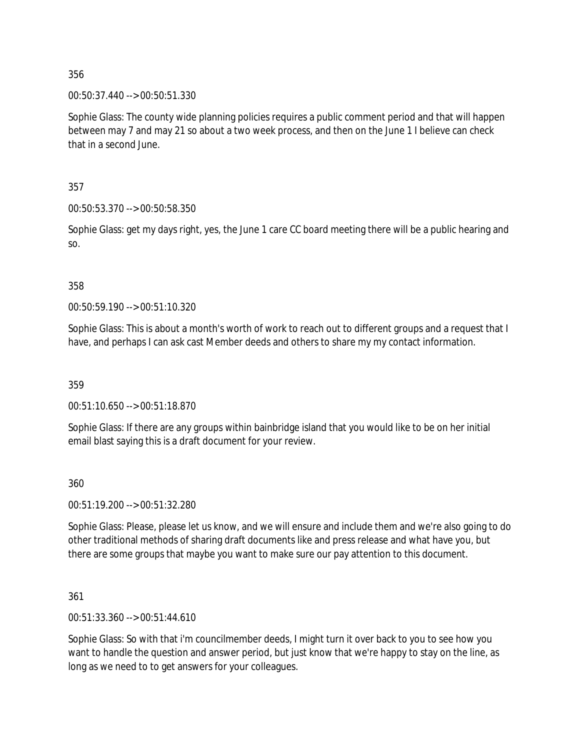00:50:37.440 --> 00:50:51.330

Sophie Glass: The county wide planning policies requires a public comment period and that will happen between may 7 and may 21 so about a two week process, and then on the June 1 I believe can check that in a second June.

357

00:50:53.370 --> 00:50:58.350

Sophie Glass: get my days right, yes, the June 1 care CC board meeting there will be a public hearing and so.

### 358

00:50:59.190 --> 00:51:10.320

Sophie Glass: This is about a month's worth of work to reach out to different groups and a request that I have, and perhaps I can ask cast Member deeds and others to share my my contact information.

359

00:51:10.650 --> 00:51:18.870

Sophie Glass: If there are any groups within bainbridge island that you would like to be on her initial email blast saying this is a draft document for your review.

360

00:51:19.200 --> 00:51:32.280

Sophie Glass: Please, please let us know, and we will ensure and include them and we're also going to do other traditional methods of sharing draft documents like and press release and what have you, but there are some groups that maybe you want to make sure our pay attention to this document.

361

00:51:33.360 --> 00:51:44.610

Sophie Glass: So with that i'm councilmember deeds, I might turn it over back to you to see how you want to handle the question and answer period, but just know that we're happy to stay on the line, as long as we need to to get answers for your colleagues.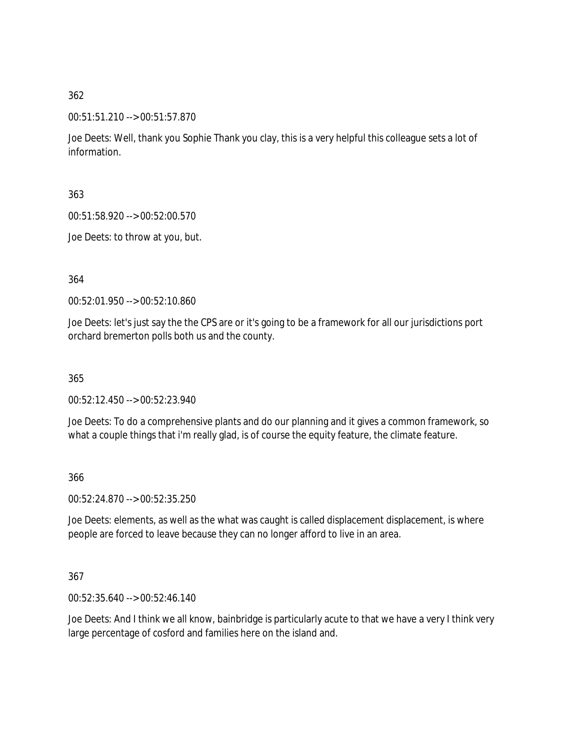00:51:51.210 --> 00:51:57.870

Joe Deets: Well, thank you Sophie Thank you clay, this is a very helpful this colleague sets a lot of information.

363

00:51:58.920 --> 00:52:00.570

Joe Deets: to throw at you, but.

364

00:52:01.950 --> 00:52:10.860

Joe Deets: let's just say the the CPS are or it's going to be a framework for all our jurisdictions port orchard bremerton polls both us and the county.

365

00:52:12.450 --> 00:52:23.940

Joe Deets: To do a comprehensive plants and do our planning and it gives a common framework, so what a couple things that i'm really glad, is of course the equity feature, the climate feature.

366

00:52:24.870 --> 00:52:35.250

Joe Deets: elements, as well as the what was caught is called displacement displacement, is where people are forced to leave because they can no longer afford to live in an area.

367

00:52:35.640 --> 00:52:46.140

Joe Deets: And I think we all know, bainbridge is particularly acute to that we have a very I think very large percentage of cosford and families here on the island and.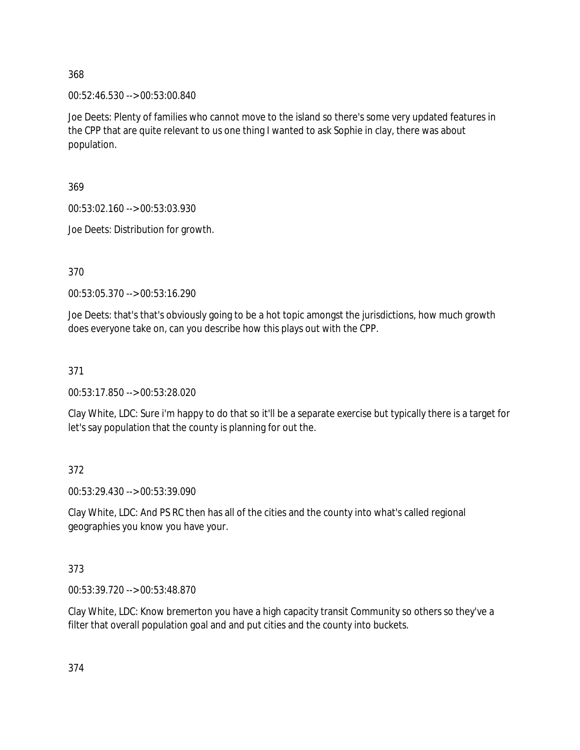00:52:46.530 --> 00:53:00.840

Joe Deets: Plenty of families who cannot move to the island so there's some very updated features in the CPP that are quite relevant to us one thing I wanted to ask Sophie in clay, there was about population.

369

00:53:02.160 --> 00:53:03.930

Joe Deets: Distribution for growth.

370

00:53:05.370 --> 00:53:16.290

Joe Deets: that's that's obviously going to be a hot topic amongst the jurisdictions, how much growth does everyone take on, can you describe how this plays out with the CPP.

371

00:53:17.850 --> 00:53:28.020

Clay White, LDC: Sure i'm happy to do that so it'll be a separate exercise but typically there is a target for let's say population that the county is planning for out the.

372

00:53:29.430 --> 00:53:39.090

Clay White, LDC: And PS RC then has all of the cities and the county into what's called regional geographies you know you have your.

373

00:53:39.720 --> 00:53:48.870

Clay White, LDC: Know bremerton you have a high capacity transit Community so others so they've a filter that overall population goal and and put cities and the county into buckets.

374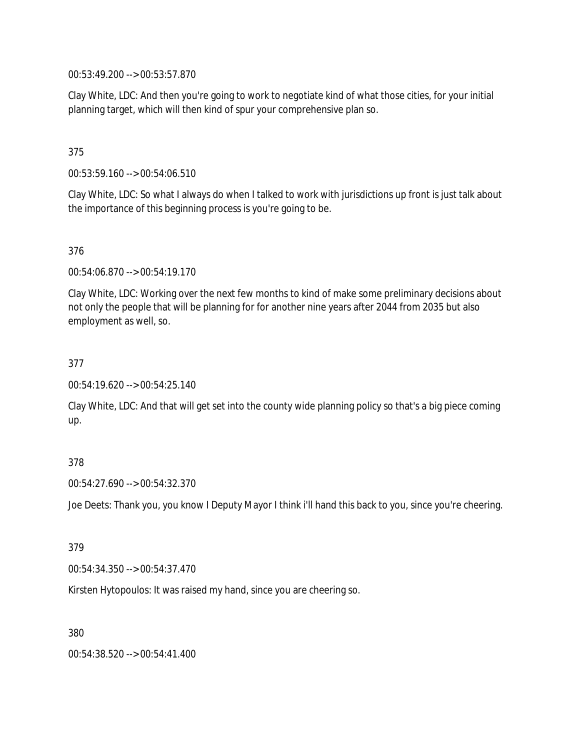00:53:49.200 --> 00:53:57.870

Clay White, LDC: And then you're going to work to negotiate kind of what those cities, for your initial planning target, which will then kind of spur your comprehensive plan so.

## 375

00:53:59.160 --> 00:54:06.510

Clay White, LDC: So what I always do when I talked to work with jurisdictions up front is just talk about the importance of this beginning process is you're going to be.

### 376

00:54:06.870 --> 00:54:19.170

Clay White, LDC: Working over the next few months to kind of make some preliminary decisions about not only the people that will be planning for for another nine years after 2044 from 2035 but also employment as well, so.

### 377

00:54:19.620 --> 00:54:25.140

Clay White, LDC: And that will get set into the county wide planning policy so that's a big piece coming up.

### 378

00:54:27.690 --> 00:54:32.370

Joe Deets: Thank you, you know I Deputy Mayor I think i'll hand this back to you, since you're cheering.

### 379

00:54:34.350 --> 00:54:37.470

Kirsten Hytopoulos: It was raised my hand, since you are cheering so.

380

00:54:38.520 --> 00:54:41.400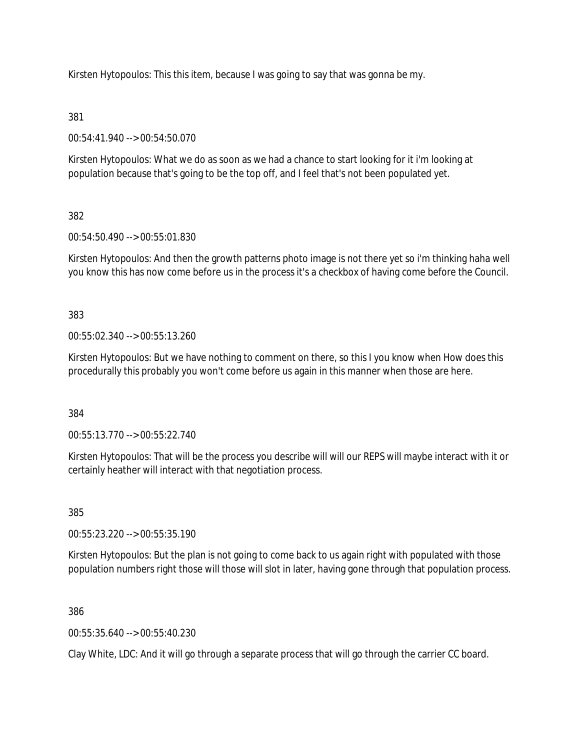Kirsten Hytopoulos: This this item, because I was going to say that was gonna be my.

## 381

00:54:41.940 --> 00:54:50.070

Kirsten Hytopoulos: What we do as soon as we had a chance to start looking for it i'm looking at population because that's going to be the top off, and I feel that's not been populated yet.

# 382

00:54:50.490 --> 00:55:01.830

Kirsten Hytopoulos: And then the growth patterns photo image is not there yet so i'm thinking haha well you know this has now come before us in the process it's a checkbox of having come before the Council.

383

00:55:02.340 --> 00:55:13.260

Kirsten Hytopoulos: But we have nothing to comment on there, so this I you know when How does this procedurally this probably you won't come before us again in this manner when those are here.

384

00:55:13.770 --> 00:55:22.740

Kirsten Hytopoulos: That will be the process you describe will will our REPS will maybe interact with it or certainly heather will interact with that negotiation process.

385

00:55:23.220 --> 00:55:35.190

Kirsten Hytopoulos: But the plan is not going to come back to us again right with populated with those population numbers right those will those will slot in later, having gone through that population process.

386

00:55:35.640 --> 00:55:40.230

Clay White, LDC: And it will go through a separate process that will go through the carrier CC board.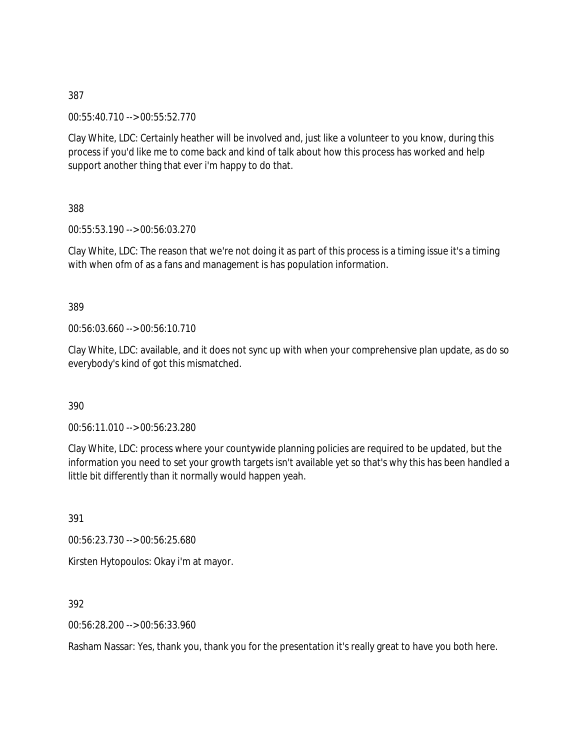00:55:40.710 --> 00:55:52.770

Clay White, LDC: Certainly heather will be involved and, just like a volunteer to you know, during this process if you'd like me to come back and kind of talk about how this process has worked and help support another thing that ever i'm happy to do that.

388

00:55:53.190 --> 00:56:03.270

Clay White, LDC: The reason that we're not doing it as part of this process is a timing issue it's a timing with when ofm of as a fans and management is has population information.

389

00:56:03.660 --> 00:56:10.710

Clay White, LDC: available, and it does not sync up with when your comprehensive plan update, as do so everybody's kind of got this mismatched.

390

00:56:11.010 --> 00:56:23.280

Clay White, LDC: process where your countywide planning policies are required to be updated, but the information you need to set your growth targets isn't available yet so that's why this has been handled a little bit differently than it normally would happen yeah.

391

00:56:23.730 --> 00:56:25.680

Kirsten Hytopoulos: Okay i'm at mayor.

392

00:56:28.200 --> 00:56:33.960

Rasham Nassar: Yes, thank you, thank you for the presentation it's really great to have you both here.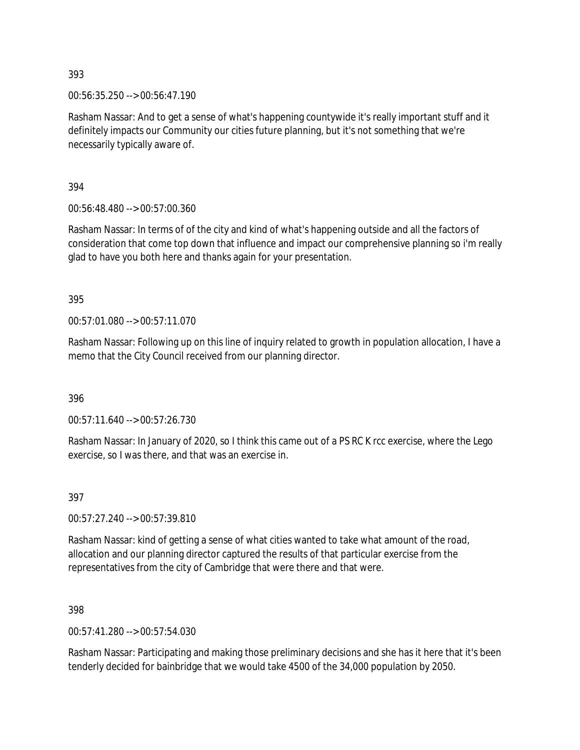00:56:35.250 --> 00:56:47.190

Rasham Nassar: And to get a sense of what's happening countywide it's really important stuff and it definitely impacts our Community our cities future planning, but it's not something that we're necessarily typically aware of.

394

00:56:48.480 --> 00:57:00.360

Rasham Nassar: In terms of of the city and kind of what's happening outside and all the factors of consideration that come top down that influence and impact our comprehensive planning so i'm really glad to have you both here and thanks again for your presentation.

395

00:57:01.080 --> 00:57:11.070

Rasham Nassar: Following up on this line of inquiry related to growth in population allocation, I have a memo that the City Council received from our planning director.

396

00:57:11.640 --> 00:57:26.730

Rasham Nassar: In January of 2020, so I think this came out of a PS RC K rcc exercise, where the Lego exercise, so I was there, and that was an exercise in.

397

00:57:27.240 --> 00:57:39.810

Rasham Nassar: kind of getting a sense of what cities wanted to take what amount of the road, allocation and our planning director captured the results of that particular exercise from the representatives from the city of Cambridge that were there and that were.

398

00:57:41.280 --> 00:57:54.030

Rasham Nassar: Participating and making those preliminary decisions and she has it here that it's been tenderly decided for bainbridge that we would take 4500 of the 34,000 population by 2050.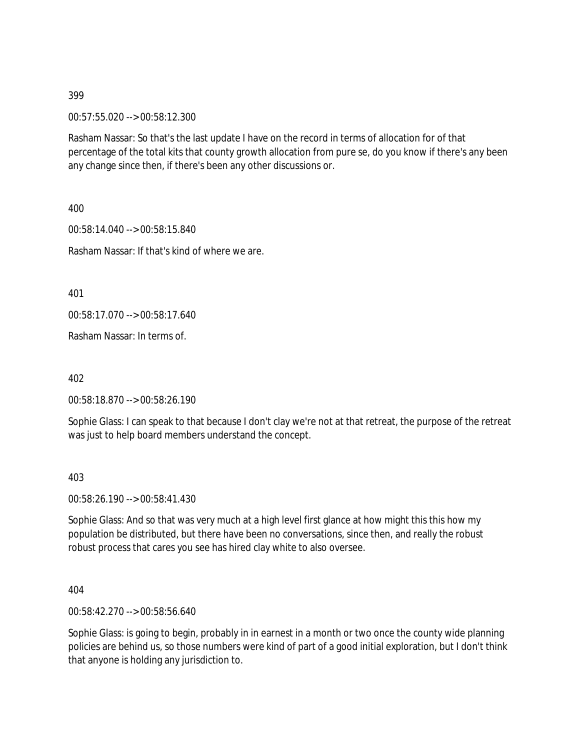00:57:55.020 --> 00:58:12.300

Rasham Nassar: So that's the last update I have on the record in terms of allocation for of that percentage of the total kits that county growth allocation from pure se, do you know if there's any been any change since then, if there's been any other discussions or.

400

00:58:14.040 --> 00:58:15.840 Rasham Nassar: If that's kind of where we are.

401

00:58:17.070 --> 00:58:17.640

Rasham Nassar: In terms of.

402

00:58:18.870 --> 00:58:26.190

Sophie Glass: I can speak to that because I don't clay we're not at that retreat, the purpose of the retreat was just to help board members understand the concept.

403

00:58:26.190 --> 00:58:41.430

Sophie Glass: And so that was very much at a high level first glance at how might this this how my population be distributed, but there have been no conversations, since then, and really the robust robust process that cares you see has hired clay white to also oversee.

404

00:58:42.270 --> 00:58:56.640

Sophie Glass: is going to begin, probably in in earnest in a month or two once the county wide planning policies are behind us, so those numbers were kind of part of a good initial exploration, but I don't think that anyone is holding any jurisdiction to.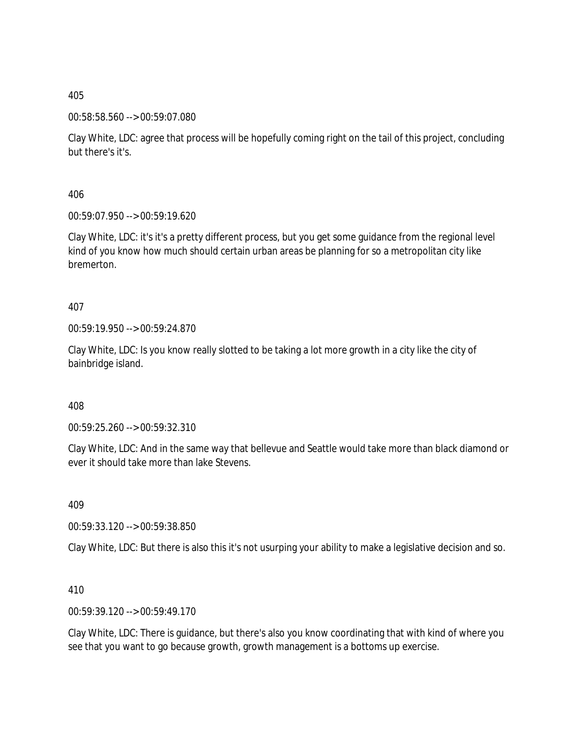### 00:58:58.560 --> 00:59:07.080

Clay White, LDC: agree that process will be hopefully coming right on the tail of this project, concluding but there's it's.

406

00:59:07.950 --> 00:59:19.620

Clay White, LDC: it's it's a pretty different process, but you get some guidance from the regional level kind of you know how much should certain urban areas be planning for so a metropolitan city like bremerton.

407

00:59:19.950 --> 00:59:24.870

Clay White, LDC: Is you know really slotted to be taking a lot more growth in a city like the city of bainbridge island.

408

00:59:25.260 --> 00:59:32.310

Clay White, LDC: And in the same way that bellevue and Seattle would take more than black diamond or ever it should take more than lake Stevens.

409

00:59:33.120 --> 00:59:38.850

Clay White, LDC: But there is also this it's not usurping your ability to make a legislative decision and so.

410

00:59:39.120 --> 00:59:49.170

Clay White, LDC: There is guidance, but there's also you know coordinating that with kind of where you see that you want to go because growth, growth management is a bottoms up exercise.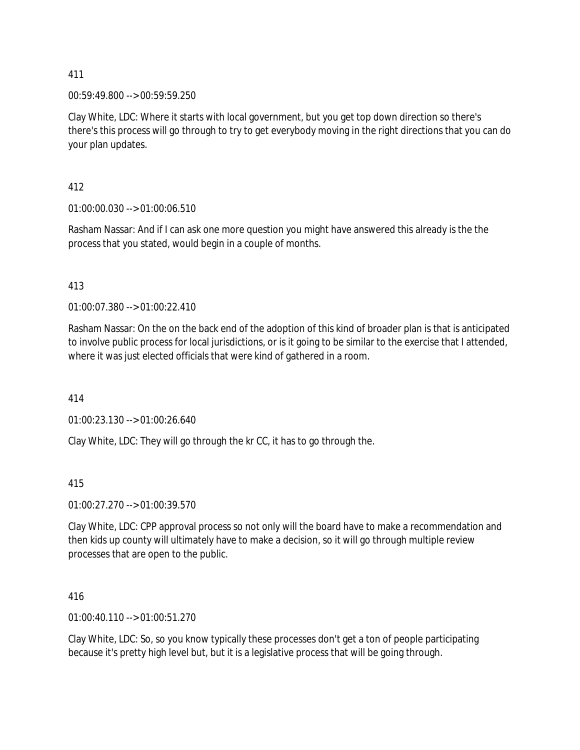00:59:49.800 --> 00:59:59.250

Clay White, LDC: Where it starts with local government, but you get top down direction so there's there's this process will go through to try to get everybody moving in the right directions that you can do your plan updates.

412

01:00:00.030 --> 01:00:06.510

Rasham Nassar: And if I can ask one more question you might have answered this already is the the process that you stated, would begin in a couple of months.

413

01:00:07.380 --> 01:00:22.410

Rasham Nassar: On the on the back end of the adoption of this kind of broader plan is that is anticipated to involve public process for local jurisdictions, or is it going to be similar to the exercise that I attended, where it was just elected officials that were kind of gathered in a room.

414

01:00:23.130 --> 01:00:26.640

Clay White, LDC: They will go through the kr CC, it has to go through the.

415

01:00:27.270 --> 01:00:39.570

Clay White, LDC: CPP approval process so not only will the board have to make a recommendation and then kids up county will ultimately have to make a decision, so it will go through multiple review processes that are open to the public.

416

01:00:40.110 --> 01:00:51.270

Clay White, LDC: So, so you know typically these processes don't get a ton of people participating because it's pretty high level but, but it is a legislative process that will be going through.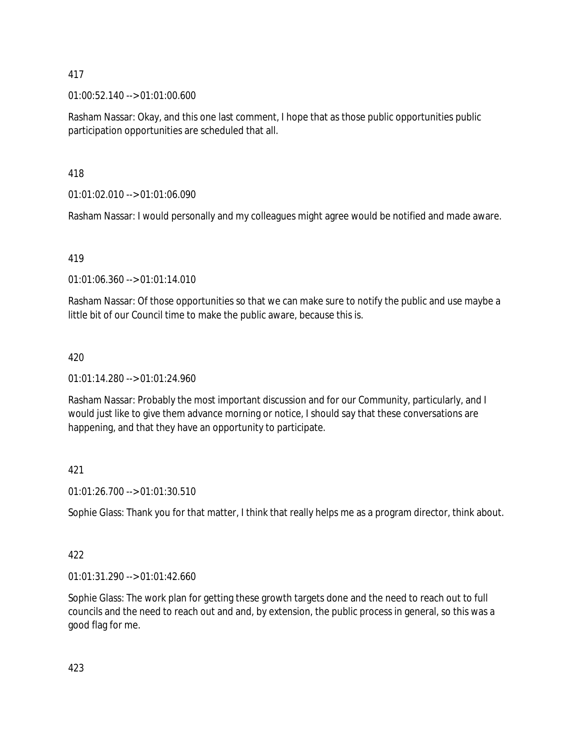01:00:52.140 --> 01:01:00.600

Rasham Nassar: Okay, and this one last comment, I hope that as those public opportunities public participation opportunities are scheduled that all.

418

01:01:02.010 --> 01:01:06.090

Rasham Nassar: I would personally and my colleagues might agree would be notified and made aware.

419

01:01:06.360 --> 01:01:14.010

Rasham Nassar: Of those opportunities so that we can make sure to notify the public and use maybe a little bit of our Council time to make the public aware, because this is.

# 420

01:01:14.280 --> 01:01:24.960

Rasham Nassar: Probably the most important discussion and for our Community, particularly, and I would just like to give them advance morning or notice, I should say that these conversations are happening, and that they have an opportunity to participate.

# 421

01:01:26.700 --> 01:01:30.510

Sophie Glass: Thank you for that matter, I think that really helps me as a program director, think about.

## 422

01:01:31.290 --> 01:01:42.660

Sophie Glass: The work plan for getting these growth targets done and the need to reach out to full councils and the need to reach out and and, by extension, the public process in general, so this was a good flag for me.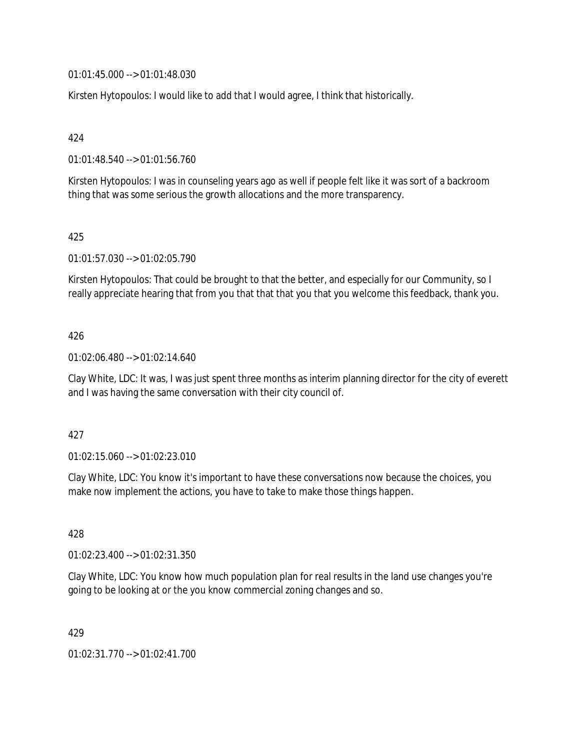01:01:45.000 --> 01:01:48.030

Kirsten Hytopoulos: I would like to add that I would agree, I think that historically.

424

01:01:48.540 --> 01:01:56.760

Kirsten Hytopoulos: I was in counseling years ago as well if people felt like it was sort of a backroom thing that was some serious the growth allocations and the more transparency.

### 425

01:01:57.030 --> 01:02:05.790

Kirsten Hytopoulos: That could be brought to that the better, and especially for our Community, so I really appreciate hearing that from you that that that you that you welcome this feedback, thank you.

### 426

01:02:06.480 --> 01:02:14.640

Clay White, LDC: It was, I was just spent three months as interim planning director for the city of everett and I was having the same conversation with their city council of.

#### 427

01:02:15.060 --> 01:02:23.010

Clay White, LDC: You know it's important to have these conversations now because the choices, you make now implement the actions, you have to take to make those things happen.

428

01:02:23.400 --> 01:02:31.350

Clay White, LDC: You know how much population plan for real results in the land use changes you're going to be looking at or the you know commercial zoning changes and so.

429

01:02:31.770 --> 01:02:41.700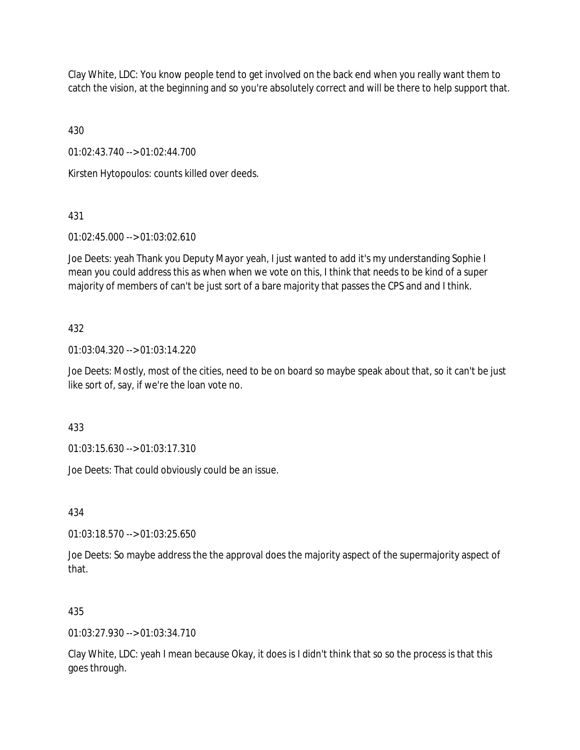Clay White, LDC: You know people tend to get involved on the back end when you really want them to catch the vision, at the beginning and so you're absolutely correct and will be there to help support that.

430

01:02:43.740 --> 01:02:44.700

Kirsten Hytopoulos: counts killed over deeds.

# 431

01:02:45.000 --> 01:03:02.610

Joe Deets: yeah Thank you Deputy Mayor yeah, I just wanted to add it's my understanding Sophie I mean you could address this as when when we vote on this, I think that needs to be kind of a super majority of members of can't be just sort of a bare majority that passes the CPS and and I think.

## 432

01:03:04.320 --> 01:03:14.220

Joe Deets: Mostly, most of the cities, need to be on board so maybe speak about that, so it can't be just like sort of, say, if we're the loan vote no.

433

01:03:15.630 --> 01:03:17.310

Joe Deets: That could obviously could be an issue.

434

01:03:18.570 --> 01:03:25.650

Joe Deets: So maybe address the the approval does the majority aspect of the supermajority aspect of that.

## 435

01:03:27.930 --> 01:03:34.710

Clay White, LDC: yeah I mean because Okay, it does is I didn't think that so so the process is that this goes through.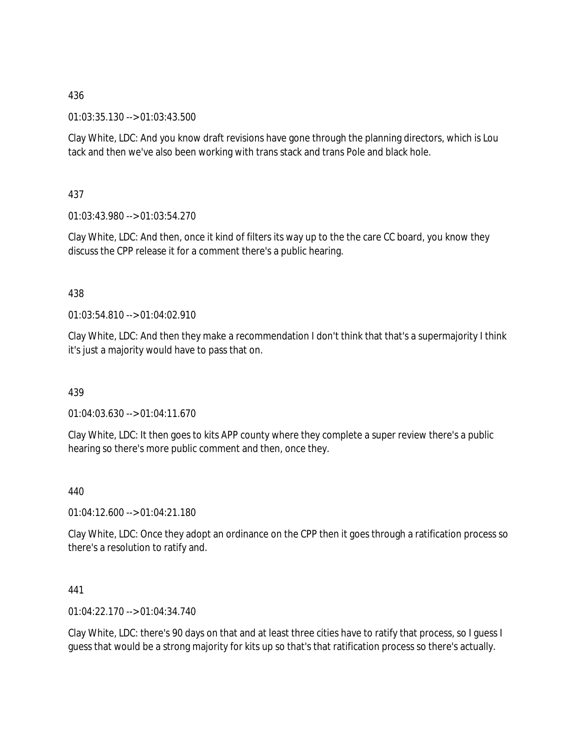01:03:35.130 --> 01:03:43.500

Clay White, LDC: And you know draft revisions have gone through the planning directors, which is Lou tack and then we've also been working with trans stack and trans Pole and black hole.

437

01:03:43.980 --> 01:03:54.270

Clay White, LDC: And then, once it kind of filters its way up to the the care CC board, you know they discuss the CPP release it for a comment there's a public hearing.

## 438

01:03:54.810 --> 01:04:02.910

Clay White, LDC: And then they make a recommendation I don't think that that's a supermajority I think it's just a majority would have to pass that on.

## 439

01:04:03.630 --> 01:04:11.670

Clay White, LDC: It then goes to kits APP county where they complete a super review there's a public hearing so there's more public comment and then, once they.

440

01:04:12.600 --> 01:04:21.180

Clay White, LDC: Once they adopt an ordinance on the CPP then it goes through a ratification process so there's a resolution to ratify and.

### 441

01:04:22.170 --> 01:04:34.740

Clay White, LDC: there's 90 days on that and at least three cities have to ratify that process, so I guess I guess that would be a strong majority for kits up so that's that ratification process so there's actually.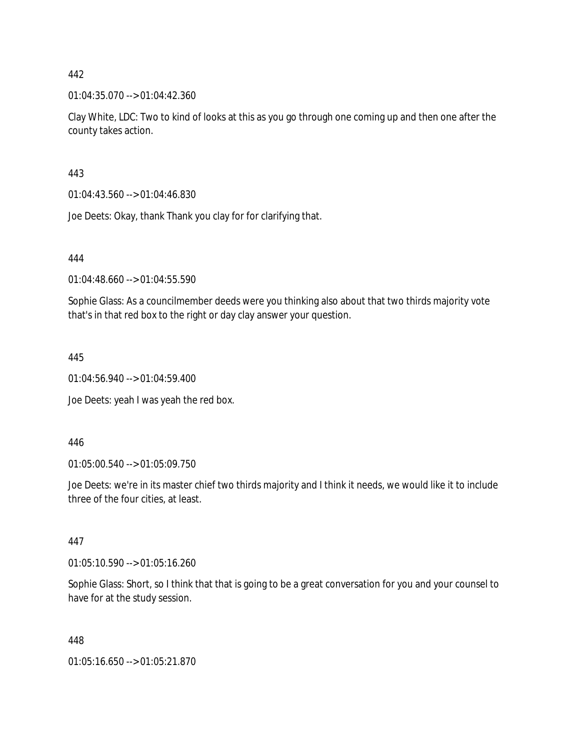01:04:35.070 --> 01:04:42.360

Clay White, LDC: Two to kind of looks at this as you go through one coming up and then one after the county takes action.

443

01:04:43.560 --> 01:04:46.830

Joe Deets: Okay, thank Thank you clay for for clarifying that.

444

01:04:48.660 --> 01:04:55.590

Sophie Glass: As a councilmember deeds were you thinking also about that two thirds majority vote that's in that red box to the right or day clay answer your question.

445

01:04:56.940 --> 01:04:59.400

Joe Deets: yeah I was yeah the red box.

446

01:05:00.540 --> 01:05:09.750

Joe Deets: we're in its master chief two thirds majority and I think it needs, we would like it to include three of the four cities, at least.

447

01:05:10.590 --> 01:05:16.260

Sophie Glass: Short, so I think that that is going to be a great conversation for you and your counsel to have for at the study session.

448

01:05:16.650 --> 01:05:21.870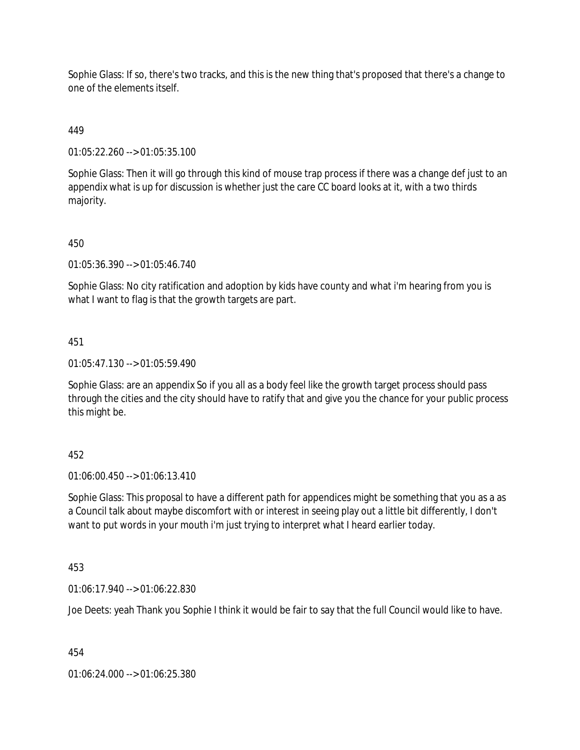Sophie Glass: If so, there's two tracks, and this is the new thing that's proposed that there's a change to one of the elements itself.

# 449

01:05:22.260 --> 01:05:35.100

Sophie Glass: Then it will go through this kind of mouse trap process if there was a change def just to an appendix what is up for discussion is whether just the care CC board looks at it, with a two thirds majority.

# 450

01:05:36.390 --> 01:05:46.740

Sophie Glass: No city ratification and adoption by kids have county and what i'm hearing from you is what I want to flag is that the growth targets are part.

# 451

01:05:47.130 --> 01:05:59.490

Sophie Glass: are an appendix So if you all as a body feel like the growth target process should pass through the cities and the city should have to ratify that and give you the chance for your public process this might be.

# 452

01:06:00.450 --> 01:06:13.410

Sophie Glass: This proposal to have a different path for appendices might be something that you as a as a Council talk about maybe discomfort with or interest in seeing play out a little bit differently, I don't want to put words in your mouth i'm just trying to interpret what I heard earlier today.

### 453

01:06:17.940 --> 01:06:22.830

Joe Deets: yeah Thank you Sophie I think it would be fair to say that the full Council would like to have.

454

01:06:24.000 --> 01:06:25.380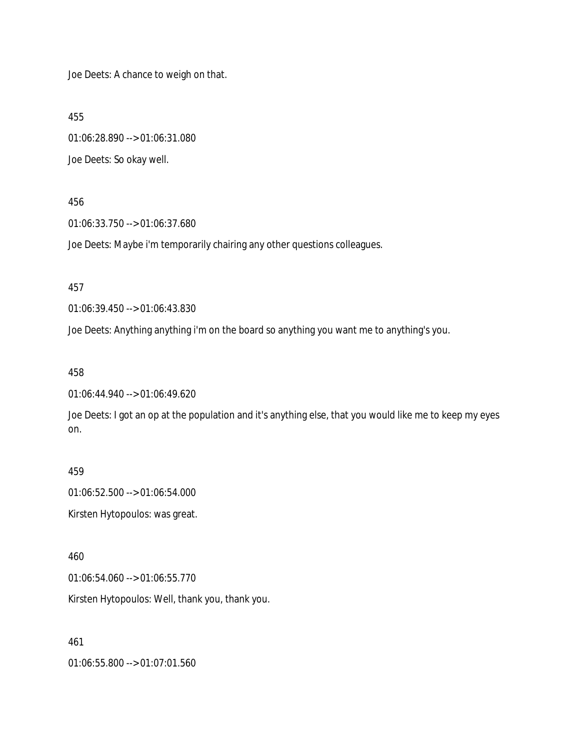Joe Deets: A chance to weigh on that.

455

01:06:28.890 --> 01:06:31.080 Joe Deets: So okay well.

#### 456

01:06:33.750 --> 01:06:37.680

Joe Deets: Maybe i'm temporarily chairing any other questions colleagues.

457

01:06:39.450 --> 01:06:43.830

Joe Deets: Anything anything i'm on the board so anything you want me to anything's you.

458

01:06:44.940 --> 01:06:49.620

Joe Deets: I got an op at the population and it's anything else, that you would like me to keep my eyes on.

459

01:06:52.500 --> 01:06:54.000 Kirsten Hytopoulos: was great.

460

01:06:54.060 --> 01:06:55.770

Kirsten Hytopoulos: Well, thank you, thank you.

461

01:06:55.800 --> 01:07:01.560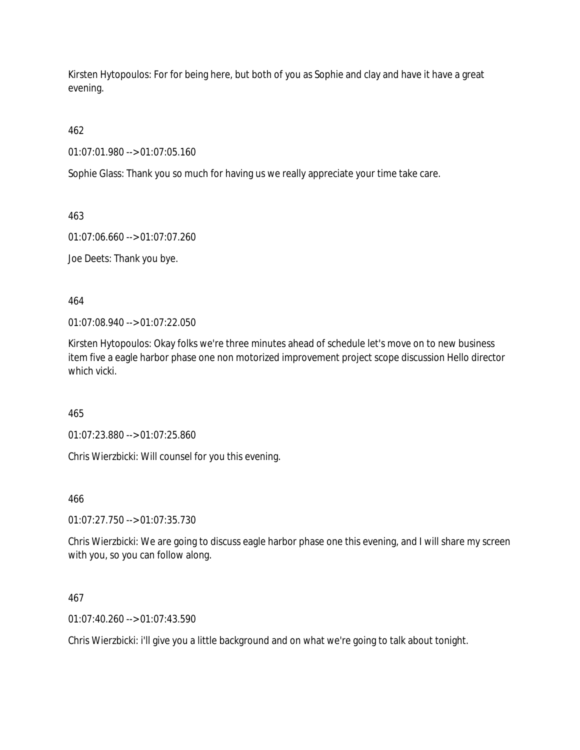Kirsten Hytopoulos: For for being here, but both of you as Sophie and clay and have it have a great evening.

462

01:07:01.980 --> 01:07:05.160

Sophie Glass: Thank you so much for having us we really appreciate your time take care.

463

01:07:06.660 --> 01:07:07.260

Joe Deets: Thank you bye.

464

01:07:08.940 --> 01:07:22.050

Kirsten Hytopoulos: Okay folks we're three minutes ahead of schedule let's move on to new business item five a eagle harbor phase one non motorized improvement project scope discussion Hello director which vicki.

465

01:07:23.880 --> 01:07:25.860

Chris Wierzbicki: Will counsel for you this evening.

466

01:07:27.750 --> 01:07:35.730

Chris Wierzbicki: We are going to discuss eagle harbor phase one this evening, and I will share my screen with you, so you can follow along.

467

01:07:40.260 --> 01:07:43.590

Chris Wierzbicki: i'll give you a little background and on what we're going to talk about tonight.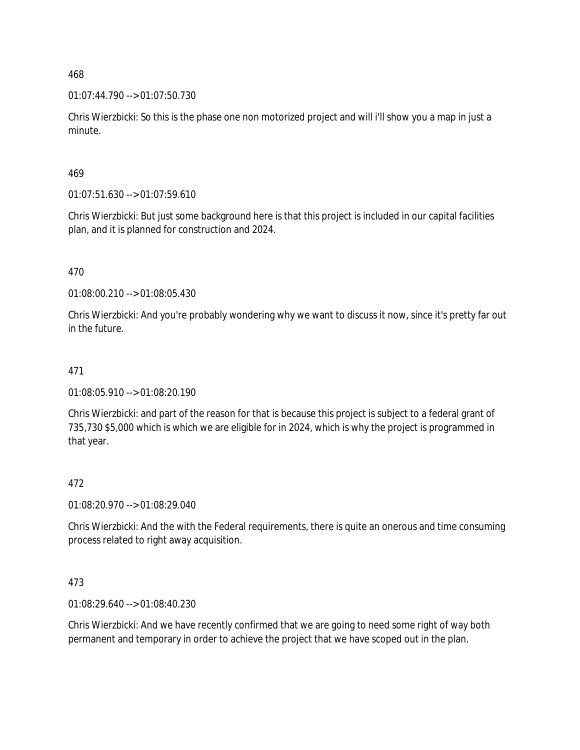01:07:44.790 --> 01:07:50.730

Chris Wierzbicki: So this is the phase one non motorized project and will i'll show you a map in just a minute.

469

01:07:51.630 --> 01:07:59.610

Chris Wierzbicki: But just some background here is that this project is included in our capital facilities plan, and it is planned for construction and 2024.

470

01:08:00.210 --> 01:08:05.430

Chris Wierzbicki: And you're probably wondering why we want to discuss it now, since it's pretty far out in the future.

## 471

01:08:05.910 --> 01:08:20.190

Chris Wierzbicki: and part of the reason for that is because this project is subject to a federal grant of 735,730 \$5,000 which is which we are eligible for in 2024, which is why the project is programmed in that year.

### 472

01:08:20.970 --> 01:08:29.040

Chris Wierzbicki: And the with the Federal requirements, there is quite an onerous and time consuming process related to right away acquisition.

473

01:08:29.640 --> 01:08:40.230

Chris Wierzbicki: And we have recently confirmed that we are going to need some right of way both permanent and temporary in order to achieve the project that we have scoped out in the plan.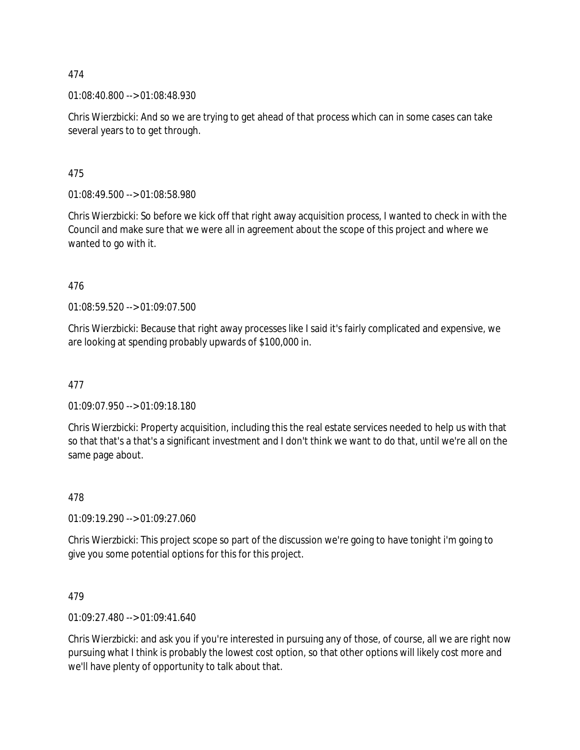01:08:40.800 --> 01:08:48.930

Chris Wierzbicki: And so we are trying to get ahead of that process which can in some cases can take several years to to get through.

475

01:08:49.500 --> 01:08:58.980

Chris Wierzbicki: So before we kick off that right away acquisition process, I wanted to check in with the Council and make sure that we were all in agreement about the scope of this project and where we wanted to go with it.

476

01:08:59.520 --> 01:09:07.500

Chris Wierzbicki: Because that right away processes like I said it's fairly complicated and expensive, we are looking at spending probably upwards of \$100,000 in.

477

01:09:07.950 --> 01:09:18.180

Chris Wierzbicki: Property acquisition, including this the real estate services needed to help us with that so that that's a that's a significant investment and I don't think we want to do that, until we're all on the same page about.

478

01:09:19.290 --> 01:09:27.060

Chris Wierzbicki: This project scope so part of the discussion we're going to have tonight i'm going to give you some potential options for this for this project.

479

01:09:27.480 --> 01:09:41.640

Chris Wierzbicki: and ask you if you're interested in pursuing any of those, of course, all we are right now pursuing what I think is probably the lowest cost option, so that other options will likely cost more and we'll have plenty of opportunity to talk about that.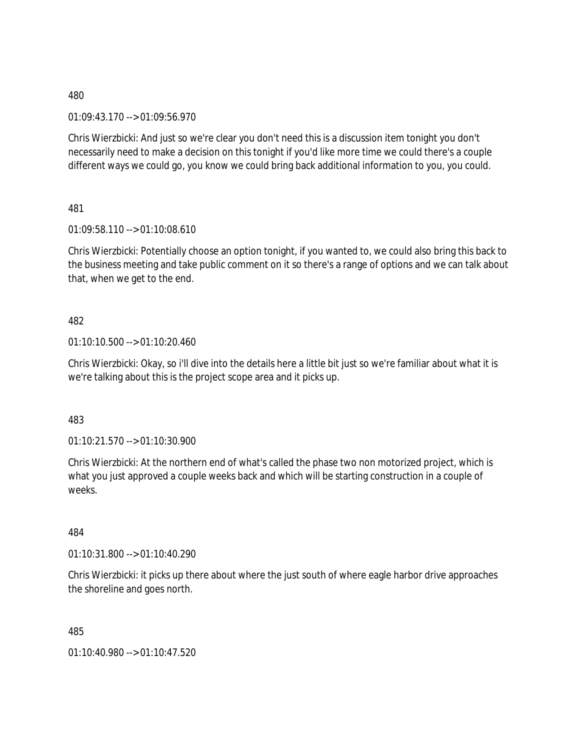01:09:43.170 --> 01:09:56.970

Chris Wierzbicki: And just so we're clear you don't need this is a discussion item tonight you don't necessarily need to make a decision on this tonight if you'd like more time we could there's a couple different ways we could go, you know we could bring back additional information to you, you could.

481

01:09:58.110 --> 01:10:08.610

Chris Wierzbicki: Potentially choose an option tonight, if you wanted to, we could also bring this back to the business meeting and take public comment on it so there's a range of options and we can talk about that, when we get to the end.

482

01:10:10.500 --> 01:10:20.460

Chris Wierzbicki: Okay, so i'll dive into the details here a little bit just so we're familiar about what it is we're talking about this is the project scope area and it picks up.

483

 $01:10:21.570 \rightarrow 01:10:30.900$ 

Chris Wierzbicki: At the northern end of what's called the phase two non motorized project, which is what you just approved a couple weeks back and which will be starting construction in a couple of weeks.

484

01:10:31.800 --> 01:10:40.290

Chris Wierzbicki: it picks up there about where the just south of where eagle harbor drive approaches the shoreline and goes north.

485

01:10:40.980 --> 01:10:47.520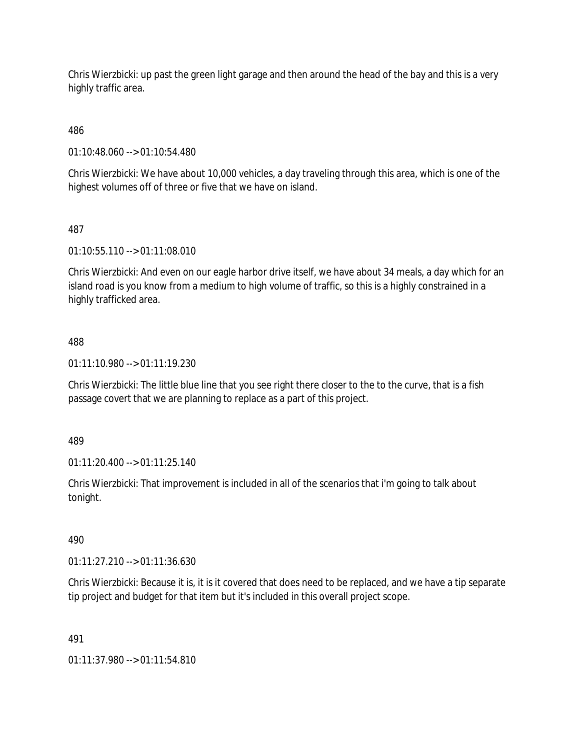Chris Wierzbicki: up past the green light garage and then around the head of the bay and this is a very highly traffic area.

486

01:10:48.060 --> 01:10:54.480

Chris Wierzbicki: We have about 10,000 vehicles, a day traveling through this area, which is one of the highest volumes off of three or five that we have on island.

### 487

01:10:55.110 --> 01:11:08.010

Chris Wierzbicki: And even on our eagle harbor drive itself, we have about 34 meals, a day which for an island road is you know from a medium to high volume of traffic, so this is a highly constrained in a highly trafficked area.

### 488

01:11:10.980 --> 01:11:19.230

Chris Wierzbicki: The little blue line that you see right there closer to the to the curve, that is a fish passage covert that we are planning to replace as a part of this project.

### 489

01:11:20.400 --> 01:11:25.140

Chris Wierzbicki: That improvement is included in all of the scenarios that i'm going to talk about tonight.

# 490

01:11:27.210 --> 01:11:36.630

Chris Wierzbicki: Because it is, it is it covered that does need to be replaced, and we have a tip separate tip project and budget for that item but it's included in this overall project scope.

### 491

01:11:37.980 --> 01:11:54.810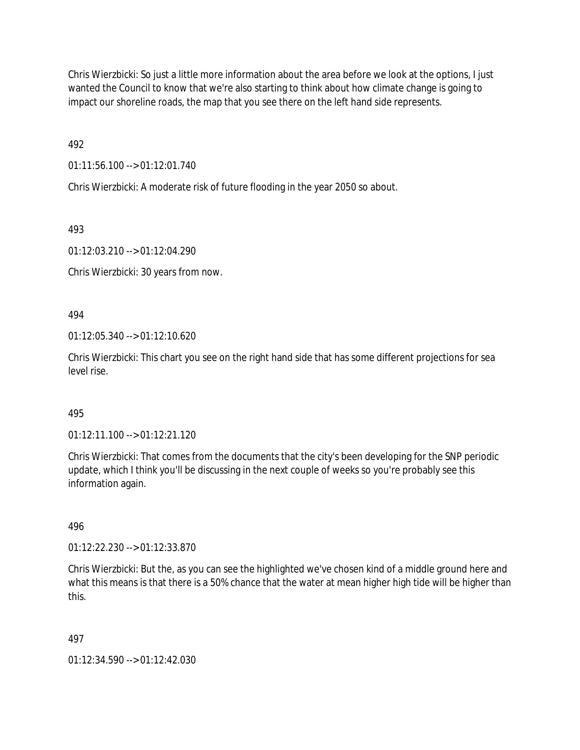Chris Wierzbicki: So just a little more information about the area before we look at the options, I just wanted the Council to know that we're also starting to think about how climate change is going to impact our shoreline roads, the map that you see there on the left hand side represents.

492

01:11:56.100 --> 01:12:01.740

Chris Wierzbicki: A moderate risk of future flooding in the year 2050 so about.

493

01:12:03.210 --> 01:12:04.290

Chris Wierzbicki: 30 years from now.

494

01:12:05.340 --> 01:12:10.620

Chris Wierzbicki: This chart you see on the right hand side that has some different projections for sea level rise.

### 495

01:12:11.100 --> 01:12:21.120

Chris Wierzbicki: That comes from the documents that the city's been developing for the SNP periodic update, which I think you'll be discussing in the next couple of weeks so you're probably see this information again.

496

01:12:22.230 --> 01:12:33.870

Chris Wierzbicki: But the, as you can see the highlighted we've chosen kind of a middle ground here and what this means is that there is a 50% chance that the water at mean higher high tide will be higher than this.

497

01:12:34.590 --> 01:12:42.030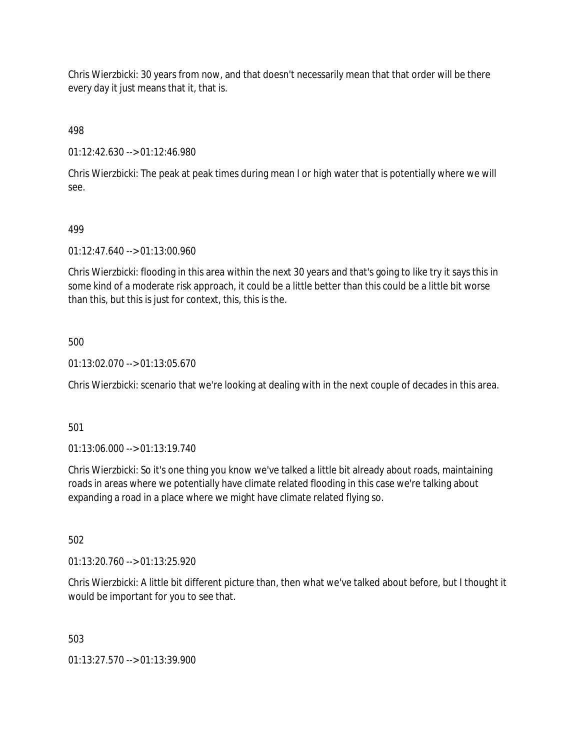Chris Wierzbicki: 30 years from now, and that doesn't necessarily mean that that order will be there every day it just means that it, that is.

498

01:12:42.630 --> 01:12:46.980

Chris Wierzbicki: The peak at peak times during mean I or high water that is potentially where we will see.

# 499

01:12:47.640 --> 01:13:00.960

Chris Wierzbicki: flooding in this area within the next 30 years and that's going to like try it says this in some kind of a moderate risk approach, it could be a little better than this could be a little bit worse than this, but this is just for context, this, this is the.

# 500

01:13:02.070 --> 01:13:05.670

Chris Wierzbicki: scenario that we're looking at dealing with in the next couple of decades in this area.

# 501

01:13:06.000 --> 01:13:19.740

Chris Wierzbicki: So it's one thing you know we've talked a little bit already about roads, maintaining roads in areas where we potentially have climate related flooding in this case we're talking about expanding a road in a place where we might have climate related flying so.

502

01:13:20.760 --> 01:13:25.920

Chris Wierzbicki: A little bit different picture than, then what we've talked about before, but I thought it would be important for you to see that.

503

01:13:27.570 --> 01:13:39.900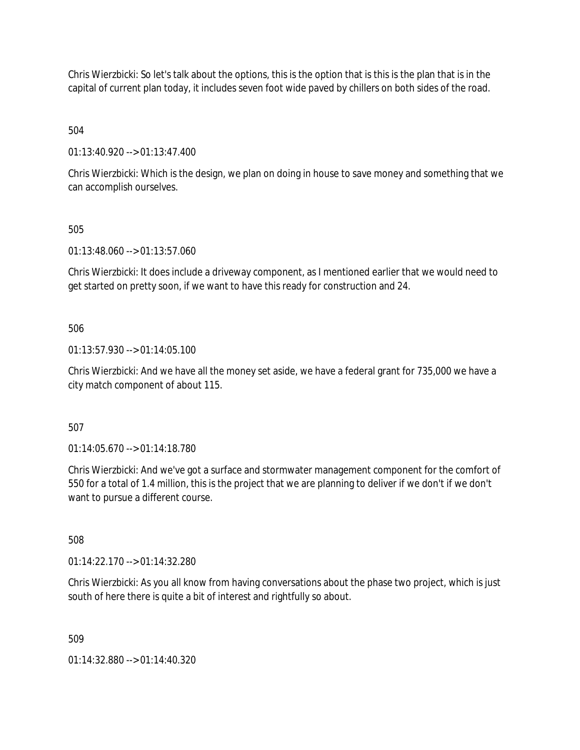Chris Wierzbicki: So let's talk about the options, this is the option that is this is the plan that is in the capital of current plan today, it includes seven foot wide paved by chillers on both sides of the road.

504

01:13:40.920 --> 01:13:47.400

Chris Wierzbicki: Which is the design, we plan on doing in house to save money and something that we can accomplish ourselves.

### 505

01:13:48.060 --> 01:13:57.060

Chris Wierzbicki: It does include a driveway component, as I mentioned earlier that we would need to get started on pretty soon, if we want to have this ready for construction and 24.

### 506

01:13:57.930 --> 01:14:05.100

Chris Wierzbicki: And we have all the money set aside, we have a federal grant for 735,000 we have a city match component of about 115.

507

01:14:05.670 --> 01:14:18.780

Chris Wierzbicki: And we've got a surface and stormwater management component for the comfort of 550 for a total of 1.4 million, this is the project that we are planning to deliver if we don't if we don't want to pursue a different course.

508

01:14:22.170 --> 01:14:32.280

Chris Wierzbicki: As you all know from having conversations about the phase two project, which is just south of here there is quite a bit of interest and rightfully so about.

509

01:14:32.880 --> 01:14:40.320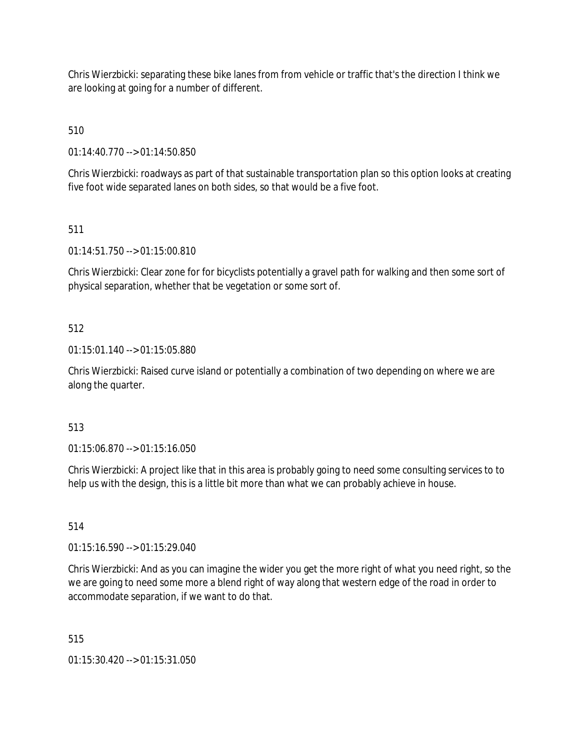Chris Wierzbicki: separating these bike lanes from from vehicle or traffic that's the direction I think we are looking at going for a number of different.

510

01:14:40.770 --> 01:14:50.850

Chris Wierzbicki: roadways as part of that sustainable transportation plan so this option looks at creating five foot wide separated lanes on both sides, so that would be a five foot.

511

01:14:51.750 --> 01:15:00.810

Chris Wierzbicki: Clear zone for for bicyclists potentially a gravel path for walking and then some sort of physical separation, whether that be vegetation or some sort of.

# 512

01:15:01.140 --> 01:15:05.880

Chris Wierzbicki: Raised curve island or potentially a combination of two depending on where we are along the quarter.

### 513

01:15:06.870 --> 01:15:16.050

Chris Wierzbicki: A project like that in this area is probably going to need some consulting services to to help us with the design, this is a little bit more than what we can probably achieve in house.

### 514

01:15:16.590 --> 01:15:29.040

Chris Wierzbicki: And as you can imagine the wider you get the more right of what you need right, so the we are going to need some more a blend right of way along that western edge of the road in order to accommodate separation, if we want to do that.

515

01:15:30.420 --> 01:15:31.050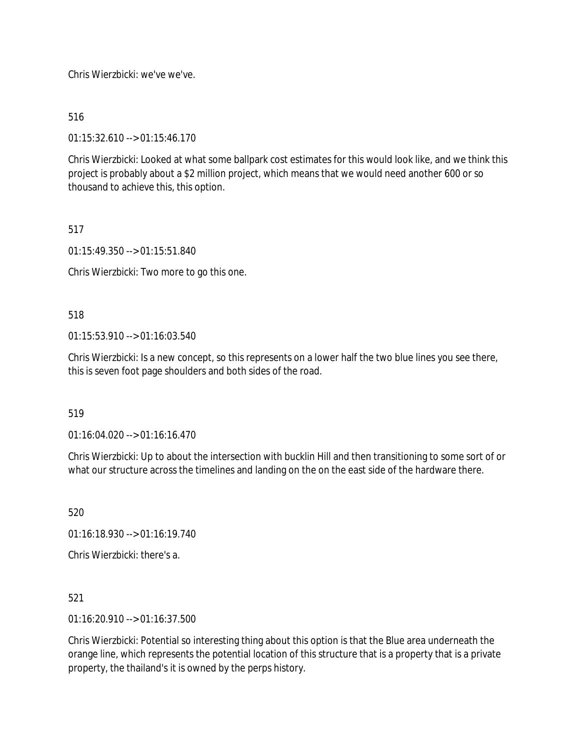Chris Wierzbicki: we've we've.

516

01:15:32.610 --> 01:15:46.170

Chris Wierzbicki: Looked at what some ballpark cost estimates for this would look like, and we think this project is probably about a \$2 million project, which means that we would need another 600 or so thousand to achieve this, this option.

### 517

01:15:49.350 --> 01:15:51.840

Chris Wierzbicki: Two more to go this one.

518

 $01:15:53.910 \rightarrow 01:16:03.540$ 

Chris Wierzbicki: Is a new concept, so this represents on a lower half the two blue lines you see there, this is seven foot page shoulders and both sides of the road.

519

01:16:04.020 --> 01:16:16.470

Chris Wierzbicki: Up to about the intersection with bucklin Hill and then transitioning to some sort of or what our structure across the timelines and landing on the on the east side of the hardware there.

520

01:16:18.930 --> 01:16:19.740

Chris Wierzbicki: there's a.

521

01:16:20.910 --> 01:16:37.500

Chris Wierzbicki: Potential so interesting thing about this option is that the Blue area underneath the orange line, which represents the potential location of this structure that is a property that is a private property, the thailand's it is owned by the perps history.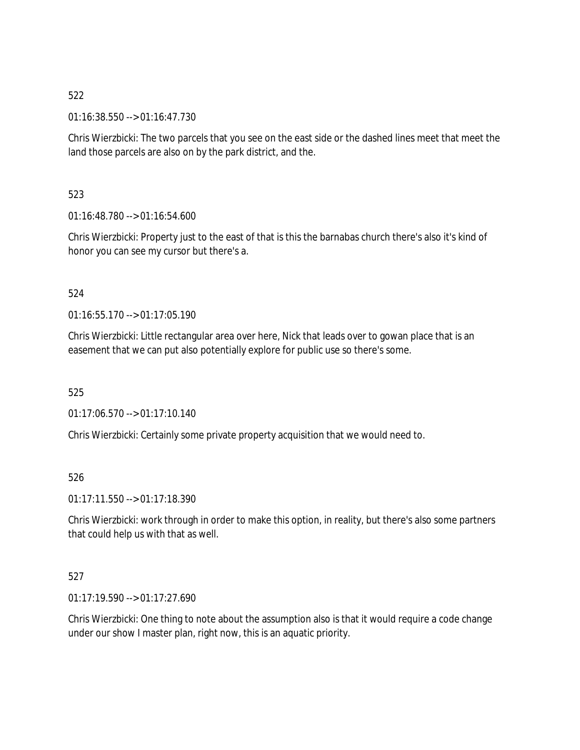01:16:38.550 --> 01:16:47.730

Chris Wierzbicki: The two parcels that you see on the east side or the dashed lines meet that meet the land those parcels are also on by the park district, and the.

523

01:16:48.780 --> 01:16:54.600

Chris Wierzbicki: Property just to the east of that is this the barnabas church there's also it's kind of honor you can see my cursor but there's a.

### 524

01:16:55.170 --> 01:17:05.190

Chris Wierzbicki: Little rectangular area over here, Nick that leads over to gowan place that is an easement that we can put also potentially explore for public use so there's some.

525

01:17:06.570 --> 01:17:10.140

Chris Wierzbicki: Certainly some private property acquisition that we would need to.

526

01:17:11.550 --> 01:17:18.390

Chris Wierzbicki: work through in order to make this option, in reality, but there's also some partners that could help us with that as well.

### 527

01:17:19.590 --> 01:17:27.690

Chris Wierzbicki: One thing to note about the assumption also is that it would require a code change under our show I master plan, right now, this is an aquatic priority.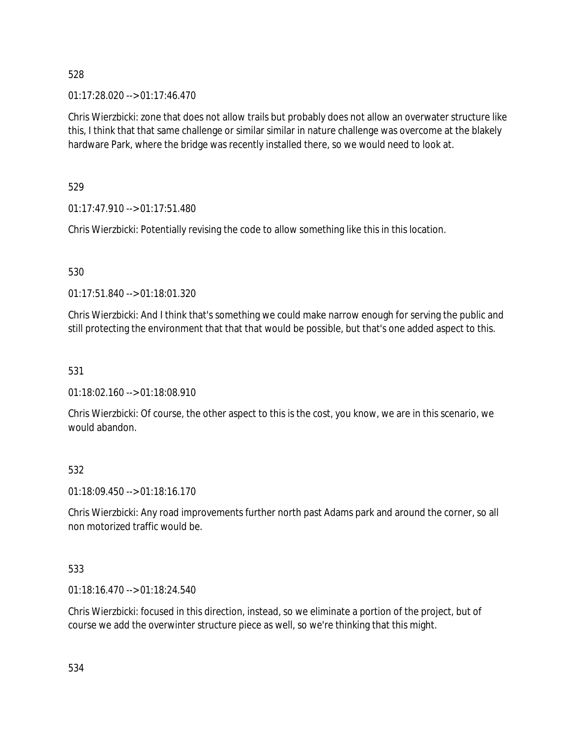01:17:28.020 --> 01:17:46.470

Chris Wierzbicki: zone that does not allow trails but probably does not allow an overwater structure like this, I think that that same challenge or similar similar in nature challenge was overcome at the blakely hardware Park, where the bridge was recently installed there, so we would need to look at.

529

01:17:47.910 --> 01:17:51.480

Chris Wierzbicki: Potentially revising the code to allow something like this in this location.

530

01:17:51.840 --> 01:18:01.320

Chris Wierzbicki: And I think that's something we could make narrow enough for serving the public and still protecting the environment that that that would be possible, but that's one added aspect to this.

# 531

01:18:02.160 --> 01:18:08.910

Chris Wierzbicki: Of course, the other aspect to this is the cost, you know, we are in this scenario, we would abandon.

# 532

01:18:09.450 --> 01:18:16.170

Chris Wierzbicki: Any road improvements further north past Adams park and around the corner, so all non motorized traffic would be.

# 533

01:18:16.470 --> 01:18:24.540

Chris Wierzbicki: focused in this direction, instead, so we eliminate a portion of the project, but of course we add the overwinter structure piece as well, so we're thinking that this might.

534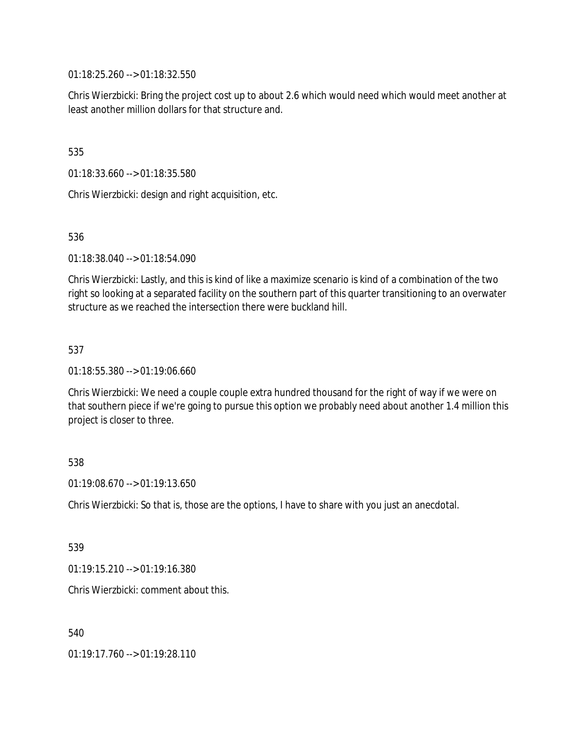01:18:25.260 --> 01:18:32.550

Chris Wierzbicki: Bring the project cost up to about 2.6 which would need which would meet another at least another million dollars for that structure and.

535

01:18:33.660 --> 01:18:35.580

Chris Wierzbicki: design and right acquisition, etc.

536

01:18:38.040 --> 01:18:54.090

Chris Wierzbicki: Lastly, and this is kind of like a maximize scenario is kind of a combination of the two right so looking at a separated facility on the southern part of this quarter transitioning to an overwater structure as we reached the intersection there were buckland hill.

537

01:18:55.380 --> 01:19:06.660

Chris Wierzbicki: We need a couple couple extra hundred thousand for the right of way if we were on that southern piece if we're going to pursue this option we probably need about another 1.4 million this project is closer to three.

### 538

01:19:08.670 --> 01:19:13.650

Chris Wierzbicki: So that is, those are the options, I have to share with you just an anecdotal.

539

01:19:15.210 --> 01:19:16.380

Chris Wierzbicki: comment about this.

540

01:19:17.760 --> 01:19:28.110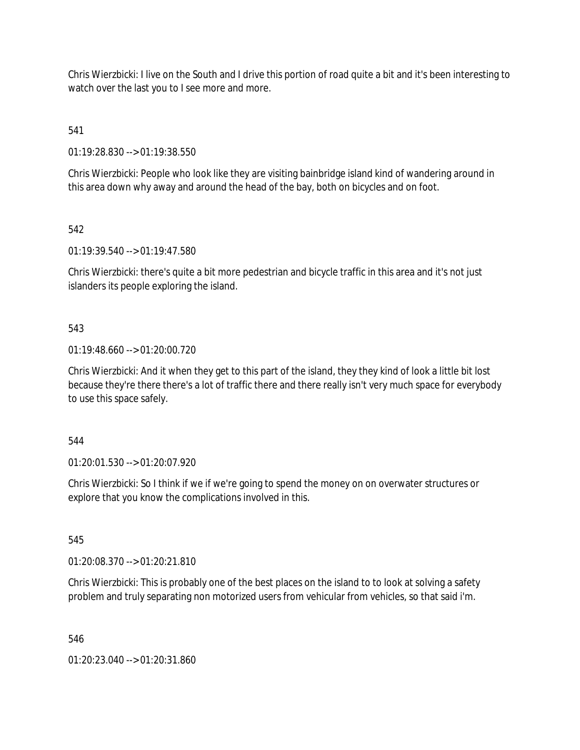Chris Wierzbicki: I live on the South and I drive this portion of road quite a bit and it's been interesting to watch over the last you to I see more and more.

541

01:19:28.830 --> 01:19:38.550

Chris Wierzbicki: People who look like they are visiting bainbridge island kind of wandering around in this area down why away and around the head of the bay, both on bicycles and on foot.

542

01:19:39.540 --> 01:19:47.580

Chris Wierzbicki: there's quite a bit more pedestrian and bicycle traffic in this area and it's not just islanders its people exploring the island.

543

01:19:48.660 --> 01:20:00.720

Chris Wierzbicki: And it when they get to this part of the island, they they kind of look a little bit lost because they're there there's a lot of traffic there and there really isn't very much space for everybody to use this space safely.

544

01:20:01.530 --> 01:20:07.920

Chris Wierzbicki: So I think if we if we're going to spend the money on on overwater structures or explore that you know the complications involved in this.

545

01:20:08.370 --> 01:20:21.810

Chris Wierzbicki: This is probably one of the best places on the island to to look at solving a safety problem and truly separating non motorized users from vehicular from vehicles, so that said i'm.

546

01:20:23.040 --> 01:20:31.860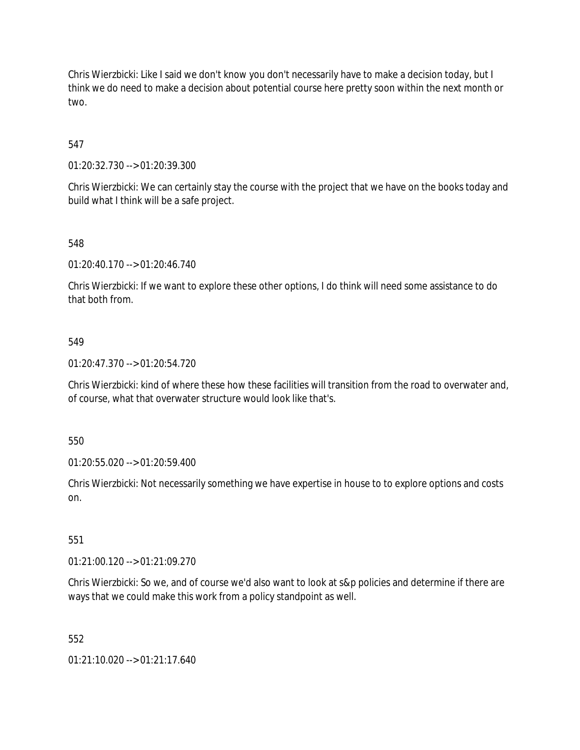Chris Wierzbicki: Like I said we don't know you don't necessarily have to make a decision today, but I think we do need to make a decision about potential course here pretty soon within the next month or two.

547

01:20:32.730 --> 01:20:39.300

Chris Wierzbicki: We can certainly stay the course with the project that we have on the books today and build what I think will be a safe project.

548

01:20:40.170 --> 01:20:46.740

Chris Wierzbicki: If we want to explore these other options, I do think will need some assistance to do that both from.

#### 549

01:20:47.370 --> 01:20:54.720

Chris Wierzbicki: kind of where these how these facilities will transition from the road to overwater and, of course, what that overwater structure would look like that's.

550

01:20:55.020 --> 01:20:59.400

Chris Wierzbicki: Not necessarily something we have expertise in house to to explore options and costs on.

551

01:21:00.120 --> 01:21:09.270

Chris Wierzbicki: So we, and of course we'd also want to look at s&p policies and determine if there are ways that we could make this work from a policy standpoint as well.

552

01:21:10.020 --> 01:21:17.640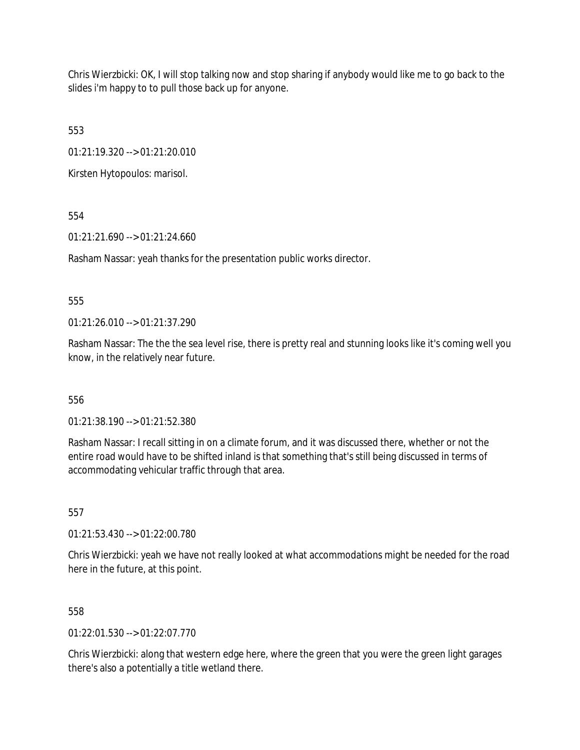Chris Wierzbicki: OK, I will stop talking now and stop sharing if anybody would like me to go back to the slides i'm happy to to pull those back up for anyone.

553

01:21:19.320 --> 01:21:20.010

Kirsten Hytopoulos: marisol.

554

01:21:21.690 --> 01:21:24.660

Rasham Nassar: yeah thanks for the presentation public works director.

### 555

01:21:26.010 --> 01:21:37.290

Rasham Nassar: The the the sea level rise, there is pretty real and stunning looks like it's coming well you know, in the relatively near future.

### 556

01:21:38.190 --> 01:21:52.380

Rasham Nassar: I recall sitting in on a climate forum, and it was discussed there, whether or not the entire road would have to be shifted inland is that something that's still being discussed in terms of accommodating vehicular traffic through that area.

557

01:21:53.430 --> 01:22:00.780

Chris Wierzbicki: yeah we have not really looked at what accommodations might be needed for the road here in the future, at this point.

558

 $01:22:01.530 \rightarrow 01:22:07.770$ 

Chris Wierzbicki: along that western edge here, where the green that you were the green light garages there's also a potentially a title wetland there.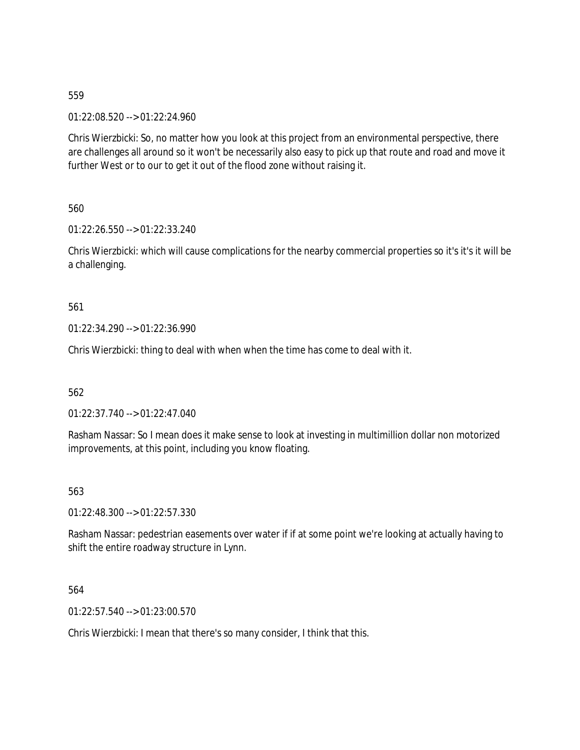01:22:08.520 --> 01:22:24.960

Chris Wierzbicki: So, no matter how you look at this project from an environmental perspective, there are challenges all around so it won't be necessarily also easy to pick up that route and road and move it further West or to our to get it out of the flood zone without raising it.

560

01:22:26.550 --> 01:22:33.240

Chris Wierzbicki: which will cause complications for the nearby commercial properties so it's it's it will be a challenging.

561

01:22:34.290 --> 01:22:36.990

Chris Wierzbicki: thing to deal with when when the time has come to deal with it.

562

01:22:37.740 --> 01:22:47.040

Rasham Nassar: So I mean does it make sense to look at investing in multimillion dollar non motorized improvements, at this point, including you know floating.

563

01:22:48.300 --> 01:22:57.330

Rasham Nassar: pedestrian easements over water if if at some point we're looking at actually having to shift the entire roadway structure in Lynn.

564

01:22:57.540 --> 01:23:00.570

Chris Wierzbicki: I mean that there's so many consider, I think that this.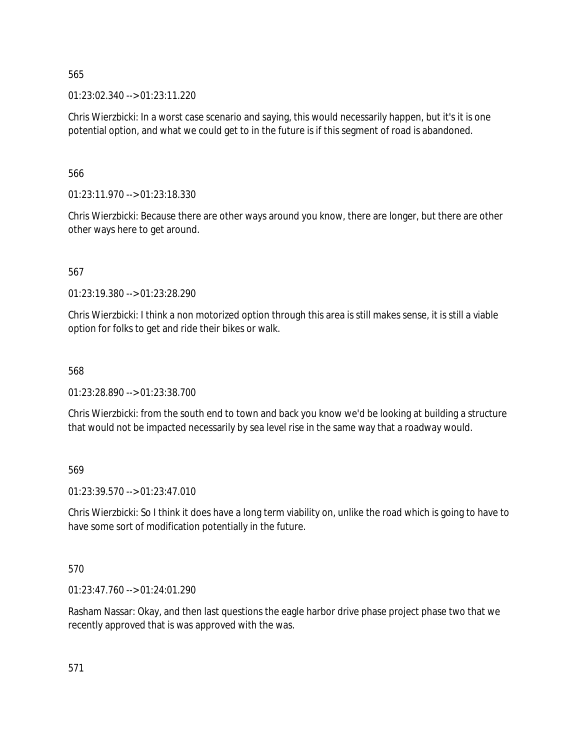01:23:02.340 --> 01:23:11.220

Chris Wierzbicki: In a worst case scenario and saying, this would necessarily happen, but it's it is one potential option, and what we could get to in the future is if this segment of road is abandoned.

566

01:23:11.970 --> 01:23:18.330

Chris Wierzbicki: Because there are other ways around you know, there are longer, but there are other other ways here to get around.

567

01:23:19.380 --> 01:23:28.290

Chris Wierzbicki: I think a non motorized option through this area is still makes sense, it is still a viable option for folks to get and ride their bikes or walk.

568

01:23:28.890 --> 01:23:38.700

Chris Wierzbicki: from the south end to town and back you know we'd be looking at building a structure that would not be impacted necessarily by sea level rise in the same way that a roadway would.

569

01:23:39.570 --> 01:23:47.010

Chris Wierzbicki: So I think it does have a long term viability on, unlike the road which is going to have to have some sort of modification potentially in the future.

570

01:23:47.760 --> 01:24:01.290

Rasham Nassar: Okay, and then last questions the eagle harbor drive phase project phase two that we recently approved that is was approved with the was.

571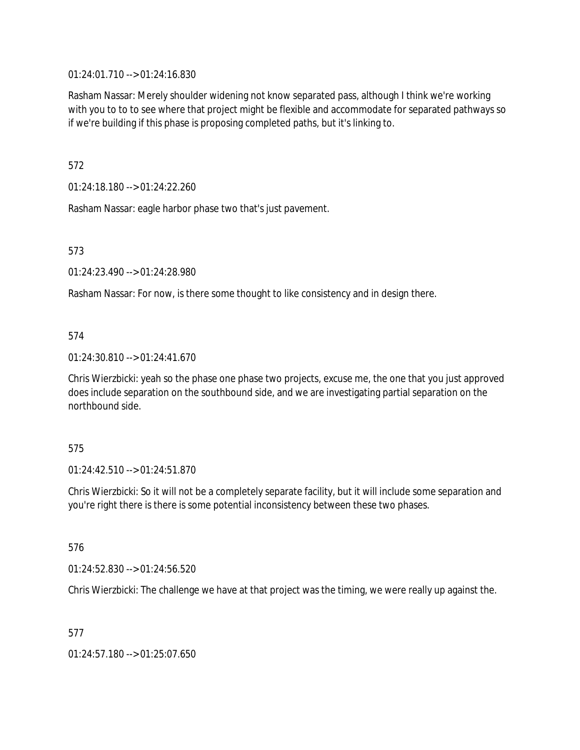01:24:01.710 --> 01:24:16.830

Rasham Nassar: Merely shoulder widening not know separated pass, although I think we're working with you to to to see where that project might be flexible and accommodate for separated pathways so if we're building if this phase is proposing completed paths, but it's linking to.

572

01:24:18.180 --> 01:24:22.260

Rasham Nassar: eagle harbor phase two that's just pavement.

573

01:24:23.490 --> 01:24:28.980

Rasham Nassar: For now, is there some thought to like consistency and in design there.

### 574

01:24:30.810 --> 01:24:41.670

Chris Wierzbicki: yeah so the phase one phase two projects, excuse me, the one that you just approved does include separation on the southbound side, and we are investigating partial separation on the northbound side.

### 575

01:24:42.510 --> 01:24:51.870

Chris Wierzbicki: So it will not be a completely separate facility, but it will include some separation and you're right there is there is some potential inconsistency between these two phases.

576

01:24:52.830 --> 01:24:56.520

Chris Wierzbicki: The challenge we have at that project was the timing, we were really up against the.

577

01:24:57.180 --> 01:25:07.650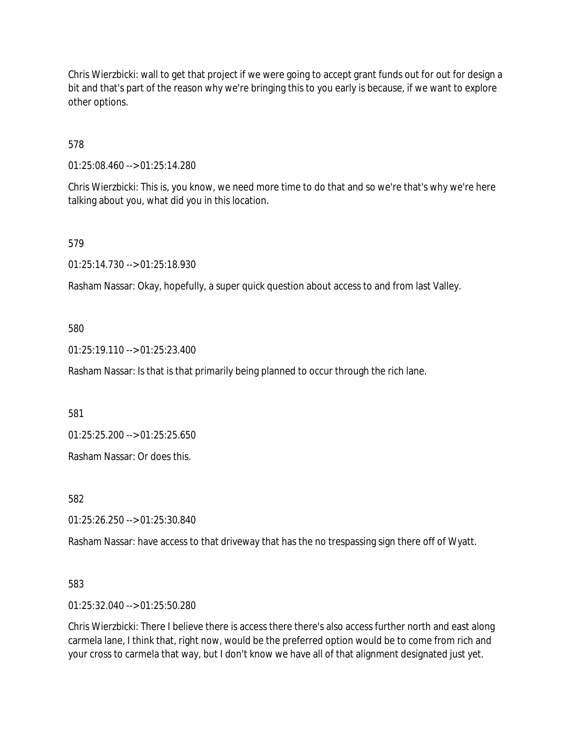Chris Wierzbicki: wall to get that project if we were going to accept grant funds out for out for design a bit and that's part of the reason why we're bringing this to you early is because, if we want to explore other options.

578

01:25:08.460 --> 01:25:14.280

Chris Wierzbicki: This is, you know, we need more time to do that and so we're that's why we're here talking about you, what did you in this location.

579

01:25:14.730 --> 01:25:18.930

Rasham Nassar: Okay, hopefully, a super quick question about access to and from last Valley.

580

01:25:19.110 --> 01:25:23.400

Rasham Nassar: Is that is that primarily being planned to occur through the rich lane.

581

01:25:25.200 --> 01:25:25.650

Rasham Nassar: Or does this.

582

01:25:26.250 --> 01:25:30.840

Rasham Nassar: have access to that driveway that has the no trespassing sign there off of Wyatt.

583

01:25:32.040 --> 01:25:50.280

Chris Wierzbicki: There I believe there is access there there's also access further north and east along carmela lane, I think that, right now, would be the preferred option would be to come from rich and your cross to carmela that way, but I don't know we have all of that alignment designated just yet.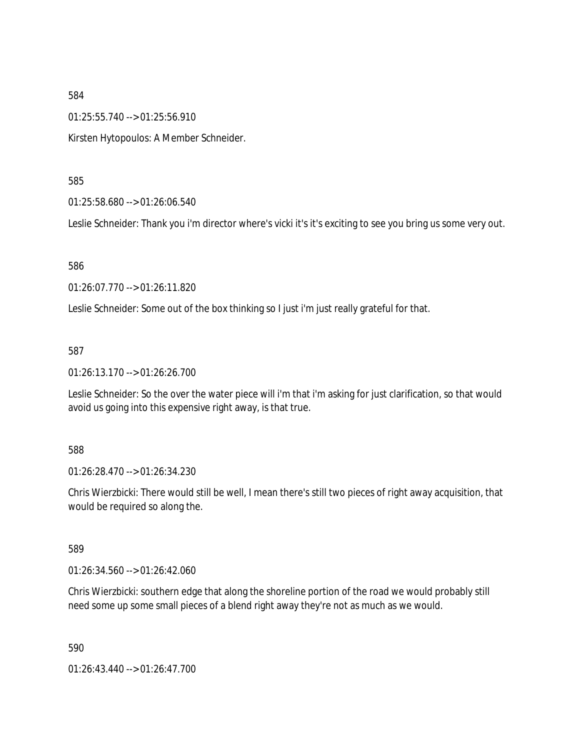01:25:55.740 --> 01:25:56.910

Kirsten Hytopoulos: A Member Schneider.

585

01:25:58.680 --> 01:26:06.540

Leslie Schneider: Thank you i'm director where's vicki it's it's exciting to see you bring us some very out.

586

01:26:07.770 --> 01:26:11.820

Leslie Schneider: Some out of the box thinking so I just i'm just really grateful for that.

587

01:26:13.170 --> 01:26:26.700

Leslie Schneider: So the over the water piece will i'm that i'm asking for just clarification, so that would avoid us going into this expensive right away, is that true.

588

01:26:28.470 --> 01:26:34.230

Chris Wierzbicki: There would still be well, I mean there's still two pieces of right away acquisition, that would be required so along the.

589

01:26:34.560 --> 01:26:42.060

Chris Wierzbicki: southern edge that along the shoreline portion of the road we would probably still need some up some small pieces of a blend right away they're not as much as we would.

590

01:26:43.440 --> 01:26:47.700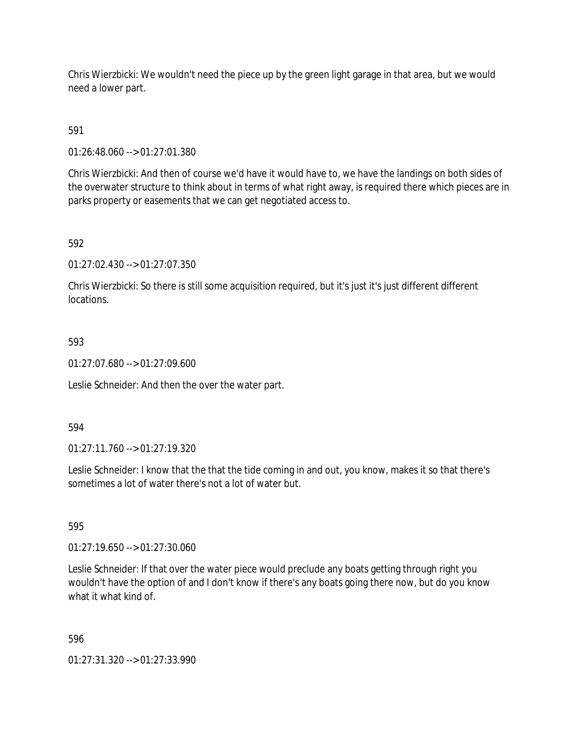Chris Wierzbicki: We wouldn't need the piece up by the green light garage in that area, but we would need a lower part.

591

01:26:48.060 --> 01:27:01.380

Chris Wierzbicki: And then of course we'd have it would have to, we have the landings on both sides of the overwater structure to think about in terms of what right away, is required there which pieces are in parks property or easements that we can get negotiated access to.

### 592

01:27:02.430 --> 01:27:07.350

Chris Wierzbicki: So there is still some acquisition required, but it's just it's just different different locations.

### 593

01:27:07.680 --> 01:27:09.600

Leslie Schneider: And then the over the water part.

### 594

01:27:11.760 --> 01:27:19.320

Leslie Schneider: I know that the that the tide coming in and out, you know, makes it so that there's sometimes a lot of water there's not a lot of water but.

### 595

01:27:19.650 --> 01:27:30.060

Leslie Schneider: If that over the water piece would preclude any boats getting through right you wouldn't have the option of and I don't know if there's any boats going there now, but do you know what it what kind of.

### 596

01:27:31.320 --> 01:27:33.990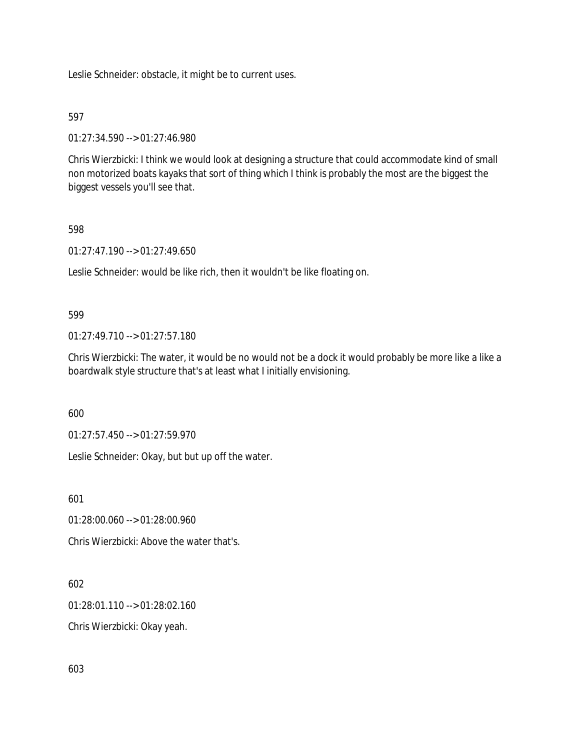Leslie Schneider: obstacle, it might be to current uses.

### 597

01:27:34.590 --> 01:27:46.980

Chris Wierzbicki: I think we would look at designing a structure that could accommodate kind of small non motorized boats kayaks that sort of thing which I think is probably the most are the biggest the biggest vessels you'll see that.

### 598

01:27:47.190 --> 01:27:49.650

Leslie Schneider: would be like rich, then it wouldn't be like floating on.

### 599

01:27:49.710 --> 01:27:57.180

Chris Wierzbicki: The water, it would be no would not be a dock it would probably be more like a like a boardwalk style structure that's at least what I initially envisioning.

600

01:27:57.450 --> 01:27:59.970

Leslie Schneider: Okay, but but up off the water.

601

01:28:00.060 --> 01:28:00.960

Chris Wierzbicki: Above the water that's.

# 602

01:28:01.110 --> 01:28:02.160

Chris Wierzbicki: Okay yeah.

603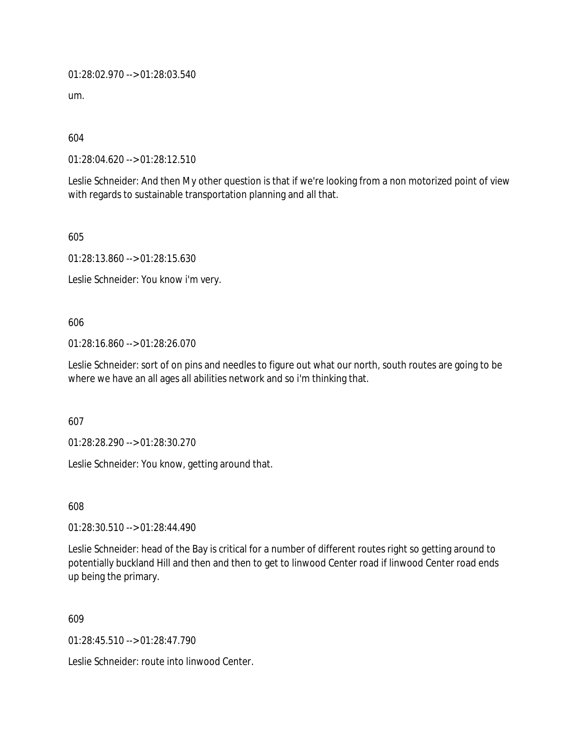01:28:02.970 --> 01:28:03.540

um.

604

01:28:04.620 --> 01:28:12.510

Leslie Schneider: And then My other question is that if we're looking from a non motorized point of view with regards to sustainable transportation planning and all that.

605

01:28:13.860 --> 01:28:15.630

Leslie Schneider: You know i'm very.

606

01:28:16.860 --> 01:28:26.070

Leslie Schneider: sort of on pins and needles to figure out what our north, south routes are going to be where we have an all ages all abilities network and so i'm thinking that.

607

01:28:28.290 --> 01:28:30.270

Leslie Schneider: You know, getting around that.

608

01:28:30.510 --> 01:28:44.490

Leslie Schneider: head of the Bay is critical for a number of different routes right so getting around to potentially buckland Hill and then and then to get to linwood Center road if linwood Center road ends up being the primary.

609

01:28:45.510 --> 01:28:47.790

Leslie Schneider: route into linwood Center.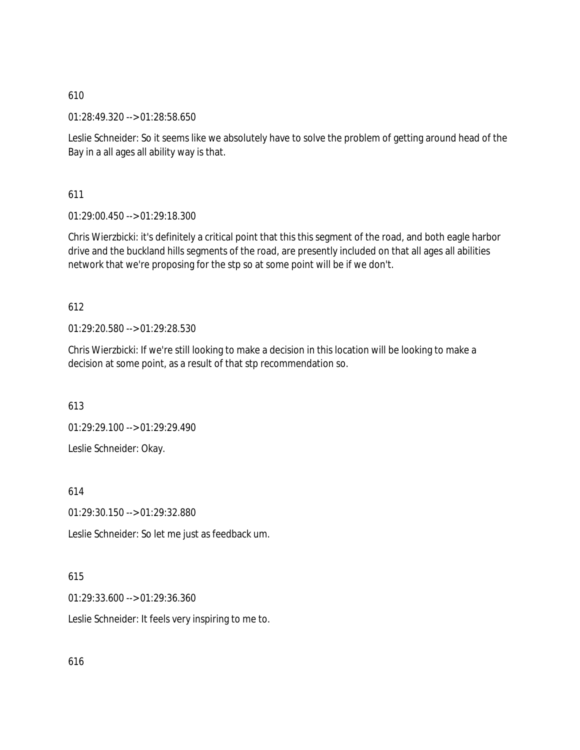01:28:49.320 --> 01:28:58.650

Leslie Schneider: So it seems like we absolutely have to solve the problem of getting around head of the Bay in a all ages all ability way is that.

611

01:29:00.450 --> 01:29:18.300

Chris Wierzbicki: it's definitely a critical point that this this segment of the road, and both eagle harbor drive and the buckland hills segments of the road, are presently included on that all ages all abilities network that we're proposing for the stp so at some point will be if we don't.

612

01:29:20.580 --> 01:29:28.530

Chris Wierzbicki: If we're still looking to make a decision in this location will be looking to make a decision at some point, as a result of that stp recommendation so.

613

01:29:29.100 --> 01:29:29.490 Leslie Schneider: Okay.

614

01:29:30.150 --> 01:29:32.880

Leslie Schneider: So let me just as feedback um.

# 615

01:29:33.600 --> 01:29:36.360

Leslie Schneider: It feels very inspiring to me to.

616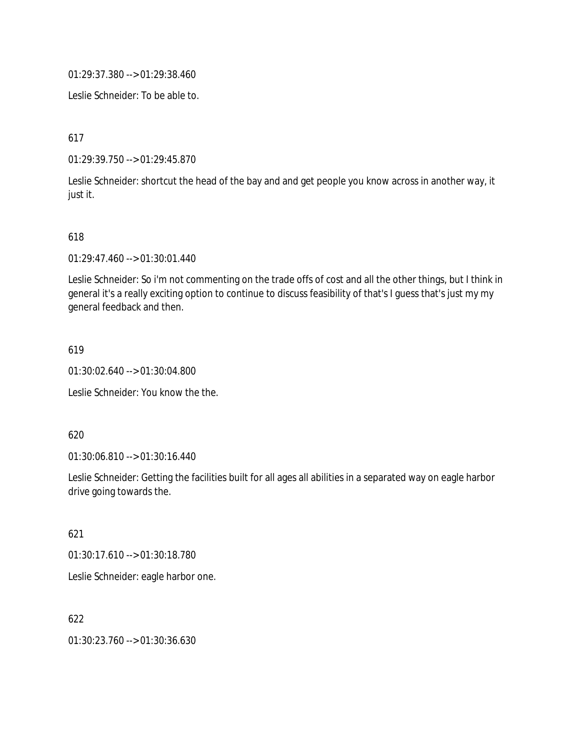01:29:37.380 --> 01:29:38.460

Leslie Schneider: To be able to.

617

01:29:39.750 --> 01:29:45.870

Leslie Schneider: shortcut the head of the bay and and get people you know across in another way, it just it.

### 618

01:29:47.460 --> 01:30:01.440

Leslie Schneider: So i'm not commenting on the trade offs of cost and all the other things, but I think in general it's a really exciting option to continue to discuss feasibility of that's I guess that's just my my general feedback and then.

### 619

01:30:02.640 --> 01:30:04.800

Leslie Schneider: You know the the.

### 620

01:30:06.810 --> 01:30:16.440

Leslie Schneider: Getting the facilities built for all ages all abilities in a separated way on eagle harbor drive going towards the.

### 621

01:30:17.610 --> 01:30:18.780

Leslie Schneider: eagle harbor one.

## 622

01:30:23.760 --> 01:30:36.630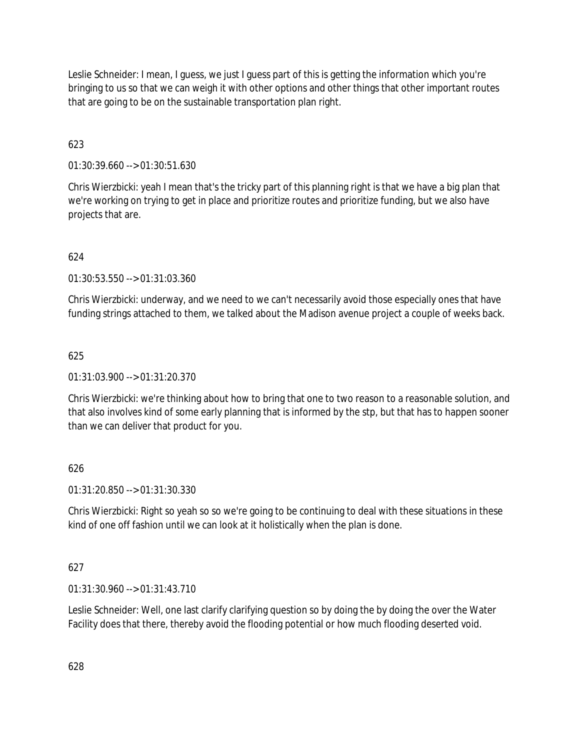Leslie Schneider: I mean, I guess, we just I guess part of this is getting the information which you're bringing to us so that we can weigh it with other options and other things that other important routes that are going to be on the sustainable transportation plan right.

# 623

01:30:39.660 --> 01:30:51.630

Chris Wierzbicki: yeah I mean that's the tricky part of this planning right is that we have a big plan that we're working on trying to get in place and prioritize routes and prioritize funding, but we also have projects that are.

# 624

01:30:53.550 --> 01:31:03.360

Chris Wierzbicki: underway, and we need to we can't necessarily avoid those especially ones that have funding strings attached to them, we talked about the Madison avenue project a couple of weeks back.

# 625

### 01:31:03.900 --> 01:31:20.370

Chris Wierzbicki: we're thinking about how to bring that one to two reason to a reasonable solution, and that also involves kind of some early planning that is informed by the stp, but that has to happen sooner than we can deliver that product for you.

# 626

01:31:20.850 --> 01:31:30.330

Chris Wierzbicki: Right so yeah so so we're going to be continuing to deal with these situations in these kind of one off fashion until we can look at it holistically when the plan is done.

### 627

01:31:30.960 --> 01:31:43.710

Leslie Schneider: Well, one last clarify clarifying question so by doing the by doing the over the Water Facility does that there, thereby avoid the flooding potential or how much flooding deserted void.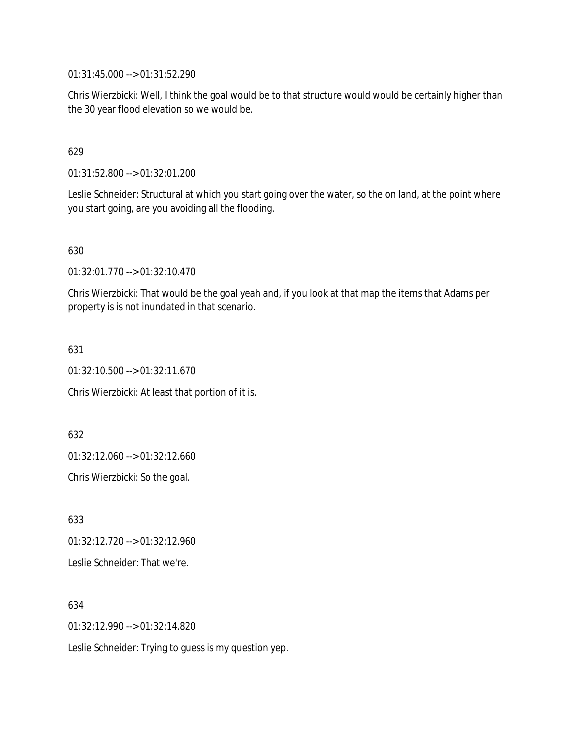01:31:45.000 --> 01:31:52.290

Chris Wierzbicki: Well, I think the goal would be to that structure would would be certainly higher than the 30 year flood elevation so we would be.

### 629

01:31:52.800 --> 01:32:01.200

Leslie Schneider: Structural at which you start going over the water, so the on land, at the point where you start going, are you avoiding all the flooding.

### 630

01:32:01.770 --> 01:32:10.470

Chris Wierzbicki: That would be the goal yeah and, if you look at that map the items that Adams per property is is not inundated in that scenario.

### 631

01:32:10.500 --> 01:32:11.670

Chris Wierzbicki: At least that portion of it is.

632

01:32:12.060 --> 01:32:12.660

Chris Wierzbicki: So the goal.

633 01:32:12.720 --> 01:32:12.960 Leslie Schneider: That we're.

### 634

01:32:12.990 --> 01:32:14.820

Leslie Schneider: Trying to guess is my question yep.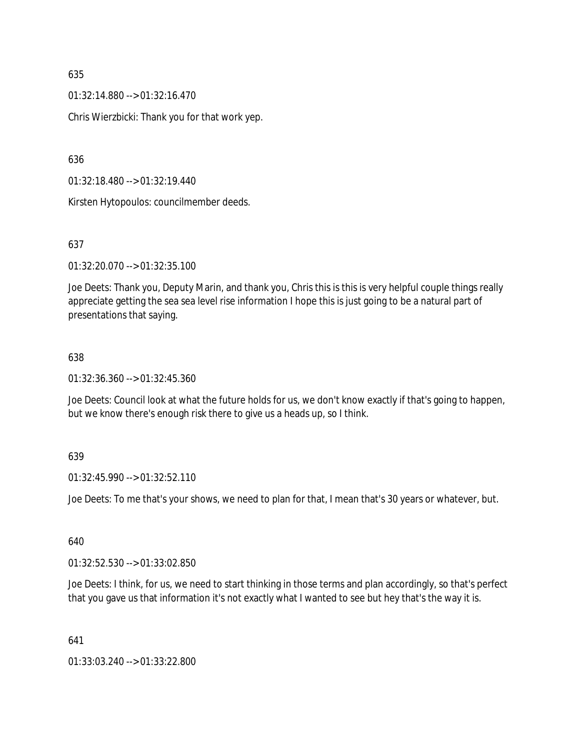01:32:14.880 --> 01:32:16.470

Chris Wierzbicki: Thank you for that work yep.

636

01:32:18.480 --> 01:32:19.440

Kirsten Hytopoulos: councilmember deeds.

### 637

01:32:20.070 --> 01:32:35.100

Joe Deets: Thank you, Deputy Marin, and thank you, Chris this is this is very helpful couple things really appreciate getting the sea sea level rise information I hope this is just going to be a natural part of presentations that saying.

#### 638

01:32:36.360 --> 01:32:45.360

Joe Deets: Council look at what the future holds for us, we don't know exactly if that's going to happen, but we know there's enough risk there to give us a heads up, so I think.

#### 639

01:32:45.990 --> 01:32:52.110

Joe Deets: To me that's your shows, we need to plan for that, I mean that's 30 years or whatever, but.

### 640

01:32:52.530 --> 01:33:02.850

Joe Deets: I think, for us, we need to start thinking in those terms and plan accordingly, so that's perfect that you gave us that information it's not exactly what I wanted to see but hey that's the way it is.

641

01:33:03.240 --> 01:33:22.800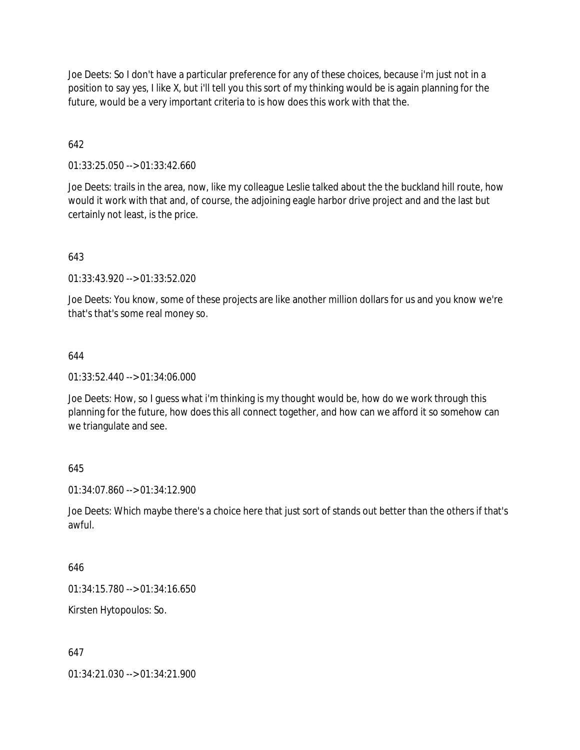Joe Deets: So I don't have a particular preference for any of these choices, because i'm just not in a position to say yes, I like X, but i'll tell you this sort of my thinking would be is again planning for the future, would be a very important criteria to is how does this work with that the.

### 642

01:33:25.050 --> 01:33:42.660

Joe Deets: trails in the area, now, like my colleague Leslie talked about the the buckland hill route, how would it work with that and, of course, the adjoining eagle harbor drive project and and the last but certainly not least, is the price.

### 643

01:33:43.920 --> 01:33:52.020

Joe Deets: You know, some of these projects are like another million dollars for us and you know we're that's that's some real money so.

### 644

01:33:52.440 --> 01:34:06.000

Joe Deets: How, so I guess what i'm thinking is my thought would be, how do we work through this planning for the future, how does this all connect together, and how can we afford it so somehow can we triangulate and see.

### 645

01:34:07.860 --> 01:34:12.900

Joe Deets: Which maybe there's a choice here that just sort of stands out better than the others if that's awful.

### 646

01:34:15.780 --> 01:34:16.650

Kirsten Hytopoulos: So.

### 647

01:34:21.030 --> 01:34:21.900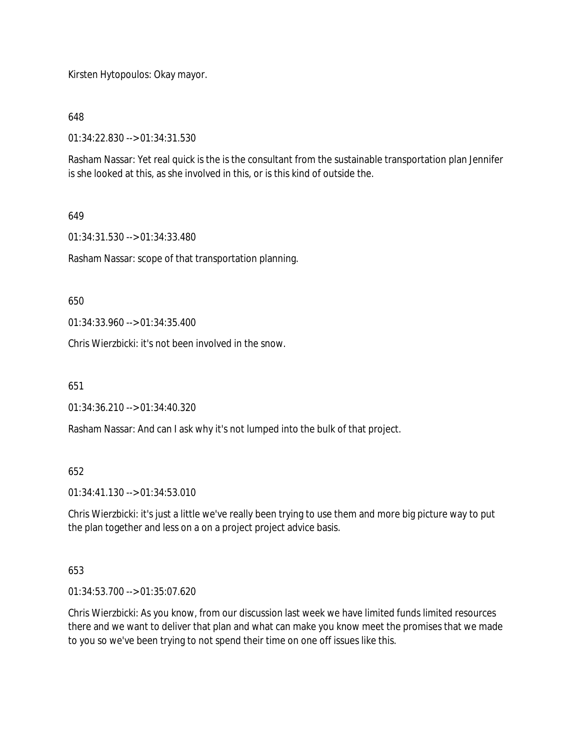Kirsten Hytopoulos: Okay mayor.

648

01:34:22.830 --> 01:34:31.530

Rasham Nassar: Yet real quick is the is the consultant from the sustainable transportation plan Jennifer is she looked at this, as she involved in this, or is this kind of outside the.

### 649

01:34:31.530 --> 01:34:33.480

Rasham Nassar: scope of that transportation planning.

650

01:34:33.960 --> 01:34:35.400

Chris Wierzbicki: it's not been involved in the snow.

651

01:34:36.210 --> 01:34:40.320

Rasham Nassar: And can I ask why it's not lumped into the bulk of that project.

652

01:34:41.130 --> 01:34:53.010

Chris Wierzbicki: it's just a little we've really been trying to use them and more big picture way to put the plan together and less on a on a project project advice basis.

### 653

01:34:53.700 --> 01:35:07.620

Chris Wierzbicki: As you know, from our discussion last week we have limited funds limited resources there and we want to deliver that plan and what can make you know meet the promises that we made to you so we've been trying to not spend their time on one off issues like this.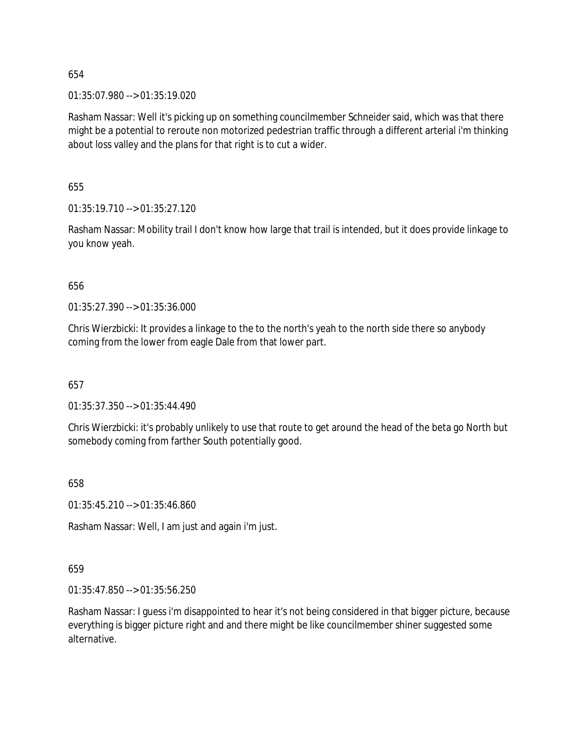01:35:07.980 --> 01:35:19.020

Rasham Nassar: Well it's picking up on something councilmember Schneider said, which was that there might be a potential to reroute non motorized pedestrian traffic through a different arterial i'm thinking about loss valley and the plans for that right is to cut a wider.

655

01:35:19.710 --> 01:35:27.120

Rasham Nassar: Mobility trail I don't know how large that trail is intended, but it does provide linkage to you know yeah.

656

01:35:27.390 --> 01:35:36.000

Chris Wierzbicki: It provides a linkage to the to the north's yeah to the north side there so anybody coming from the lower from eagle Dale from that lower part.

657

01:35:37.350 --> 01:35:44.490

Chris Wierzbicki: it's probably unlikely to use that route to get around the head of the beta go North but somebody coming from farther South potentially good.

658

01:35:45.210 --> 01:35:46.860

Rasham Nassar: Well, I am just and again i'm just.

659

01:35:47.850 --> 01:35:56.250

Rasham Nassar: I guess i'm disappointed to hear it's not being considered in that bigger picture, because everything is bigger picture right and and there might be like councilmember shiner suggested some alternative.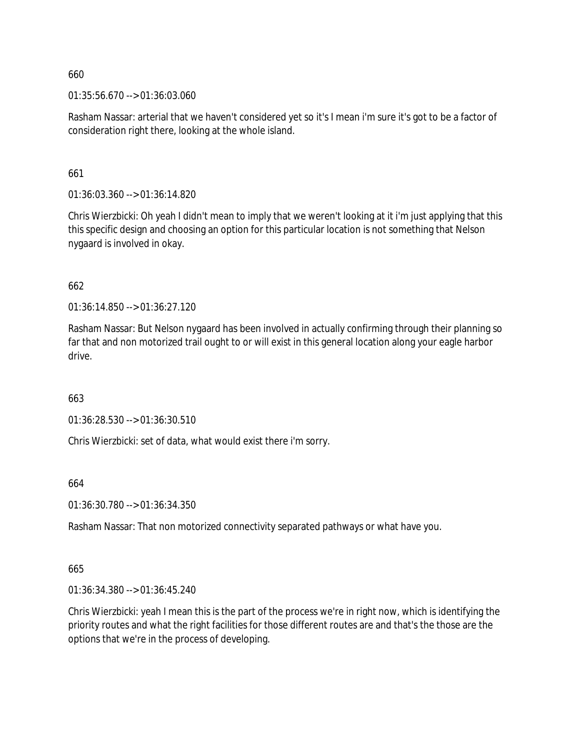01:35:56.670 --> 01:36:03.060

Rasham Nassar: arterial that we haven't considered yet so it's I mean i'm sure it's got to be a factor of consideration right there, looking at the whole island.

661

01:36:03.360 --> 01:36:14.820

Chris Wierzbicki: Oh yeah I didn't mean to imply that we weren't looking at it i'm just applying that this this specific design and choosing an option for this particular location is not something that Nelson nygaard is involved in okay.

662

01:36:14.850 --> 01:36:27.120

Rasham Nassar: But Nelson nygaard has been involved in actually confirming through their planning so far that and non motorized trail ought to or will exist in this general location along your eagle harbor drive.

663

01:36:28.530 --> 01:36:30.510

Chris Wierzbicki: set of data, what would exist there i'm sorry.

664

01:36:30.780 --> 01:36:34.350

Rasham Nassar: That non motorized connectivity separated pathways or what have you.

665

01:36:34.380 --> 01:36:45.240

Chris Wierzbicki: yeah I mean this is the part of the process we're in right now, which is identifying the priority routes and what the right facilities for those different routes are and that's the those are the options that we're in the process of developing.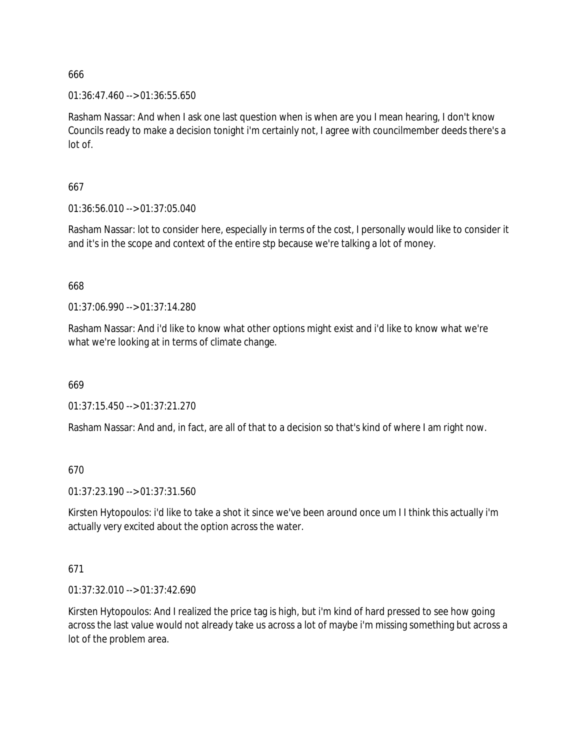$01:36:47.460 \rightarrow 01:36:55.650$ 

Rasham Nassar: And when I ask one last question when is when are you I mean hearing, I don't know Councils ready to make a decision tonight i'm certainly not, I agree with councilmember deeds there's a lot of.

667

01:36:56.010 --> 01:37:05.040

Rasham Nassar: lot to consider here, especially in terms of the cost, I personally would like to consider it and it's in the scope and context of the entire stp because we're talking a lot of money.

668

01:37:06.990 --> 01:37:14.280

Rasham Nassar: And i'd like to know what other options might exist and i'd like to know what we're what we're looking at in terms of climate change.

669

01:37:15.450 --> 01:37:21.270

Rasham Nassar: And and, in fact, are all of that to a decision so that's kind of where I am right now.

670

01:37:23.190 --> 01:37:31.560

Kirsten Hytopoulos: i'd like to take a shot it since we've been around once um I I think this actually i'm actually very excited about the option across the water.

### 671

01:37:32.010 --> 01:37:42.690

Kirsten Hytopoulos: And I realized the price tag is high, but i'm kind of hard pressed to see how going across the last value would not already take us across a lot of maybe i'm missing something but across a lot of the problem area.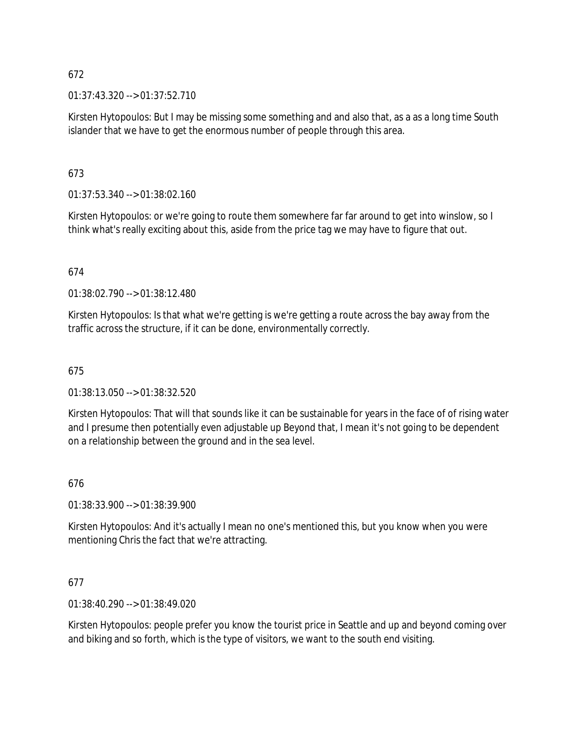01:37:43.320 --> 01:37:52.710

Kirsten Hytopoulos: But I may be missing some something and and also that, as a as a long time South islander that we have to get the enormous number of people through this area.

# 673

01:37:53.340 --> 01:38:02.160

Kirsten Hytopoulos: or we're going to route them somewhere far far around to get into winslow, so I think what's really exciting about this, aside from the price tag we may have to figure that out.

# 674

01:38:02.790 --> 01:38:12.480

Kirsten Hytopoulos: Is that what we're getting is we're getting a route across the bay away from the traffic across the structure, if it can be done, environmentally correctly.

## 675

01:38:13.050 --> 01:38:32.520

Kirsten Hytopoulos: That will that sounds like it can be sustainable for years in the face of of rising water and I presume then potentially even adjustable up Beyond that, I mean it's not going to be dependent on a relationship between the ground and in the sea level.

# 676

01:38:33.900 --> 01:38:39.900

Kirsten Hytopoulos: And it's actually I mean no one's mentioned this, but you know when you were mentioning Chris the fact that we're attracting.

### 677

01:38:40.290 --> 01:38:49.020

Kirsten Hytopoulos: people prefer you know the tourist price in Seattle and up and beyond coming over and biking and so forth, which is the type of visitors, we want to the south end visiting.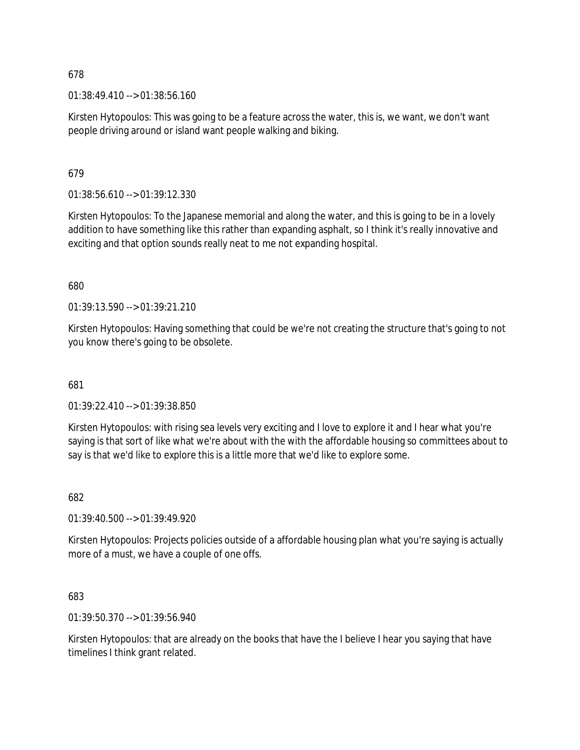01:38:49.410 --> 01:38:56.160

Kirsten Hytopoulos: This was going to be a feature across the water, this is, we want, we don't want people driving around or island want people walking and biking.

679

01:38:56.610 --> 01:39:12.330

Kirsten Hytopoulos: To the Japanese memorial and along the water, and this is going to be in a lovely addition to have something like this rather than expanding asphalt, so I think it's really innovative and exciting and that option sounds really neat to me not expanding hospital.

680

01:39:13.590 --> 01:39:21.210

Kirsten Hytopoulos: Having something that could be we're not creating the structure that's going to not you know there's going to be obsolete.

681

01:39:22.410 --> 01:39:38.850

Kirsten Hytopoulos: with rising sea levels very exciting and I love to explore it and I hear what you're saying is that sort of like what we're about with the with the affordable housing so committees about to say is that we'd like to explore this is a little more that we'd like to explore some.

682

01:39:40.500 --> 01:39:49.920

Kirsten Hytopoulos: Projects policies outside of a affordable housing plan what you're saying is actually more of a must, we have a couple of one offs.

683

01:39:50.370 --> 01:39:56.940

Kirsten Hytopoulos: that are already on the books that have the I believe I hear you saying that have timelines I think grant related.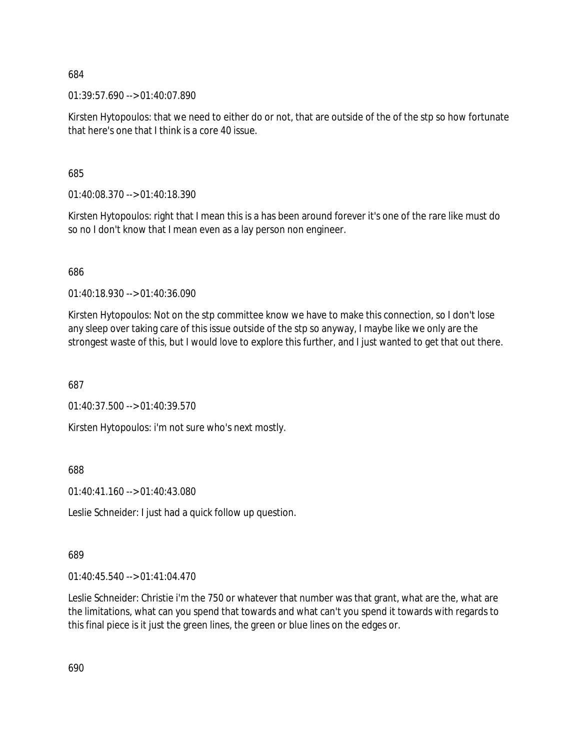01:39:57.690 --> 01:40:07.890

Kirsten Hytopoulos: that we need to either do or not, that are outside of the of the stp so how fortunate that here's one that I think is a core 40 issue.

685

01:40:08.370 --> 01:40:18.390

Kirsten Hytopoulos: right that I mean this is a has been around forever it's one of the rare like must do so no I don't know that I mean even as a lay person non engineer.

686

01:40:18.930 --> 01:40:36.090

Kirsten Hytopoulos: Not on the stp committee know we have to make this connection, so I don't lose any sleep over taking care of this issue outside of the stp so anyway, I maybe like we only are the strongest waste of this, but I would love to explore this further, and I just wanted to get that out there.

687

01:40:37.500 --> 01:40:39.570

Kirsten Hytopoulos: i'm not sure who's next mostly.

688

01:40:41.160 --> 01:40:43.080

Leslie Schneider: I just had a quick follow up question.

689

01:40:45.540 --> 01:41:04.470

Leslie Schneider: Christie i'm the 750 or whatever that number was that grant, what are the, what are the limitations, what can you spend that towards and what can't you spend it towards with regards to this final piece is it just the green lines, the green or blue lines on the edges or.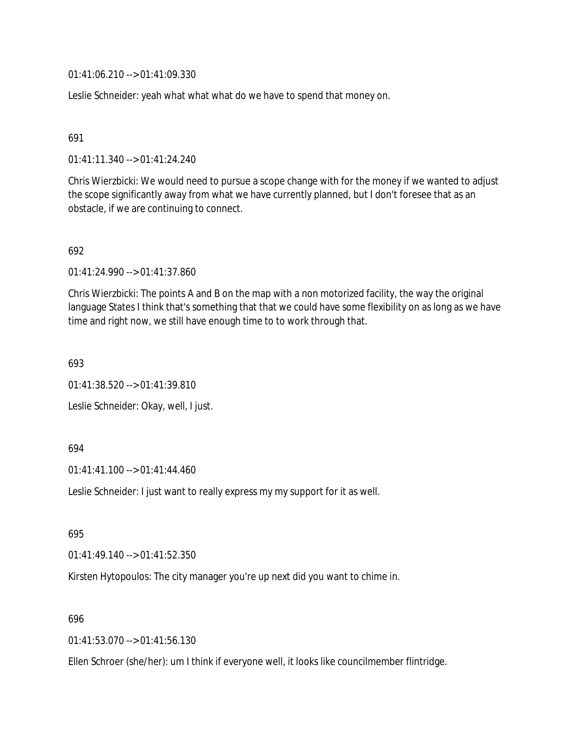01:41:06.210 --> 01:41:09.330

Leslie Schneider: yeah what what what do we have to spend that money on.

### 691

01:41:11.340 --> 01:41:24.240

Chris Wierzbicki: We would need to pursue a scope change with for the money if we wanted to adjust the scope significantly away from what we have currently planned, but I don't foresee that as an obstacle, if we are continuing to connect.

### 692

01:41:24.990 --> 01:41:37.860

Chris Wierzbicki: The points A and B on the map with a non motorized facility, the way the original language States I think that's something that that we could have some flexibility on as long as we have time and right now, we still have enough time to to work through that.

693

01:41:38.520 --> 01:41:39.810

Leslie Schneider: Okay, well, I just.

#### 694

01:41:41.100 --> 01:41:44.460

Leslie Schneider: I just want to really express my my support for it as well.

695

01:41:49.140 --> 01:41:52.350

Kirsten Hytopoulos: The city manager you're up next did you want to chime in.

#### 696

01:41:53.070 --> 01:41:56.130

Ellen Schroer (she/her): um I think if everyone well, it looks like councilmember flintridge.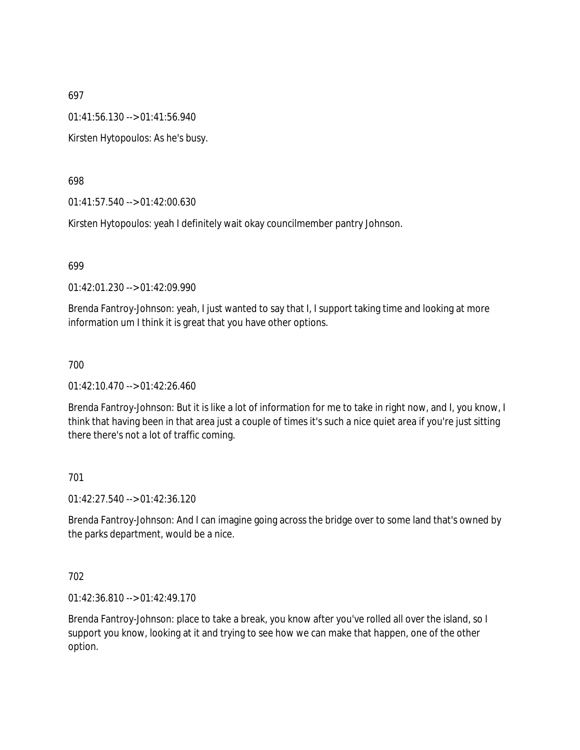01:41:56.130 --> 01:41:56.940

Kirsten Hytopoulos: As he's busy.

698

01:41:57.540 --> 01:42:00.630

Kirsten Hytopoulos: yeah I definitely wait okay councilmember pantry Johnson.

699

01:42:01.230 --> 01:42:09.990

Brenda Fantroy-Johnson: yeah, I just wanted to say that I, I support taking time and looking at more information um I think it is great that you have other options.

700

01:42:10.470 --> 01:42:26.460

Brenda Fantroy-Johnson: But it is like a lot of information for me to take in right now, and I, you know, I think that having been in that area just a couple of times it's such a nice quiet area if you're just sitting there there's not a lot of traffic coming.

701

01:42:27.540 --> 01:42:36.120

Brenda Fantroy-Johnson: And I can imagine going across the bridge over to some land that's owned by the parks department, would be a nice.

702

01:42:36.810 --> 01:42:49.170

Brenda Fantroy-Johnson: place to take a break, you know after you've rolled all over the island, so I support you know, looking at it and trying to see how we can make that happen, one of the other option.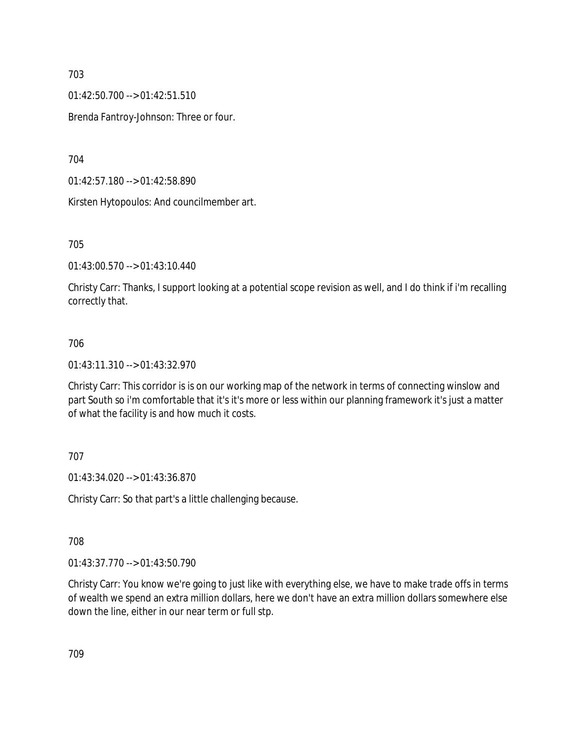01:42:50.700 --> 01:42:51.510

Brenda Fantroy-Johnson: Three or four.

704

01:42:57.180 --> 01:42:58.890

Kirsten Hytopoulos: And councilmember art.

705

01:43:00.570 --> 01:43:10.440

Christy Carr: Thanks, I support looking at a potential scope revision as well, and I do think if i'm recalling correctly that.

## 706

01:43:11.310 --> 01:43:32.970

Christy Carr: This corridor is is on our working map of the network in terms of connecting winslow and part South so i'm comfortable that it's it's more or less within our planning framework it's just a matter of what the facility is and how much it costs.

707

01:43:34.020 --> 01:43:36.870

Christy Carr: So that part's a little challenging because.

708

01:43:37.770 --> 01:43:50.790

Christy Carr: You know we're going to just like with everything else, we have to make trade offs in terms of wealth we spend an extra million dollars, here we don't have an extra million dollars somewhere else down the line, either in our near term or full stp.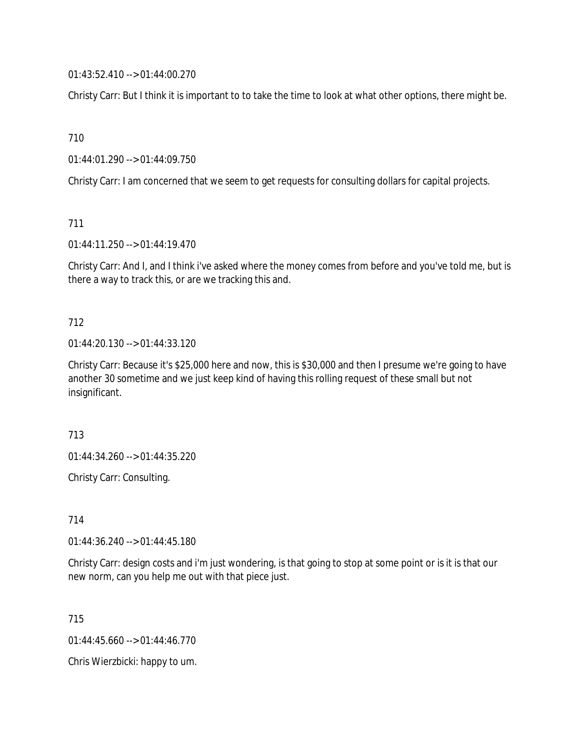01:43:52.410 --> 01:44:00.270

Christy Carr: But I think it is important to to take the time to look at what other options, there might be.

710

01:44:01.290 --> 01:44:09.750

Christy Carr: I am concerned that we seem to get requests for consulting dollars for capital projects.

711

01:44:11.250 --> 01:44:19.470

Christy Carr: And I, and I think i've asked where the money comes from before and you've told me, but is there a way to track this, or are we tracking this and.

### 712

01:44:20.130 --> 01:44:33.120

Christy Carr: Because it's \$25,000 here and now, this is \$30,000 and then I presume we're going to have another 30 sometime and we just keep kind of having this rolling request of these small but not insignificant.

713

01:44:34.260 --> 01:44:35.220

Christy Carr: Consulting.

714

01:44:36.240 --> 01:44:45.180

Christy Carr: design costs and i'm just wondering, is that going to stop at some point or is it is that our new norm, can you help me out with that piece just.

715

01:44:45.660 --> 01:44:46.770

Chris Wierzbicki: happy to um.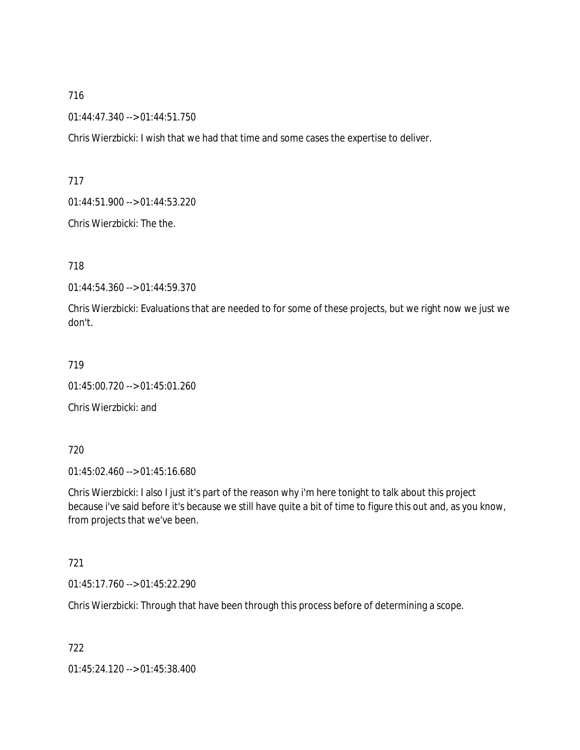01:44:47.340 --> 01:44:51.750

Chris Wierzbicki: I wish that we had that time and some cases the expertise to deliver.

717

01:44:51.900 --> 01:44:53.220

Chris Wierzbicki: The the.

718

01:44:54.360 --> 01:44:59.370

Chris Wierzbicki: Evaluations that are needed to for some of these projects, but we right now we just we don't.

719

01:45:00.720 --> 01:45:01.260

Chris Wierzbicki: and

720

01:45:02.460 --> 01:45:16.680

Chris Wierzbicki: I also I just it's part of the reason why i'm here tonight to talk about this project because i've said before it's because we still have quite a bit of time to figure this out and, as you know, from projects that we've been.

721

01:45:17.760 --> 01:45:22.290

Chris Wierzbicki: Through that have been through this process before of determining a scope.

722

01:45:24.120 --> 01:45:38.400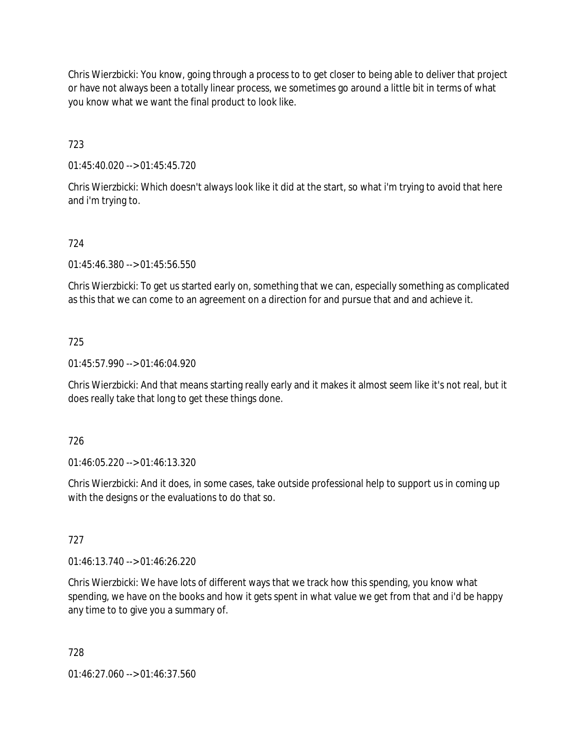Chris Wierzbicki: You know, going through a process to to get closer to being able to deliver that project or have not always been a totally linear process, we sometimes go around a little bit in terms of what you know what we want the final product to look like.

723

01:45:40.020 --> 01:45:45.720

Chris Wierzbicki: Which doesn't always look like it did at the start, so what i'm trying to avoid that here and i'm trying to.

## 724

01:45:46.380 --> 01:45:56.550

Chris Wierzbicki: To get us started early on, something that we can, especially something as complicated as this that we can come to an agreement on a direction for and pursue that and and achieve it.

### 725

01:45:57.990 --> 01:46:04.920

Chris Wierzbicki: And that means starting really early and it makes it almost seem like it's not real, but it does really take that long to get these things done.

### 726

01:46:05.220 --> 01:46:13.320

Chris Wierzbicki: And it does, in some cases, take outside professional help to support us in coming up with the designs or the evaluations to do that so.

### 727

01:46:13.740 --> 01:46:26.220

Chris Wierzbicki: We have lots of different ways that we track how this spending, you know what spending, we have on the books and how it gets spent in what value we get from that and i'd be happy any time to to give you a summary of.

728

01:46:27.060 --> 01:46:37.560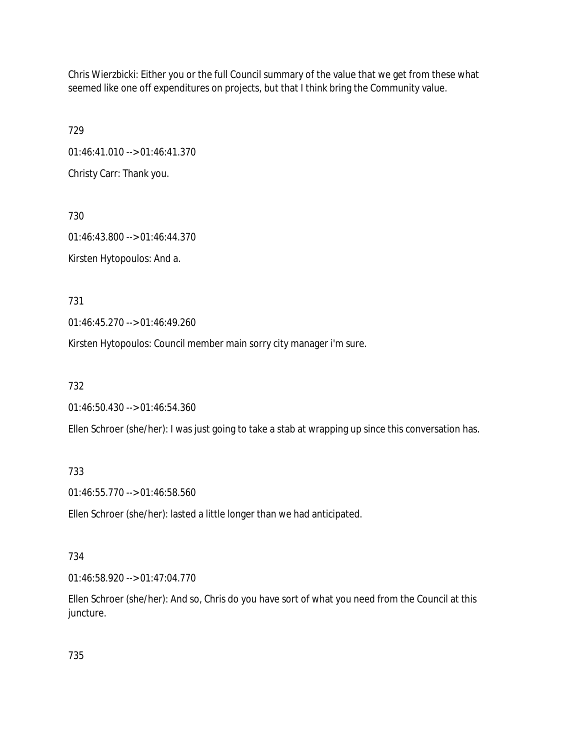Chris Wierzbicki: Either you or the full Council summary of the value that we get from these what seemed like one off expenditures on projects, but that I think bring the Community value.

729 01:46:41.010 --> 01:46:41.370 Christy Carr: Thank you.

730 01:46:43.800 --> 01:46:44.370 Kirsten Hytopoulos: And a.

731

01:46:45.270 --> 01:46:49.260

Kirsten Hytopoulos: Council member main sorry city manager i'm sure.

732

01:46:50.430 --> 01:46:54.360

Ellen Schroer (she/her): I was just going to take a stab at wrapping up since this conversation has.

# 733

01:46:55.770 --> 01:46:58.560

Ellen Schroer (she/her): lasted a little longer than we had anticipated.

# 734

01:46:58.920 --> 01:47:04.770

Ellen Schroer (she/her): And so, Chris do you have sort of what you need from the Council at this juncture.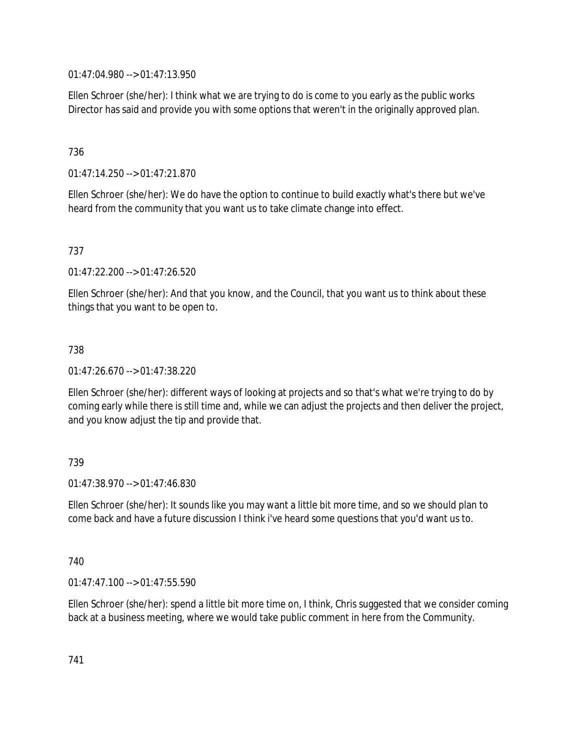01:47:04.980 --> 01:47:13.950

Ellen Schroer (she/her): I think what we are trying to do is come to you early as the public works Director has said and provide you with some options that weren't in the originally approved plan.

# 736

01:47:14.250 --> 01:47:21.870

Ellen Schroer (she/her): We do have the option to continue to build exactly what's there but we've heard from the community that you want us to take climate change into effect.

# 737

01:47:22.200 --> 01:47:26.520

Ellen Schroer (she/her): And that you know, and the Council, that you want us to think about these things that you want to be open to.

# 738

01:47:26.670 --> 01:47:38.220

Ellen Schroer (she/her): different ways of looking at projects and so that's what we're trying to do by coming early while there is still time and, while we can adjust the projects and then deliver the project, and you know adjust the tip and provide that.

# 739

 $01:47:38.970 \rightarrow 01:47:46.830$ 

Ellen Schroer (she/her): It sounds like you may want a little bit more time, and so we should plan to come back and have a future discussion I think i've heard some questions that you'd want us to.

# 740

01:47:47.100 --> 01:47:55.590

Ellen Schroer (she/her): spend a little bit more time on, I think, Chris suggested that we consider coming back at a business meeting, where we would take public comment in here from the Community.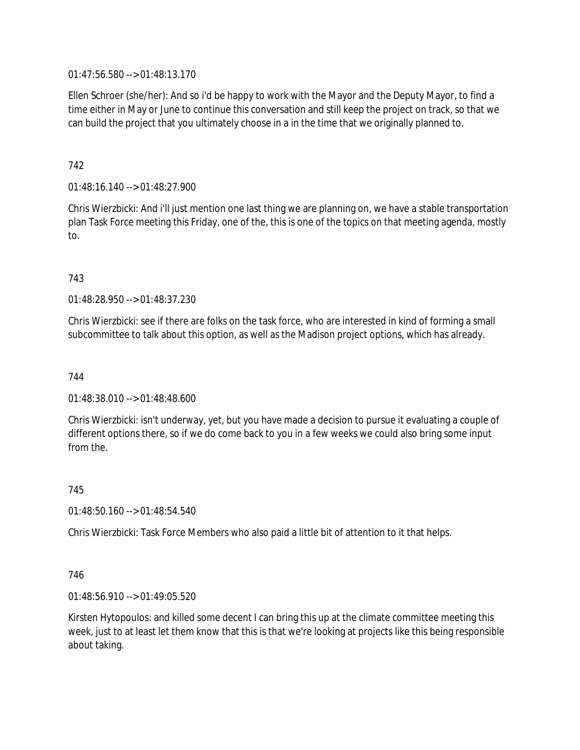01:47:56.580 --> 01:48:13.170

Ellen Schroer (she/her): And so i'd be happy to work with the Mayor and the Deputy Mayor, to find a time either in May or June to continue this conversation and still keep the project on track, so that we can build the project that you ultimately choose in a in the time that we originally planned to.

# 742

01:48:16.140 --> 01:48:27.900

Chris Wierzbicki: And i'll just mention one last thing we are planning on, we have a stable transportation plan Task Force meeting this Friday, one of the, this is one of the topics on that meeting agenda, mostly to.

## 743

01:48:28.950 --> 01:48:37.230

Chris Wierzbicki: see if there are folks on the task force, who are interested in kind of forming a small subcommittee to talk about this option, as well as the Madison project options, which has already.

### 744

01:48:38.010 --> 01:48:48.600

Chris Wierzbicki: isn't underway, yet, but you have made a decision to pursue it evaluating a couple of different options there, so if we do come back to you in a few weeks we could also bring some input from the.

#### 745

01:48:50.160 --> 01:48:54.540

Chris Wierzbicki: Task Force Members who also paid a little bit of attention to it that helps.

### 746

01:48:56.910 --> 01:49:05.520

Kirsten Hytopoulos: and killed some decent I can bring this up at the climate committee meeting this week, just to at least let them know that this is that we're looking at projects like this being responsible about taking.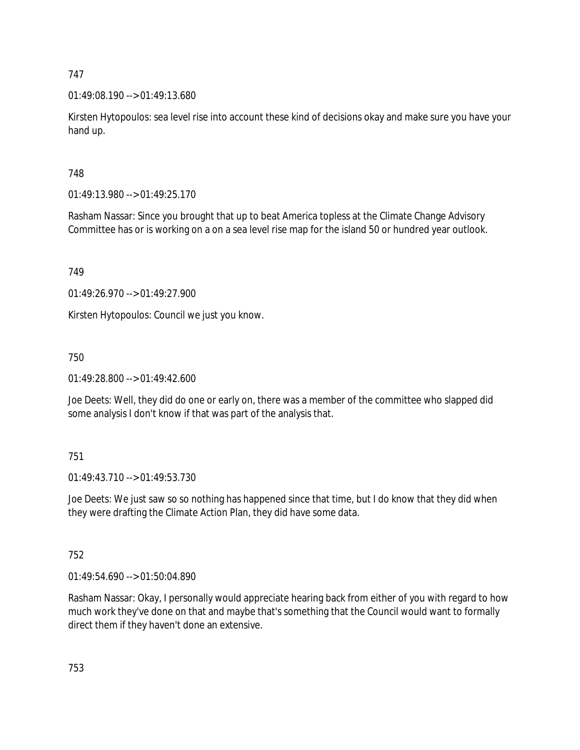01:49:08.190 --> 01:49:13.680

Kirsten Hytopoulos: sea level rise into account these kind of decisions okay and make sure you have your hand up.

748

01:49:13.980 --> 01:49:25.170

Rasham Nassar: Since you brought that up to beat America topless at the Climate Change Advisory Committee has or is working on a on a sea level rise map for the island 50 or hundred year outlook.

749

01:49:26.970 --> 01:49:27.900

Kirsten Hytopoulos: Council we just you know.

750

01:49:28.800 --> 01:49:42.600

Joe Deets: Well, they did do one or early on, there was a member of the committee who slapped did some analysis I don't know if that was part of the analysis that.

751

01:49:43.710 --> 01:49:53.730

Joe Deets: We just saw so so nothing has happened since that time, but I do know that they did when they were drafting the Climate Action Plan, they did have some data.

752

01:49:54.690 --> 01:50:04.890

Rasham Nassar: Okay, I personally would appreciate hearing back from either of you with regard to how much work they've done on that and maybe that's something that the Council would want to formally direct them if they haven't done an extensive.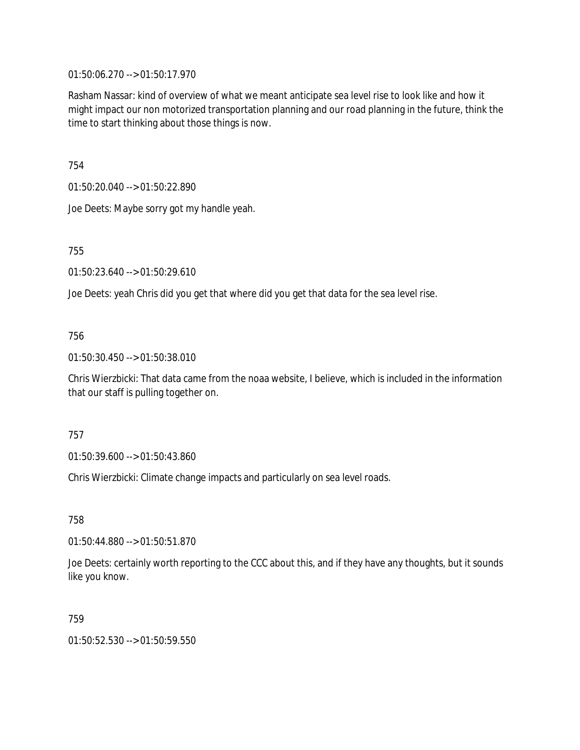01:50:06.270 --> 01:50:17.970

Rasham Nassar: kind of overview of what we meant anticipate sea level rise to look like and how it might impact our non motorized transportation planning and our road planning in the future, think the time to start thinking about those things is now.

754

01:50:20.040 --> 01:50:22.890

Joe Deets: Maybe sorry got my handle yeah.

755

01:50:23.640 --> 01:50:29.610

Joe Deets: yeah Chris did you get that where did you get that data for the sea level rise.

## 756

01:50:30.450 --> 01:50:38.010

Chris Wierzbicki: That data came from the noaa website, I believe, which is included in the information that our staff is pulling together on.

757

01:50:39.600 --> 01:50:43.860

Chris Wierzbicki: Climate change impacts and particularly on sea level roads.

758

01:50:44.880 --> 01:50:51.870

Joe Deets: certainly worth reporting to the CCC about this, and if they have any thoughts, but it sounds like you know.

### 759

01:50:52.530 --> 01:50:59.550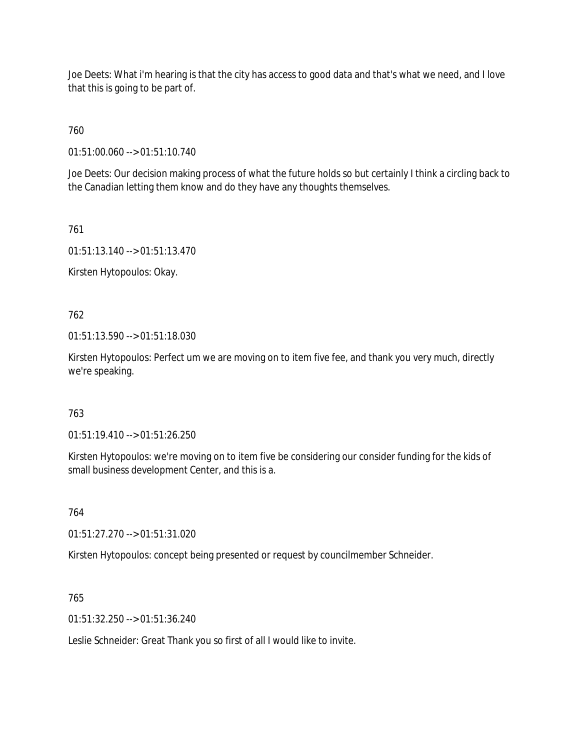Joe Deets: What i'm hearing is that the city has access to good data and that's what we need, and I love that this is going to be part of.

760

01:51:00.060 --> 01:51:10.740

Joe Deets: Our decision making process of what the future holds so but certainly I think a circling back to the Canadian letting them know and do they have any thoughts themselves.

761

01:51:13.140 --> 01:51:13.470

Kirsten Hytopoulos: Okay.

762

01:51:13.590 --> 01:51:18.030

Kirsten Hytopoulos: Perfect um we are moving on to item five fee, and thank you very much, directly we're speaking.

### 763

01:51:19.410 --> 01:51:26.250

Kirsten Hytopoulos: we're moving on to item five be considering our consider funding for the kids of small business development Center, and this is a.

764

01:51:27.270 --> 01:51:31.020

Kirsten Hytopoulos: concept being presented or request by councilmember Schneider.

765

01:51:32.250 --> 01:51:36.240

Leslie Schneider: Great Thank you so first of all I would like to invite.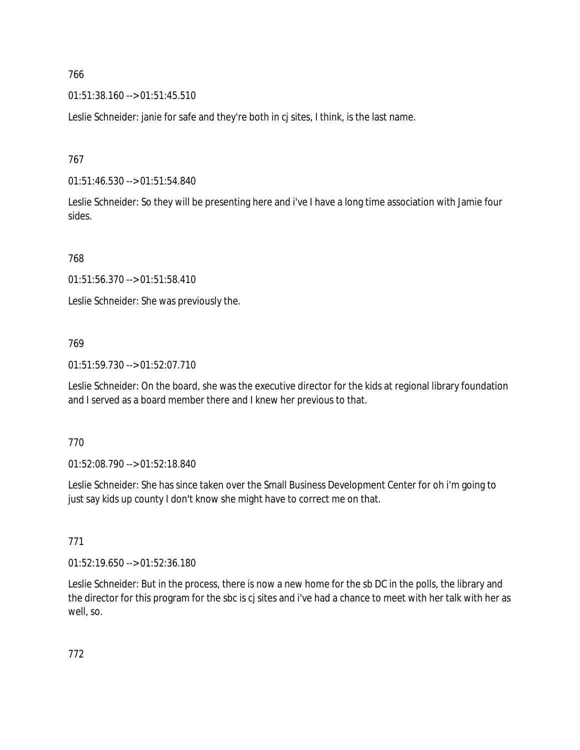01:51:38.160 --> 01:51:45.510

Leslie Schneider: janie for safe and they're both in cj sites, I think, is the last name.

767

01:51:46.530 --> 01:51:54.840

Leslie Schneider: So they will be presenting here and i've I have a long time association with Jamie four sides.

768

01:51:56.370 --> 01:51:58.410

Leslie Schneider: She was previously the.

# 769

01:51:59.730 --> 01:52:07.710

Leslie Schneider: On the board, she was the executive director for the kids at regional library foundation and I served as a board member there and I knew her previous to that.

# 770

01:52:08.790 --> 01:52:18.840

Leslie Schneider: She has since taken over the Small Business Development Center for oh i'm going to just say kids up county I don't know she might have to correct me on that.

# 771

01:52:19.650 --> 01:52:36.180

Leslie Schneider: But in the process, there is now a new home for the sb DC in the polls, the library and the director for this program for the sbc is cj sites and i've had a chance to meet with her talk with her as well, so.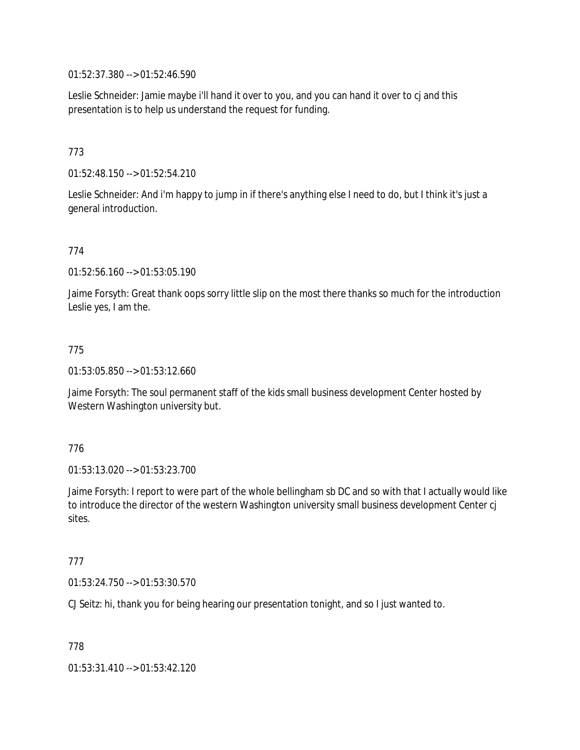01:52:37.380 --> 01:52:46.590

Leslie Schneider: Jamie maybe i'll hand it over to you, and you can hand it over to cj and this presentation is to help us understand the request for funding.

# 773

01:52:48.150 --> 01:52:54.210

Leslie Schneider: And i'm happy to jump in if there's anything else I need to do, but I think it's just a general introduction.

### 774

01:52:56.160 --> 01:53:05.190

Jaime Forsyth: Great thank oops sorry little slip on the most there thanks so much for the introduction Leslie yes, I am the.

### 775

01:53:05.850 --> 01:53:12.660

Jaime Forsyth: The soul permanent staff of the kids small business development Center hosted by Western Washington university but.

#### 776

01:53:13.020 --> 01:53:23.700

Jaime Forsyth: I report to were part of the whole bellingham sb DC and so with that I actually would like to introduce the director of the western Washington university small business development Center cj sites.

#### 777

01:53:24.750 --> 01:53:30.570

CJ Seitz: hi, thank you for being hearing our presentation tonight, and so I just wanted to.

778

01:53:31.410 --> 01:53:42.120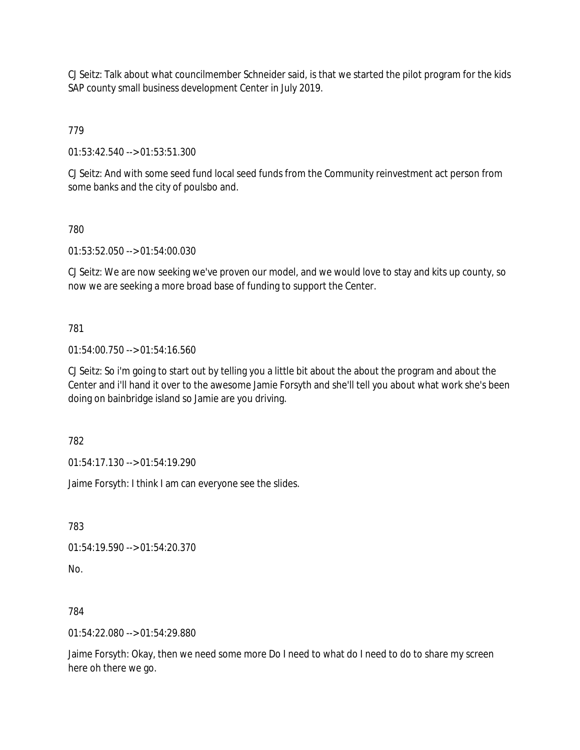CJ Seitz: Talk about what councilmember Schneider said, is that we started the pilot program for the kids SAP county small business development Center in July 2019.

779

01:53:42.540 --> 01:53:51.300

CJ Seitz: And with some seed fund local seed funds from the Community reinvestment act person from some banks and the city of poulsbo and.

780

01:53:52.050 --> 01:54:00.030

CJ Seitz: We are now seeking we've proven our model, and we would love to stay and kits up county, so now we are seeking a more broad base of funding to support the Center.

781

01:54:00.750 --> 01:54:16.560

CJ Seitz: So i'm going to start out by telling you a little bit about the about the program and about the Center and i'll hand it over to the awesome Jamie Forsyth and she'll tell you about what work she's been doing on bainbridge island so Jamie are you driving.

782

01:54:17.130 --> 01:54:19.290

Jaime Forsyth: I think I am can everyone see the slides.

783

01:54:19.590 --> 01:54:20.370

No.

784

01:54:22.080 --> 01:54:29.880

Jaime Forsyth: Okay, then we need some more Do I need to what do I need to do to share my screen here oh there we go.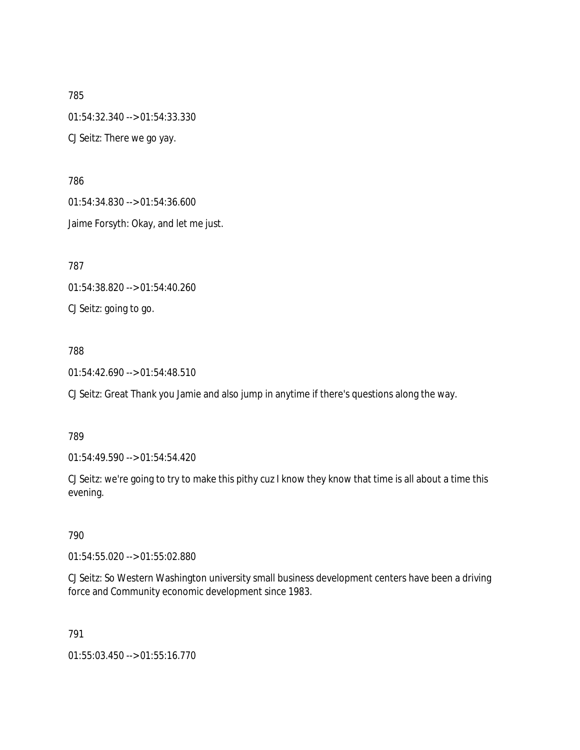785 01:54:32.340 --> 01:54:33.330 CJ Seitz: There we go yay.

786 01:54:34.830 --> 01:54:36.600 Jaime Forsyth: Okay, and let me just.

787

01:54:38.820 --> 01:54:40.260

CJ Seitz: going to go.

# 788

01:54:42.690 --> 01:54:48.510

CJ Seitz: Great Thank you Jamie and also jump in anytime if there's questions along the way.

# 789

01:54:49.590 --> 01:54:54.420

CJ Seitz: we're going to try to make this pithy cuz I know they know that time is all about a time this evening.

# 790

01:54:55.020 --> 01:55:02.880

CJ Seitz: So Western Washington university small business development centers have been a driving force and Community economic development since 1983.

791

01:55:03.450 --> 01:55:16.770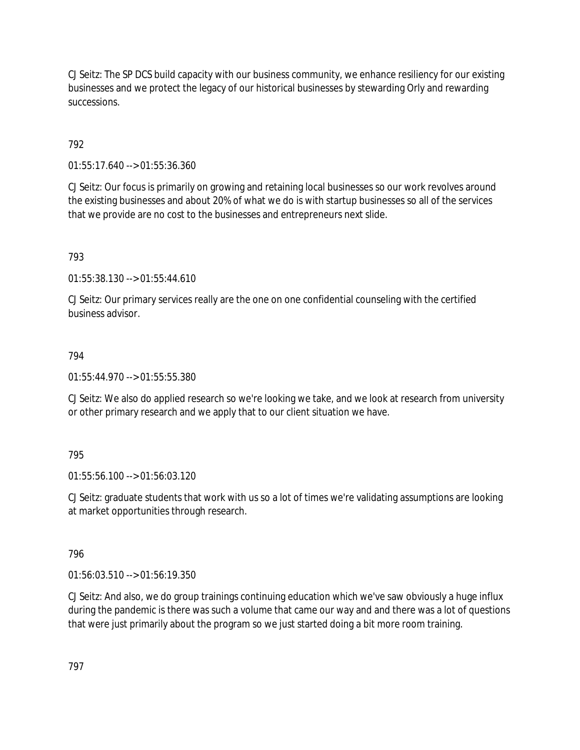CJ Seitz: The SP DCS build capacity with our business community, we enhance resiliency for our existing businesses and we protect the legacy of our historical businesses by stewarding Orly and rewarding successions.

792

01:55:17.640 --> 01:55:36.360

CJ Seitz: Our focus is primarily on growing and retaining local businesses so our work revolves around the existing businesses and about 20% of what we do is with startup businesses so all of the services that we provide are no cost to the businesses and entrepreneurs next slide.

793

01:55:38.130 --> 01:55:44.610

CJ Seitz: Our primary services really are the one on one confidential counseling with the certified business advisor.

#### 794

 $01:55:44.970 \rightarrow 01:55:55.380$ 

CJ Seitz: We also do applied research so we're looking we take, and we look at research from university or other primary research and we apply that to our client situation we have.

### 795

01:55:56.100 --> 01:56:03.120

CJ Seitz: graduate students that work with us so a lot of times we're validating assumptions are looking at market opportunities through research.

796

01:56:03.510 --> 01:56:19.350

CJ Seitz: And also, we do group trainings continuing education which we've saw obviously a huge influx during the pandemic is there was such a volume that came our way and and there was a lot of questions that were just primarily about the program so we just started doing a bit more room training.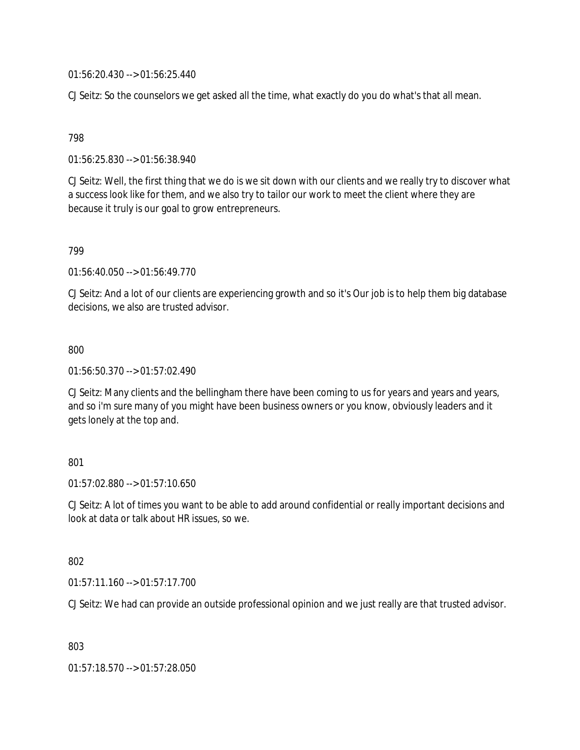01:56:20.430 --> 01:56:25.440

CJ Seitz: So the counselors we get asked all the time, what exactly do you do what's that all mean.

## 798

01:56:25.830 --> 01:56:38.940

CJ Seitz: Well, the first thing that we do is we sit down with our clients and we really try to discover what a success look like for them, and we also try to tailor our work to meet the client where they are because it truly is our goal to grow entrepreneurs.

## 799

01:56:40.050 --> 01:56:49.770

CJ Seitz: And a lot of our clients are experiencing growth and so it's Our job is to help them big database decisions, we also are trusted advisor.

## 800

01:56:50.370 --> 01:57:02.490

CJ Seitz: Many clients and the bellingham there have been coming to us for years and years and years, and so i'm sure many of you might have been business owners or you know, obviously leaders and it gets lonely at the top and.

# 801

01:57:02.880 --> 01:57:10.650

CJ Seitz: A lot of times you want to be able to add around confidential or really important decisions and look at data or talk about HR issues, so we.

### 802

01:57:11.160 --> 01:57:17.700

CJ Seitz: We had can provide an outside professional opinion and we just really are that trusted advisor.

803

01:57:18.570 --> 01:57:28.050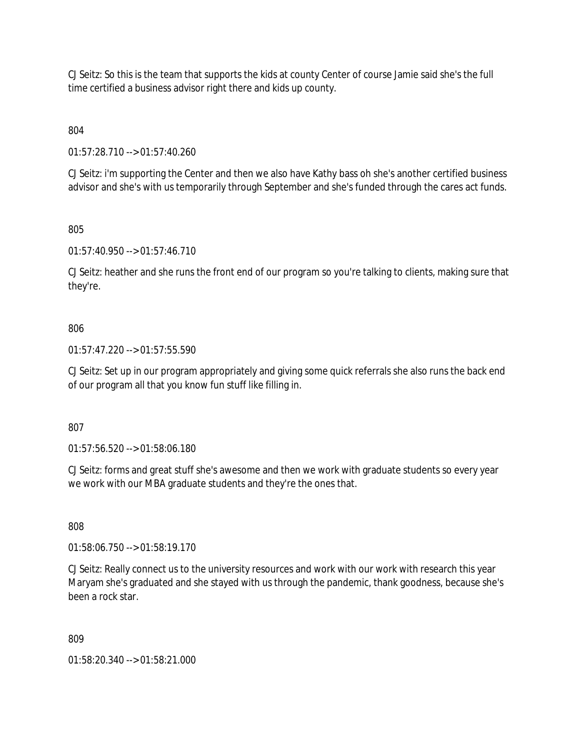CJ Seitz: So this is the team that supports the kids at county Center of course Jamie said she's the full time certified a business advisor right there and kids up county.

804

01:57:28.710 --> 01:57:40.260

CJ Seitz: i'm supporting the Center and then we also have Kathy bass oh she's another certified business advisor and she's with us temporarily through September and she's funded through the cares act funds.

805

01:57:40.950 --> 01:57:46.710

CJ Seitz: heather and she runs the front end of our program so you're talking to clients, making sure that they're.

# 806

01:57:47.220 --> 01:57:55.590

CJ Seitz: Set up in our program appropriately and giving some quick referrals she also runs the back end of our program all that you know fun stuff like filling in.

807

01:57:56.520 --> 01:58:06.180

CJ Seitz: forms and great stuff she's awesome and then we work with graduate students so every year we work with our MBA graduate students and they're the ones that.

808

01:58:06.750 --> 01:58:19.170

CJ Seitz: Really connect us to the university resources and work with our work with research this year Maryam she's graduated and she stayed with us through the pandemic, thank goodness, because she's been a rock star.

809

01:58:20.340 --> 01:58:21.000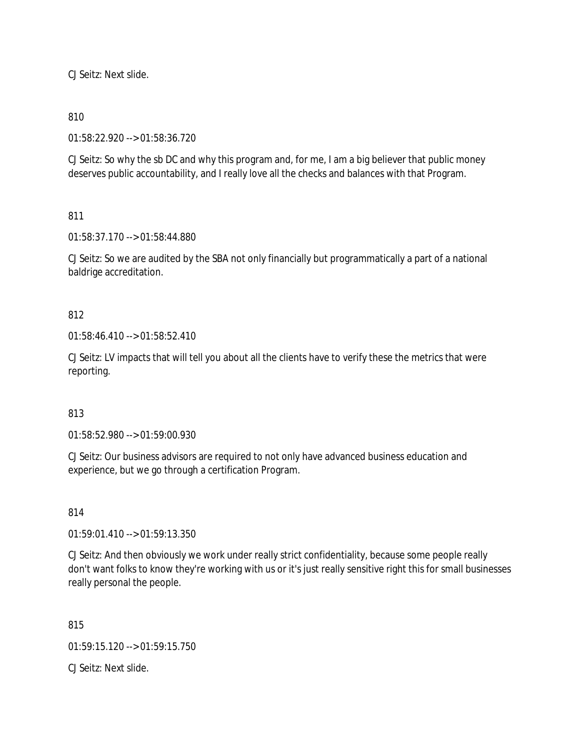CJ Seitz: Next slide.

# 810

01:58:22.920 --> 01:58:36.720

CJ Seitz: So why the sb DC and why this program and, for me, I am a big believer that public money deserves public accountability, and I really love all the checks and balances with that Program.

# 811

01:58:37.170 --> 01:58:44.880

CJ Seitz: So we are audited by the SBA not only financially but programmatically a part of a national baldrige accreditation.

## 812

01:58:46.410 --> 01:58:52.410

CJ Seitz: LV impacts that will tell you about all the clients have to verify these the metrics that were reporting.

# 813

01:58:52.980 --> 01:59:00.930

CJ Seitz: Our business advisors are required to not only have advanced business education and experience, but we go through a certification Program.

### 814

01:59:01.410 --> 01:59:13.350

CJ Seitz: And then obviously we work under really strict confidentiality, because some people really don't want folks to know they're working with us or it's just really sensitive right this for small businesses really personal the people.

815

01:59:15.120 --> 01:59:15.750

CJ Seitz: Next slide.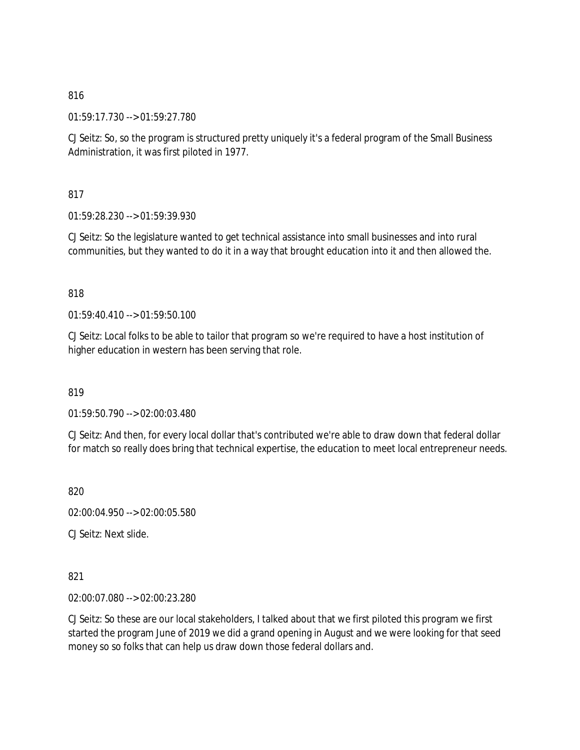01:59:17.730 --> 01:59:27.780

CJ Seitz: So, so the program is structured pretty uniquely it's a federal program of the Small Business Administration, it was first piloted in 1977.

817

01:59:28.230 --> 01:59:39.930

CJ Seitz: So the legislature wanted to get technical assistance into small businesses and into rural communities, but they wanted to do it in a way that brought education into it and then allowed the.

## 818

 $01:59:40.410 \rightarrow 01:59:50.100$ 

CJ Seitz: Local folks to be able to tailor that program so we're required to have a host institution of higher education in western has been serving that role.

819

01:59:50.790 --> 02:00:03.480

CJ Seitz: And then, for every local dollar that's contributed we're able to draw down that federal dollar for match so really does bring that technical expertise, the education to meet local entrepreneur needs.

820

02:00:04.950 --> 02:00:05.580

CJ Seitz: Next slide.

821

02:00:07.080 --> 02:00:23.280

CJ Seitz: So these are our local stakeholders, I talked about that we first piloted this program we first started the program June of 2019 we did a grand opening in August and we were looking for that seed money so so folks that can help us draw down those federal dollars and.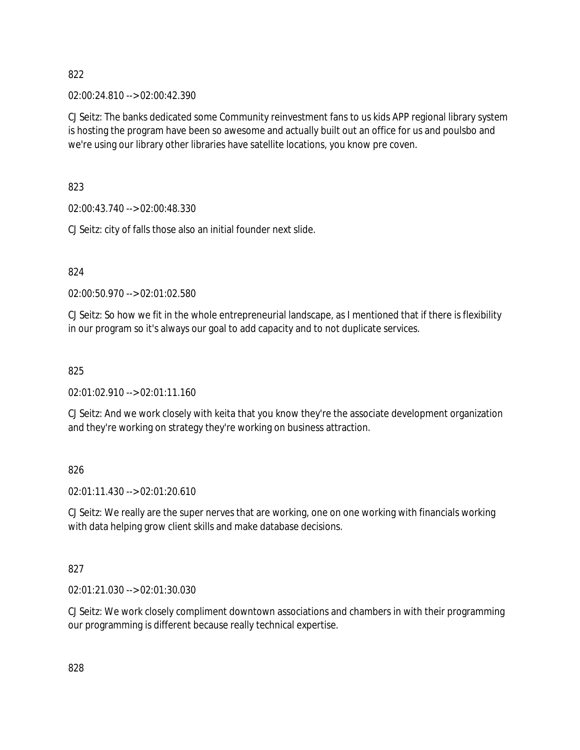02:00:24.810 --> 02:00:42.390

CJ Seitz: The banks dedicated some Community reinvestment fans to us kids APP regional library system is hosting the program have been so awesome and actually built out an office for us and poulsbo and we're using our library other libraries have satellite locations, you know pre coven.

823

02:00:43.740 --> 02:00:48.330

CJ Seitz: city of falls those also an initial founder next slide.

824

02:00:50.970 --> 02:01:02.580

CJ Seitz: So how we fit in the whole entrepreneurial landscape, as I mentioned that if there is flexibility in our program so it's always our goal to add capacity and to not duplicate services.

825

02:01:02.910 --> 02:01:11.160

CJ Seitz: And we work closely with keita that you know they're the associate development organization and they're working on strategy they're working on business attraction.

826

02:01:11.430 --> 02:01:20.610

CJ Seitz: We really are the super nerves that are working, one on one working with financials working with data helping grow client skills and make database decisions.

827

02:01:21.030 --> 02:01:30.030

CJ Seitz: We work closely compliment downtown associations and chambers in with their programming our programming is different because really technical expertise.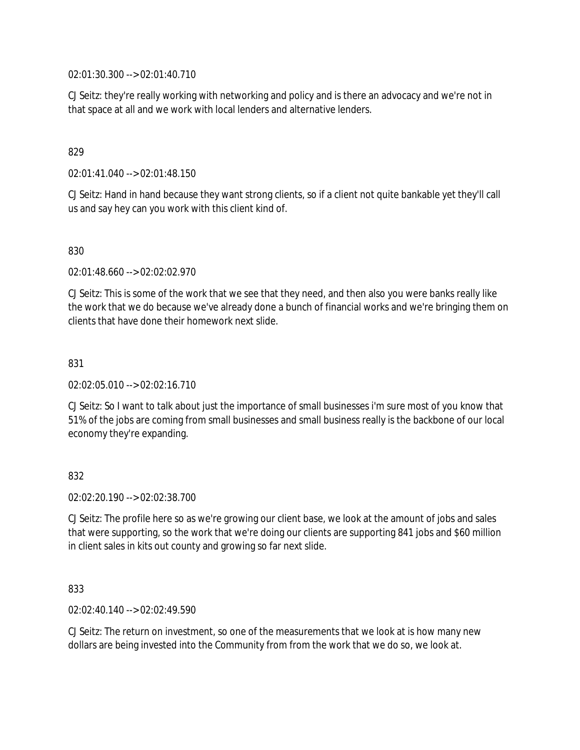02:01:30.300 --> 02:01:40.710

CJ Seitz: they're really working with networking and policy and is there an advocacy and we're not in that space at all and we work with local lenders and alternative lenders.

## 829

02:01:41.040 --> 02:01:48.150

CJ Seitz: Hand in hand because they want strong clients, so if a client not quite bankable yet they'll call us and say hey can you work with this client kind of.

### 830

02:01:48.660 --> 02:02:02.970

CJ Seitz: This is some of the work that we see that they need, and then also you were banks really like the work that we do because we've already done a bunch of financial works and we're bringing them on clients that have done their homework next slide.

### 831

02:02:05.010 --> 02:02:16.710

CJ Seitz: So I want to talk about just the importance of small businesses i'm sure most of you know that 51% of the jobs are coming from small businesses and small business really is the backbone of our local economy they're expanding.

### 832

02:02:20.190 --> 02:02:38.700

CJ Seitz: The profile here so as we're growing our client base, we look at the amount of jobs and sales that were supporting, so the work that we're doing our clients are supporting 841 jobs and \$60 million in client sales in kits out county and growing so far next slide.

### 833

02:02:40.140 --> 02:02:49.590

CJ Seitz: The return on investment, so one of the measurements that we look at is how many new dollars are being invested into the Community from from the work that we do so, we look at.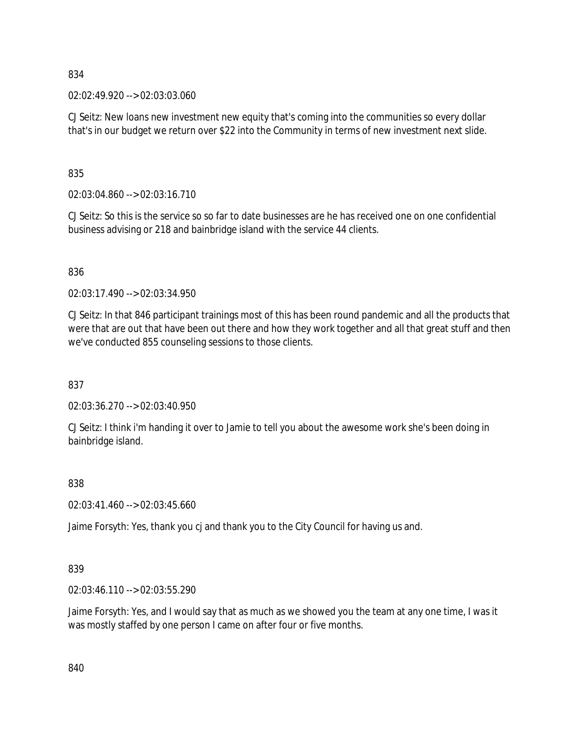02:02:49.920 --> 02:03:03.060

CJ Seitz: New loans new investment new equity that's coming into the communities so every dollar that's in our budget we return over \$22 into the Community in terms of new investment next slide.

835

02:03:04.860 --> 02:03:16.710

CJ Seitz: So this is the service so so far to date businesses are he has received one on one confidential business advising or 218 and bainbridge island with the service 44 clients.

### 836

02:03:17.490 --> 02:03:34.950

CJ Seitz: In that 846 participant trainings most of this has been round pandemic and all the products that were that are out that have been out there and how they work together and all that great stuff and then we've conducted 855 counseling sessions to those clients.

837

02:03:36.270 --> 02:03:40.950

CJ Seitz: I think i'm handing it over to Jamie to tell you about the awesome work she's been doing in bainbridge island.

838

02:03:41.460 --> 02:03:45.660

Jaime Forsyth: Yes, thank you cj and thank you to the City Council for having us and.

## 839

02:03:46.110 --> 02:03:55.290

Jaime Forsyth: Yes, and I would say that as much as we showed you the team at any one time, I was it was mostly staffed by one person I came on after four or five months.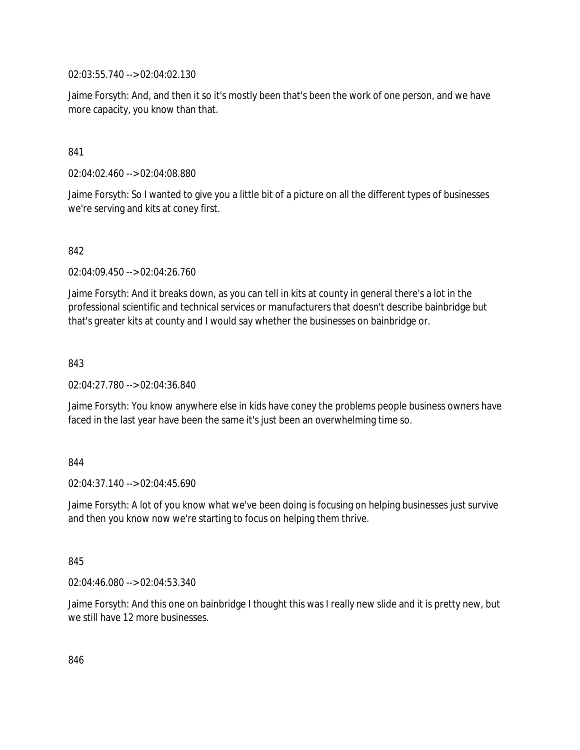02:03:55.740 --> 02:04:02.130

Jaime Forsyth: And, and then it so it's mostly been that's been the work of one person, and we have more capacity, you know than that.

### 841

02:04:02.460 --> 02:04:08.880

Jaime Forsyth: So I wanted to give you a little bit of a picture on all the different types of businesses we're serving and kits at coney first.

### 842

02:04:09.450 --> 02:04:26.760

Jaime Forsyth: And it breaks down, as you can tell in kits at county in general there's a lot in the professional scientific and technical services or manufacturers that doesn't describe bainbridge but that's greater kits at county and I would say whether the businesses on bainbridge or.

### 843

02:04:27.780 --> 02:04:36.840

Jaime Forsyth: You know anywhere else in kids have coney the problems people business owners have faced in the last year have been the same it's just been an overwhelming time so.

### 844

 $02.04.37.140 -> 02.04.45.690$ 

Jaime Forsyth: A lot of you know what we've been doing is focusing on helping businesses just survive and then you know now we're starting to focus on helping them thrive.

### 845

02:04:46.080 --> 02:04:53.340

Jaime Forsyth: And this one on bainbridge I thought this was I really new slide and it is pretty new, but we still have 12 more businesses.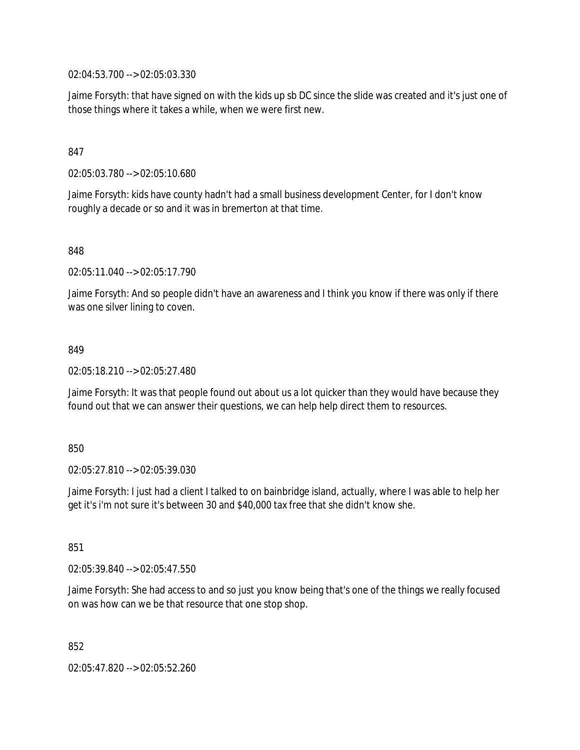02:04:53.700 --> 02:05:03.330

Jaime Forsyth: that have signed on with the kids up sb DC since the slide was created and it's just one of those things where it takes a while, when we were first new.

### 847

02:05:03.780 --> 02:05:10.680

Jaime Forsyth: kids have county hadn't had a small business development Center, for I don't know roughly a decade or so and it was in bremerton at that time.

848

02:05:11.040 --> 02:05:17.790

Jaime Forsyth: And so people didn't have an awareness and I think you know if there was only if there was one silver lining to coven.

#### 849

02:05:18.210 --> 02:05:27.480

Jaime Forsyth: It was that people found out about us a lot quicker than they would have because they found out that we can answer their questions, we can help help direct them to resources.

#### 850

02:05:27.810 --> 02:05:39.030

Jaime Forsyth: I just had a client I talked to on bainbridge island, actually, where I was able to help her get it's i'm not sure it's between 30 and \$40,000 tax free that she didn't know she.

851

02:05:39.840 --> 02:05:47.550

Jaime Forsyth: She had access to and so just you know being that's one of the things we really focused on was how can we be that resource that one stop shop.

852

02:05:47.820 --> 02:05:52.260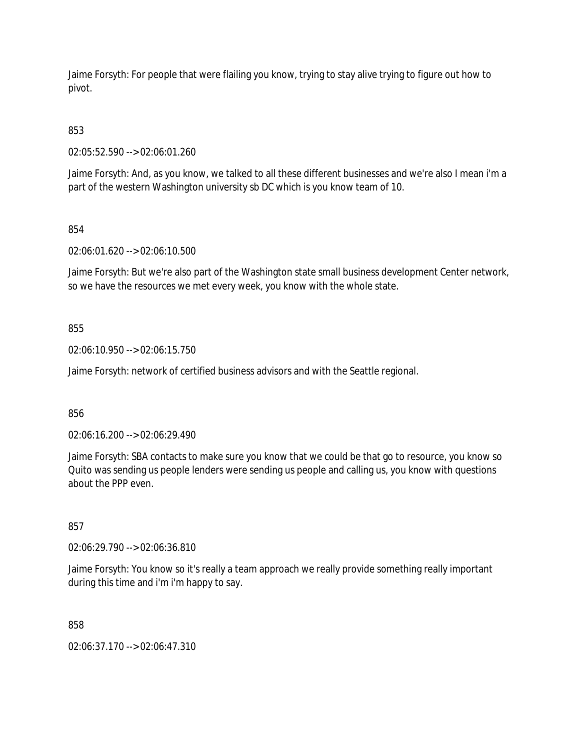Jaime Forsyth: For people that were flailing you know, trying to stay alive trying to figure out how to pivot.

853

02:05:52.590 --> 02:06:01.260

Jaime Forsyth: And, as you know, we talked to all these different businesses and we're also I mean i'm a part of the western Washington university sb DC which is you know team of 10.

854

02:06:01.620 --> 02:06:10.500

Jaime Forsyth: But we're also part of the Washington state small business development Center network, so we have the resources we met every week, you know with the whole state.

855

02:06:10.950 --> 02:06:15.750

Jaime Forsyth: network of certified business advisors and with the Seattle regional.

856

02:06:16.200 --> 02:06:29.490

Jaime Forsyth: SBA contacts to make sure you know that we could be that go to resource, you know so Quito was sending us people lenders were sending us people and calling us, you know with questions about the PPP even.

857

02:06:29.790 --> 02:06:36.810

Jaime Forsyth: You know so it's really a team approach we really provide something really important during this time and i'm i'm happy to say.

858

02:06:37.170 --> 02:06:47.310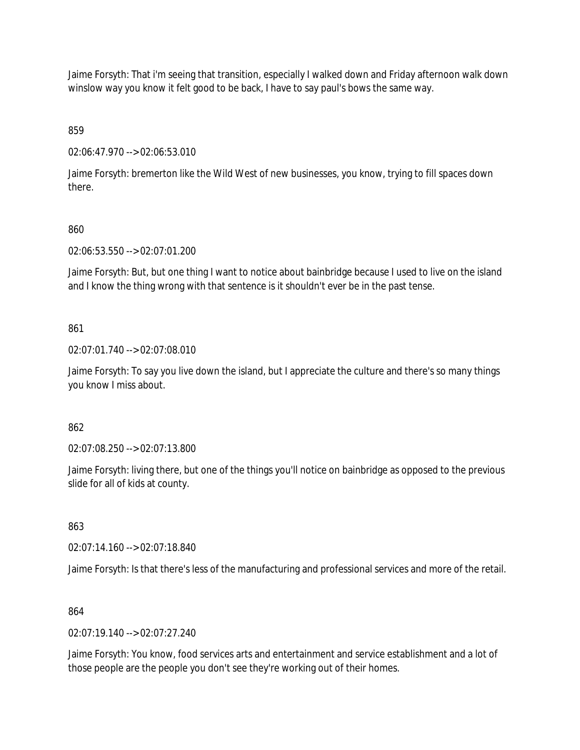Jaime Forsyth: That i'm seeing that transition, especially I walked down and Friday afternoon walk down winslow way you know it felt good to be back, I have to say paul's bows the same way.

859

02:06:47.970 --> 02:06:53.010

Jaime Forsyth: bremerton like the Wild West of new businesses, you know, trying to fill spaces down there.

## 860

02:06:53.550 --> 02:07:01.200

Jaime Forsyth: But, but one thing I want to notice about bainbridge because I used to live on the island and I know the thing wrong with that sentence is it shouldn't ever be in the past tense.

## 861

02:07:01.740 --> 02:07:08.010

Jaime Forsyth: To say you live down the island, but I appreciate the culture and there's so many things you know I miss about.

### 862

02:07:08.250 --> 02:07:13.800

Jaime Forsyth: living there, but one of the things you'll notice on bainbridge as opposed to the previous slide for all of kids at county.

### 863

02:07:14.160 --> 02:07:18.840

Jaime Forsyth: Is that there's less of the manufacturing and professional services and more of the retail.

### 864

02:07:19.140 --> 02:07:27.240

Jaime Forsyth: You know, food services arts and entertainment and service establishment and a lot of those people are the people you don't see they're working out of their homes.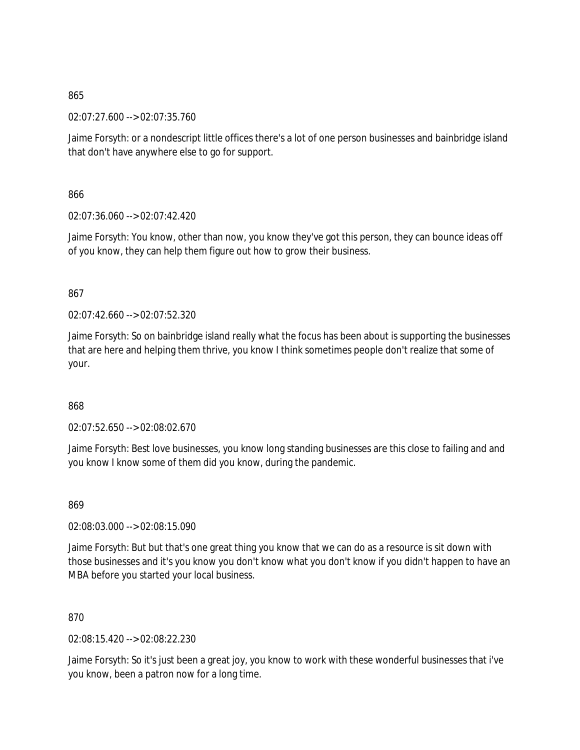02:07:27.600 --> 02:07:35.760

Jaime Forsyth: or a nondescript little offices there's a lot of one person businesses and bainbridge island that don't have anywhere else to go for support.

866

02:07:36.060 --> 02:07:42.420

Jaime Forsyth: You know, other than now, you know they've got this person, they can bounce ideas off of you know, they can help them figure out how to grow their business.

867

 $02:07:42.660 \rightarrow 02:07:52.320$ 

Jaime Forsyth: So on bainbridge island really what the focus has been about is supporting the businesses that are here and helping them thrive, you know I think sometimes people don't realize that some of your.

868

02:07:52.650 --> 02:08:02.670

Jaime Forsyth: Best love businesses, you know long standing businesses are this close to failing and and you know I know some of them did you know, during the pandemic.

869

02:08:03.000 --> 02:08:15.090

Jaime Forsyth: But but that's one great thing you know that we can do as a resource is sit down with those businesses and it's you know you don't know what you don't know if you didn't happen to have an MBA before you started your local business.

870

02:08:15.420 --> 02:08:22.230

Jaime Forsyth: So it's just been a great joy, you know to work with these wonderful businesses that i've you know, been a patron now for a long time.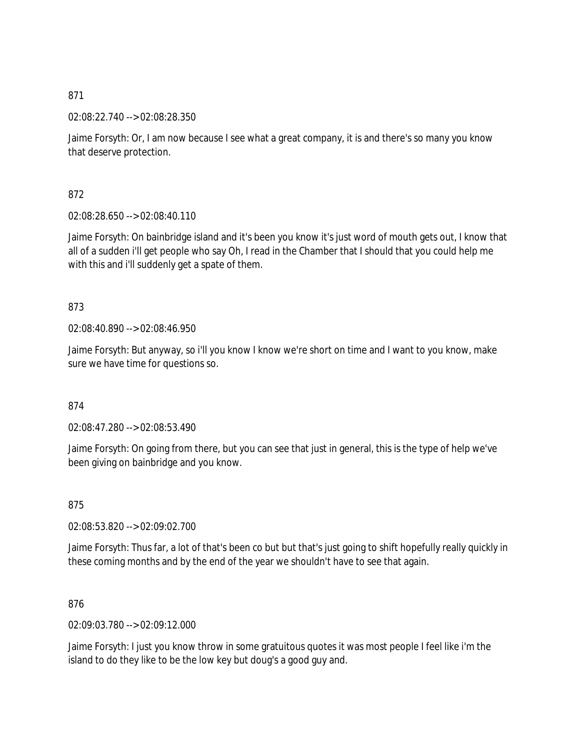02:08:22.740 --> 02:08:28.350

Jaime Forsyth: Or, I am now because I see what a great company, it is and there's so many you know that deserve protection.

872

02:08:28.650 --> 02:08:40.110

Jaime Forsyth: On bainbridge island and it's been you know it's just word of mouth gets out, I know that all of a sudden i'll get people who say Oh, I read in the Chamber that I should that you could help me with this and i'll suddenly get a spate of them.

873

02:08:40.890 --> 02:08:46.950

Jaime Forsyth: But anyway, so i'll you know I know we're short on time and I want to you know, make sure we have time for questions so.

874

02:08:47.280 --> 02:08:53.490

Jaime Forsyth: On going from there, but you can see that just in general, this is the type of help we've been giving on bainbridge and you know.

875

02:08:53.820 --> 02:09:02.700

Jaime Forsyth: Thus far, a lot of that's been co but but that's just going to shift hopefully really quickly in these coming months and by the end of the year we shouldn't have to see that again.

876

02:09:03.780 --> 02:09:12.000

Jaime Forsyth: I just you know throw in some gratuitous quotes it was most people I feel like i'm the island to do they like to be the low key but doug's a good guy and.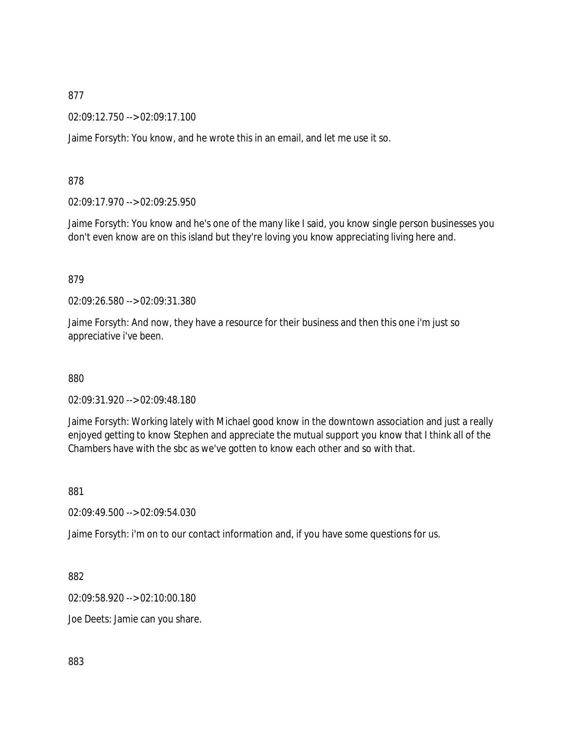02:09:12.750 --> 02:09:17.100

Jaime Forsyth: You know, and he wrote this in an email, and let me use it so.

878

02:09:17.970 --> 02:09:25.950

Jaime Forsyth: You know and he's one of the many like I said, you know single person businesses you don't even know are on this island but they're loving you know appreciating living here and.

879

02:09:26.580 --> 02:09:31.380

Jaime Forsyth: And now, they have a resource for their business and then this one i'm just so appreciative i've been.

880

02:09:31.920 --> 02:09:48.180

Jaime Forsyth: Working lately with Michael good know in the downtown association and just a really enjoyed getting to know Stephen and appreciate the mutual support you know that I think all of the Chambers have with the sbc as we've gotten to know each other and so with that.

881

02:09:49.500 --> 02:09:54.030

Jaime Forsyth: i'm on to our contact information and, if you have some questions for us.

882

02:09:58.920 --> 02:10:00.180

Joe Deets: Jamie can you share.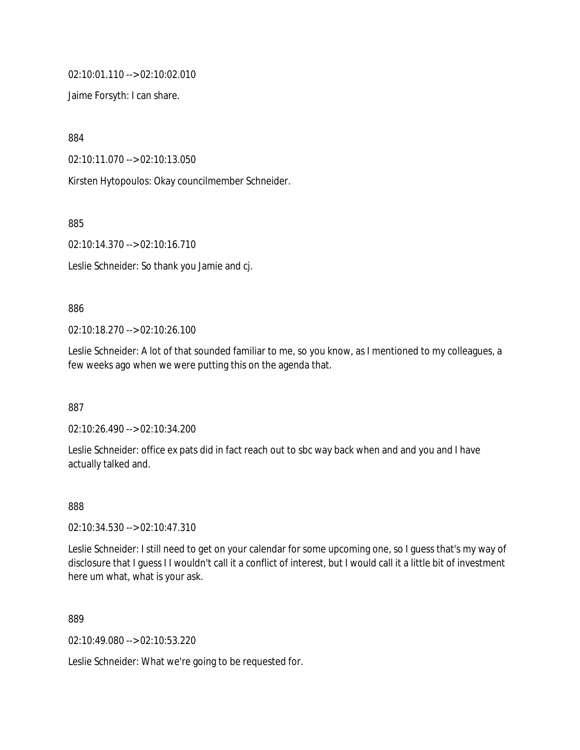```
02:10:01.110 --> 02:10:02.010
```
Jaime Forsyth: I can share.

884

02:10:11.070 --> 02:10:13.050

Kirsten Hytopoulos: Okay councilmember Schneider.

885

02:10:14.370 --> 02:10:16.710

Leslie Schneider: So thank you Jamie and cj.

### 886

02:10:18.270 --> 02:10:26.100

Leslie Schneider: A lot of that sounded familiar to me, so you know, as I mentioned to my colleagues, a few weeks ago when we were putting this on the agenda that.

887

02:10:26.490 --> 02:10:34.200

Leslie Schneider: office ex pats did in fact reach out to sbc way back when and and you and I have actually talked and.

888

02:10:34.530 --> 02:10:47.310

Leslie Schneider: I still need to get on your calendar for some upcoming one, so I guess that's my way of disclosure that I guess I I wouldn't call it a conflict of interest, but I would call it a little bit of investment here um what, what is your ask.

889

02:10:49.080 --> 02:10:53.220

Leslie Schneider: What we're going to be requested for.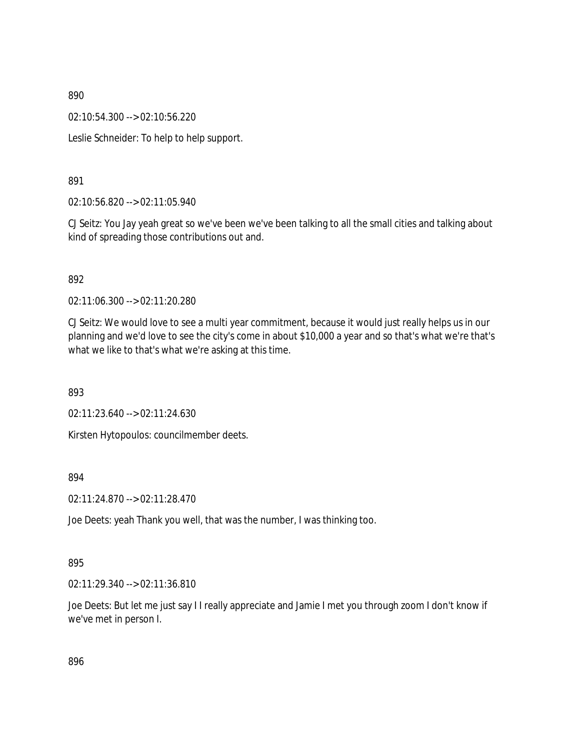02:10:54.300 --> 02:10:56.220

Leslie Schneider: To help to help support.

# 891

02:10:56.820 --> 02:11:05.940

CJ Seitz: You Jay yeah great so we've been we've been talking to all the small cities and talking about kind of spreading those contributions out and.

## 892

02:11:06.300 --> 02:11:20.280

CJ Seitz: We would love to see a multi year commitment, because it would just really helps us in our planning and we'd love to see the city's come in about \$10,000 a year and so that's what we're that's what we like to that's what we're asking at this time.

893

02:11:23.640 --> 02:11:24.630

Kirsten Hytopoulos: councilmember deets.

### 894

02:11:24.870 --> 02:11:28.470

Joe Deets: yeah Thank you well, that was the number, I was thinking too.

# 895

02:11:29.340 --> 02:11:36.810

Joe Deets: But let me just say I I really appreciate and Jamie I met you through zoom I don't know if we've met in person I.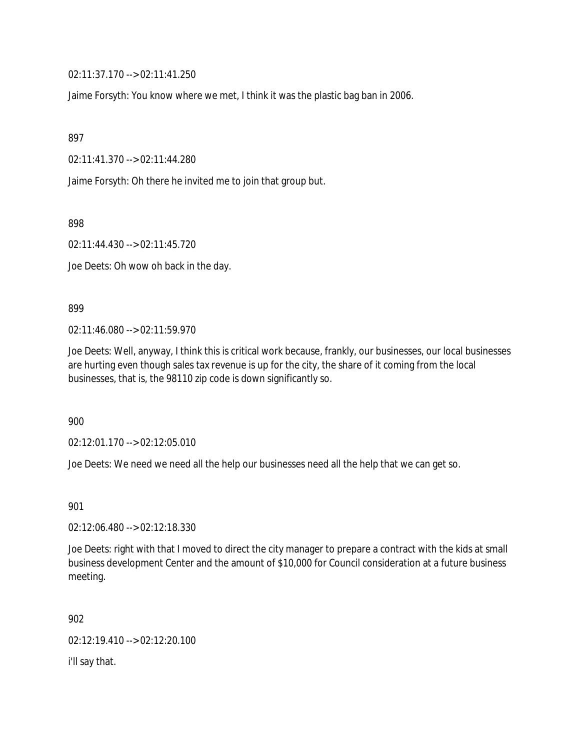02:11:37.170 --> 02:11:41.250

Jaime Forsyth: You know where we met, I think it was the plastic bag ban in 2006.

897

02:11:41.370 --> 02:11:44.280

Jaime Forsyth: Oh there he invited me to join that group but.

898

02:11:44.430 --> 02:11:45.720

Joe Deets: Oh wow oh back in the day.

899

02:11:46.080 --> 02:11:59.970

Joe Deets: Well, anyway, I think this is critical work because, frankly, our businesses, our local businesses are hurting even though sales tax revenue is up for the city, the share of it coming from the local businesses, that is, the 98110 zip code is down significantly so.

900

02:12:01.170 --> 02:12:05.010

Joe Deets: We need we need all the help our businesses need all the help that we can get so.

901

02:12:06.480 --> 02:12:18.330

Joe Deets: right with that I moved to direct the city manager to prepare a contract with the kids at small business development Center and the amount of \$10,000 for Council consideration at a future business meeting.

902

02:12:19.410 --> 02:12:20.100

i'll say that.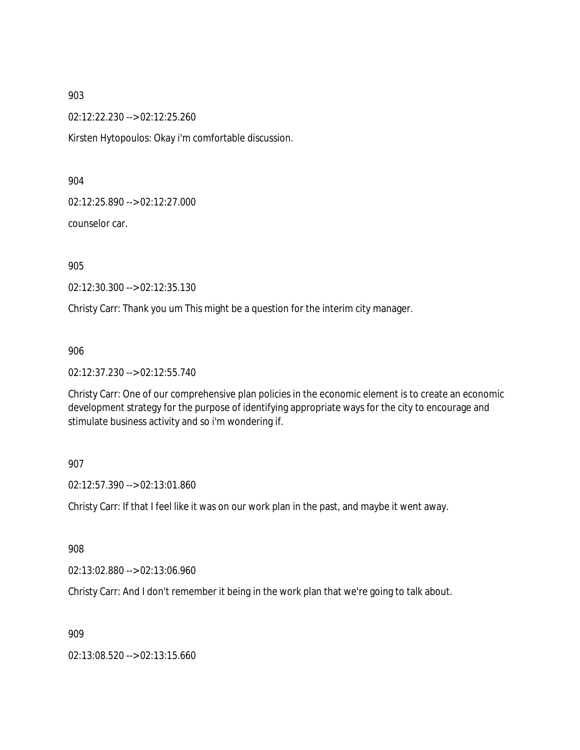02:12:22.230 --> 02:12:25.260

Kirsten Hytopoulos: Okay i'm comfortable discussion.

904

02:12:25.890 --> 02:12:27.000

counselor car.

905

02:12:30.300 --> 02:12:35.130

Christy Carr: Thank you um This might be a question for the interim city manager.

906

02:12:37.230 --> 02:12:55.740

Christy Carr: One of our comprehensive plan policies in the economic element is to create an economic development strategy for the purpose of identifying appropriate ways for the city to encourage and stimulate business activity and so i'm wondering if.

### 907

02:12:57.390 --> 02:13:01.860

Christy Carr: If that I feel like it was on our work plan in the past, and maybe it went away.

908

02:13:02.880 --> 02:13:06.960

Christy Carr: And I don't remember it being in the work plan that we're going to talk about.

909

02:13:08.520 --> 02:13:15.660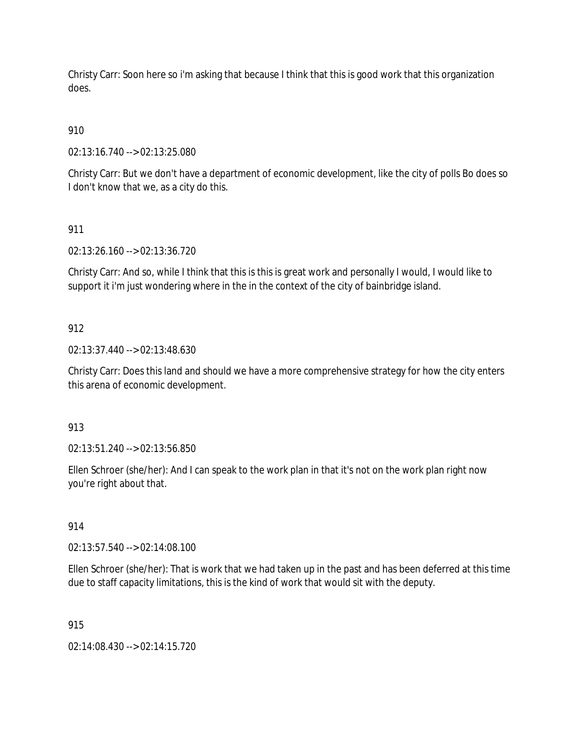Christy Carr: Soon here so i'm asking that because I think that this is good work that this organization does.

# 910

02:13:16.740 --> 02:13:25.080

Christy Carr: But we don't have a department of economic development, like the city of polls Bo does so I don't know that we, as a city do this.

# 911

02:13:26.160 --> 02:13:36.720

Christy Carr: And so, while I think that this is this is great work and personally I would, I would like to support it i'm just wondering where in the in the context of the city of bainbridge island.

# 912

02:13:37.440 --> 02:13:48.630

Christy Carr: Does this land and should we have a more comprehensive strategy for how the city enters this arena of economic development.

# 913

02:13:51.240 --> 02:13:56.850

Ellen Schroer (she/her): And I can speak to the work plan in that it's not on the work plan right now you're right about that.

# 914

02:13:57.540 --> 02:14:08.100

Ellen Schroer (she/her): That is work that we had taken up in the past and has been deferred at this time due to staff capacity limitations, this is the kind of work that would sit with the deputy.

# 915

02:14:08.430 --> 02:14:15.720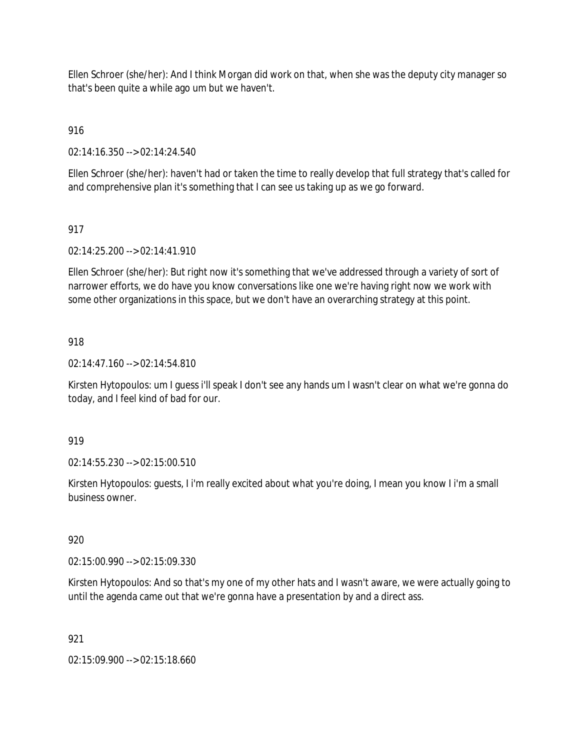Ellen Schroer (she/her): And I think Morgan did work on that, when she was the deputy city manager so that's been quite a while ago um but we haven't.

916

02:14:16.350 --> 02:14:24.540

Ellen Schroer (she/her): haven't had or taken the time to really develop that full strategy that's called for and comprehensive plan it's something that I can see us taking up as we go forward.

## 917

02:14:25.200 --> 02:14:41.910

Ellen Schroer (she/her): But right now it's something that we've addressed through a variety of sort of narrower efforts, we do have you know conversations like one we're having right now we work with some other organizations in this space, but we don't have an overarching strategy at this point.

### 918

02:14:47.160 --> 02:14:54.810

Kirsten Hytopoulos: um I guess i'll speak I don't see any hands um I wasn't clear on what we're gonna do today, and I feel kind of bad for our.

919

02:14:55.230 --> 02:15:00.510

Kirsten Hytopoulos: guests, I i'm really excited about what you're doing, I mean you know I i'm a small business owner.

920

02:15:00.990 --> 02:15:09.330

Kirsten Hytopoulos: And so that's my one of my other hats and I wasn't aware, we were actually going to until the agenda came out that we're gonna have a presentation by and a direct ass.

921

02:15:09.900 --> 02:15:18.660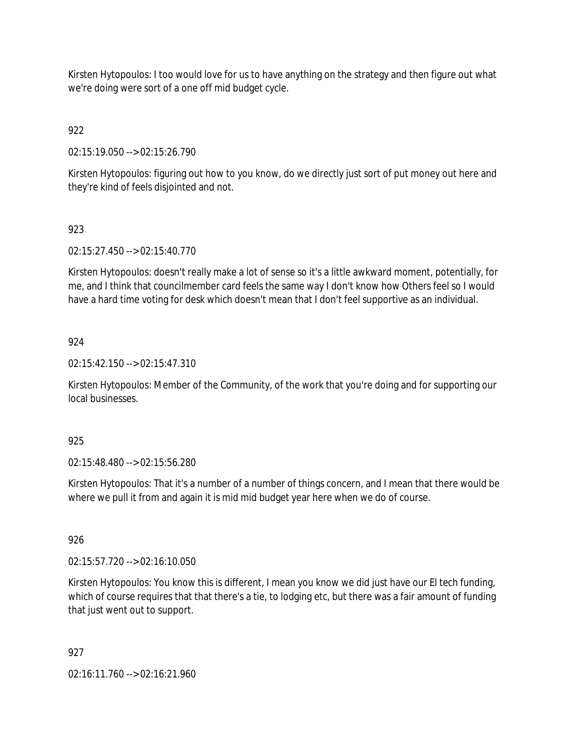Kirsten Hytopoulos: I too would love for us to have anything on the strategy and then figure out what we're doing were sort of a one off mid budget cycle.

922

02:15:19.050 --> 02:15:26.790

Kirsten Hytopoulos: figuring out how to you know, do we directly just sort of put money out here and they're kind of feels disjointed and not.

# 923

02:15:27.450 --> 02:15:40.770

Kirsten Hytopoulos: doesn't really make a lot of sense so it's a little awkward moment, potentially, for me, and I think that councilmember card feels the same way I don't know how Others feel so I would have a hard time voting for desk which doesn't mean that I don't feel supportive as an individual.

# 924

02:15:42.150 --> 02:15:47.310

Kirsten Hytopoulos: Member of the Community, of the work that you're doing and for supporting our local businesses.

### 925

02:15:48.480 --> 02:15:56.280

Kirsten Hytopoulos: That it's a number of a number of things concern, and I mean that there would be where we pull it from and again it is mid mid budget year here when we do of course.

### 926

02:15:57.720 --> 02:16:10.050

Kirsten Hytopoulos: You know this is different, I mean you know we did just have our El tech funding, which of course requires that that there's a tie, to lodging etc, but there was a fair amount of funding that just went out to support.

### 927

02:16:11.760 --> 02:16:21.960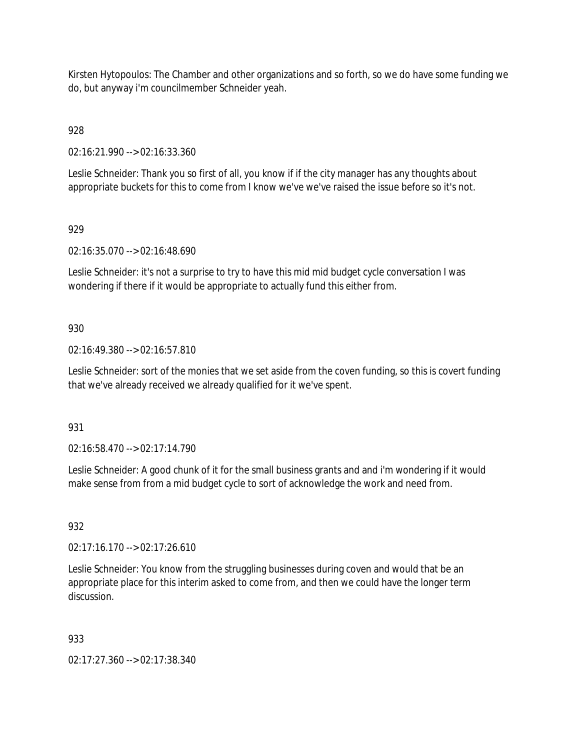Kirsten Hytopoulos: The Chamber and other organizations and so forth, so we do have some funding we do, but anyway i'm councilmember Schneider yeah.

928

02:16:21.990 --> 02:16:33.360

Leslie Schneider: Thank you so first of all, you know if if the city manager has any thoughts about appropriate buckets for this to come from I know we've we've raised the issue before so it's not.

# 929

02:16:35.070 --> 02:16:48.690

Leslie Schneider: it's not a surprise to try to have this mid mid budget cycle conversation I was wondering if there if it would be appropriate to actually fund this either from.

## 930

02:16:49.380 --> 02:16:57.810

Leslie Schneider: sort of the monies that we set aside from the coven funding, so this is covert funding that we've already received we already qualified for it we've spent.

### 931

02:16:58.470 --> 02:17:14.790

Leslie Schneider: A good chunk of it for the small business grants and and i'm wondering if it would make sense from from a mid budget cycle to sort of acknowledge the work and need from.

### 932

02:17:16.170 --> 02:17:26.610

Leslie Schneider: You know from the struggling businesses during coven and would that be an appropriate place for this interim asked to come from, and then we could have the longer term discussion.

### 933

02:17:27.360 --> 02:17:38.340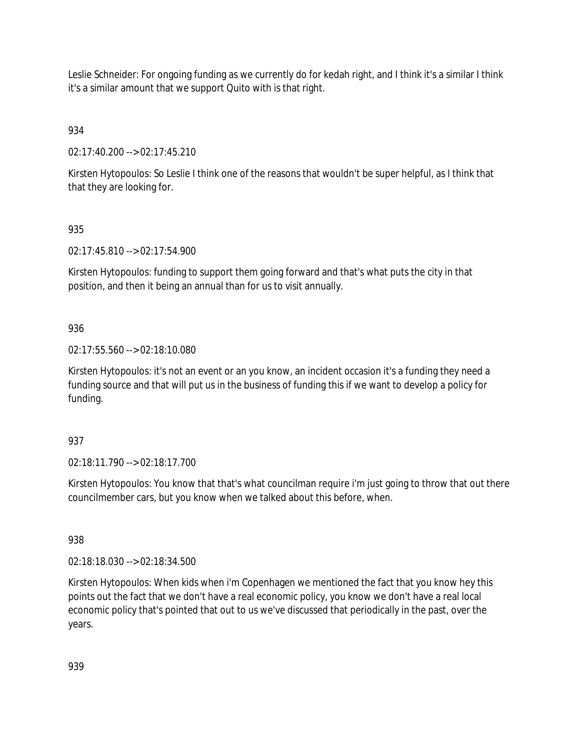Leslie Schneider: For ongoing funding as we currently do for kedah right, and I think it's a similar I think it's a similar amount that we support Quito with is that right.

934

02:17:40.200 --> 02:17:45.210

Kirsten Hytopoulos: So Leslie I think one of the reasons that wouldn't be super helpful, as I think that that they are looking for.

# 935

02:17:45.810 --> 02:17:54.900

Kirsten Hytopoulos: funding to support them going forward and that's what puts the city in that position, and then it being an annual than for us to visit annually.

# 936

02:17:55.560 --> 02:18:10.080

Kirsten Hytopoulos: it's not an event or an you know, an incident occasion it's a funding they need a funding source and that will put us in the business of funding this if we want to develop a policy for funding.

# 937

02:18:11.790 --> 02:18:17.700

Kirsten Hytopoulos: You know that that's what councilman require i'm just going to throw that out there councilmember cars, but you know when we talked about this before, when.

# 938

02:18:18.030 --> 02:18:34.500

Kirsten Hytopoulos: When kids when i'm Copenhagen we mentioned the fact that you know hey this points out the fact that we don't have a real economic policy, you know we don't have a real local economic policy that's pointed that out to us we've discussed that periodically in the past, over the years.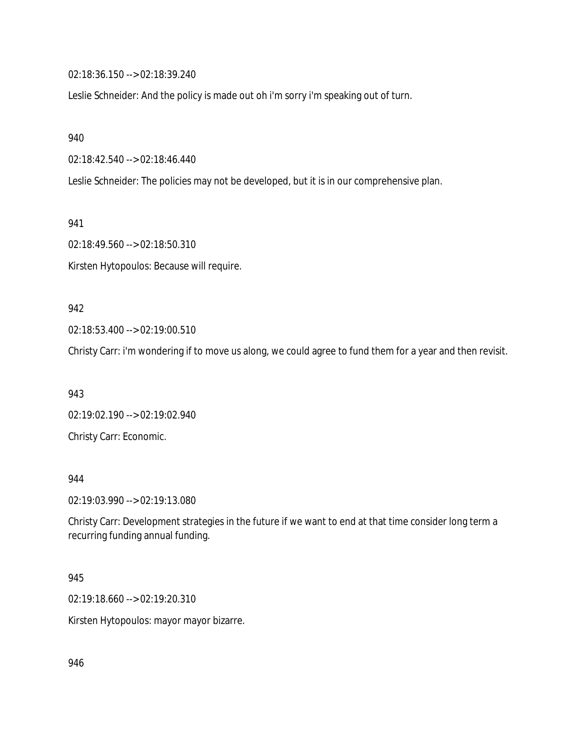02:18:36.150 --> 02:18:39.240

Leslie Schneider: And the policy is made out oh i'm sorry i'm speaking out of turn.

940

02:18:42.540 --> 02:18:46.440

Leslie Schneider: The policies may not be developed, but it is in our comprehensive plan.

941

02:18:49.560 --> 02:18:50.310 Kirsten Hytopoulos: Because will require.

# 942

02:18:53.400 --> 02:19:00.510

Christy Carr: i'm wondering if to move us along, we could agree to fund them for a year and then revisit.

943

02:19:02.190 --> 02:19:02.940 Christy Carr: Economic.

#### 944

02:19:03.990 --> 02:19:13.080

Christy Carr: Development strategies in the future if we want to end at that time consider long term a recurring funding annual funding.

### 945

02:19:18.660 --> 02:19:20.310

Kirsten Hytopoulos: mayor mayor bizarre.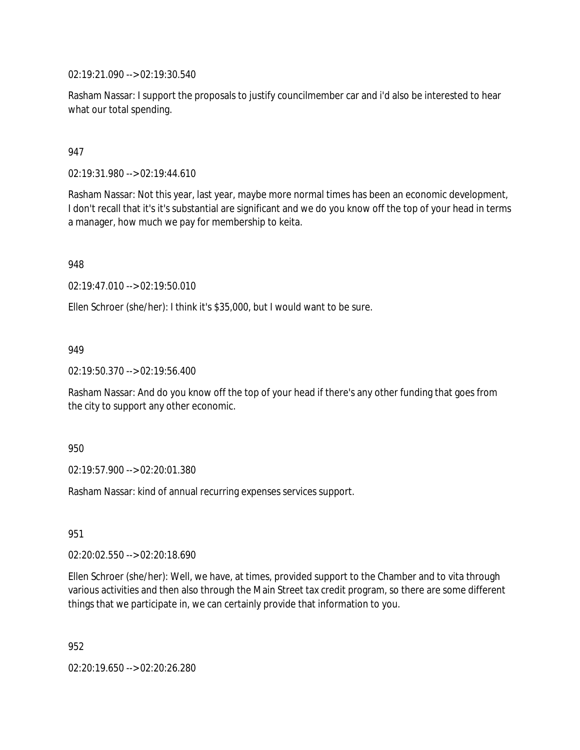02:19:21.090 --> 02:19:30.540

Rasham Nassar: I support the proposals to justify councilmember car and i'd also be interested to hear what our total spending.

### 947

02:19:31.980 --> 02:19:44.610

Rasham Nassar: Not this year, last year, maybe more normal times has been an economic development, I don't recall that it's it's substantial are significant and we do you know off the top of your head in terms a manager, how much we pay for membership to keita.

948

02:19:47.010 --> 02:19:50.010

Ellen Schroer (she/her): I think it's \$35,000, but I would want to be sure.

#### 949

02:19:50.370 --> 02:19:56.400

Rasham Nassar: And do you know off the top of your head if there's any other funding that goes from the city to support any other economic.

#### 950

02:19:57.900 --> 02:20:01.380

Rasham Nassar: kind of annual recurring expenses services support.

### 951

02:20:02.550 --> 02:20:18.690

Ellen Schroer (she/her): Well, we have, at times, provided support to the Chamber and to vita through various activities and then also through the Main Street tax credit program, so there are some different things that we participate in, we can certainly provide that information to you.

952

02:20:19.650 --> 02:20:26.280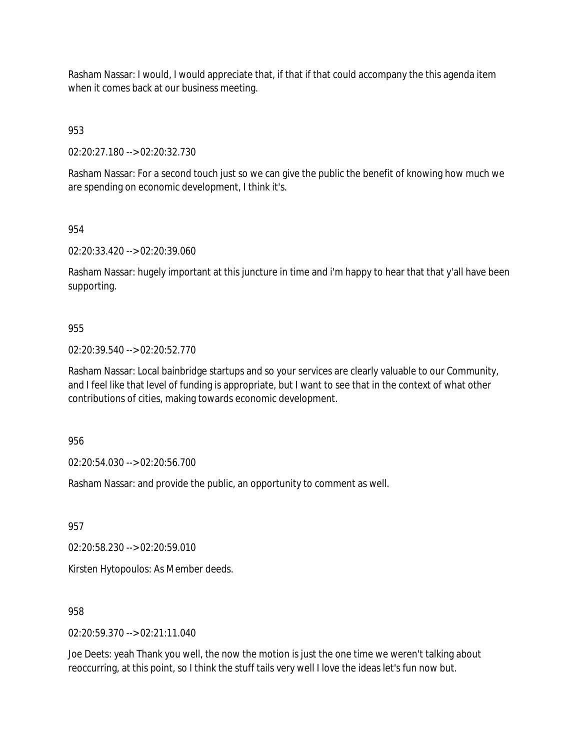Rasham Nassar: I would, I would appreciate that, if that if that could accompany the this agenda item when it comes back at our business meeting.

953

02:20:27.180 --> 02:20:32.730

Rasham Nassar: For a second touch just so we can give the public the benefit of knowing how much we are spending on economic development, I think it's.

954

02:20:33.420 --> 02:20:39.060

Rasham Nassar: hugely important at this juncture in time and i'm happy to hear that that y'all have been supporting.

### 955

02:20:39.540 --> 02:20:52.770

Rasham Nassar: Local bainbridge startups and so your services are clearly valuable to our Community, and I feel like that level of funding is appropriate, but I want to see that in the context of what other contributions of cities, making towards economic development.

956

02:20:54.030 --> 02:20:56.700

Rasham Nassar: and provide the public, an opportunity to comment as well.

957

02:20:58.230 --> 02:20:59.010

Kirsten Hytopoulos: As Member deeds.

958

 $02:20:59.370 \rightarrow 02:21:11.040$ 

Joe Deets: yeah Thank you well, the now the motion is just the one time we weren't talking about reoccurring, at this point, so I think the stuff tails very well I love the ideas let's fun now but.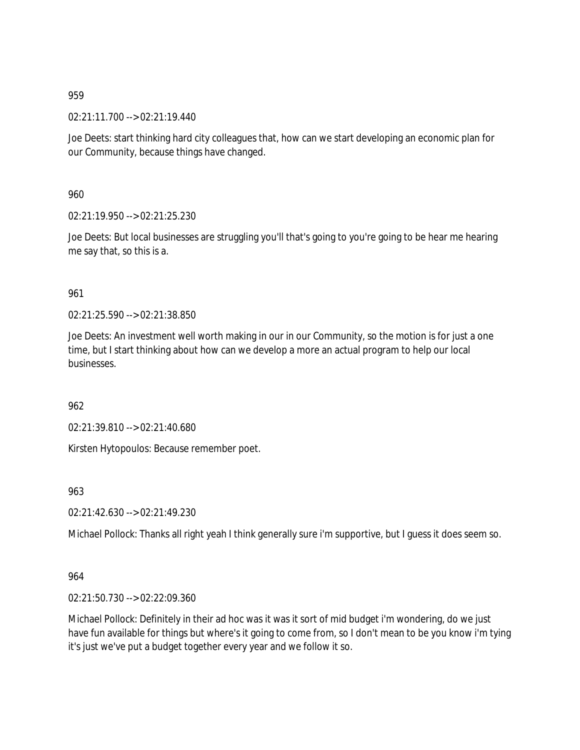02:21:11.700 --> 02:21:19.440

Joe Deets: start thinking hard city colleagues that, how can we start developing an economic plan for our Community, because things have changed.

960

02:21:19.950 --> 02:21:25.230

Joe Deets: But local businesses are struggling you'll that's going to you're going to be hear me hearing me say that, so this is a.

## 961

02:21:25.590 --> 02:21:38.850

Joe Deets: An investment well worth making in our in our Community, so the motion is for just a one time, but I start thinking about how can we develop a more an actual program to help our local businesses.

962

02:21:39.810 --> 02:21:40.680

Kirsten Hytopoulos: Because remember poet.

963

02:21:42.630 --> 02:21:49.230

Michael Pollock: Thanks all right yeah I think generally sure i'm supportive, but I guess it does seem so.

### 964

02:21:50.730 --> 02:22:09.360

Michael Pollock: Definitely in their ad hoc was it was it sort of mid budget i'm wondering, do we just have fun available for things but where's it going to come from, so I don't mean to be you know i'm tying it's just we've put a budget together every year and we follow it so.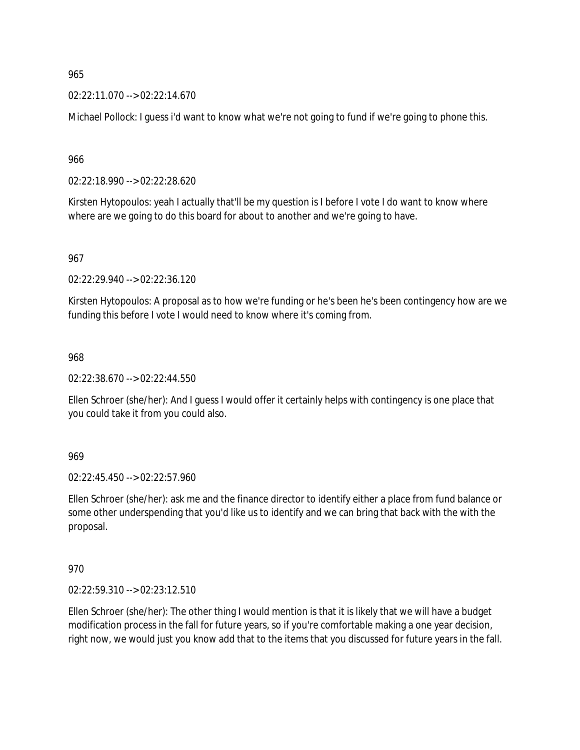02:22:11.070 --> 02:22:14.670

Michael Pollock: I guess i'd want to know what we're not going to fund if we're going to phone this.

966

02:22:18.990 --> 02:22:28.620

Kirsten Hytopoulos: yeah I actually that'll be my question is I before I vote I do want to know where where are we going to do this board for about to another and we're going to have.

967

02:22:29.940 --> 02:22:36.120

Kirsten Hytopoulos: A proposal as to how we're funding or he's been he's been contingency how are we funding this before I vote I would need to know where it's coming from.

968

02:22:38.670 --> 02:22:44.550

Ellen Schroer (she/her): And I guess I would offer it certainly helps with contingency is one place that you could take it from you could also.

969

02:22:45.450 --> 02:22:57.960

Ellen Schroer (she/her): ask me and the finance director to identify either a place from fund balance or some other underspending that you'd like us to identify and we can bring that back with the with the proposal.

970

02:22:59.310 --> 02:23:12.510

Ellen Schroer (she/her): The other thing I would mention is that it is likely that we will have a budget modification process in the fall for future years, so if you're comfortable making a one year decision, right now, we would just you know add that to the items that you discussed for future years in the fall.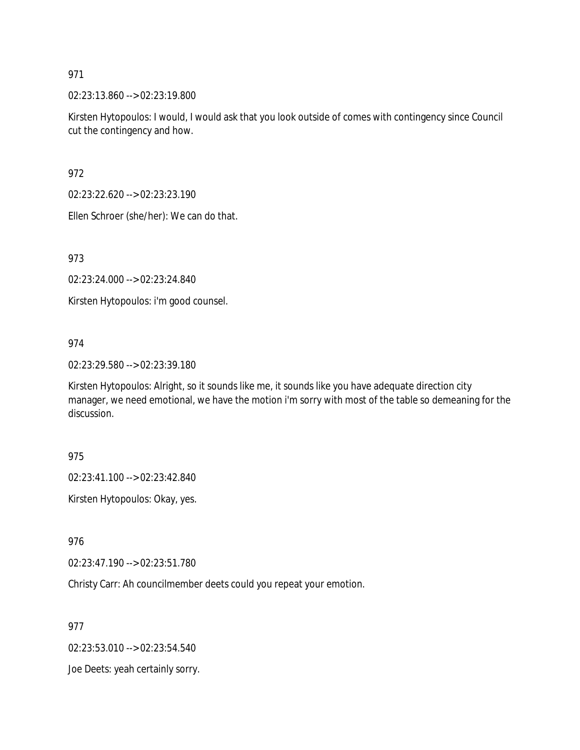02:23:13.860 --> 02:23:19.800

Kirsten Hytopoulos: I would, I would ask that you look outside of comes with contingency since Council cut the contingency and how.

972

02:23:22.620 --> 02:23:23.190

Ellen Schroer (she/her): We can do that.

973

02:23:24.000 --> 02:23:24.840

Kirsten Hytopoulos: i'm good counsel.

#### 974

02:23:29.580 --> 02:23:39.180

Kirsten Hytopoulos: Alright, so it sounds like me, it sounds like you have adequate direction city manager, we need emotional, we have the motion i'm sorry with most of the table so demeaning for the discussion.

975

02:23:41.100 --> 02:23:42.840

Kirsten Hytopoulos: Okay, yes.

976

02:23:47.190 --> 02:23:51.780

Christy Carr: Ah councilmember deets could you repeat your emotion.

977

02:23:53.010 --> 02:23:54.540

Joe Deets: yeah certainly sorry.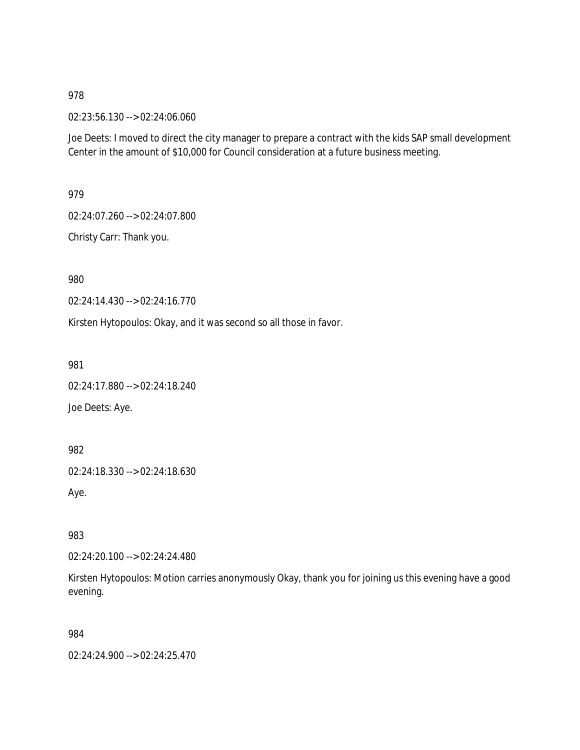02:23:56.130 --> 02:24:06.060

Joe Deets: I moved to direct the city manager to prepare a contract with the kids SAP small development Center in the amount of \$10,000 for Council consideration at a future business meeting.

979

02:24:07.260 --> 02:24:07.800

Christy Carr: Thank you.

980

02:24:14.430 --> 02:24:16.770

Kirsten Hytopoulos: Okay, and it was second so all those in favor.

981

02:24:17.880 --> 02:24:18.240 Joe Deets: Aye.

982

02:24:18.330 --> 02:24:18.630

Aye.

983

02:24:20.100 --> 02:24:24.480

Kirsten Hytopoulos: Motion carries anonymously Okay, thank you for joining us this evening have a good evening.

984

02:24:24.900 --> 02:24:25.470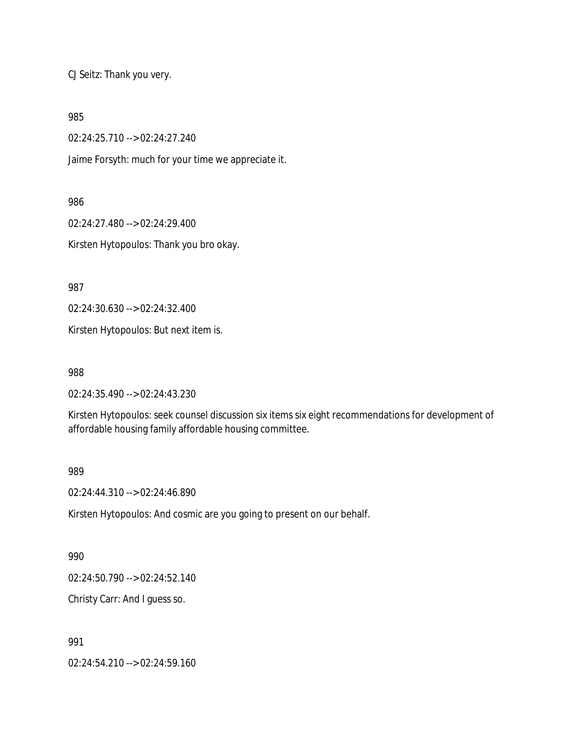CJ Seitz: Thank you very.

985

02:24:25.710 --> 02:24:27.240

Jaime Forsyth: much for your time we appreciate it.

986

02:24:27.480 --> 02:24:29.400

Kirsten Hytopoulos: Thank you bro okay.

987

02:24:30.630 --> 02:24:32.400

Kirsten Hytopoulos: But next item is.

988

02:24:35.490 --> 02:24:43.230

Kirsten Hytopoulos: seek counsel discussion six items six eight recommendations for development of affordable housing family affordable housing committee.

989

02:24:44.310 --> 02:24:46.890

Kirsten Hytopoulos: And cosmic are you going to present on our behalf.

990

02:24:50.790 --> 02:24:52.140

Christy Carr: And I guess so.

991

02:24:54.210 --> 02:24:59.160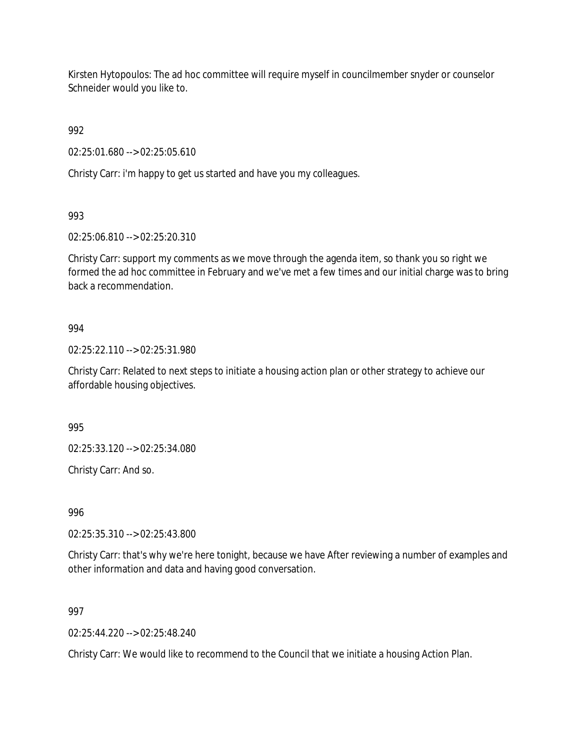Kirsten Hytopoulos: The ad hoc committee will require myself in councilmember snyder or counselor Schneider would you like to.

992

02:25:01.680 --> 02:25:05.610

Christy Carr: i'm happy to get us started and have you my colleagues.

993

02:25:06.810 --> 02:25:20.310

Christy Carr: support my comments as we move through the agenda item, so thank you so right we formed the ad hoc committee in February and we've met a few times and our initial charge was to bring back a recommendation.

### 994

02:25:22.110 --> 02:25:31.980

Christy Carr: Related to next steps to initiate a housing action plan or other strategy to achieve our affordable housing objectives.

995

02:25:33.120 --> 02:25:34.080

Christy Carr: And so.

996

02:25:35.310 --> 02:25:43.800

Christy Carr: that's why we're here tonight, because we have After reviewing a number of examples and other information and data and having good conversation.

997

 $02.25:44.220--02:25:48.240$ 

Christy Carr: We would like to recommend to the Council that we initiate a housing Action Plan.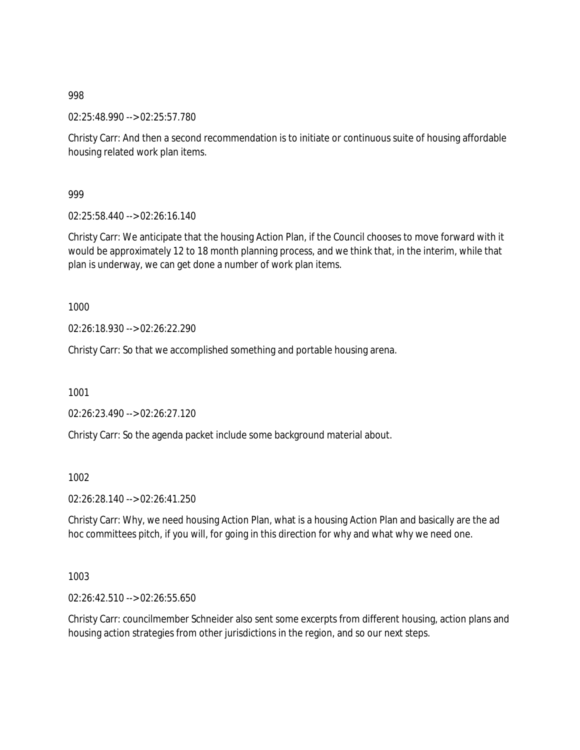02:25:48.990 --> 02:25:57.780

Christy Carr: And then a second recommendation is to initiate or continuous suite of housing affordable housing related work plan items.

999

02:25:58.440 --> 02:26:16.140

Christy Carr: We anticipate that the housing Action Plan, if the Council chooses to move forward with it would be approximately 12 to 18 month planning process, and we think that, in the interim, while that plan is underway, we can get done a number of work plan items.

1000

02:26:18.930 --> 02:26:22.290

Christy Carr: So that we accomplished something and portable housing arena.

1001

02:26:23.490 --> 02:26:27.120

Christy Carr: So the agenda packet include some background material about.

1002

02:26:28.140 --> 02:26:41.250

Christy Carr: Why, we need housing Action Plan, what is a housing Action Plan and basically are the ad hoc committees pitch, if you will, for going in this direction for why and what why we need one.

1003

02:26:42.510 --> 02:26:55.650

Christy Carr: councilmember Schneider also sent some excerpts from different housing, action plans and housing action strategies from other jurisdictions in the region, and so our next steps.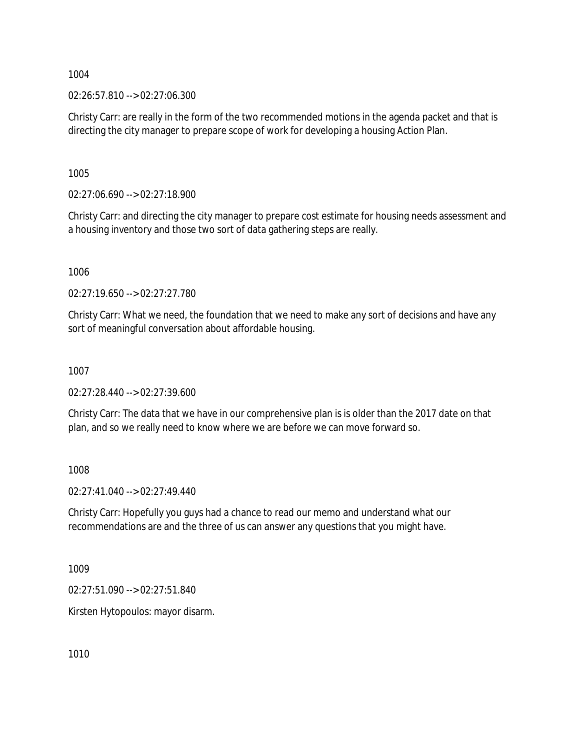02:26:57.810 --> 02:27:06.300

Christy Carr: are really in the form of the two recommended motions in the agenda packet and that is directing the city manager to prepare scope of work for developing a housing Action Plan.

1005

02:27:06.690 --> 02:27:18.900

Christy Carr: and directing the city manager to prepare cost estimate for housing needs assessment and a housing inventory and those two sort of data gathering steps are really.

1006

02:27:19.650 --> 02:27:27.780

Christy Carr: What we need, the foundation that we need to make any sort of decisions and have any sort of meaningful conversation about affordable housing.

1007

02:27:28.440 --> 02:27:39.600

Christy Carr: The data that we have in our comprehensive plan is is older than the 2017 date on that plan, and so we really need to know where we are before we can move forward so.

1008

02:27:41.040 --> 02:27:49.440

Christy Carr: Hopefully you guys had a chance to read our memo and understand what our recommendations are and the three of us can answer any questions that you might have.

1009

02:27:51.090 --> 02:27:51.840

Kirsten Hytopoulos: mayor disarm.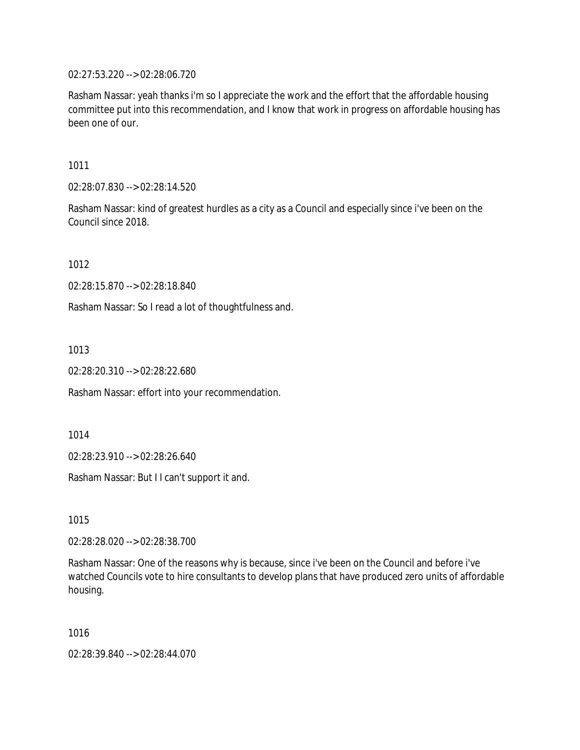02:27:53.220 --> 02:28:06.720

Rasham Nassar: yeah thanks i'm so I appreciate the work and the effort that the affordable housing committee put into this recommendation, and I know that work in progress on affordable housing has been one of our.

1011

02:28:07.830 --> 02:28:14.520

Rasham Nassar: kind of greatest hurdles as a city as a Council and especially since i've been on the Council since 2018.

1012

02:28:15.870 --> 02:28:18.840

Rasham Nassar: So I read a lot of thoughtfulness and.

1013

02:28:20.310 --> 02:28:22.680

Rasham Nassar: effort into your recommendation.

1014

02:28:23.910 --> 02:28:26.640

Rasham Nassar: But I I can't support it and.

1015

02:28:28.020 --> 02:28:38.700

Rasham Nassar: One of the reasons why is because, since i've been on the Council and before i've watched Councils vote to hire consultants to develop plans that have produced zero units of affordable housing.

1016

02:28:39.840 --> 02:28:44.070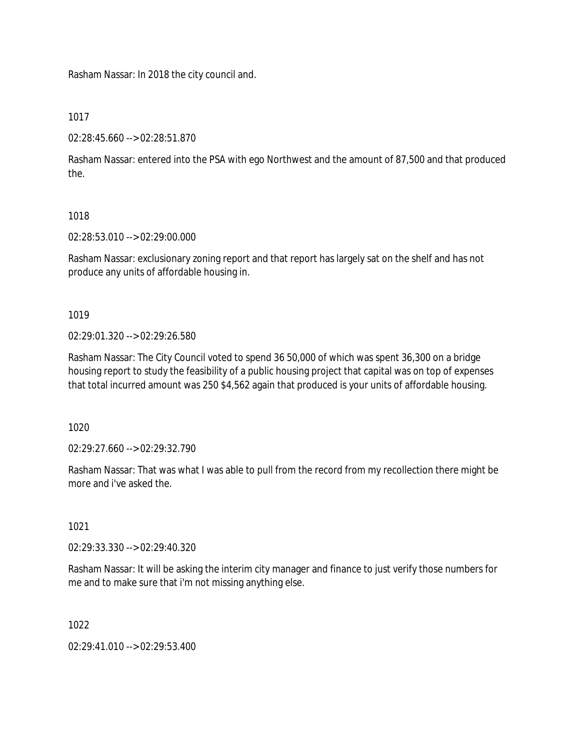Rasham Nassar: In 2018 the city council and.

## 1017

02:28:45.660 --> 02:28:51.870

Rasham Nassar: entered into the PSA with ego Northwest and the amount of 87,500 and that produced the.

## 1018

02:28:53.010 --> 02:29:00.000

Rasham Nassar: exclusionary zoning report and that report has largely sat on the shelf and has not produce any units of affordable housing in.

# 1019

02:29:01.320 --> 02:29:26.580

Rasham Nassar: The City Council voted to spend 36 50,000 of which was spent 36,300 on a bridge housing report to study the feasibility of a public housing project that capital was on top of expenses that total incurred amount was 250 \$4,562 again that produced is your units of affordable housing.

1020

02:29:27.660 --> 02:29:32.790

Rasham Nassar: That was what I was able to pull from the record from my recollection there might be more and i've asked the.

# 1021

02:29:33.330 --> 02:29:40.320

Rasham Nassar: It will be asking the interim city manager and finance to just verify those numbers for me and to make sure that i'm not missing anything else.

# 1022

02:29:41.010 --> 02:29:53.400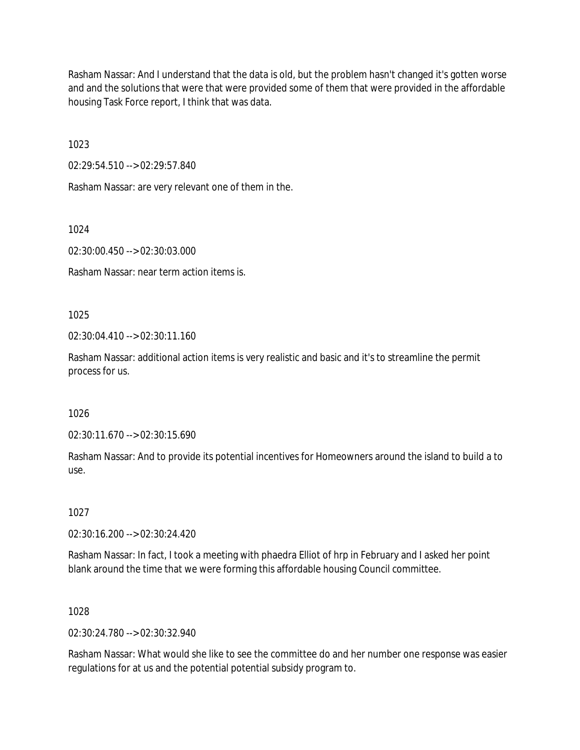Rasham Nassar: And I understand that the data is old, but the problem hasn't changed it's gotten worse and and the solutions that were that were provided some of them that were provided in the affordable housing Task Force report, I think that was data.

1023

02:29:54.510 --> 02:29:57.840

Rasham Nassar: are very relevant one of them in the.

1024

02:30:00.450 --> 02:30:03.000

Rasham Nassar: near term action items is.

1025

 $02:30:04.410 \rightarrow 02:30:11.160$ 

Rasham Nassar: additional action items is very realistic and basic and it's to streamline the permit process for us.

1026

02:30:11.670 --> 02:30:15.690

Rasham Nassar: And to provide its potential incentives for Homeowners around the island to build a to use.

1027

02:30:16.200 --> 02:30:24.420

Rasham Nassar: In fact, I took a meeting with phaedra Elliot of hrp in February and I asked her point blank around the time that we were forming this affordable housing Council committee.

### 1028

02:30:24.780 --> 02:30:32.940

Rasham Nassar: What would she like to see the committee do and her number one response was easier regulations for at us and the potential potential subsidy program to.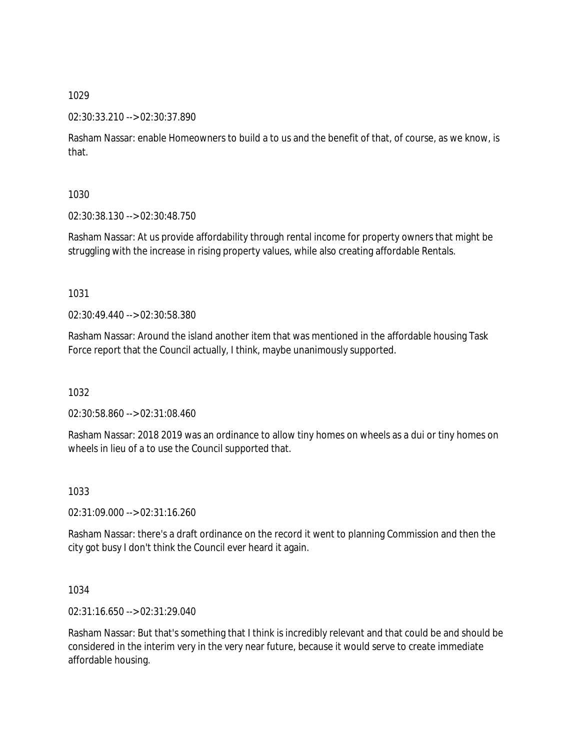### 02:30:33.210 --> 02:30:37.890

Rasham Nassar: enable Homeowners to build a to us and the benefit of that, of course, as we know, is that.

## 1030

02:30:38.130 --> 02:30:48.750

Rasham Nassar: At us provide affordability through rental income for property owners that might be struggling with the increase in rising property values, while also creating affordable Rentals.

## 1031

02:30:49.440 --> 02:30:58.380

Rasham Nassar: Around the island another item that was mentioned in the affordable housing Task Force report that the Council actually, I think, maybe unanimously supported.

# 1032

02:30:58.860 --> 02:31:08.460

Rasham Nassar: 2018 2019 was an ordinance to allow tiny homes on wheels as a dui or tiny homes on wheels in lieu of a to use the Council supported that.

# 1033

02:31:09.000 --> 02:31:16.260

Rasham Nassar: there's a draft ordinance on the record it went to planning Commission and then the city got busy I don't think the Council ever heard it again.

# 1034

02:31:16.650 --> 02:31:29.040

Rasham Nassar: But that's something that I think is incredibly relevant and that could be and should be considered in the interim very in the very near future, because it would serve to create immediate affordable housing.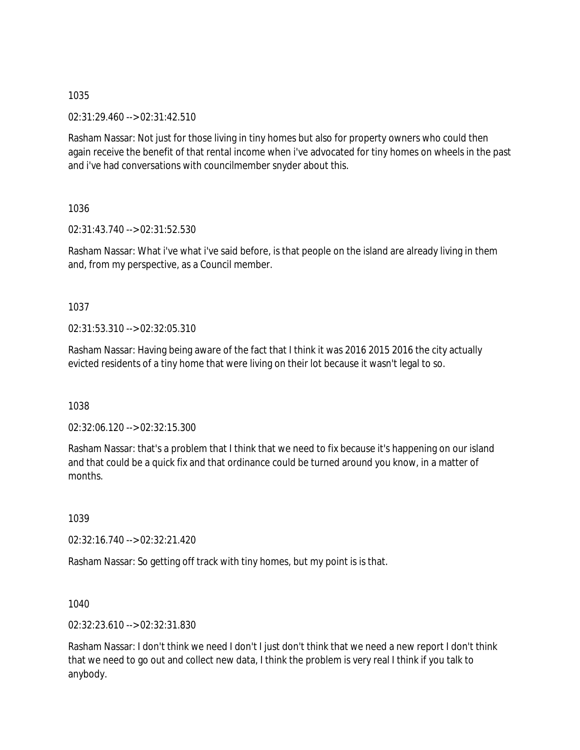02:31:29.460 --> 02:31:42.510

Rasham Nassar: Not just for those living in tiny homes but also for property owners who could then again receive the benefit of that rental income when i've advocated for tiny homes on wheels in the past and i've had conversations with councilmember snyder about this.

1036

02:31:43.740 --> 02:31:52.530

Rasham Nassar: What i've what i've said before, is that people on the island are already living in them and, from my perspective, as a Council member.

1037

02:31:53.310 --> 02:32:05.310

Rasham Nassar: Having being aware of the fact that I think it was 2016 2015 2016 the city actually evicted residents of a tiny home that were living on their lot because it wasn't legal to so.

1038

02:32:06.120 --> 02:32:15.300

Rasham Nassar: that's a problem that I think that we need to fix because it's happening on our island and that could be a quick fix and that ordinance could be turned around you know, in a matter of months.

1039

02:32:16.740 --> 02:32:21.420

Rasham Nassar: So getting off track with tiny homes, but my point is is that.

1040

02:32:23.610 --> 02:32:31.830

Rasham Nassar: I don't think we need I don't I just don't think that we need a new report I don't think that we need to go out and collect new data, I think the problem is very real I think if you talk to anybody.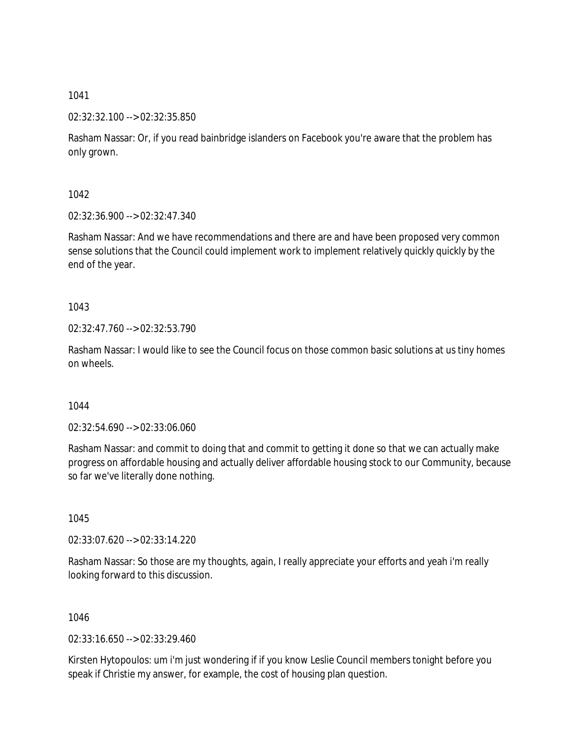02:32:32.100 --> 02:32:35.850

Rasham Nassar: Or, if you read bainbridge islanders on Facebook you're aware that the problem has only grown.

1042

02:32:36.900 --> 02:32:47.340

Rasham Nassar: And we have recommendations and there are and have been proposed very common sense solutions that the Council could implement work to implement relatively quickly quickly by the end of the year.

1043

02:32:47.760 --> 02:32:53.790

Rasham Nassar: I would like to see the Council focus on those common basic solutions at us tiny homes on wheels.

1044

02:32:54.690 --> 02:33:06.060

Rasham Nassar: and commit to doing that and commit to getting it done so that we can actually make progress on affordable housing and actually deliver affordable housing stock to our Community, because so far we've literally done nothing.

1045

02:33:07.620 --> 02:33:14.220

Rasham Nassar: So those are my thoughts, again, I really appreciate your efforts and yeah i'm really looking forward to this discussion.

1046

02:33:16.650 --> 02:33:29.460

Kirsten Hytopoulos: um i'm just wondering if if you know Leslie Council members tonight before you speak if Christie my answer, for example, the cost of housing plan question.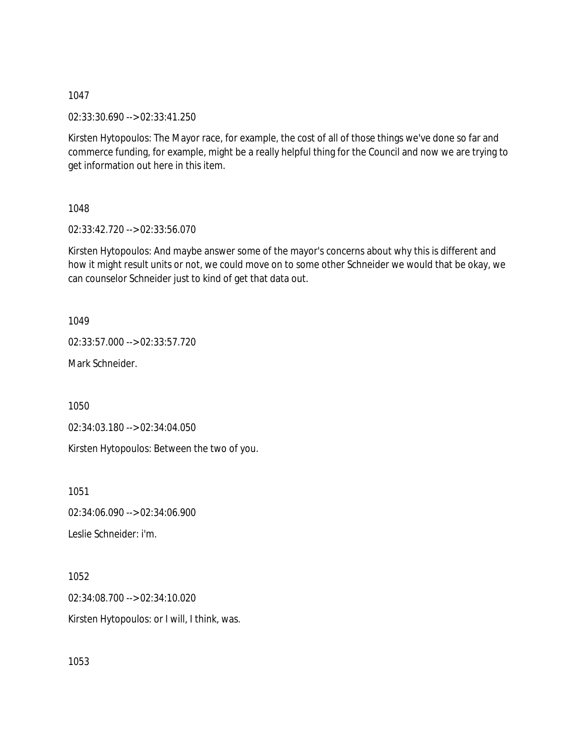02:33:30.690 --> 02:33:41.250

Kirsten Hytopoulos: The Mayor race, for example, the cost of all of those things we've done so far and commerce funding, for example, might be a really helpful thing for the Council and now we are trying to get information out here in this item.

1048

02:33:42.720 --> 02:33:56.070

Kirsten Hytopoulos: And maybe answer some of the mayor's concerns about why this is different and how it might result units or not, we could move on to some other Schneider we would that be okay, we can counselor Schneider just to kind of get that data out.

1049

02:33:57.000 --> 02:33:57.720

Mark Schneider.

1050

02:34:03.180 --> 02:34:04.050

Kirsten Hytopoulos: Between the two of you.

1051

02:34:06.090 --> 02:34:06.900

Leslie Schneider: i'm.

1052

02:34:08.700 --> 02:34:10.020

Kirsten Hytopoulos: or I will, I think, was.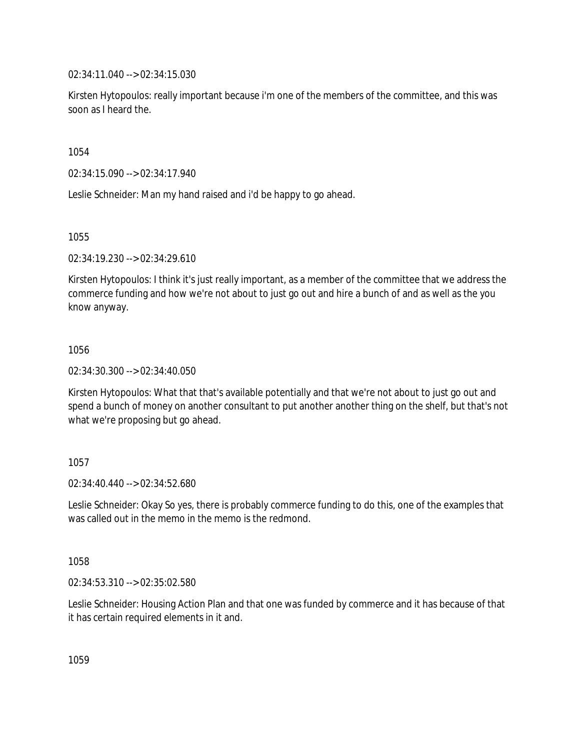02:34:11.040 --> 02:34:15.030

Kirsten Hytopoulos: really important because i'm one of the members of the committee, and this was soon as I heard the.

1054

02:34:15.090 --> 02:34:17.940

Leslie Schneider: Man my hand raised and i'd be happy to go ahead.

1055

02:34:19.230 --> 02:34:29.610

Kirsten Hytopoulos: I think it's just really important, as a member of the committee that we address the commerce funding and how we're not about to just go out and hire a bunch of and as well as the you know anyway.

1056

02:34:30.300 --> 02:34:40.050

Kirsten Hytopoulos: What that that's available potentially and that we're not about to just go out and spend a bunch of money on another consultant to put another another thing on the shelf, but that's not what we're proposing but go ahead.

1057

02:34:40.440 --> 02:34:52.680

Leslie Schneider: Okay So yes, there is probably commerce funding to do this, one of the examples that was called out in the memo in the memo is the redmond.

1058

02:34:53.310 --> 02:35:02.580

Leslie Schneider: Housing Action Plan and that one was funded by commerce and it has because of that it has certain required elements in it and.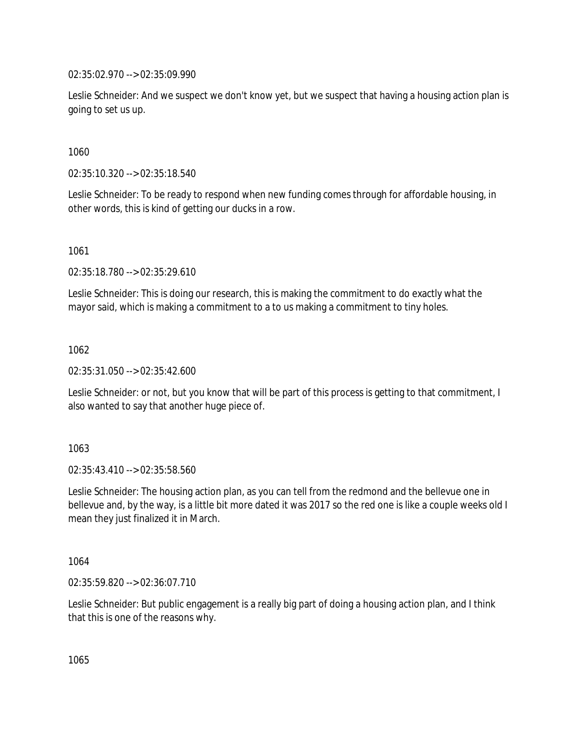02:35:02.970 --> 02:35:09.990

Leslie Schneider: And we suspect we don't know yet, but we suspect that having a housing action plan is going to set us up.

1060

02:35:10.320 --> 02:35:18.540

Leslie Schneider: To be ready to respond when new funding comes through for affordable housing, in other words, this is kind of getting our ducks in a row.

1061

02:35:18.780 --> 02:35:29.610

Leslie Schneider: This is doing our research, this is making the commitment to do exactly what the mayor said, which is making a commitment to a to us making a commitment to tiny holes.

1062

02:35:31.050 --> 02:35:42.600

Leslie Schneider: or not, but you know that will be part of this process is getting to that commitment, I also wanted to say that another huge piece of.

1063

02:35:43.410 --> 02:35:58.560

Leslie Schneider: The housing action plan, as you can tell from the redmond and the bellevue one in bellevue and, by the way, is a little bit more dated it was 2017 so the red one is like a couple weeks old I mean they just finalized it in March.

1064

02:35:59.820 --> 02:36:07.710

Leslie Schneider: But public engagement is a really big part of doing a housing action plan, and I think that this is one of the reasons why.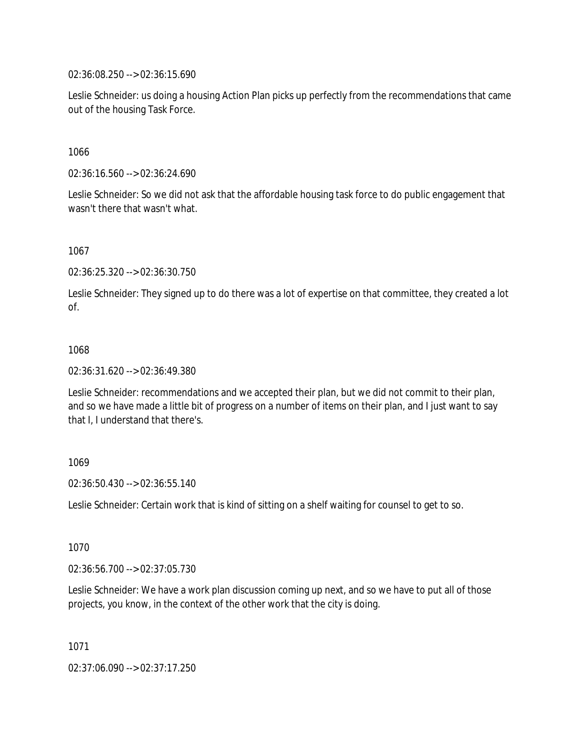02:36:08.250 --> 02:36:15.690

Leslie Schneider: us doing a housing Action Plan picks up perfectly from the recommendations that came out of the housing Task Force.

1066

02:36:16.560 --> 02:36:24.690

Leslie Schneider: So we did not ask that the affordable housing task force to do public engagement that wasn't there that wasn't what.

1067

02:36:25.320 --> 02:36:30.750

Leslie Schneider: They signed up to do there was a lot of expertise on that committee, they created a lot of.

### 1068

02:36:31.620 --> 02:36:49.380

Leslie Schneider: recommendations and we accepted their plan, but we did not commit to their plan, and so we have made a little bit of progress on a number of items on their plan, and I just want to say that I, I understand that there's.

### 1069

02:36:50.430 --> 02:36:55.140

Leslie Schneider: Certain work that is kind of sitting on a shelf waiting for counsel to get to so.

1070

02:36:56.700 --> 02:37:05.730

Leslie Schneider: We have a work plan discussion coming up next, and so we have to put all of those projects, you know, in the context of the other work that the city is doing.

1071

02:37:06.090 --> 02:37:17.250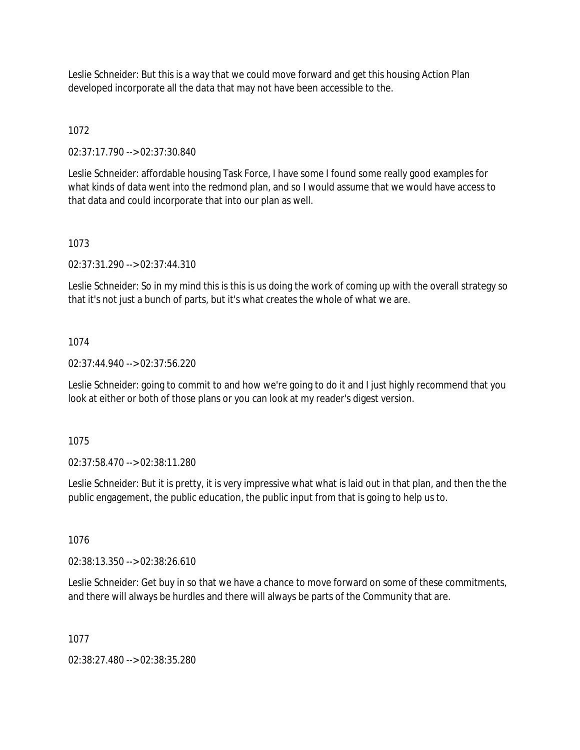Leslie Schneider: But this is a way that we could move forward and get this housing Action Plan developed incorporate all the data that may not have been accessible to the.

# 1072

02:37:17.790 --> 02:37:30.840

Leslie Schneider: affordable housing Task Force, I have some I found some really good examples for what kinds of data went into the redmond plan, and so I would assume that we would have access to that data and could incorporate that into our plan as well.

### 1073

02:37:31.290 --> 02:37:44.310

Leslie Schneider: So in my mind this is this is us doing the work of coming up with the overall strategy so that it's not just a bunch of parts, but it's what creates the whole of what we are.

## 1074

02:37:44.940 --> 02:37:56.220

Leslie Schneider: going to commit to and how we're going to do it and I just highly recommend that you look at either or both of those plans or you can look at my reader's digest version.

### 1075

02:37:58.470 --> 02:38:11.280

Leslie Schneider: But it is pretty, it is very impressive what what is laid out in that plan, and then the the public engagement, the public education, the public input from that is going to help us to.

1076

02:38:13.350 --> 02:38:26.610

Leslie Schneider: Get buy in so that we have a chance to move forward on some of these commitments, and there will always be hurdles and there will always be parts of the Community that are.

1077

02:38:27.480 --> 02:38:35.280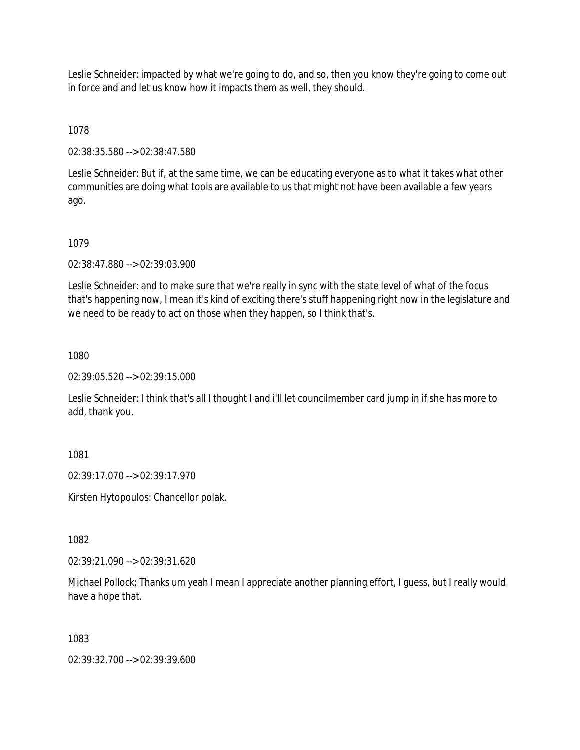Leslie Schneider: impacted by what we're going to do, and so, then you know they're going to come out in force and and let us know how it impacts them as well, they should.

1078

02:38:35.580 --> 02:38:47.580

Leslie Schneider: But if, at the same time, we can be educating everyone as to what it takes what other communities are doing what tools are available to us that might not have been available a few years ago.

1079

02:38:47.880 --> 02:39:03.900

Leslie Schneider: and to make sure that we're really in sync with the state level of what of the focus that's happening now, I mean it's kind of exciting there's stuff happening right now in the legislature and we need to be ready to act on those when they happen, so I think that's.

1080

02:39:05.520 --> 02:39:15.000

Leslie Schneider: I think that's all I thought I and i'll let councilmember card jump in if she has more to add, thank you.

1081

02:39:17.070 --> 02:39:17.970

Kirsten Hytopoulos: Chancellor polak.

1082

02:39:21.090 --> 02:39:31.620

Michael Pollock: Thanks um yeah I mean I appreciate another planning effort, I guess, but I really would have a hope that.

1083

02:39:32.700 --> 02:39:39.600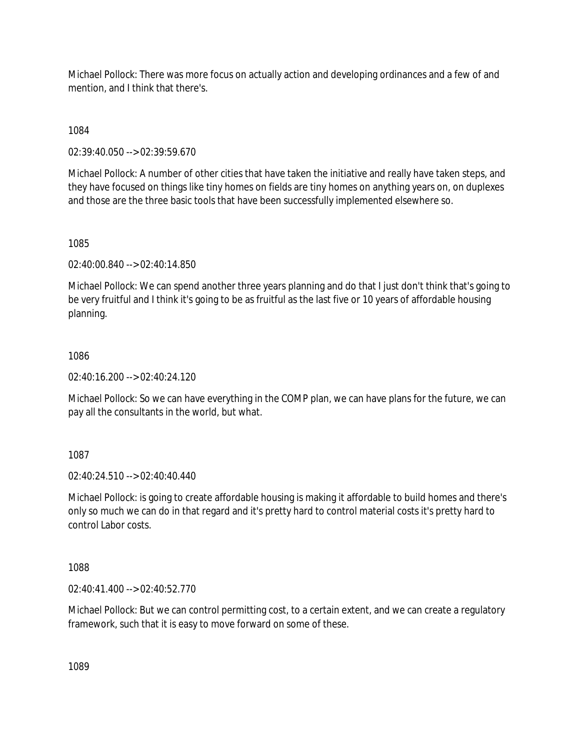Michael Pollock: There was more focus on actually action and developing ordinances and a few of and mention, and I think that there's.

1084

02:39:40.050 --> 02:39:59.670

Michael Pollock: A number of other cities that have taken the initiative and really have taken steps, and they have focused on things like tiny homes on fields are tiny homes on anything years on, on duplexes and those are the three basic tools that have been successfully implemented elsewhere so.

1085

02:40:00.840 --> 02:40:14.850

Michael Pollock: We can spend another three years planning and do that I just don't think that's going to be very fruitful and I think it's going to be as fruitful as the last five or 10 years of affordable housing planning.

## 1086

02:40:16.200 --> 02:40:24.120

Michael Pollock: So we can have everything in the COMP plan, we can have plans for the future, we can pay all the consultants in the world, but what.

1087

02:40:24.510 --> 02:40:40.440

Michael Pollock: is going to create affordable housing is making it affordable to build homes and there's only so much we can do in that regard and it's pretty hard to control material costs it's pretty hard to control Labor costs.

1088

02:40:41.400 --> 02:40:52.770

Michael Pollock: But we can control permitting cost, to a certain extent, and we can create a regulatory framework, such that it is easy to move forward on some of these.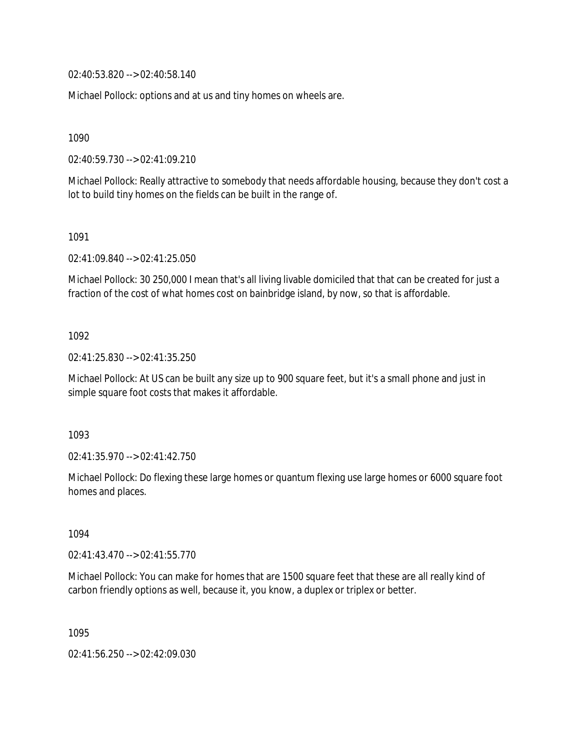02:40:53.820 --> 02:40:58.140

Michael Pollock: options and at us and tiny homes on wheels are.

1090

02:40:59.730 --> 02:41:09.210

Michael Pollock: Really attractive to somebody that needs affordable housing, because they don't cost a lot to build tiny homes on the fields can be built in the range of.

1091

02:41:09.840 --> 02:41:25.050

Michael Pollock: 30 250,000 I mean that's all living livable domiciled that that can be created for just a fraction of the cost of what homes cost on bainbridge island, by now, so that is affordable.

1092

02:41:25.830 --> 02:41:35.250

Michael Pollock: At US can be built any size up to 900 square feet, but it's a small phone and just in simple square foot costs that makes it affordable.

1093

02:41:35.970 --> 02:41:42.750

Michael Pollock: Do flexing these large homes or quantum flexing use large homes or 6000 square foot homes and places.

1094

02:41:43.470 --> 02:41:55.770

Michael Pollock: You can make for homes that are 1500 square feet that these are all really kind of carbon friendly options as well, because it, you know, a duplex or triplex or better.

1095

02:41:56.250 --> 02:42:09.030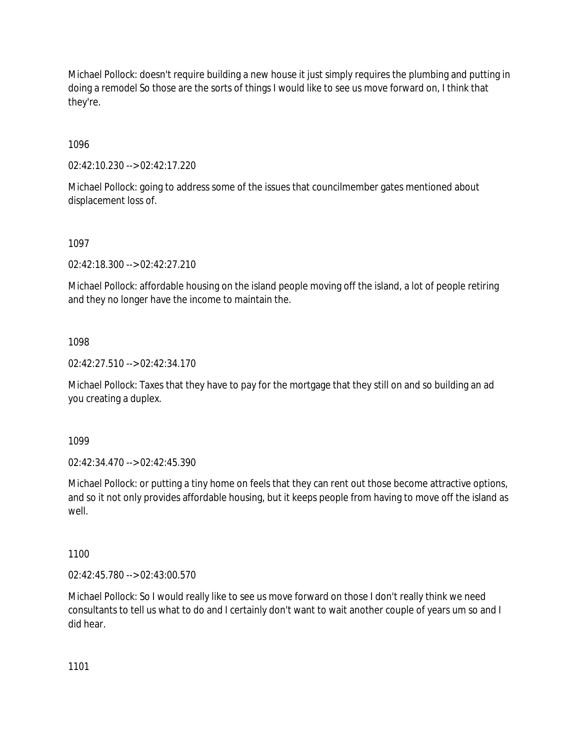Michael Pollock: doesn't require building a new house it just simply requires the plumbing and putting in doing a remodel So those are the sorts of things I would like to see us move forward on, I think that they're.

1096

02:42:10.230 --> 02:42:17.220

Michael Pollock: going to address some of the issues that councilmember gates mentioned about displacement loss of.

1097

02:42:18.300 --> 02:42:27.210

Michael Pollock: affordable housing on the island people moving off the island, a lot of people retiring and they no longer have the income to maintain the.

1098

02:42:27.510 --> 02:42:34.170

Michael Pollock: Taxes that they have to pay for the mortgage that they still on and so building an ad you creating a duplex.

1099

02:42:34.470 --> 02:42:45.390

Michael Pollock: or putting a tiny home on feels that they can rent out those become attractive options, and so it not only provides affordable housing, but it keeps people from having to move off the island as well.

1100

02:42:45.780 --> 02:43:00.570

Michael Pollock: So I would really like to see us move forward on those I don't really think we need consultants to tell us what to do and I certainly don't want to wait another couple of years um so and I did hear.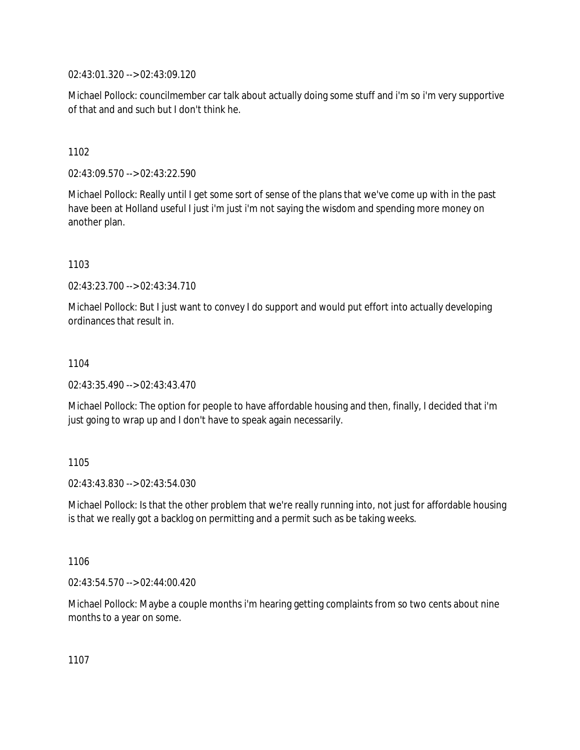02:43:01.320 --> 02:43:09.120

Michael Pollock: councilmember car talk about actually doing some stuff and i'm so i'm very supportive of that and and such but I don't think he.

1102

02:43:09.570 --> 02:43:22.590

Michael Pollock: Really until I get some sort of sense of the plans that we've come up with in the past have been at Holland useful I just i'm just i'm not saying the wisdom and spending more money on another plan.

1103

02:43:23.700 --> 02:43:34.710

Michael Pollock: But I just want to convey I do support and would put effort into actually developing ordinances that result in.

1104

02:43:35.490 --> 02:43:43.470

Michael Pollock: The option for people to have affordable housing and then, finally, I decided that i'm just going to wrap up and I don't have to speak again necessarily.

1105

02:43:43.830 --> 02:43:54.030

Michael Pollock: Is that the other problem that we're really running into, not just for affordable housing is that we really got a backlog on permitting and a permit such as be taking weeks.

1106

02:43:54.570 --> 02:44:00.420

Michael Pollock: Maybe a couple months i'm hearing getting complaints from so two cents about nine months to a year on some.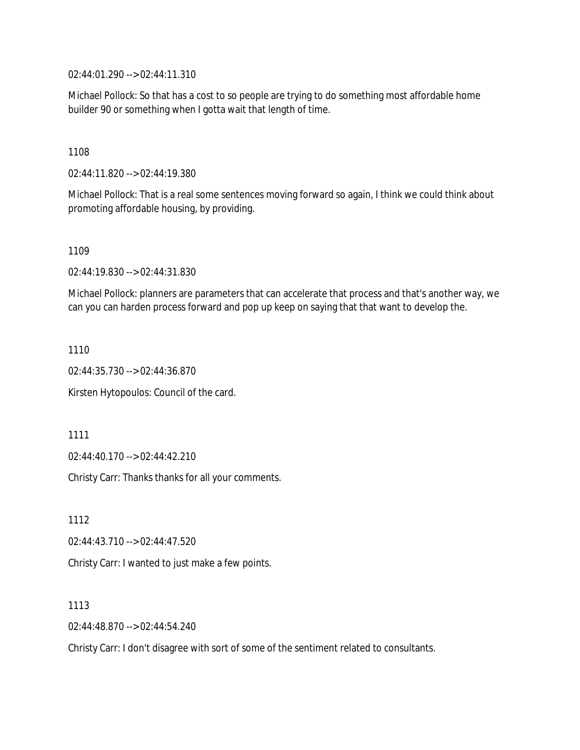02:44:01.290 --> 02:44:11.310

Michael Pollock: So that has a cost to so people are trying to do something most affordable home builder 90 or something when I gotta wait that length of time.

1108

02:44:11.820 --> 02:44:19.380

Michael Pollock: That is a real some sentences moving forward so again, I think we could think about promoting affordable housing, by providing.

1109

02:44:19.830 --> 02:44:31.830

Michael Pollock: planners are parameters that can accelerate that process and that's another way, we can you can harden process forward and pop up keep on saying that that want to develop the.

1110

02:44:35.730 --> 02:44:36.870

Kirsten Hytopoulos: Council of the card.

1111

02:44:40.170 --> 02:44:42.210

Christy Carr: Thanks thanks for all your comments.

1112 02:44:43.710 --> 02:44:47.520 Christy Carr: I wanted to just make a few points.

1113

02:44:48.870 --> 02:44:54.240

Christy Carr: I don't disagree with sort of some of the sentiment related to consultants.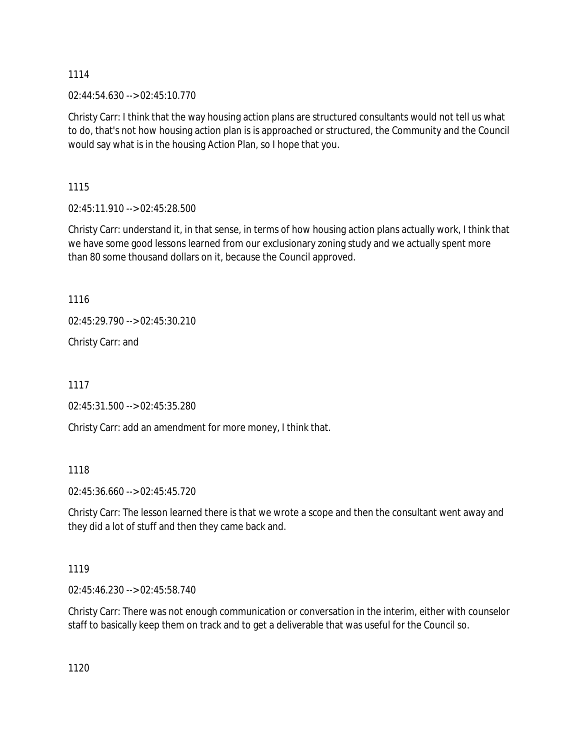02:44:54.630 --> 02:45:10.770

Christy Carr: I think that the way housing action plans are structured consultants would not tell us what to do, that's not how housing action plan is is approached or structured, the Community and the Council would say what is in the housing Action Plan, so I hope that you.

1115

02:45:11.910 --> 02:45:28.500

Christy Carr: understand it, in that sense, in terms of how housing action plans actually work, I think that we have some good lessons learned from our exclusionary zoning study and we actually spent more than 80 some thousand dollars on it, because the Council approved.

1116

02:45:29.790 --> 02:45:30.210

Christy Carr: and

1117

02:45:31.500 --> 02:45:35.280

Christy Carr: add an amendment for more money, I think that.

1118

02:45:36.660 --> 02:45:45.720

Christy Carr: The lesson learned there is that we wrote a scope and then the consultant went away and they did a lot of stuff and then they came back and.

1119

02:45:46.230 --> 02:45:58.740

Christy Carr: There was not enough communication or conversation in the interim, either with counselor staff to basically keep them on track and to get a deliverable that was useful for the Council so.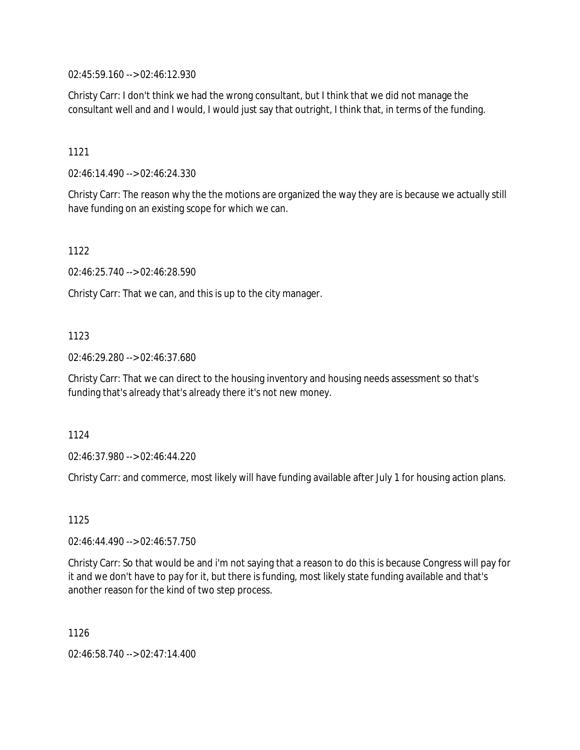02:45:59.160 --> 02:46:12.930

Christy Carr: I don't think we had the wrong consultant, but I think that we did not manage the consultant well and and I would, I would just say that outright, I think that, in terms of the funding.

1121

02:46:14.490 --> 02:46:24.330

Christy Carr: The reason why the the motions are organized the way they are is because we actually still have funding on an existing scope for which we can.

1122

02:46:25.740 --> 02:46:28.590

Christy Carr: That we can, and this is up to the city manager.

1123

02:46:29.280 --> 02:46:37.680

Christy Carr: That we can direct to the housing inventory and housing needs assessment so that's funding that's already that's already there it's not new money.

1124

02:46:37.980 --> 02:46:44.220

Christy Carr: and commerce, most likely will have funding available after July 1 for housing action plans.

1125

02:46:44.490 --> 02:46:57.750

Christy Carr: So that would be and i'm not saying that a reason to do this is because Congress will pay for it and we don't have to pay for it, but there is funding, most likely state funding available and that's another reason for the kind of two step process.

1126

02:46:58.740 --> 02:47:14.400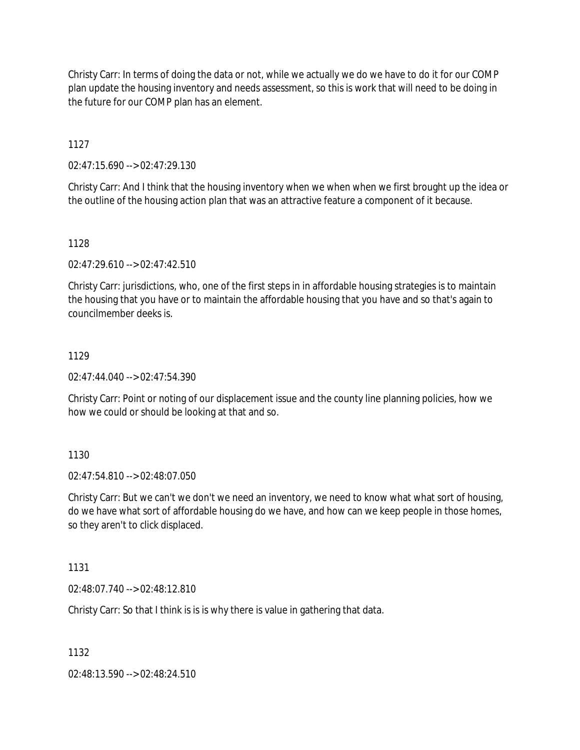Christy Carr: In terms of doing the data or not, while we actually we do we have to do it for our COMP plan update the housing inventory and needs assessment, so this is work that will need to be doing in the future for our COMP plan has an element.

1127

02:47:15.690 --> 02:47:29.130

Christy Carr: And I think that the housing inventory when we when when we first brought up the idea or the outline of the housing action plan that was an attractive feature a component of it because.

1128

02:47:29.610 --> 02:47:42.510

Christy Carr: jurisdictions, who, one of the first steps in in affordable housing strategies is to maintain the housing that you have or to maintain the affordable housing that you have and so that's again to councilmember deeks is.

# 1129

02:47:44.040 --> 02:47:54.390

Christy Carr: Point or noting of our displacement issue and the county line planning policies, how we how we could or should be looking at that and so.

# 1130

02:47:54.810 --> 02:48:07.050

Christy Carr: But we can't we don't we need an inventory, we need to know what what sort of housing, do we have what sort of affordable housing do we have, and how can we keep people in those homes, so they aren't to click displaced.

1131

02:48:07.740 --> 02:48:12.810

Christy Carr: So that I think is is is why there is value in gathering that data.

1132

02:48:13.590 --> 02:48:24.510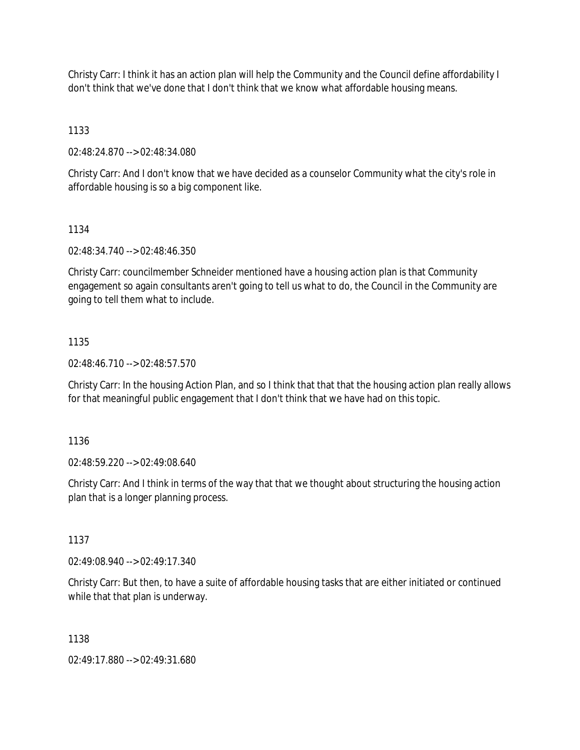Christy Carr: I think it has an action plan will help the Community and the Council define affordability I don't think that we've done that I don't think that we know what affordable housing means.

1133

02:48:24.870 --> 02:48:34.080

Christy Carr: And I don't know that we have decided as a counselor Community what the city's role in affordable housing is so a big component like.

## 1134

02:48:34.740 --> 02:48:46.350

Christy Carr: councilmember Schneider mentioned have a housing action plan is that Community engagement so again consultants aren't going to tell us what to do, the Council in the Community are going to tell them what to include.

## 1135

02:48:46.710 --> 02:48:57.570

Christy Carr: In the housing Action Plan, and so I think that that that the housing action plan really allows for that meaningful public engagement that I don't think that we have had on this topic.

1136

02:48:59.220 --> 02:49:08.640

Christy Carr: And I think in terms of the way that that we thought about structuring the housing action plan that is a longer planning process.

1137

02:49:08.940 --> 02:49:17.340

Christy Carr: But then, to have a suite of affordable housing tasks that are either initiated or continued while that that plan is underway.

1138

02:49:17.880 --> 02:49:31.680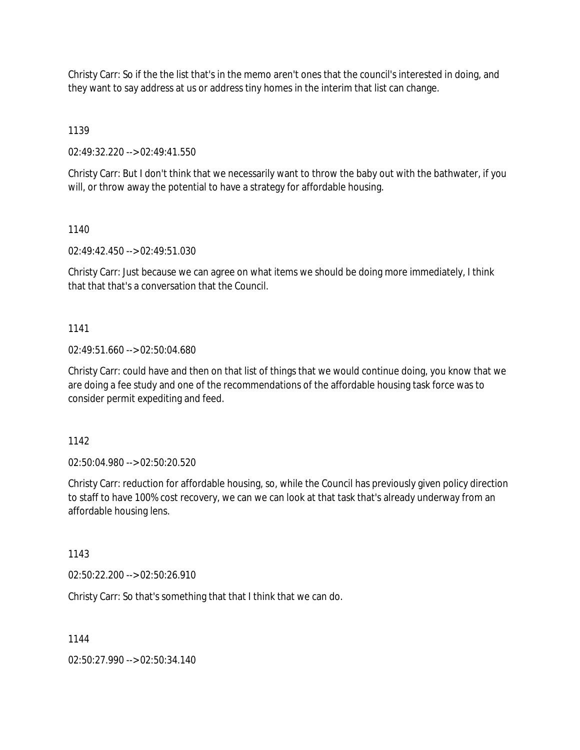Christy Carr: So if the the list that's in the memo aren't ones that the council's interested in doing, and they want to say address at us or address tiny homes in the interim that list can change.

1139

02:49:32.220 --> 02:49:41.550

Christy Carr: But I don't think that we necessarily want to throw the baby out with the bathwater, if you will, or throw away the potential to have a strategy for affordable housing.

1140

02:49:42.450 --> 02:49:51.030

Christy Carr: Just because we can agree on what items we should be doing more immediately, I think that that that's a conversation that the Council.

1141

02:49:51.660 --> 02:50:04.680

Christy Carr: could have and then on that list of things that we would continue doing, you know that we are doing a fee study and one of the recommendations of the affordable housing task force was to consider permit expediting and feed.

1142

02:50:04.980 --> 02:50:20.520

Christy Carr: reduction for affordable housing, so, while the Council has previously given policy direction to staff to have 100% cost recovery, we can we can look at that task that's already underway from an affordable housing lens.

1143

02:50:22.200 --> 02:50:26.910

Christy Carr: So that's something that that I think that we can do.

1144

02:50:27.990 --> 02:50:34.140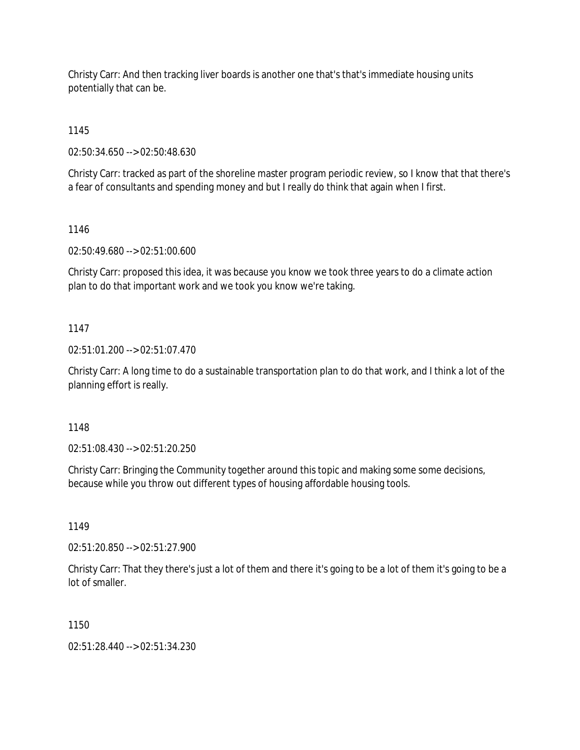Christy Carr: And then tracking liver boards is another one that's that's immediate housing units potentially that can be.

1145

02:50:34.650 --> 02:50:48.630

Christy Carr: tracked as part of the shoreline master program periodic review, so I know that that there's a fear of consultants and spending money and but I really do think that again when I first.

1146

02:50:49.680 --> 02:51:00.600

Christy Carr: proposed this idea, it was because you know we took three years to do a climate action plan to do that important work and we took you know we're taking.

1147

02:51:01.200 --> 02:51:07.470

Christy Carr: A long time to do a sustainable transportation plan to do that work, and I think a lot of the planning effort is really.

1148

02:51:08.430 --> 02:51:20.250

Christy Carr: Bringing the Community together around this topic and making some some decisions, because while you throw out different types of housing affordable housing tools.

1149

02:51:20.850 --> 02:51:27.900

Christy Carr: That they there's just a lot of them and there it's going to be a lot of them it's going to be a lot of smaller.

1150

02:51:28.440 --> 02:51:34.230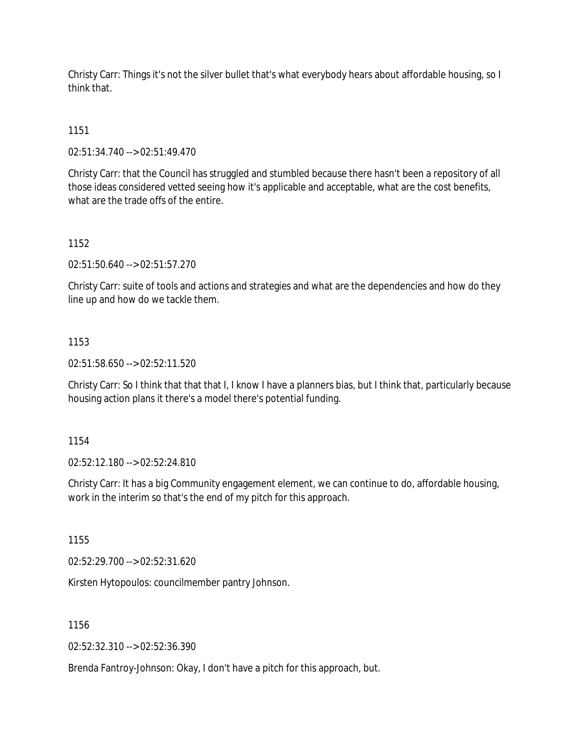Christy Carr: Things it's not the silver bullet that's what everybody hears about affordable housing, so I think that.

1151

02:51:34.740 --> 02:51:49.470

Christy Carr: that the Council has struggled and stumbled because there hasn't been a repository of all those ideas considered vetted seeing how it's applicable and acceptable, what are the cost benefits, what are the trade offs of the entire.

1152

02:51:50.640 --> 02:51:57.270

Christy Carr: suite of tools and actions and strategies and what are the dependencies and how do they line up and how do we tackle them.

1153

02:51:58.650 --> 02:52:11.520

Christy Carr: So I think that that that I, I know I have a planners bias, but I think that, particularly because housing action plans it there's a model there's potential funding.

1154

02:52:12.180 --> 02:52:24.810

Christy Carr: It has a big Community engagement element, we can continue to do, affordable housing, work in the interim so that's the end of my pitch for this approach.

1155

02:52:29.700 --> 02:52:31.620

Kirsten Hytopoulos: councilmember pantry Johnson.

1156

02:52:32.310 --> 02:52:36.390

Brenda Fantroy-Johnson: Okay, I don't have a pitch for this approach, but.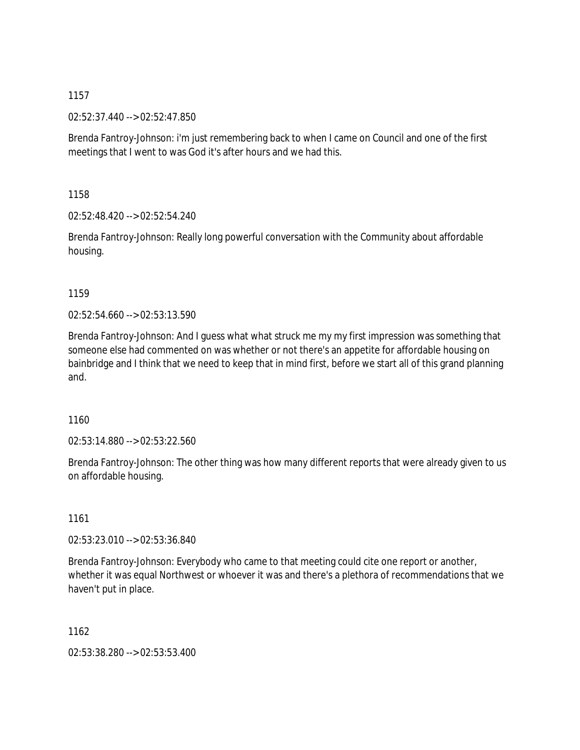02:52:37.440 --> 02:52:47.850

Brenda Fantroy-Johnson: i'm just remembering back to when I came on Council and one of the first meetings that I went to was God it's after hours and we had this.

1158

02:52:48.420 --> 02:52:54.240

Brenda Fantroy-Johnson: Really long powerful conversation with the Community about affordable housing.

1159

02:52:54.660 --> 02:53:13.590

Brenda Fantroy-Johnson: And I guess what what struck me my my first impression was something that someone else had commented on was whether or not there's an appetite for affordable housing on bainbridge and I think that we need to keep that in mind first, before we start all of this grand planning and.

1160

02:53:14.880 --> 02:53:22.560

Brenda Fantroy-Johnson: The other thing was how many different reports that were already given to us on affordable housing.

1161

02:53:23.010 --> 02:53:36.840

Brenda Fantroy-Johnson: Everybody who came to that meeting could cite one report or another, whether it was equal Northwest or whoever it was and there's a plethora of recommendations that we haven't put in place.

1162

02:53:38.280 --> 02:53:53.400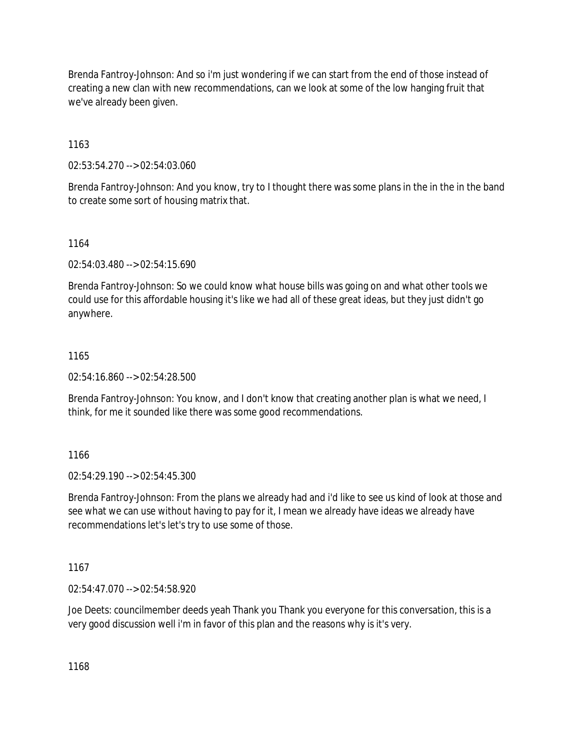Brenda Fantroy-Johnson: And so i'm just wondering if we can start from the end of those instead of creating a new clan with new recommendations, can we look at some of the low hanging fruit that we've already been given.

1163

02:53:54.270 --> 02:54:03.060

Brenda Fantroy-Johnson: And you know, try to I thought there was some plans in the in the in the band to create some sort of housing matrix that.

1164

02:54:03.480 --> 02:54:15.690

Brenda Fantroy-Johnson: So we could know what house bills was going on and what other tools we could use for this affordable housing it's like we had all of these great ideas, but they just didn't go anywhere.

## 1165

02:54:16.860 --> 02:54:28.500

Brenda Fantroy-Johnson: You know, and I don't know that creating another plan is what we need, I think, for me it sounded like there was some good recommendations.

1166

02:54:29.190 --> 02:54:45.300

Brenda Fantroy-Johnson: From the plans we already had and i'd like to see us kind of look at those and see what we can use without having to pay for it, I mean we already have ideas we already have recommendations let's let's try to use some of those.

1167

02:54:47.070 --> 02:54:58.920

Joe Deets: councilmember deeds yeah Thank you Thank you everyone for this conversation, this is a very good discussion well i'm in favor of this plan and the reasons why is it's very.

1168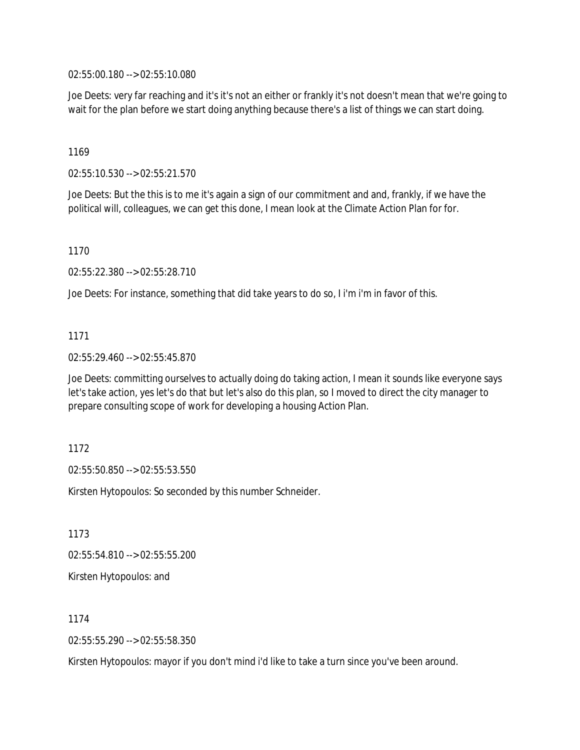02:55:00.180 --> 02:55:10.080

Joe Deets: very far reaching and it's it's not an either or frankly it's not doesn't mean that we're going to wait for the plan before we start doing anything because there's a list of things we can start doing.

1169

02:55:10.530 --> 02:55:21.570

Joe Deets: But the this is to me it's again a sign of our commitment and and, frankly, if we have the political will, colleagues, we can get this done, I mean look at the Climate Action Plan for for.

1170

02:55:22.380 --> 02:55:28.710

Joe Deets: For instance, something that did take years to do so, I i'm i'm in favor of this.

1171

02:55:29.460 --> 02:55:45.870

Joe Deets: committing ourselves to actually doing do taking action, I mean it sounds like everyone says let's take action, yes let's do that but let's also do this plan, so I moved to direct the city manager to prepare consulting scope of work for developing a housing Action Plan.

1172

02:55:50.850 --> 02:55:53.550

Kirsten Hytopoulos: So seconded by this number Schneider.

1173

02:55:54.810 --> 02:55:55.200

Kirsten Hytopoulos: and

1174

02:55:55.290 --> 02:55:58.350

Kirsten Hytopoulos: mayor if you don't mind i'd like to take a turn since you've been around.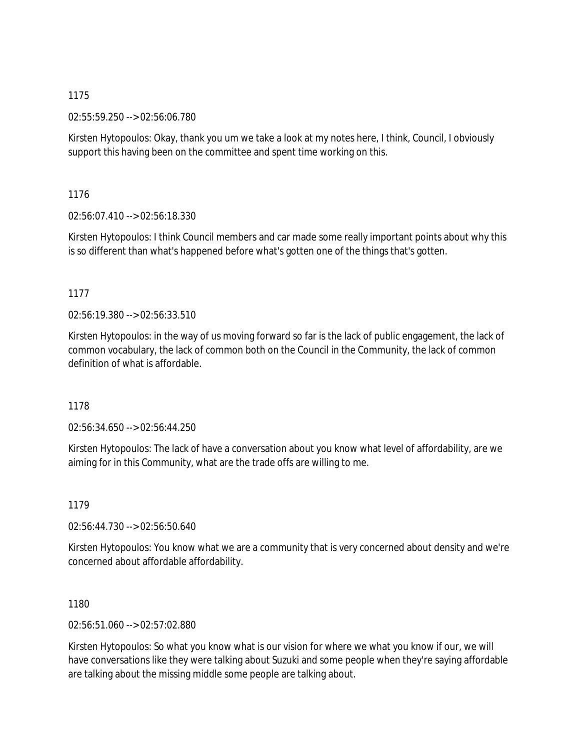02:55:59.250 --> 02:56:06.780

Kirsten Hytopoulos: Okay, thank you um we take a look at my notes here, I think, Council, I obviously support this having been on the committee and spent time working on this.

1176

02:56:07.410 --> 02:56:18.330

Kirsten Hytopoulos: I think Council members and car made some really important points about why this is so different than what's happened before what's gotten one of the things that's gotten.

1177

02:56:19.380 --> 02:56:33.510

Kirsten Hytopoulos: in the way of us moving forward so far is the lack of public engagement, the lack of common vocabulary, the lack of common both on the Council in the Community, the lack of common definition of what is affordable.

1178

02:56:34.650 --> 02:56:44.250

Kirsten Hytopoulos: The lack of have a conversation about you know what level of affordability, are we aiming for in this Community, what are the trade offs are willing to me.

1179

02:56:44.730 --> 02:56:50.640

Kirsten Hytopoulos: You know what we are a community that is very concerned about density and we're concerned about affordable affordability.

1180

02:56:51.060 --> 02:57:02.880

Kirsten Hytopoulos: So what you know what is our vision for where we what you know if our, we will have conversations like they were talking about Suzuki and some people when they're saying affordable are talking about the missing middle some people are talking about.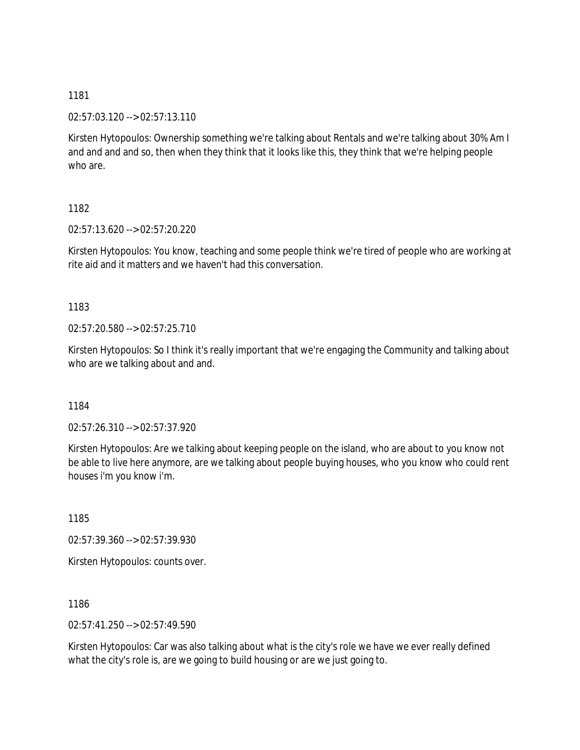02:57:03.120 --> 02:57:13.110

Kirsten Hytopoulos: Ownership something we're talking about Rentals and we're talking about 30% Am I and and and and so, then when they think that it looks like this, they think that we're helping people who are.

1182

02:57:13.620 --> 02:57:20.220

Kirsten Hytopoulos: You know, teaching and some people think we're tired of people who are working at rite aid and it matters and we haven't had this conversation.

1183

02:57:20.580 --> 02:57:25.710

Kirsten Hytopoulos: So I think it's really important that we're engaging the Community and talking about who are we talking about and and.

1184

02:57:26.310 --> 02:57:37.920

Kirsten Hytopoulos: Are we talking about keeping people on the island, who are about to you know not be able to live here anymore, are we talking about people buying houses, who you know who could rent houses i'm you know i'm.

1185

02:57:39.360 --> 02:57:39.930

Kirsten Hytopoulos: counts over.

1186

02:57:41.250 --> 02:57:49.590

Kirsten Hytopoulos: Car was also talking about what is the city's role we have we ever really defined what the city's role is, are we going to build housing or are we just going to.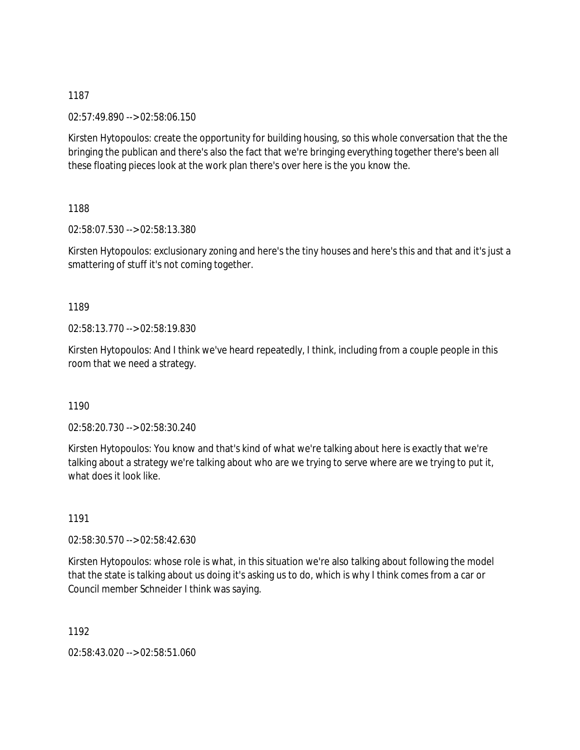02:57:49.890 --> 02:58:06.150

Kirsten Hytopoulos: create the opportunity for building housing, so this whole conversation that the the bringing the publican and there's also the fact that we're bringing everything together there's been all these floating pieces look at the work plan there's over here is the you know the.

1188

02:58:07.530 --> 02:58:13.380

Kirsten Hytopoulos: exclusionary zoning and here's the tiny houses and here's this and that and it's just a smattering of stuff it's not coming together.

1189

02:58:13.770 --> 02:58:19.830

Kirsten Hytopoulos: And I think we've heard repeatedly, I think, including from a couple people in this room that we need a strategy.

1190

02:58:20.730 --> 02:58:30.240

Kirsten Hytopoulos: You know and that's kind of what we're talking about here is exactly that we're talking about a strategy we're talking about who are we trying to serve where are we trying to put it, what does it look like.

1191

02:58:30.570 --> 02:58:42.630

Kirsten Hytopoulos: whose role is what, in this situation we're also talking about following the model that the state is talking about us doing it's asking us to do, which is why I think comes from a car or Council member Schneider I think was saying.

1192

02:58:43.020 --> 02:58:51.060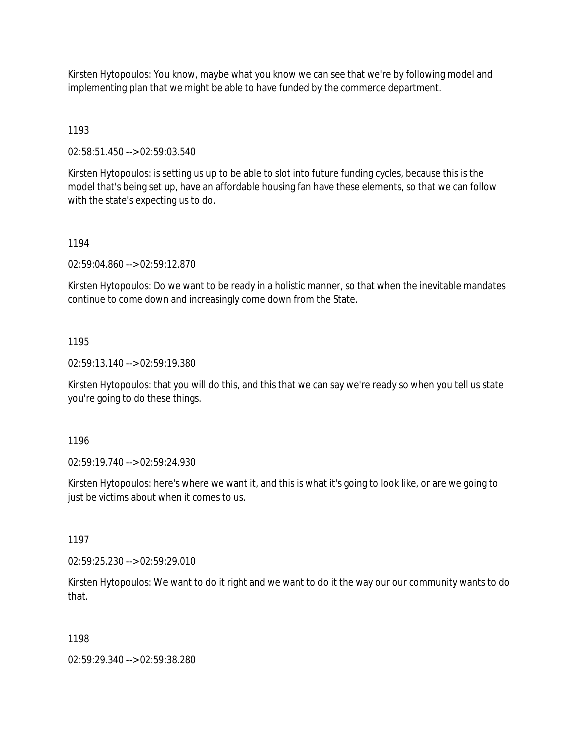Kirsten Hytopoulos: You know, maybe what you know we can see that we're by following model and implementing plan that we might be able to have funded by the commerce department.

# 1193

02:58:51.450 --> 02:59:03.540

Kirsten Hytopoulos: is setting us up to be able to slot into future funding cycles, because this is the model that's being set up, have an affordable housing fan have these elements, so that we can follow with the state's expecting us to do.

## 1194

02:59:04.860 --> 02:59:12.870

Kirsten Hytopoulos: Do we want to be ready in a holistic manner, so that when the inevitable mandates continue to come down and increasingly come down from the State.

## 1195

02:59:13.140 --> 02:59:19.380

Kirsten Hytopoulos: that you will do this, and this that we can say we're ready so when you tell us state you're going to do these things.

1196

02:59:19.740 --> 02:59:24.930

Kirsten Hytopoulos: here's where we want it, and this is what it's going to look like, or are we going to just be victims about when it comes to us.

1197

02:59:25.230 --> 02:59:29.010

Kirsten Hytopoulos: We want to do it right and we want to do it the way our our community wants to do that.

#### 1198

02:59:29.340 --> 02:59:38.280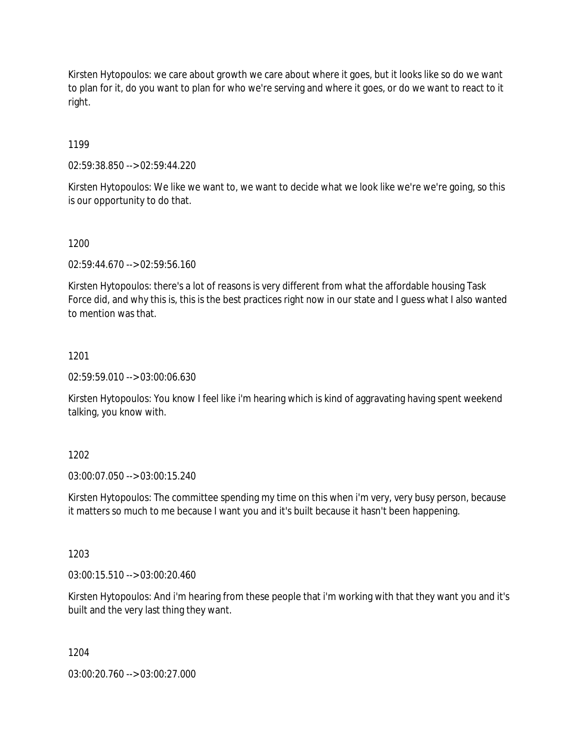Kirsten Hytopoulos: we care about growth we care about where it goes, but it looks like so do we want to plan for it, do you want to plan for who we're serving and where it goes, or do we want to react to it right.

## 1199

02:59:38.850 --> 02:59:44.220

Kirsten Hytopoulos: We like we want to, we want to decide what we look like we're we're going, so this is our opportunity to do that.

#### 1200

02:59:44.670 --> 02:59:56.160

Kirsten Hytopoulos: there's a lot of reasons is very different from what the affordable housing Task Force did, and why this is, this is the best practices right now in our state and I guess what I also wanted to mention was that.

## 1201

02:59:59.010 --> 03:00:06.630

Kirsten Hytopoulos: You know I feel like i'm hearing which is kind of aggravating having spent weekend talking, you know with.

# 1202

03:00:07.050 --> 03:00:15.240

Kirsten Hytopoulos: The committee spending my time on this when i'm very, very busy person, because it matters so much to me because I want you and it's built because it hasn't been happening.

#### 1203

03:00:15.510 --> 03:00:20.460

Kirsten Hytopoulos: And i'm hearing from these people that i'm working with that they want you and it's built and the very last thing they want.

#### 1204

03:00:20.760 --> 03:00:27.000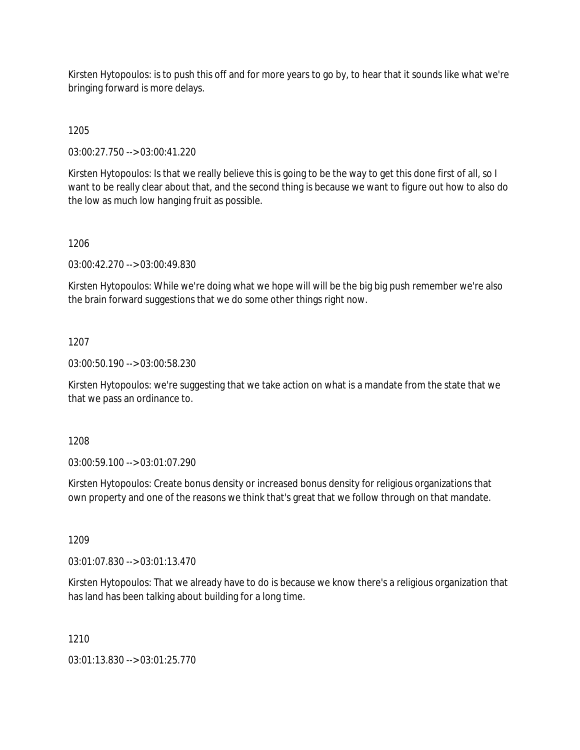Kirsten Hytopoulos: is to push this off and for more years to go by, to hear that it sounds like what we're bringing forward is more delays.

1205

03:00:27.750 --> 03:00:41.220

Kirsten Hytopoulos: Is that we really believe this is going to be the way to get this done first of all, so I want to be really clear about that, and the second thing is because we want to figure out how to also do the low as much low hanging fruit as possible.

## 1206

03:00:42.270 --> 03:00:49.830

Kirsten Hytopoulos: While we're doing what we hope will will be the big big push remember we're also the brain forward suggestions that we do some other things right now.

## 1207

03:00:50.190 --> 03:00:58.230

Kirsten Hytopoulos: we're suggesting that we take action on what is a mandate from the state that we that we pass an ordinance to.

1208

03:00:59.100 --> 03:01:07.290

Kirsten Hytopoulos: Create bonus density or increased bonus density for religious organizations that own property and one of the reasons we think that's great that we follow through on that mandate.

1209

03:01:07.830 --> 03:01:13.470

Kirsten Hytopoulos: That we already have to do is because we know there's a religious organization that has land has been talking about building for a long time.

# 1210

03:01:13.830 --> 03:01:25.770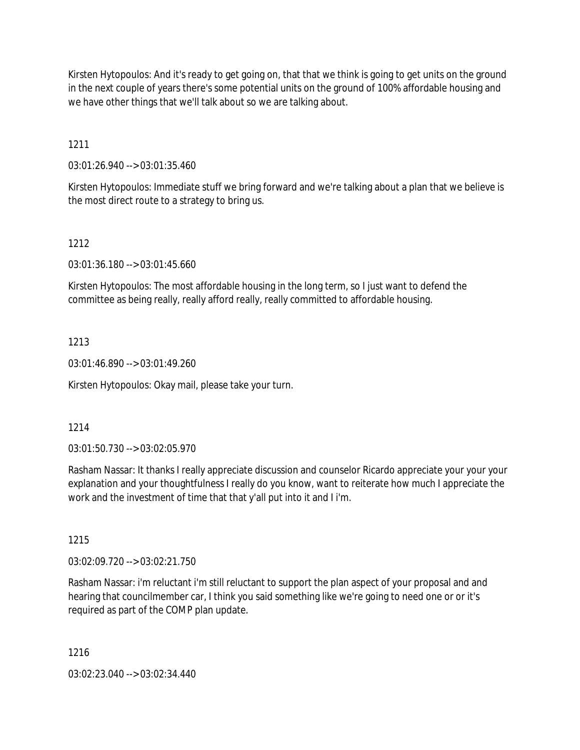Kirsten Hytopoulos: And it's ready to get going on, that that we think is going to get units on the ground in the next couple of years there's some potential units on the ground of 100% affordable housing and we have other things that we'll talk about so we are talking about.

1211

03:01:26.940 --> 03:01:35.460

Kirsten Hytopoulos: Immediate stuff we bring forward and we're talking about a plan that we believe is the most direct route to a strategy to bring us.

# 1212

03:01:36.180 --> 03:01:45.660

Kirsten Hytopoulos: The most affordable housing in the long term, so I just want to defend the committee as being really, really afford really, really committed to affordable housing.

# 1213

03:01:46.890 --> 03:01:49.260

Kirsten Hytopoulos: Okay mail, please take your turn.

# 1214

03:01:50.730 --> 03:02:05.970

Rasham Nassar: It thanks I really appreciate discussion and counselor Ricardo appreciate your your your explanation and your thoughtfulness I really do you know, want to reiterate how much I appreciate the work and the investment of time that that y'all put into it and I i'm.

# 1215

03:02:09.720 --> 03:02:21.750

Rasham Nassar: i'm reluctant i'm still reluctant to support the plan aspect of your proposal and and hearing that councilmember car, I think you said something like we're going to need one or or it's required as part of the COMP plan update.

1216

03:02:23.040 --> 03:02:34.440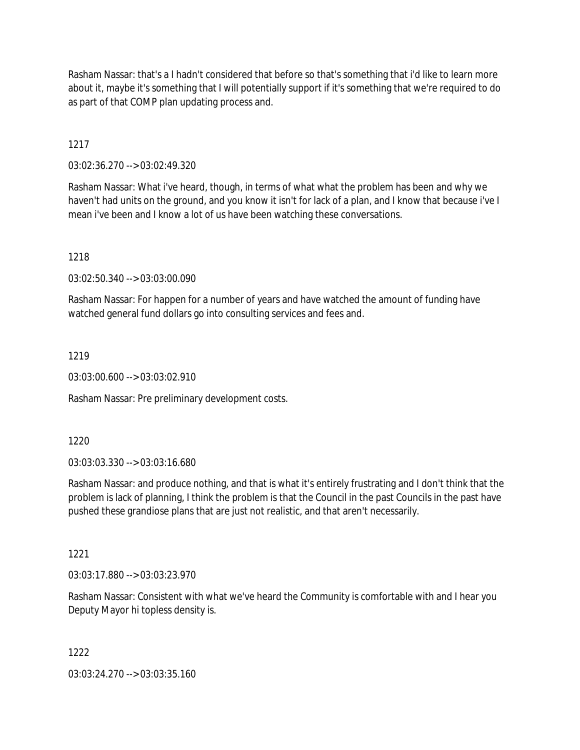Rasham Nassar: that's a I hadn't considered that before so that's something that i'd like to learn more about it, maybe it's something that I will potentially support if it's something that we're required to do as part of that COMP plan updating process and.

1217

03:02:36.270 --> 03:02:49.320

Rasham Nassar: What i've heard, though, in terms of what what the problem has been and why we haven't had units on the ground, and you know it isn't for lack of a plan, and I know that because i've I mean i've been and I know a lot of us have been watching these conversations.

1218

03:02:50.340 --> 03:03:00.090

Rasham Nassar: For happen for a number of years and have watched the amount of funding have watched general fund dollars go into consulting services and fees and.

1219

03:03:00.600 --> 03:03:02.910

Rasham Nassar: Pre preliminary development costs.

1220

03:03:03.330 --> 03:03:16.680

Rasham Nassar: and produce nothing, and that is what it's entirely frustrating and I don't think that the problem is lack of planning, I think the problem is that the Council in the past Councils in the past have pushed these grandiose plans that are just not realistic, and that aren't necessarily.

1221

03:03:17.880 --> 03:03:23.970

Rasham Nassar: Consistent with what we've heard the Community is comfortable with and I hear you Deputy Mayor hi topless density is.

1222

03:03:24.270 --> 03:03:35.160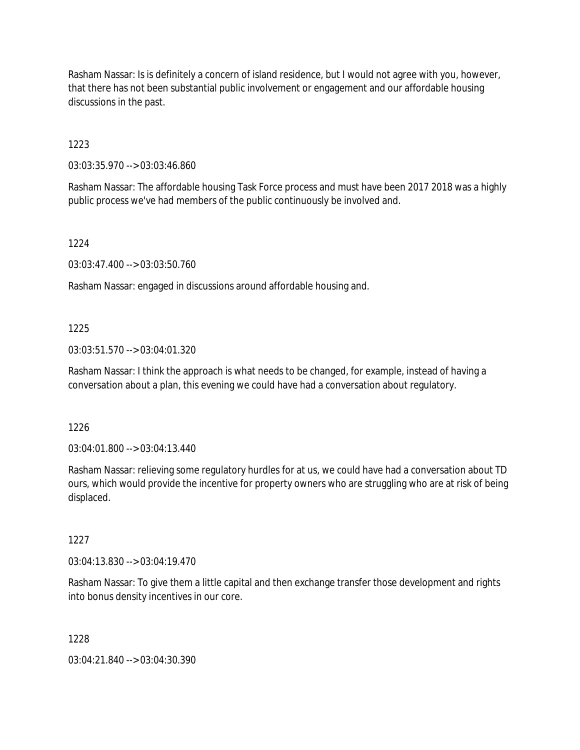Rasham Nassar: Is is definitely a concern of island residence, but I would not agree with you, however, that there has not been substantial public involvement or engagement and our affordable housing discussions in the past.

1223

03:03:35.970 --> 03:03:46.860

Rasham Nassar: The affordable housing Task Force process and must have been 2017 2018 was a highly public process we've had members of the public continuously be involved and.

1224

03:03:47.400 --> 03:03:50.760

Rasham Nassar: engaged in discussions around affordable housing and.

## 1225

03:03:51.570 --> 03:04:01.320

Rasham Nassar: I think the approach is what needs to be changed, for example, instead of having a conversation about a plan, this evening we could have had a conversation about regulatory.

1226

03:04:01.800 --> 03:04:13.440

Rasham Nassar: relieving some regulatory hurdles for at us, we could have had a conversation about TD ours, which would provide the incentive for property owners who are struggling who are at risk of being displaced.

1227

03:04:13.830 --> 03:04:19.470

Rasham Nassar: To give them a little capital and then exchange transfer those development and rights into bonus density incentives in our core.

1228

03:04:21.840 --> 03:04:30.390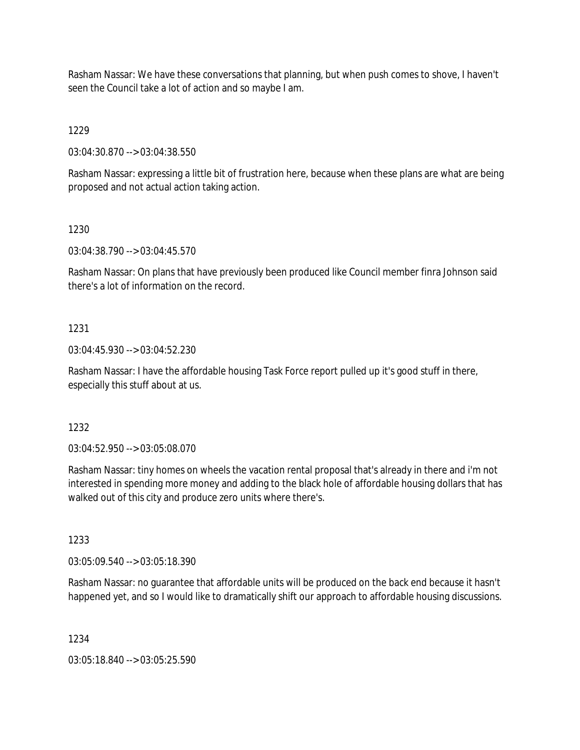Rasham Nassar: We have these conversations that planning, but when push comes to shove, I haven't seen the Council take a lot of action and so maybe I am.

1229

03:04:30.870 --> 03:04:38.550

Rasham Nassar: expressing a little bit of frustration here, because when these plans are what are being proposed and not actual action taking action.

1230

03:04:38.790 --> 03:04:45.570

Rasham Nassar: On plans that have previously been produced like Council member finra Johnson said there's a lot of information on the record.

## 1231

03:04:45.930 --> 03:04:52.230

Rasham Nassar: I have the affordable housing Task Force report pulled up it's good stuff in there, especially this stuff about at us.

1232

03:04:52.950 --> 03:05:08.070

Rasham Nassar: tiny homes on wheels the vacation rental proposal that's already in there and i'm not interested in spending more money and adding to the black hole of affordable housing dollars that has walked out of this city and produce zero units where there's.

1233

03:05:09.540 --> 03:05:18.390

Rasham Nassar: no guarantee that affordable units will be produced on the back end because it hasn't happened yet, and so I would like to dramatically shift our approach to affordable housing discussions.

1234

03:05:18.840 --> 03:05:25.590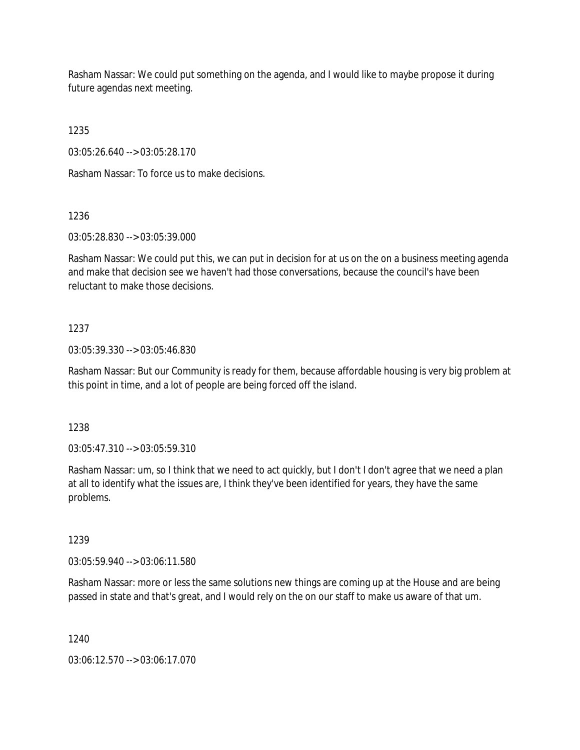Rasham Nassar: We could put something on the agenda, and I would like to maybe propose it during future agendas next meeting.

1235

03:05:26.640 --> 03:05:28.170

Rasham Nassar: To force us to make decisions.

1236

03:05:28.830 --> 03:05:39.000

Rasham Nassar: We could put this, we can put in decision for at us on the on a business meeting agenda and make that decision see we haven't had those conversations, because the council's have been reluctant to make those decisions.

#### 1237

03:05:39.330 --> 03:05:46.830

Rasham Nassar: But our Community is ready for them, because affordable housing is very big problem at this point in time, and a lot of people are being forced off the island.

1238

03:05:47.310 --> 03:05:59.310

Rasham Nassar: um, so I think that we need to act quickly, but I don't I don't agree that we need a plan at all to identify what the issues are, I think they've been identified for years, they have the same problems.

1239

03:05:59.940 --> 03:06:11.580

Rasham Nassar: more or less the same solutions new things are coming up at the House and are being passed in state and that's great, and I would rely on the on our staff to make us aware of that um.

1240

03:06:12.570 --> 03:06:17.070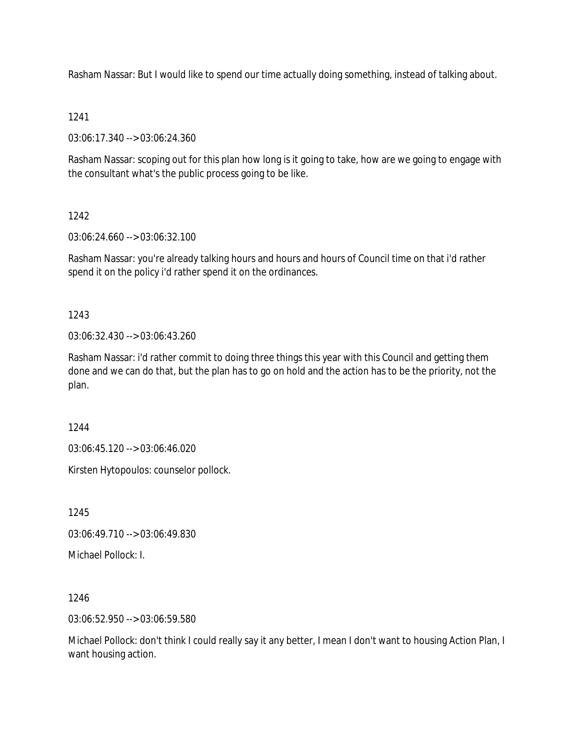Rasham Nassar: But I would like to spend our time actually doing something, instead of talking about.

### 1241

03:06:17.340 --> 03:06:24.360

Rasham Nassar: scoping out for this plan how long is it going to take, how are we going to engage with the consultant what's the public process going to be like.

# 1242

03:06:24.660 --> 03:06:32.100

Rasham Nassar: you're already talking hours and hours and hours of Council time on that i'd rather spend it on the policy i'd rather spend it on the ordinances.

# 1243

03:06:32.430 --> 03:06:43.260

Rasham Nassar: i'd rather commit to doing three things this year with this Council and getting them done and we can do that, but the plan has to go on hold and the action has to be the priority, not the plan.

#### 1244

03:06:45.120 --> 03:06:46.020

Kirsten Hytopoulos: counselor pollock.

1245

03:06:49.710 --> 03:06:49.830

Michael Pollock: I.

1246

03:06:52.950 --> 03:06:59.580

Michael Pollock: don't think I could really say it any better, I mean I don't want to housing Action Plan, I want housing action.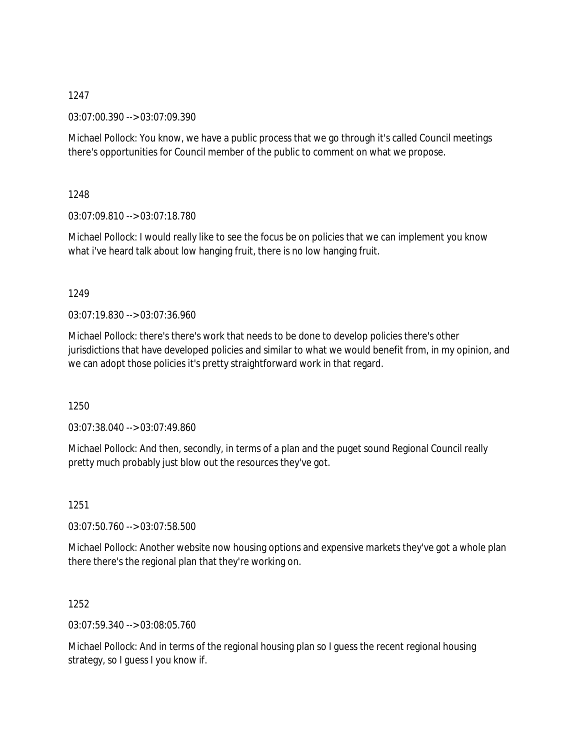03:07:00.390 --> 03:07:09.390

Michael Pollock: You know, we have a public process that we go through it's called Council meetings there's opportunities for Council member of the public to comment on what we propose.

1248

03:07:09.810 --> 03:07:18.780

Michael Pollock: I would really like to see the focus be on policies that we can implement you know what i've heard talk about low hanging fruit, there is no low hanging fruit.

1249

03:07:19.830 --> 03:07:36.960

Michael Pollock: there's there's work that needs to be done to develop policies there's other jurisdictions that have developed policies and similar to what we would benefit from, in my opinion, and we can adopt those policies it's pretty straightforward work in that regard.

1250

03:07:38.040 --> 03:07:49.860

Michael Pollock: And then, secondly, in terms of a plan and the puget sound Regional Council really pretty much probably just blow out the resources they've got.

1251

03:07:50.760 --> 03:07:58.500

Michael Pollock: Another website now housing options and expensive markets they've got a whole plan there there's the regional plan that they're working on.

1252

03:07:59.340 --> 03:08:05.760

Michael Pollock: And in terms of the regional housing plan so I guess the recent regional housing strategy, so I guess I you know if.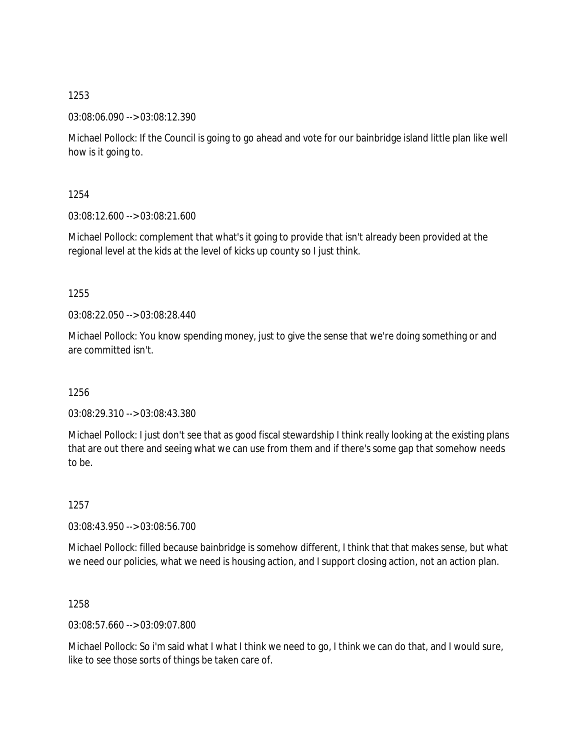03:08:06.090 --> 03:08:12.390

Michael Pollock: If the Council is going to go ahead and vote for our bainbridge island little plan like well how is it going to.

1254

03:08:12.600 --> 03:08:21.600

Michael Pollock: complement that what's it going to provide that isn't already been provided at the regional level at the kids at the level of kicks up county so I just think.

1255

03:08:22.050 --> 03:08:28.440

Michael Pollock: You know spending money, just to give the sense that we're doing something or and are committed isn't.

1256

03:08:29.310 --> 03:08:43.380

Michael Pollock: I just don't see that as good fiscal stewardship I think really looking at the existing plans that are out there and seeing what we can use from them and if there's some gap that somehow needs to be.

1257

03:08:43.950 --> 03:08:56.700

Michael Pollock: filled because bainbridge is somehow different, I think that that makes sense, but what we need our policies, what we need is housing action, and I support closing action, not an action plan.

1258

03:08:57.660 --> 03:09:07.800

Michael Pollock: So i'm said what I what I think we need to go, I think we can do that, and I would sure, like to see those sorts of things be taken care of.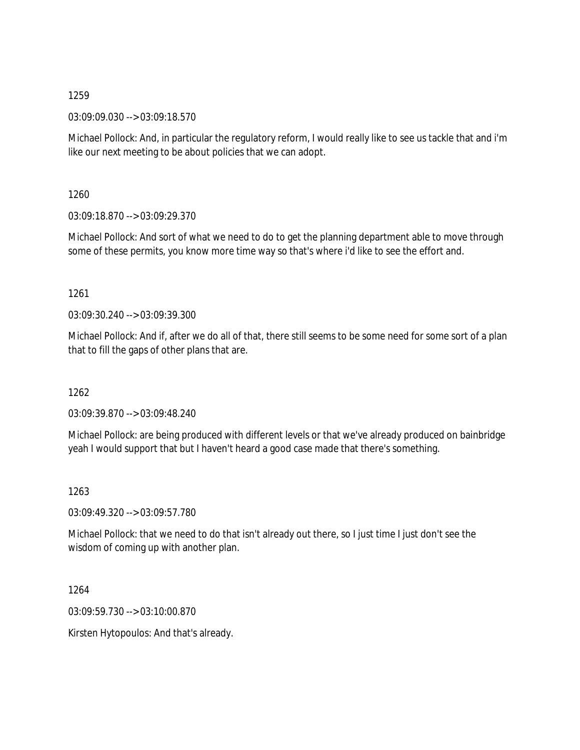03:09:09.030 --> 03:09:18.570

Michael Pollock: And, in particular the regulatory reform, I would really like to see us tackle that and i'm like our next meeting to be about policies that we can adopt.

1260

03:09:18.870 --> 03:09:29.370

Michael Pollock: And sort of what we need to do to get the planning department able to move through some of these permits, you know more time way so that's where i'd like to see the effort and.

1261

03:09:30.240 --> 03:09:39.300

Michael Pollock: And if, after we do all of that, there still seems to be some need for some sort of a plan that to fill the gaps of other plans that are.

1262

03:09:39.870 --> 03:09:48.240

Michael Pollock: are being produced with different levels or that we've already produced on bainbridge yeah I would support that but I haven't heard a good case made that there's something.

1263

03:09:49.320 --> 03:09:57.780

Michael Pollock: that we need to do that isn't already out there, so I just time I just don't see the wisdom of coming up with another plan.

1264

03:09:59.730 --> 03:10:00.870

Kirsten Hytopoulos: And that's already.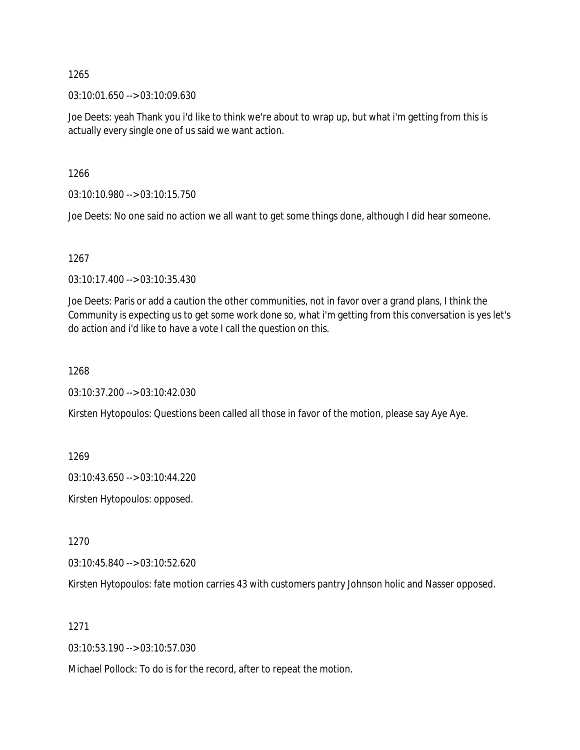03:10:01.650 --> 03:10:09.630

Joe Deets: yeah Thank you i'd like to think we're about to wrap up, but what i'm getting from this is actually every single one of us said we want action.

1266

03:10:10.980 --> 03:10:15.750

Joe Deets: No one said no action we all want to get some things done, although I did hear someone.

1267

03:10:17.400 --> 03:10:35.430

Joe Deets: Paris or add a caution the other communities, not in favor over a grand plans, I think the Community is expecting us to get some work done so, what i'm getting from this conversation is yes let's do action and i'd like to have a vote I call the question on this.

1268

03:10:37.200 --> 03:10:42.030

Kirsten Hytopoulos: Questions been called all those in favor of the motion, please say Aye Aye.

1269

03:10:43.650 --> 03:10:44.220

Kirsten Hytopoulos: opposed.

1270

03:10:45.840 --> 03:10:52.620

Kirsten Hytopoulos: fate motion carries 43 with customers pantry Johnson holic and Nasser opposed.

1271

03:10:53.190 --> 03:10:57.030

Michael Pollock: To do is for the record, after to repeat the motion.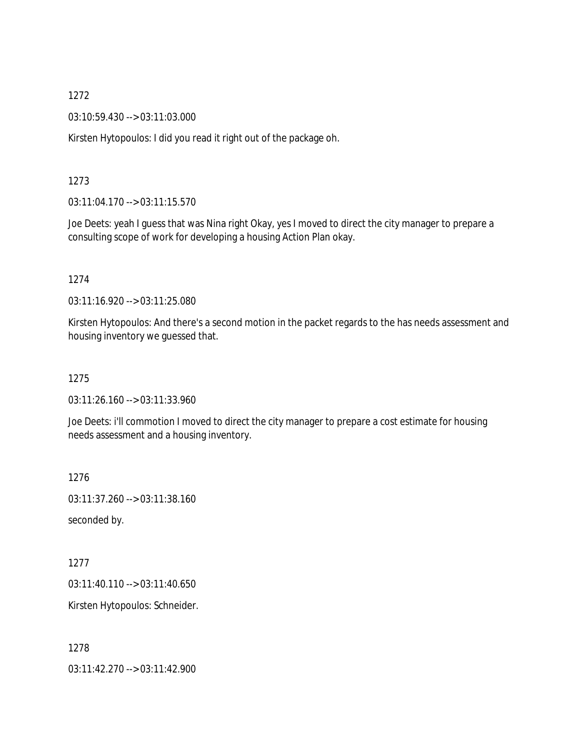03:10:59.430 --> 03:11:03.000

Kirsten Hytopoulos: I did you read it right out of the package oh.

#### 1273

03:11:04.170 --> 03:11:15.570

Joe Deets: yeah I guess that was Nina right Okay, yes I moved to direct the city manager to prepare a consulting scope of work for developing a housing Action Plan okay.

#### 1274

03:11:16.920 --> 03:11:25.080

Kirsten Hytopoulos: And there's a second motion in the packet regards to the has needs assessment and housing inventory we guessed that.

1275

03:11:26.160 --> 03:11:33.960

Joe Deets: i'll commotion I moved to direct the city manager to prepare a cost estimate for housing needs assessment and a housing inventory.

1276

03:11:37.260 --> 03:11:38.160

seconded by.

1277

03:11:40.110 --> 03:11:40.650

Kirsten Hytopoulos: Schneider.

1278

03:11:42.270 --> 03:11:42.900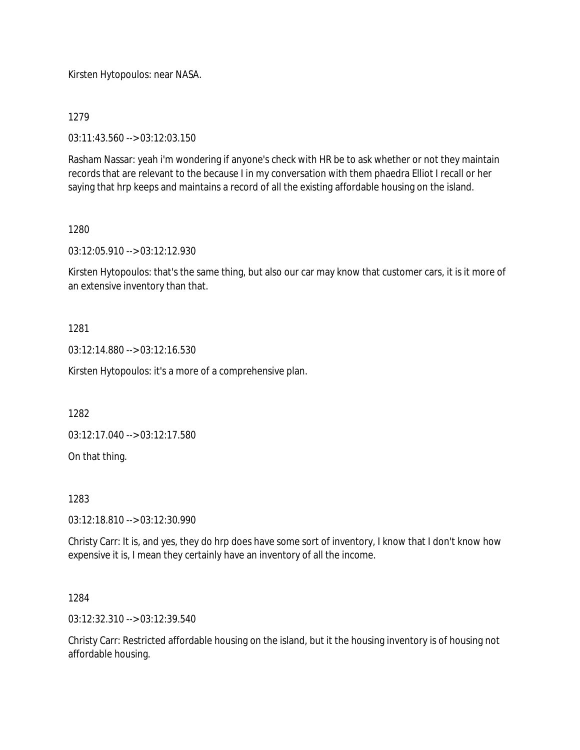Kirsten Hytopoulos: near NASA.

1279

03:11:43.560 --> 03:12:03.150

Rasham Nassar: yeah i'm wondering if anyone's check with HR be to ask whether or not they maintain records that are relevant to the because I in my conversation with them phaedra Elliot I recall or her saying that hrp keeps and maintains a record of all the existing affordable housing on the island.

#### 1280

03:12:05.910 --> 03:12:12.930

Kirsten Hytopoulos: that's the same thing, but also our car may know that customer cars, it is it more of an extensive inventory than that.

## 1281

03:12:14.880 --> 03:12:16.530

Kirsten Hytopoulos: it's a more of a comprehensive plan.

1282

03:12:17.040 --> 03:12:17.580

On that thing.

1283

03:12:18.810 --> 03:12:30.990

Christy Carr: It is, and yes, they do hrp does have some sort of inventory, I know that I don't know how expensive it is, I mean they certainly have an inventory of all the income.

1284

03:12:32.310 --> 03:12:39.540

Christy Carr: Restricted affordable housing on the island, but it the housing inventory is of housing not affordable housing.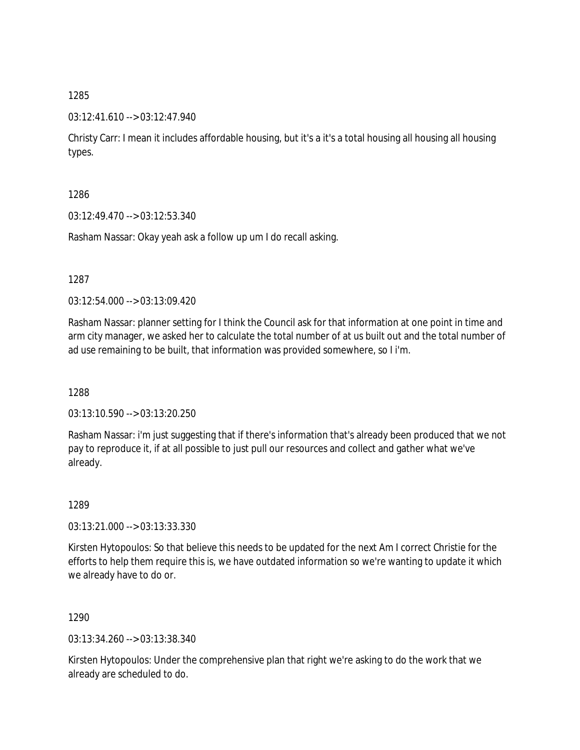## 03:12:41.610 --> 03:12:47.940

Christy Carr: I mean it includes affordable housing, but it's a it's a total housing all housing all housing types.

1286

03:12:49.470 --> 03:12:53.340

Rasham Nassar: Okay yeah ask a follow up um I do recall asking.

1287

03:12:54.000 --> 03:13:09.420

Rasham Nassar: planner setting for I think the Council ask for that information at one point in time and arm city manager, we asked her to calculate the total number of at us built out and the total number of ad use remaining to be built, that information was provided somewhere, so I i'm.

1288

03:13:10.590 --> 03:13:20.250

Rasham Nassar: i'm just suggesting that if there's information that's already been produced that we not pay to reproduce it, if at all possible to just pull our resources and collect and gather what we've already.

1289

03:13:21.000 --> 03:13:33.330

Kirsten Hytopoulos: So that believe this needs to be updated for the next Am I correct Christie for the efforts to help them require this is, we have outdated information so we're wanting to update it which we already have to do or.

1290

03:13:34.260 --> 03:13:38.340

Kirsten Hytopoulos: Under the comprehensive plan that right we're asking to do the work that we already are scheduled to do.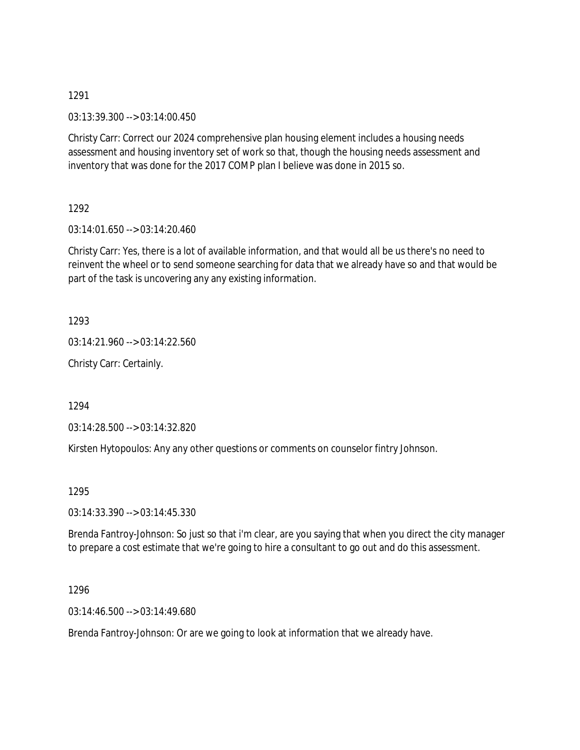03:13:39.300 --> 03:14:00.450

Christy Carr: Correct our 2024 comprehensive plan housing element includes a housing needs assessment and housing inventory set of work so that, though the housing needs assessment and inventory that was done for the 2017 COMP plan I believe was done in 2015 so.

1292

03:14:01.650 --> 03:14:20.460

Christy Carr: Yes, there is a lot of available information, and that would all be us there's no need to reinvent the wheel or to send someone searching for data that we already have so and that would be part of the task is uncovering any any existing information.

1293

03:14:21.960 --> 03:14:22.560

Christy Carr: Certainly.

1294

03:14:28.500 --> 03:14:32.820

Kirsten Hytopoulos: Any any other questions or comments on counselor fintry Johnson.

1295

03:14:33.390 --> 03:14:45.330

Brenda Fantroy-Johnson: So just so that i'm clear, are you saying that when you direct the city manager to prepare a cost estimate that we're going to hire a consultant to go out and do this assessment.

1296

03:14:46.500 --> 03:14:49.680

Brenda Fantroy-Johnson: Or are we going to look at information that we already have.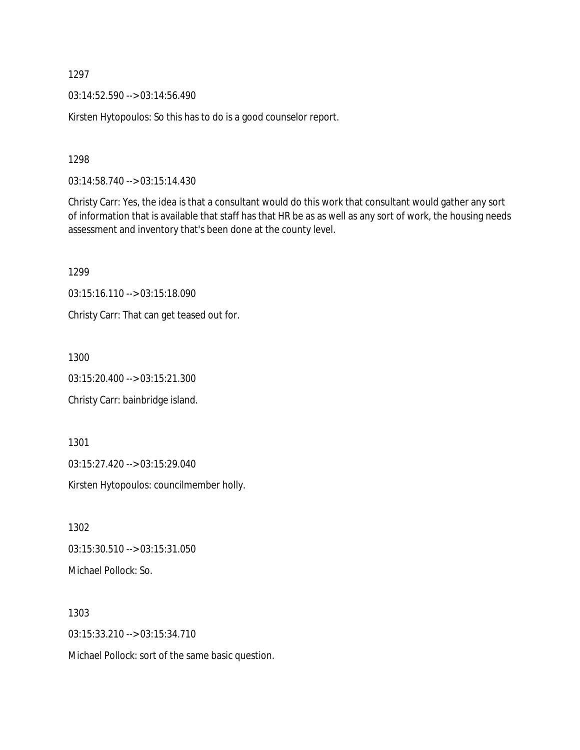03:14:52.590 --> 03:14:56.490

Kirsten Hytopoulos: So this has to do is a good counselor report.

1298

03:14:58.740 --> 03:15:14.430

Christy Carr: Yes, the idea is that a consultant would do this work that consultant would gather any sort of information that is available that staff has that HR be as as well as any sort of work, the housing needs assessment and inventory that's been done at the county level.

1299

03:15:16.110 --> 03:15:18.090

Christy Carr: That can get teased out for.

1300

03:15:20.400 --> 03:15:21.300

Christy Carr: bainbridge island.

1301

03:15:27.420 --> 03:15:29.040

Kirsten Hytopoulos: councilmember holly.

1302 03:15:30.510 --> 03:15:31.050 Michael Pollock: So.

1303 03:15:33.210 --> 03:15:34.710

Michael Pollock: sort of the same basic question.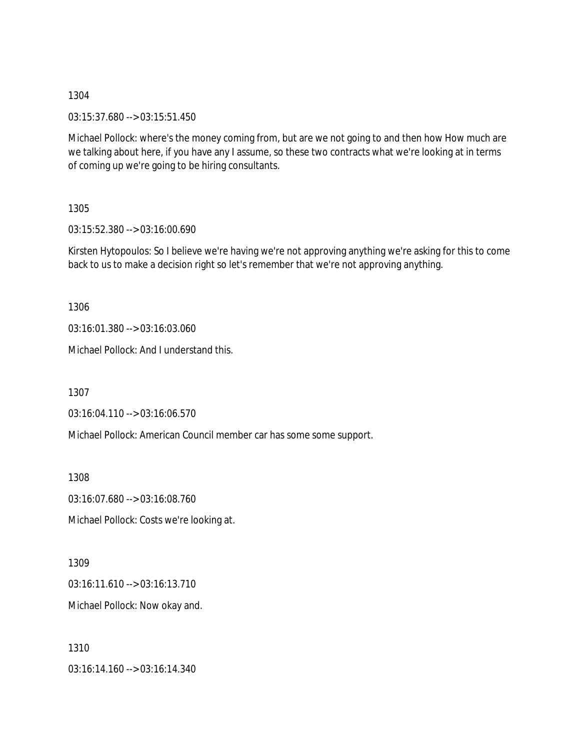03:15:37.680 --> 03:15:51.450

Michael Pollock: where's the money coming from, but are we not going to and then how How much are we talking about here, if you have any I assume, so these two contracts what we're looking at in terms of coming up we're going to be hiring consultants.

1305

03:15:52.380 --> 03:16:00.690

Kirsten Hytopoulos: So I believe we're having we're not approving anything we're asking for this to come back to us to make a decision right so let's remember that we're not approving anything.

1306

03:16:01.380 --> 03:16:03.060

Michael Pollock: And I understand this.

1307

03:16:04.110 --> 03:16:06.570

Michael Pollock: American Council member car has some some support.

1308

03:16:07.680 --> 03:16:08.760

Michael Pollock: Costs we're looking at.

1309

03:16:11.610 --> 03:16:13.710

Michael Pollock: Now okay and.

1310 03:16:14.160 --> 03:16:14.340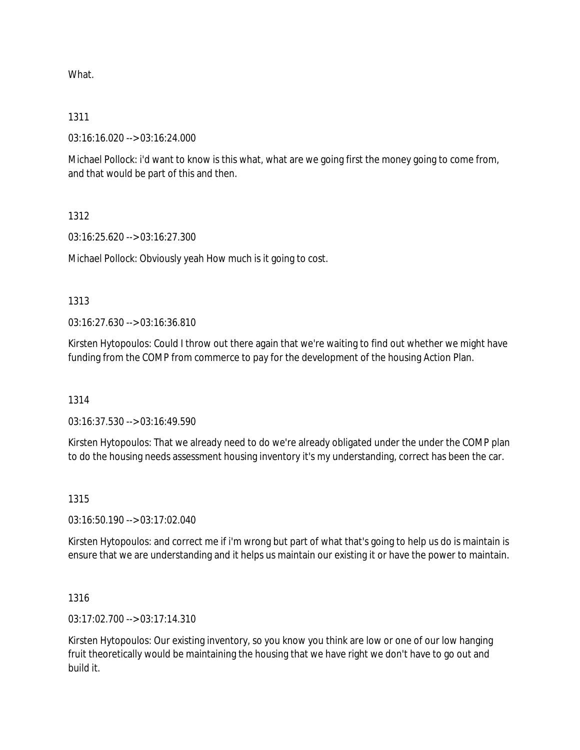What.

### 1311

03:16:16.020 --> 03:16:24.000

Michael Pollock: i'd want to know is this what, what are we going first the money going to come from, and that would be part of this and then.

# 1312

03:16:25.620 --> 03:16:27.300

Michael Pollock: Obviously yeah How much is it going to cost.

## 1313

03:16:27.630 --> 03:16:36.810

Kirsten Hytopoulos: Could I throw out there again that we're waiting to find out whether we might have funding from the COMP from commerce to pay for the development of the housing Action Plan.

#### 1314

03:16:37.530 --> 03:16:49.590

Kirsten Hytopoulos: That we already need to do we're already obligated under the under the COMP plan to do the housing needs assessment housing inventory it's my understanding, correct has been the car.

# 1315

03:16:50.190 --> 03:17:02.040

Kirsten Hytopoulos: and correct me if i'm wrong but part of what that's going to help us do is maintain is ensure that we are understanding and it helps us maintain our existing it or have the power to maintain.

#### 1316

03:17:02.700 --> 03:17:14.310

Kirsten Hytopoulos: Our existing inventory, so you know you think are low or one of our low hanging fruit theoretically would be maintaining the housing that we have right we don't have to go out and build it.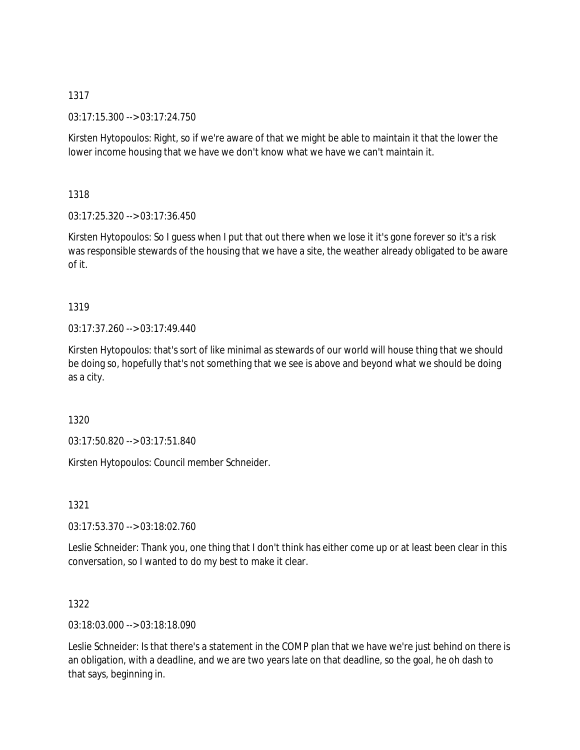03:17:15.300 --> 03:17:24.750

Kirsten Hytopoulos: Right, so if we're aware of that we might be able to maintain it that the lower the lower income housing that we have we don't know what we have we can't maintain it.

1318

03:17:25.320 --> 03:17:36.450

Kirsten Hytopoulos: So I guess when I put that out there when we lose it it's gone forever so it's a risk was responsible stewards of the housing that we have a site, the weather already obligated to be aware of it.

# 1319

03:17:37.260 --> 03:17:49.440

Kirsten Hytopoulos: that's sort of like minimal as stewards of our world will house thing that we should be doing so, hopefully that's not something that we see is above and beyond what we should be doing as a city.

1320

03:17:50.820 --> 03:17:51.840

Kirsten Hytopoulos: Council member Schneider.

1321

03:17:53.370 --> 03:18:02.760

Leslie Schneider: Thank you, one thing that I don't think has either come up or at least been clear in this conversation, so I wanted to do my best to make it clear.

## 1322

03:18:03.000 --> 03:18:18.090

Leslie Schneider: Is that there's a statement in the COMP plan that we have we're just behind on there is an obligation, with a deadline, and we are two years late on that deadline, so the goal, he oh dash to that says, beginning in.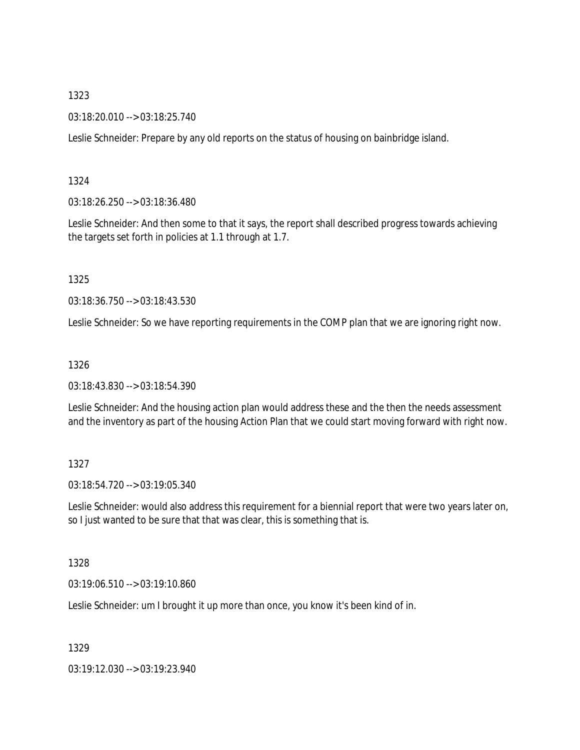03:18:20.010 --> 03:18:25.740

Leslie Schneider: Prepare by any old reports on the status of housing on bainbridge island.

#### 1324

03:18:26.250 --> 03:18:36.480

Leslie Schneider: And then some to that it says, the report shall described progress towards achieving the targets set forth in policies at 1.1 through at 1.7.

#### 1325

03:18:36.750 --> 03:18:43.530

Leslie Schneider: So we have reporting requirements in the COMP plan that we are ignoring right now.

#### 1326

03:18:43.830 --> 03:18:54.390

Leslie Schneider: And the housing action plan would address these and the then the needs assessment and the inventory as part of the housing Action Plan that we could start moving forward with right now.

# 1327

03:18:54.720 --> 03:19:05.340

Leslie Schneider: would also address this requirement for a biennial report that were two years later on, so I just wanted to be sure that that was clear, this is something that is.

#### 1328

03:19:06.510 --> 03:19:10.860

Leslie Schneider: um I brought it up more than once, you know it's been kind of in.

1329

03:19:12.030 --> 03:19:23.940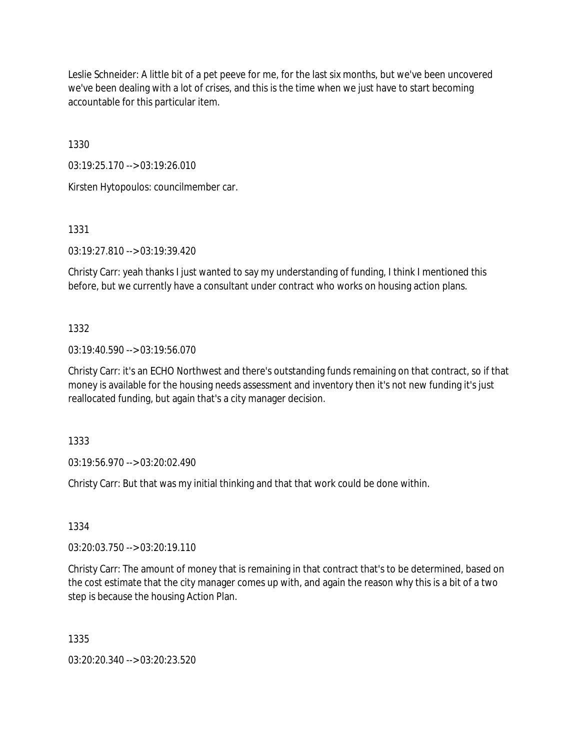Leslie Schneider: A little bit of a pet peeve for me, for the last six months, but we've been uncovered we've been dealing with a lot of crises, and this is the time when we just have to start becoming accountable for this particular item.

1330

03:19:25.170 --> 03:19:26.010

Kirsten Hytopoulos: councilmember car.

1331

03:19:27.810 --> 03:19:39.420

Christy Carr: yeah thanks I just wanted to say my understanding of funding, I think I mentioned this before, but we currently have a consultant under contract who works on housing action plans.

1332

03:19:40.590 --> 03:19:56.070

Christy Carr: it's an ECHO Northwest and there's outstanding funds remaining on that contract, so if that money is available for the housing needs assessment and inventory then it's not new funding it's just reallocated funding, but again that's a city manager decision.

1333

03:19:56.970 --> 03:20:02.490

Christy Carr: But that was my initial thinking and that that work could be done within.

1334

03:20:03.750 --> 03:20:19.110

Christy Carr: The amount of money that is remaining in that contract that's to be determined, based on the cost estimate that the city manager comes up with, and again the reason why this is a bit of a two step is because the housing Action Plan.

1335

03:20:20.340 --> 03:20:23.520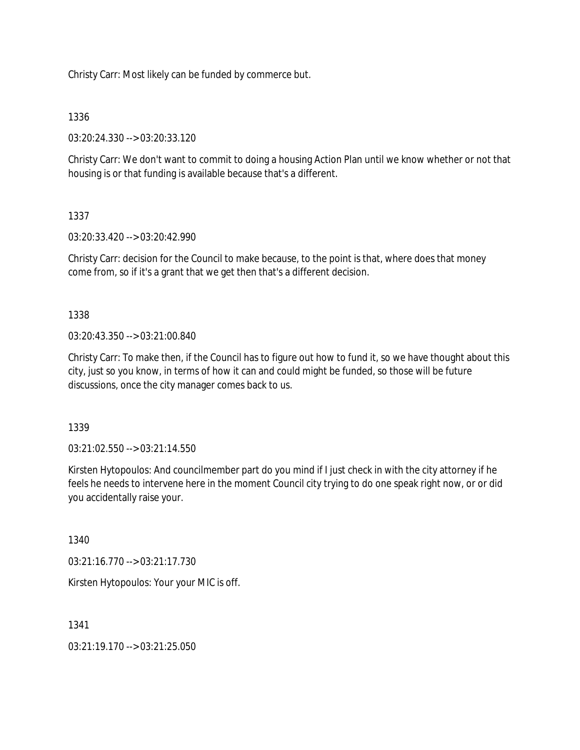Christy Carr: Most likely can be funded by commerce but.

### 1336

03:20:24.330 --> 03:20:33.120

Christy Carr: We don't want to commit to doing a housing Action Plan until we know whether or not that housing is or that funding is available because that's a different.

# 1337

03:20:33.420 --> 03:20:42.990

Christy Carr: decision for the Council to make because, to the point is that, where does that money come from, so if it's a grant that we get then that's a different decision.

## 1338

03:20:43.350 --> 03:21:00.840

Christy Carr: To make then, if the Council has to figure out how to fund it, so we have thought about this city, just so you know, in terms of how it can and could might be funded, so those will be future discussions, once the city manager comes back to us.

1339

03:21:02.550 --> 03:21:14.550

Kirsten Hytopoulos: And councilmember part do you mind if I just check in with the city attorney if he feels he needs to intervene here in the moment Council city trying to do one speak right now, or or did you accidentally raise your.

1340

03:21:16.770 --> 03:21:17.730

Kirsten Hytopoulos: Your your MIC is off.

1341

03:21:19.170 --> 03:21:25.050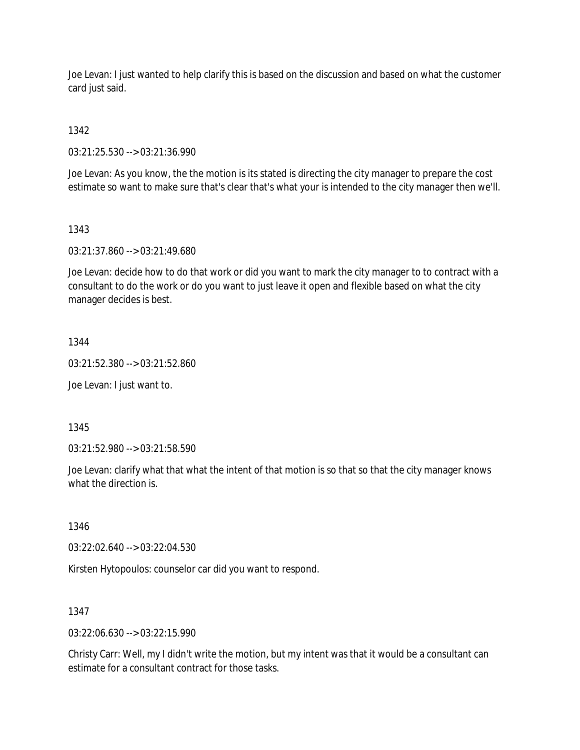Joe Levan: I just wanted to help clarify this is based on the discussion and based on what the customer card just said.

1342

03:21:25.530 --> 03:21:36.990

Joe Levan: As you know, the the motion is its stated is directing the city manager to prepare the cost estimate so want to make sure that's clear that's what your is intended to the city manager then we'll.

## 1343

03:21:37.860 --> 03:21:49.680

Joe Levan: decide how to do that work or did you want to mark the city manager to to contract with a consultant to do the work or do you want to just leave it open and flexible based on what the city manager decides is best.

## 1344

03:21:52.380 --> 03:21:52.860

Joe Levan: I just want to.

1345

03:21:52.980 --> 03:21:58.590

Joe Levan: clarify what that what the intent of that motion is so that so that the city manager knows what the direction is.

1346

03:22:02.640 --> 03:22:04.530

Kirsten Hytopoulos: counselor car did you want to respond.

#### 1347

03:22:06.630 --> 03:22:15.990

Christy Carr: Well, my I didn't write the motion, but my intent was that it would be a consultant can estimate for a consultant contract for those tasks.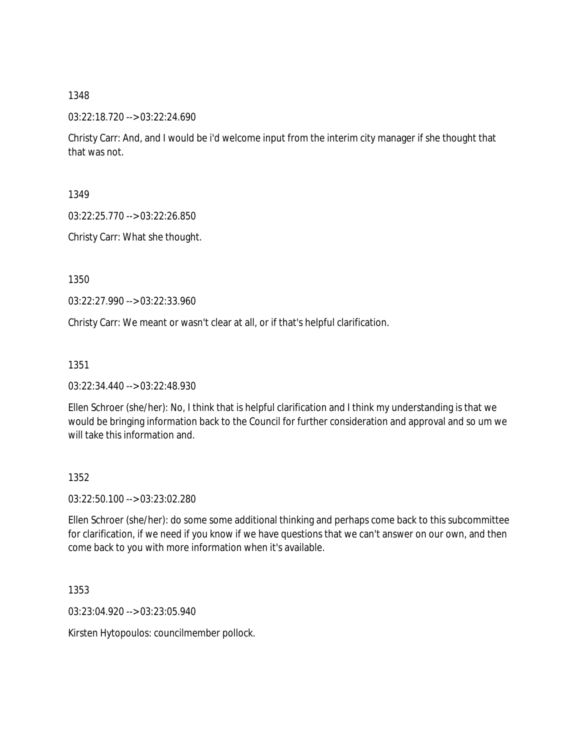03:22:18.720 --> 03:22:24.690

Christy Carr: And, and I would be i'd welcome input from the interim city manager if she thought that that was not.

1349

03:22:25.770 --> 03:22:26.850

Christy Carr: What she thought.

1350

03:22:27.990 --> 03:22:33.960

Christy Carr: We meant or wasn't clear at all, or if that's helpful clarification.

1351

03:22:34.440 --> 03:22:48.930

Ellen Schroer (she/her): No, I think that is helpful clarification and I think my understanding is that we would be bringing information back to the Council for further consideration and approval and so um we will take this information and.

1352

03:22:50.100 --> 03:23:02.280

Ellen Schroer (she/her): do some some additional thinking and perhaps come back to this subcommittee for clarification, if we need if you know if we have questions that we can't answer on our own, and then come back to you with more information when it's available.

1353

03:23:04.920 --> 03:23:05.940

Kirsten Hytopoulos: councilmember pollock.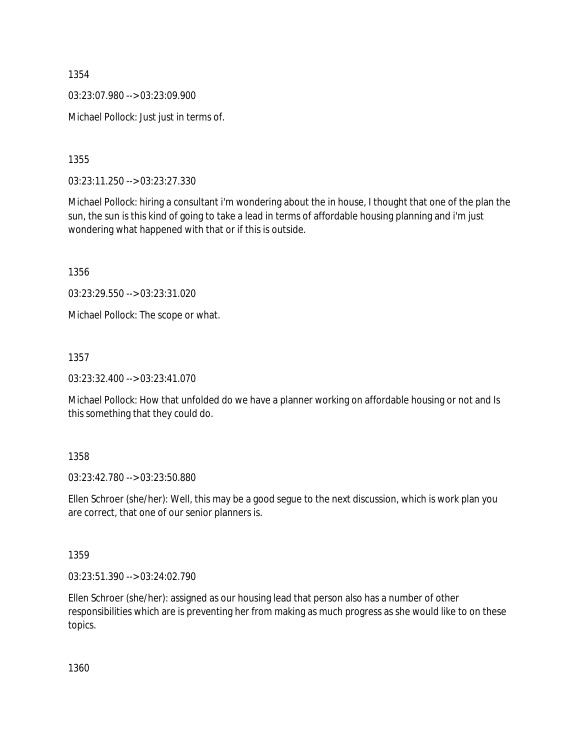03:23:07.980 --> 03:23:09.900

Michael Pollock: Just just in terms of.

1355

03:23:11.250 --> 03:23:27.330

Michael Pollock: hiring a consultant i'm wondering about the in house, I thought that one of the plan the sun, the sun is this kind of going to take a lead in terms of affordable housing planning and i'm just wondering what happened with that or if this is outside.

1356

03:23:29.550 --> 03:23:31.020

Michael Pollock: The scope or what.

1357

03:23:32.400 --> 03:23:41.070

Michael Pollock: How that unfolded do we have a planner working on affordable housing or not and Is this something that they could do.

1358

03:23:42.780 --> 03:23:50.880

Ellen Schroer (she/her): Well, this may be a good segue to the next discussion, which is work plan you are correct, that one of our senior planners is.

1359

03:23:51.390 --> 03:24:02.790

Ellen Schroer (she/her): assigned as our housing lead that person also has a number of other responsibilities which are is preventing her from making as much progress as she would like to on these topics.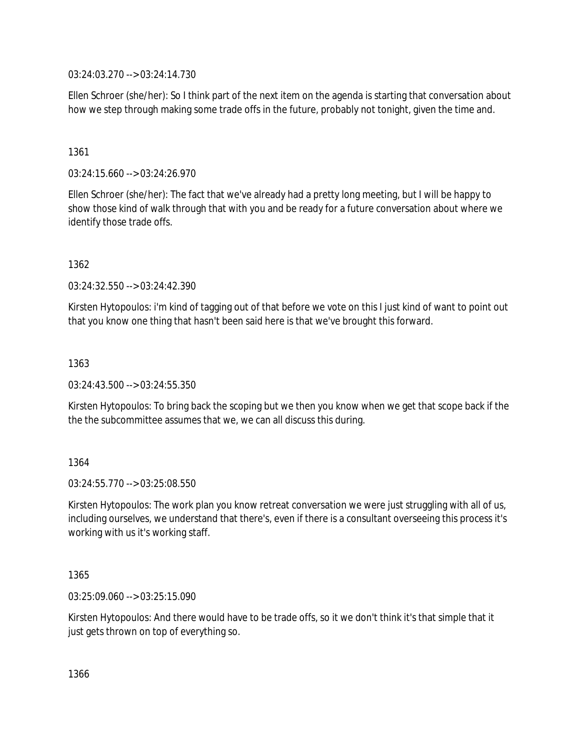03:24:03.270 --> 03:24:14.730

Ellen Schroer (she/her): So I think part of the next item on the agenda is starting that conversation about how we step through making some trade offs in the future, probably not tonight, given the time and.

### 1361

03:24:15.660 --> 03:24:26.970

Ellen Schroer (she/her): The fact that we've already had a pretty long meeting, but I will be happy to show those kind of walk through that with you and be ready for a future conversation about where we identify those trade offs.

1362

03:24:32.550 --> 03:24:42.390

Kirsten Hytopoulos: i'm kind of tagging out of that before we vote on this I just kind of want to point out that you know one thing that hasn't been said here is that we've brought this forward.

1363

03:24:43.500 --> 03:24:55.350

Kirsten Hytopoulos: To bring back the scoping but we then you know when we get that scope back if the the the subcommittee assumes that we, we can all discuss this during.

#### 1364

03:24:55.770 --> 03:25:08.550

Kirsten Hytopoulos: The work plan you know retreat conversation we were just struggling with all of us, including ourselves, we understand that there's, even if there is a consultant overseeing this process it's working with us it's working staff.

1365

03:25:09.060 --> 03:25:15.090

Kirsten Hytopoulos: And there would have to be trade offs, so it we don't think it's that simple that it just gets thrown on top of everything so.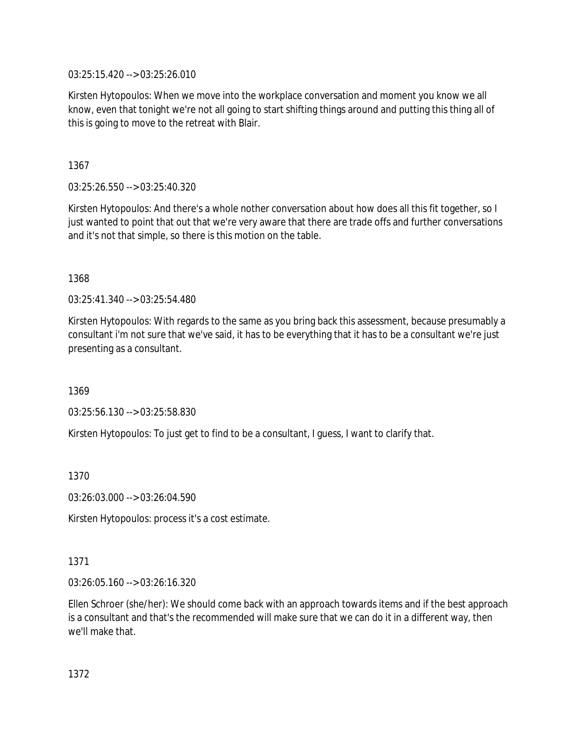03:25:15.420 --> 03:25:26.010

Kirsten Hytopoulos: When we move into the workplace conversation and moment you know we all know, even that tonight we're not all going to start shifting things around and putting this thing all of this is going to move to the retreat with Blair.

1367

03:25:26.550 --> 03:25:40.320

Kirsten Hytopoulos: And there's a whole nother conversation about how does all this fit together, so I just wanted to point that out that we're very aware that there are trade offs and further conversations and it's not that simple, so there is this motion on the table.

1368

03:25:41.340 --> 03:25:54.480

Kirsten Hytopoulos: With regards to the same as you bring back this assessment, because presumably a consultant i'm not sure that we've said, it has to be everything that it has to be a consultant we're just presenting as a consultant.

1369

03:25:56.130 --> 03:25:58.830

Kirsten Hytopoulos: To just get to find to be a consultant, I guess, I want to clarify that.

1370

03:26:03.000 --> 03:26:04.590

Kirsten Hytopoulos: process it's a cost estimate.

1371

03:26:05.160 --> 03:26:16.320

Ellen Schroer (she/her): We should come back with an approach towards items and if the best approach is a consultant and that's the recommended will make sure that we can do it in a different way, then we'll make that.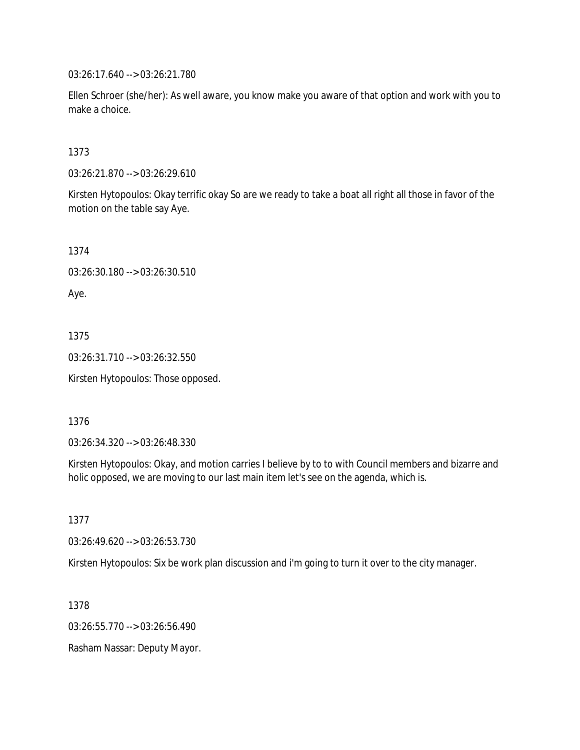03:26:17.640 --> 03:26:21.780

Ellen Schroer (she/her): As well aware, you know make you aware of that option and work with you to make a choice.

1373

03:26:21.870 --> 03:26:29.610

Kirsten Hytopoulos: Okay terrific okay So are we ready to take a boat all right all those in favor of the motion on the table say Aye.

1374 03:26:30.180 --> 03:26:30.510 Aye.

1375 03:26:31.710 --> 03:26:32.550

Kirsten Hytopoulos: Those opposed.

1376

03:26:34.320 --> 03:26:48.330

Kirsten Hytopoulos: Okay, and motion carries I believe by to to with Council members and bizarre and holic opposed, we are moving to our last main item let's see on the agenda, which is.

1377

03:26:49.620 --> 03:26:53.730

Kirsten Hytopoulos: Six be work plan discussion and i'm going to turn it over to the city manager.

1378 03:26:55.770 --> 03:26:56.490 Rasham Nassar: Deputy Mayor.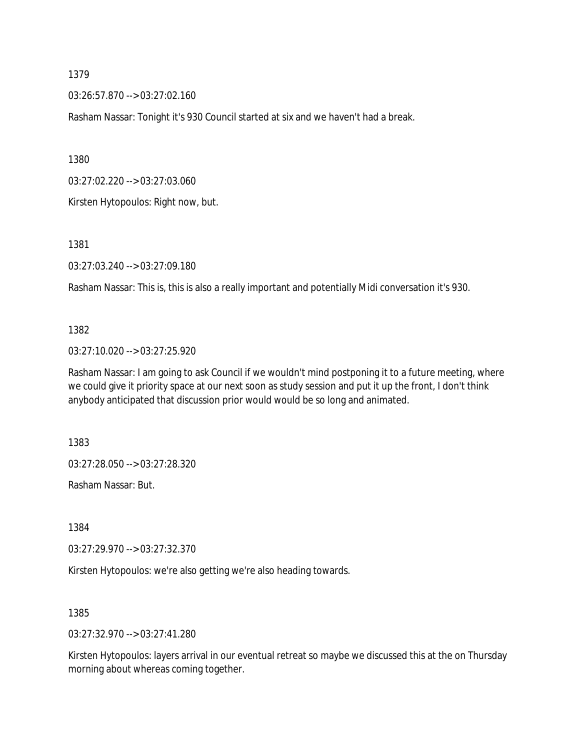03:26:57.870 --> 03:27:02.160

Rasham Nassar: Tonight it's 930 Council started at six and we haven't had a break.

1380

03:27:02.220 --> 03:27:03.060

Kirsten Hytopoulos: Right now, but.

1381

03:27:03.240 --> 03:27:09.180

Rasham Nassar: This is, this is also a really important and potentially Midi conversation it's 930.

#### 1382

03:27:10.020 --> 03:27:25.920

Rasham Nassar: I am going to ask Council if we wouldn't mind postponing it to a future meeting, where we could give it priority space at our next soon as study session and put it up the front, I don't think anybody anticipated that discussion prior would would be so long and animated.

1383

03:27:28.050 --> 03:27:28.320

Rasham Nassar: But.

1384

03:27:29.970 --> 03:27:32.370

Kirsten Hytopoulos: we're also getting we're also heading towards.

1385

03:27:32.970 --> 03:27:41.280

Kirsten Hytopoulos: layers arrival in our eventual retreat so maybe we discussed this at the on Thursday morning about whereas coming together.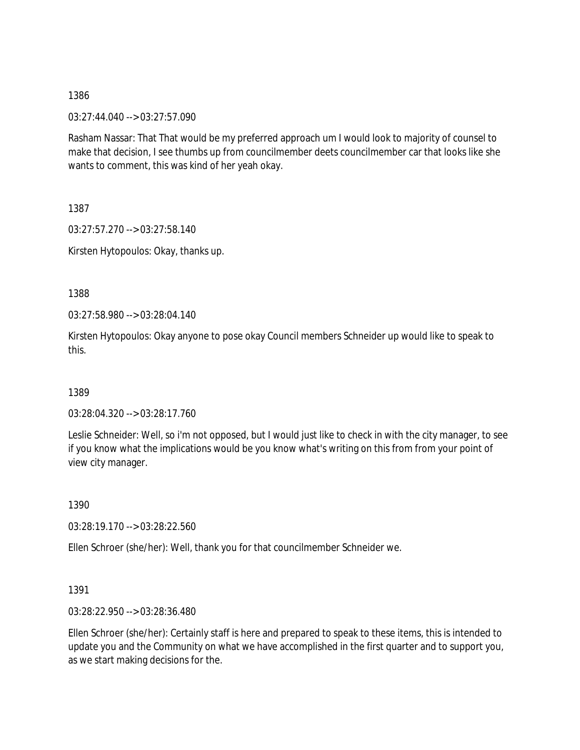03:27:44.040 --> 03:27:57.090

Rasham Nassar: That That would be my preferred approach um I would look to majority of counsel to make that decision, I see thumbs up from councilmember deets councilmember car that looks like she wants to comment, this was kind of her yeah okay.

1387

03:27:57.270 --> 03:27:58.140

Kirsten Hytopoulos: Okay, thanks up.

1388

03:27:58.980 --> 03:28:04.140

Kirsten Hytopoulos: Okay anyone to pose okay Council members Schneider up would like to speak to this.

1389

03:28:04.320 --> 03:28:17.760

Leslie Schneider: Well, so i'm not opposed, but I would just like to check in with the city manager, to see if you know what the implications would be you know what's writing on this from from your point of view city manager.

1390

03:28:19.170 --> 03:28:22.560

Ellen Schroer (she/her): Well, thank you for that councilmember Schneider we.

1391

03:28:22.950 --> 03:28:36.480

Ellen Schroer (she/her): Certainly staff is here and prepared to speak to these items, this is intended to update you and the Community on what we have accomplished in the first quarter and to support you, as we start making decisions for the.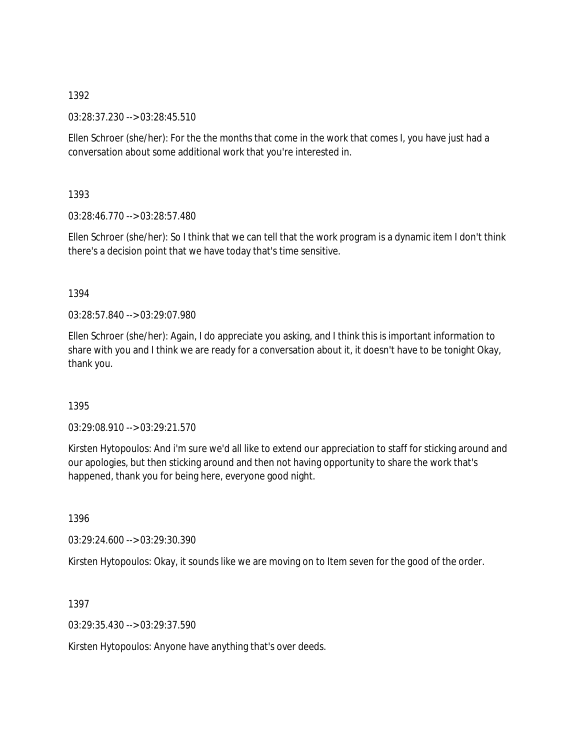03:28:37.230 --> 03:28:45.510

Ellen Schroer (she/her): For the the months that come in the work that comes I, you have just had a conversation about some additional work that you're interested in.

1393

03:28:46.770 --> 03:28:57.480

Ellen Schroer (she/her): So I think that we can tell that the work program is a dynamic item I don't think there's a decision point that we have today that's time sensitive.

## 1394

03:28:57.840 --> 03:29:07.980

Ellen Schroer (she/her): Again, I do appreciate you asking, and I think this is important information to share with you and I think we are ready for a conversation about it, it doesn't have to be tonight Okay, thank you.

# 1395

03:29:08.910 --> 03:29:21.570

Kirsten Hytopoulos: And i'm sure we'd all like to extend our appreciation to staff for sticking around and our apologies, but then sticking around and then not having opportunity to share the work that's happened, thank you for being here, everyone good night.

1396

03:29:24.600 --> 03:29:30.390

Kirsten Hytopoulos: Okay, it sounds like we are moving on to Item seven for the good of the order.

1397

03:29:35.430 --> 03:29:37.590

Kirsten Hytopoulos: Anyone have anything that's over deeds.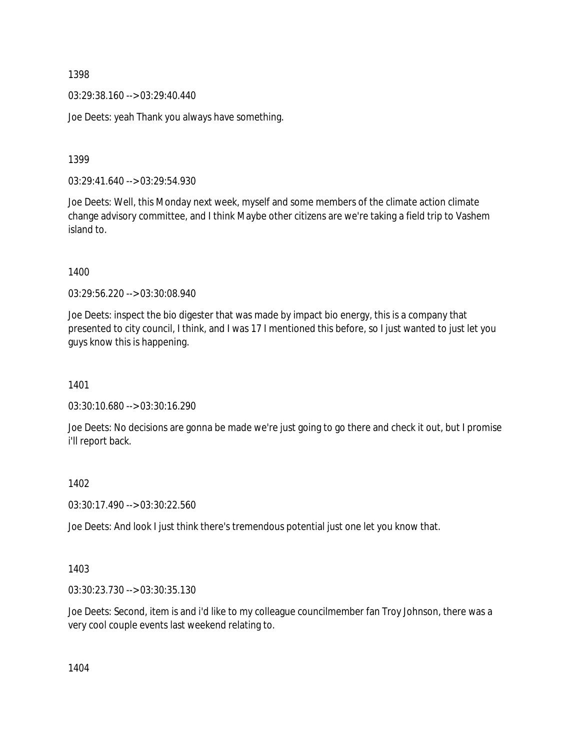03:29:38.160 --> 03:29:40.440

Joe Deets: yeah Thank you always have something.

1399

03:29:41.640 --> 03:29:54.930

Joe Deets: Well, this Monday next week, myself and some members of the climate action climate change advisory committee, and I think Maybe other citizens are we're taking a field trip to Vashem island to.

1400

03:29:56.220 --> 03:30:08.940

Joe Deets: inspect the bio digester that was made by impact bio energy, this is a company that presented to city council, I think, and I was 17 I mentioned this before, so I just wanted to just let you guys know this is happening.

1401

03:30:10.680 --> 03:30:16.290

Joe Deets: No decisions are gonna be made we're just going to go there and check it out, but I promise i'll report back.

1402

03:30:17.490 --> 03:30:22.560

Joe Deets: And look I just think there's tremendous potential just one let you know that.

1403

03:30:23.730 --> 03:30:35.130

Joe Deets: Second, item is and i'd like to my colleague councilmember fan Troy Johnson, there was a very cool couple events last weekend relating to.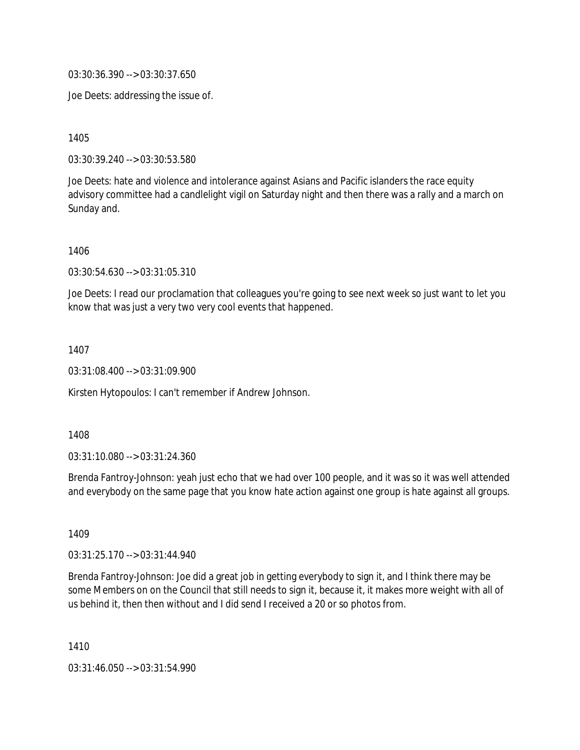03:30:36.390 --> 03:30:37.650

Joe Deets: addressing the issue of.

1405

03:30:39.240 --> 03:30:53.580

Joe Deets: hate and violence and intolerance against Asians and Pacific islanders the race equity advisory committee had a candlelight vigil on Saturday night and then there was a rally and a march on Sunday and.

1406

03:30:54.630 --> 03:31:05.310

Joe Deets: I read our proclamation that colleagues you're going to see next week so just want to let you know that was just a very two very cool events that happened.

1407

03:31:08.400 --> 03:31:09.900

Kirsten Hytopoulos: I can't remember if Andrew Johnson.

1408

03:31:10.080 --> 03:31:24.360

Brenda Fantroy-Johnson: yeah just echo that we had over 100 people, and it was so it was well attended and everybody on the same page that you know hate action against one group is hate against all groups.

1409

03:31:25.170 --> 03:31:44.940

Brenda Fantroy-Johnson: Joe did a great job in getting everybody to sign it, and I think there may be some Members on on the Council that still needs to sign it, because it, it makes more weight with all of us behind it, then then without and I did send I received a 20 or so photos from.

1410

03:31:46.050 --> 03:31:54.990